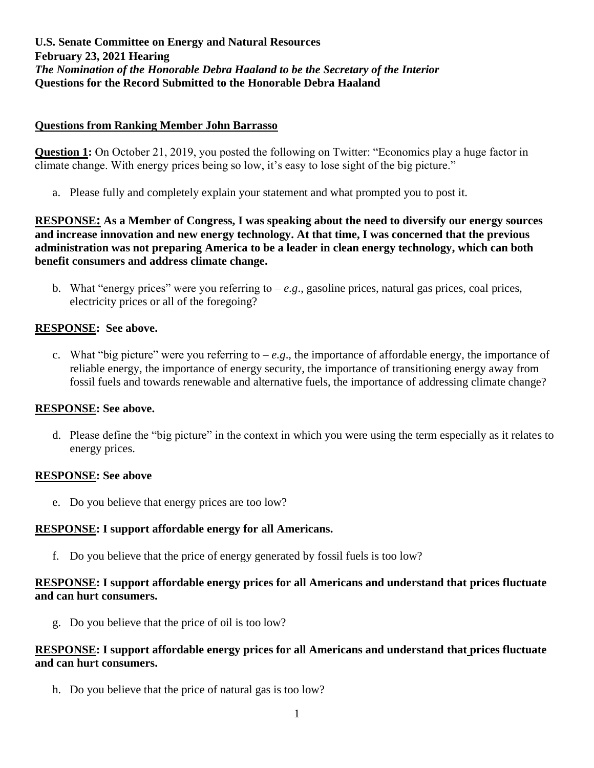#### **Questions from Ranking Member John Barrasso**

**Question 1:** On October 21, 2019, you posted the following on Twitter: "Economics play a huge factor in climate change. With energy prices being so low, it's easy to lose sight of the big picture."

a. Please fully and completely explain your statement and what prompted you to post it.

**RESPONSE: As a Member of Congress, I was speaking about the need to diversify our energy sources and increase innovation and new energy technology. At that time, I was concerned that the previous administration was not preparing America to be a leader in clean energy technology, which can both benefit consumers and address climate change.**

b. What "energy prices" were you referring to *– e.g*., gasoline prices, natural gas prices, coal prices, electricity prices or all of the foregoing?

### **RESPONSE: See above.**

c. What "big picture" were you referring to *– e.g*., the importance of affordable energy, the importance of reliable energy, the importance of energy security, the importance of transitioning energy away from fossil fuels and towards renewable and alternative fuels, the importance of addressing climate change?

### **RESPONSE: See above.**

d. Please define the "big picture" in the context in which you were using the term especially as it relates to energy prices.

### **RESPONSE: See above**

e. Do you believe that energy prices are too low?

### **RESPONSE: I support affordable energy for all Americans.**

f. Do you believe that the price of energy generated by fossil fuels is too low?

### **RESPONSE: I support affordable energy prices for all Americans and understand that prices fluctuate and can hurt consumers.**

g. Do you believe that the price of oil is too low?

### **RESPONSE: I support affordable energy prices for all Americans and understand that prices fluctuate and can hurt consumers.**

h. Do you believe that the price of natural gas is too low?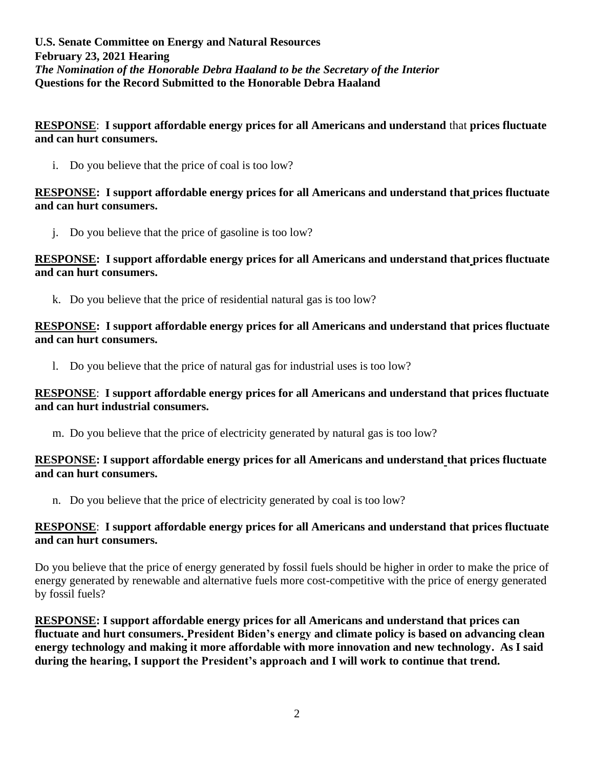**RESPONSE**: **I support affordable energy prices for all Americans and understand** that **prices fluctuate and can hurt consumers.**

i. Do you believe that the price of coal is too low?

#### **RESPONSE: I support affordable energy prices for all Americans and understand that prices fluctuate and can hurt consumers.**

j. Do you believe that the price of gasoline is too low?

#### **RESPONSE: I support affordable energy prices for all Americans and understand that prices fluctuate and can hurt consumers.**

k. Do you believe that the price of residential natural gas is too low?

#### **RESPONSE: I support affordable energy prices for all Americans and understand that prices fluctuate and can hurt consumers.**

l. Do you believe that the price of natural gas for industrial uses is too low?

#### **RESPONSE**: **I support affordable energy prices for all Americans and understand that prices fluctuate and can hurt industrial consumers.**

m. Do you believe that the price of electricity generated by natural gas is too low?

#### **RESPONSE: I support affordable energy prices for all Americans and understand that prices fluctuate and can hurt consumers.**

n. Do you believe that the price of electricity generated by coal is too low?

#### **RESPONSE**: **I support affordable energy prices for all Americans and understand that prices fluctuate and can hurt consumers.**

Do you believe that the price of energy generated by fossil fuels should be higher in order to make the price of energy generated by renewable and alternative fuels more cost-competitive with the price of energy generated by fossil fuels?

**RESPONSE: I support affordable energy prices for all Americans and understand that prices can fluctuate and hurt consumers. President Biden's energy and climate policy is based on advancing clean energy technology and making it more affordable with more innovation and new technology. As I said during the hearing, I support the President's approach and I will work to continue that trend.**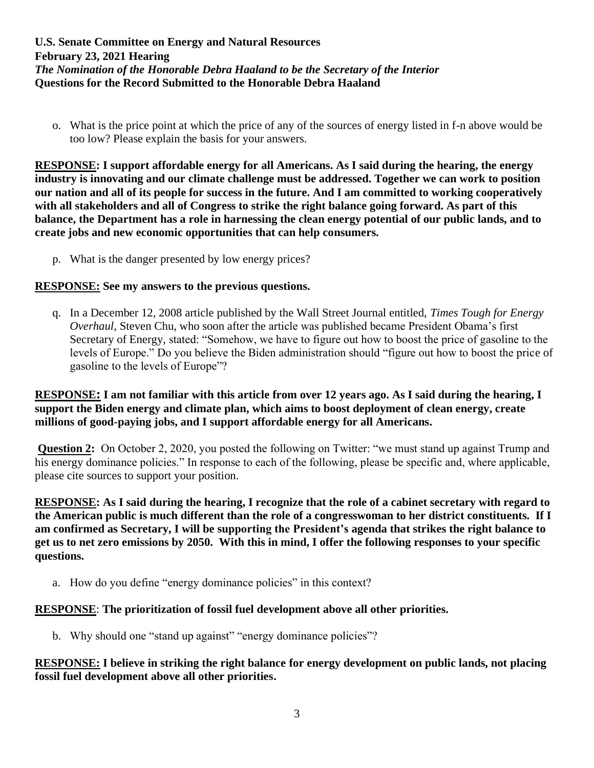o. What is the price point at which the price of any of the sources of energy listed in f-n above would be too low? Please explain the basis for your answers.

**RESPONSE: I support affordable energy for all Americans. As I said during the hearing, the energy industry is innovating and our climate challenge must be addressed. Together we can work to position our nation and all of its people for success in the future. And I am committed to working cooperatively with all stakeholders and all of Congress to strike the right balance going forward. As part of this balance, the Department has a role in harnessing the clean energy potential of our public lands, and to create jobs and new economic opportunities that can help consumers.**

p. What is the danger presented by low energy prices?

#### **RESPONSE: See my answers to the previous questions.**

q. In a December 12, 2008 article published by the Wall Street Journal entitled, *Times Tough for Energy Overhaul*, Steven Chu, who soon after the article was published became President Obama's first Secretary of Energy, stated: "Somehow, we have to figure out how to boost the price of gasoline to the levels of Europe." Do you believe the Biden administration should "figure out how to boost the price of gasoline to the levels of Europe"?

**RESPONSE: I am not familiar with this article from over 12 years ago. As I said during the hearing, I support the Biden energy and climate plan, which aims to boost deployment of clean energy, create millions of good-paying jobs, and I support affordable energy for all Americans.**

**Question 2:** On October 2, 2020, you posted the following on Twitter: "we must stand up against Trump and his energy dominance policies." In response to each of the following, please be specific and, where applicable, please cite sources to support your position.

**RESPONSE: As I said during the hearing, I recognize that the role of a cabinet secretary with regard to the American public is much different than the role of a congresswoman to her district constituents. If I am confirmed as Secretary, I will be supporting the President's agenda that strikes the right balance to get us to net zero emissions by 2050. With this in mind, I offer the following responses to your specific questions.**

a. How do you define "energy dominance policies" in this context?

### **RESPONSE**: **The prioritization of fossil fuel development above all other priorities.**

b. Why should one "stand up against" "energy dominance policies"?

#### **RESPONSE: I believe in striking the right balance for energy development on public lands, not placing fossil fuel development above all other priorities.**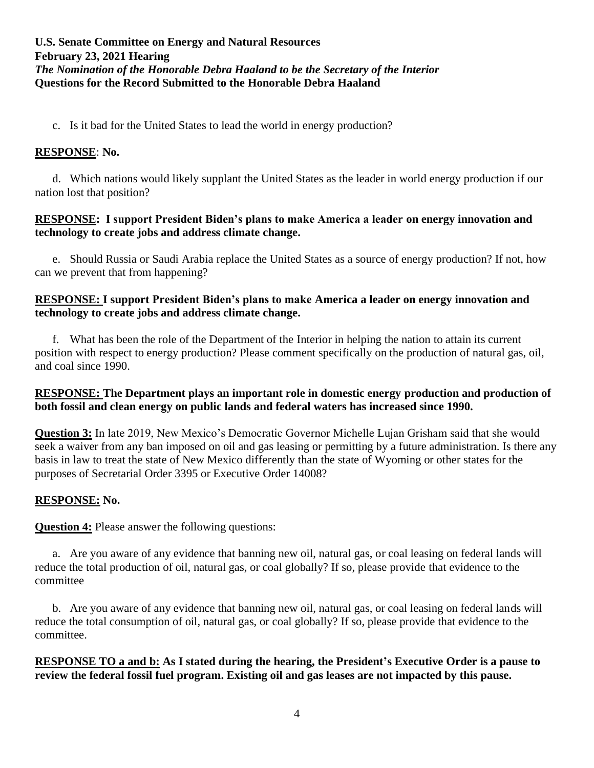c. Is it bad for the United States to lead the world in energy production?

# **RESPONSE**: **No.**

d. Which nations would likely supplant the United States as the leader in world energy production if our nation lost that position?

# **RESPONSE: I support President Biden's plans to make America a leader on energy innovation and technology to create jobs and address climate change.**

e. Should Russia or Saudi Arabia replace the United States as a source of energy production? If not, how can we prevent that from happening?

# **RESPONSE: I support President Biden's plans to make America a leader on energy innovation and technology to create jobs and address climate change.**

f. What has been the role of the Department of the Interior in helping the nation to attain its current position with respect to energy production? Please comment specifically on the production of natural gas, oil, and coal since 1990.

# **RESPONSE: The Department plays an important role in domestic energy production and production of both fossil and clean energy on public lands and federal waters has increased since 1990.**

**Question 3:** In late 2019, New Mexico's Democratic Governor Michelle Lujan Grisham said that she would seek a waiver from any ban imposed on oil and gas leasing or permitting by a future administration. Is there any basis in law to treat the state of New Mexico differently than the state of Wyoming or other states for the purposes of Secretarial Order 3395 or Executive Order 14008?

# **RESPONSE: No.**

**Question 4:** Please answer the following questions:

a. Are you aware of any evidence that banning new oil, natural gas, or coal leasing on federal lands will reduce the total production of oil, natural gas, or coal globally? If so, please provide that evidence to the committee

b. Are you aware of any evidence that banning new oil, natural gas, or coal leasing on federal lands will reduce the total consumption of oil, natural gas, or coal globally? If so, please provide that evidence to the committee.

**RESPONSE TO a and b: As I stated during the hearing, the President's Executive Order is a pause to review the federal fossil fuel program. Existing oil and gas leases are not impacted by this pause.**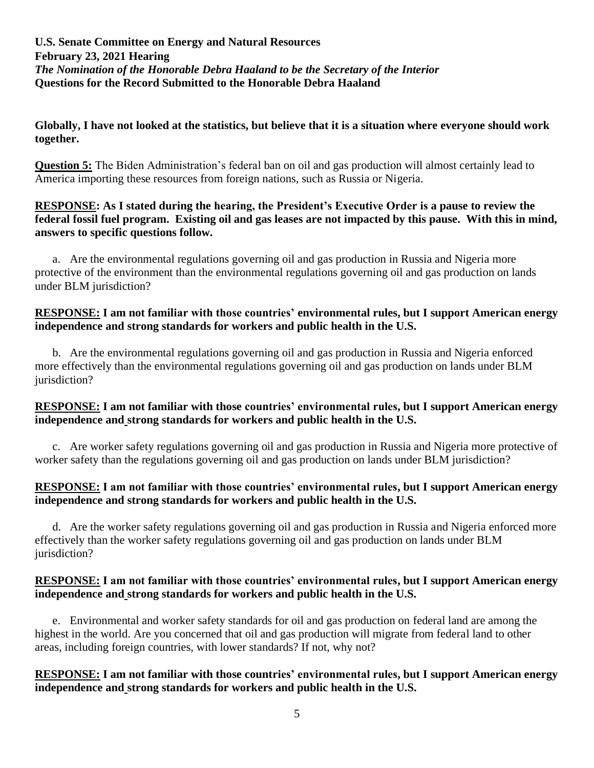#### **Globally, I have not looked at the statistics, but believe that it is a situation where everyone should work together.**

**Question 5:** The Biden Administration's federal ban on oil and gas production will almost certainly lead to America importing these resources from foreign nations, such as Russia or Nigeria.

#### **RESPONSE: As I stated during the hearing, the President's Executive Order is a pause to review the federal fossil fuel program. Existing oil and gas leases are not impacted by this pause. With this in mind, answers to specific questions follow.**

a. Are the environmental regulations governing oil and gas production in Russia and Nigeria more protective of the environment than the environmental regulations governing oil and gas production on lands under BLM jurisdiction?

### **RESPONSE: I am not familiar with those countries' environmental rules, but I support American energy independence and strong standards for workers and public health in the U.S.**

b. Are the environmental regulations governing oil and gas production in Russia and Nigeria enforced more effectively than the environmental regulations governing oil and gas production on lands under BLM jurisdiction?

### **RESPONSE: I am not familiar with those countries' environmental rules, but I support American energy independence and strong standards for workers and public health in the U.S.**

c. Are worker safety regulations governing oil and gas production in Russia and Nigeria more protective of worker safety than the regulations governing oil and gas production on lands under BLM jurisdiction?

### **RESPONSE: I am not familiar with those countries' environmental rules, but I support American energy independence and strong standards for workers and public health in the U.S.**

d. Are the worker safety regulations governing oil and gas production in Russia and Nigeria enforced more effectively than the worker safety regulations governing oil and gas production on lands under BLM jurisdiction?

### **RESPONSE: I am not familiar with those countries' environmental rules, but I support American energy independence and strong standards for workers and public health in the U.S.**

e. Environmental and worker safety standards for oil and gas production on federal land are among the highest in the world. Are you concerned that oil and gas production will migrate from federal land to other areas, including foreign countries, with lower standards? If not, why not?

### **RESPONSE: I am not familiar with those countries' environmental rules, but I support American energy independence and strong standards for workers and public health in the U.S.**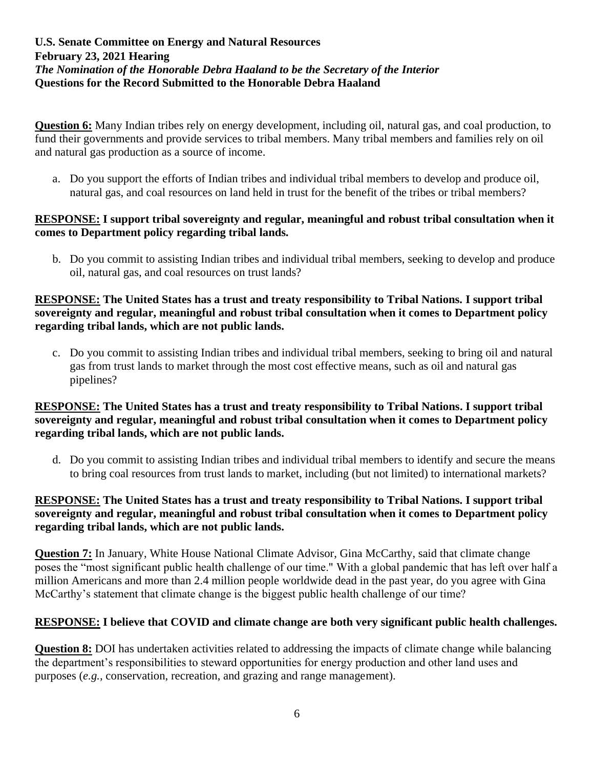**Question 6:** Many Indian tribes rely on energy development, including oil, natural gas, and coal production, to fund their governments and provide services to tribal members. Many tribal members and families rely on oil and natural gas production as a source of income.

a. Do you support the efforts of Indian tribes and individual tribal members to develop and produce oil, natural gas, and coal resources on land held in trust for the benefit of the tribes or tribal members?

### **RESPONSE: I support tribal sovereignty and regular, meaningful and robust tribal consultation when it comes to Department policy regarding tribal lands.**

b. Do you commit to assisting Indian tribes and individual tribal members, seeking to develop and produce oil, natural gas, and coal resources on trust lands?

#### **RESPONSE: The United States has a trust and treaty responsibility to Tribal Nations. I support tribal sovereignty and regular, meaningful and robust tribal consultation when it comes to Department policy regarding tribal lands, which are not public lands.**

c. Do you commit to assisting Indian tribes and individual tribal members, seeking to bring oil and natural gas from trust lands to market through the most cost effective means, such as oil and natural gas pipelines?

### **RESPONSE: The United States has a trust and treaty responsibility to Tribal Nations. I support tribal sovereignty and regular, meaningful and robust tribal consultation when it comes to Department policy regarding tribal lands, which are not public lands.**

d. Do you commit to assisting Indian tribes and individual tribal members to identify and secure the means to bring coal resources from trust lands to market, including (but not limited) to international markets?

### **RESPONSE: The United States has a trust and treaty responsibility to Tribal Nations. I support tribal sovereignty and regular, meaningful and robust tribal consultation when it comes to Department policy regarding tribal lands, which are not public lands.**

**Question 7:** In January, White House National Climate Advisor, Gina McCarthy, said that climate change poses the "most significant public health challenge of our time." With a global pandemic that has left over half a million Americans and more than 2.4 million people worldwide dead in the past year, do you agree with Gina McCarthy's statement that climate change is the biggest public health challenge of our time?

### **RESPONSE: I believe that COVID and climate change are both very significant public health challenges.**

**Question 8:** DOI has undertaken activities related to addressing the impacts of climate change while balancing the department's responsibilities to steward opportunities for energy production and other land uses and purposes (*e.g.,* conservation, recreation, and grazing and range management).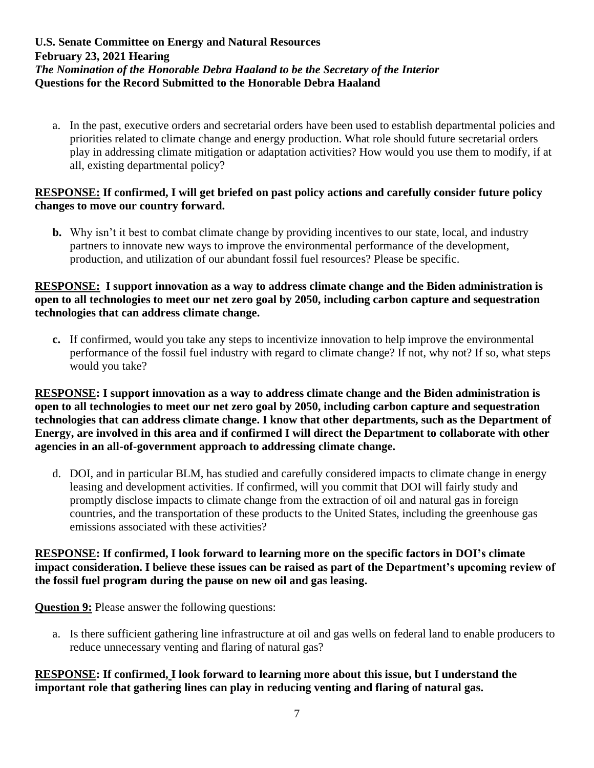a. In the past, executive orders and secretarial orders have been used to establish departmental policies and priorities related to climate change and energy production. What role should future secretarial orders play in addressing climate mitigation or adaptation activities? How would you use them to modify, if at all, existing departmental policy?

### **RESPONSE: If confirmed, I will get briefed on past policy actions and carefully consider future policy changes to move our country forward.**

**b.** Why isn't it best to combat climate change by providing incentives to our state, local, and industry partners to innovate new ways to improve the environmental performance of the development, production, and utilization of our abundant fossil fuel resources? Please be specific.

## **RESPONSE: I support innovation as a way to address climate change and the Biden administration is open to all technologies to meet our net zero goal by 2050, including carbon capture and sequestration technologies that can address climate change.**

**c.** If confirmed, would you take any steps to incentivize innovation to help improve the environmental performance of the fossil fuel industry with regard to climate change? If not, why not? If so, what steps would you take?

**RESPONSE: I support innovation as a way to address climate change and the Biden administration is open to all technologies to meet our net zero goal by 2050, including carbon capture and sequestration technologies that can address climate change. I know that other departments, such as the Department of Energy, are involved in this area and if confirmed I will direct the Department to collaborate with other agencies in an all-of-government approach to addressing climate change.**

d. DOI, and in particular BLM, has studied and carefully considered impacts to climate change in energy leasing and development activities. If confirmed, will you commit that DOI will fairly study and promptly disclose impacts to climate change from the extraction of oil and natural gas in foreign countries, and the transportation of these products to the United States, including the greenhouse gas emissions associated with these activities?

#### **RESPONSE: If confirmed, I look forward to learning more on the specific factors in DOI's climate impact consideration. I believe these issues can be raised as part of the Department's upcoming review of the fossil fuel program during the pause on new oil and gas leasing.**

**Question 9:** Please answer the following questions:

a. Is there sufficient gathering line infrastructure at oil and gas wells on federal land to enable producers to reduce unnecessary venting and flaring of natural gas?

# **RESPONSE: If confirmed, I look forward to learning more about this issue, but I understand the important role that gathering lines can play in reducing venting and flaring of natural gas.**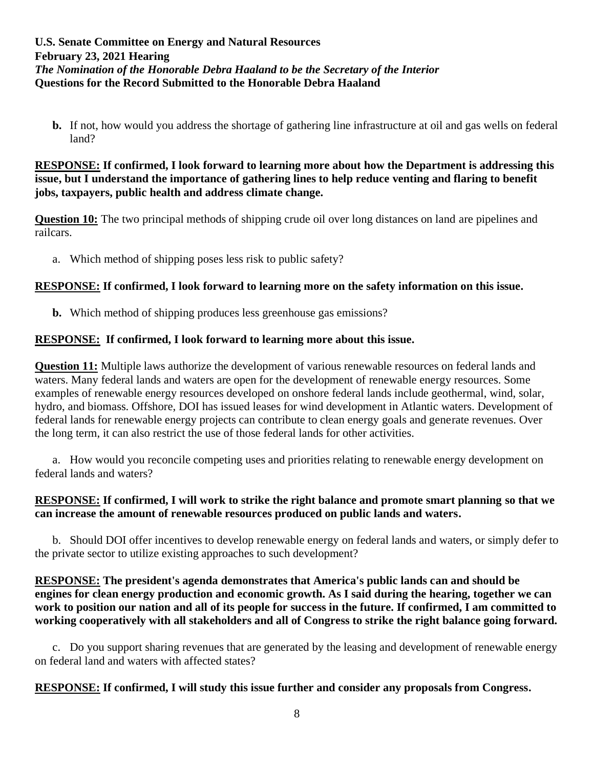**b.** If not, how would you address the shortage of gathering line infrastructure at oil and gas wells on federal land?

#### **RESPONSE: If confirmed, I look forward to learning more about how the Department is addressing this issue, but I understand the importance of gathering lines to help reduce venting and flaring to benefit jobs, taxpayers, public health and address climate change.**

**Question 10:** The two principal methods of shipping crude oil over long distances on land are pipelines and railcars.

a. Which method of shipping poses less risk to public safety?

# **RESPONSE: If confirmed, I look forward to learning more on the safety information on this issue.**

**b.** Which method of shipping produces less greenhouse gas emissions?

### **RESPONSE: If confirmed, I look forward to learning more about this issue.**

**Question 11:** Multiple laws authorize the development of various renewable resources on federal lands and waters. Many federal lands and waters are open for the development of renewable energy resources. Some examples of renewable energy resources developed on onshore federal lands include geothermal, wind, solar, hydro, and biomass. Offshore, DOI has issued leases for wind development in Atlantic waters. Development of federal lands for renewable energy projects can contribute to clean energy goals and generate revenues. Over the long term, it can also restrict the use of those federal lands for other activities.

a. How would you reconcile competing uses and priorities relating to renewable energy development on federal lands and waters?

#### **RESPONSE: If confirmed, I will work to strike the right balance and promote smart planning so that we can increase the amount of renewable resources produced on public lands and waters.**

b. Should DOI offer incentives to develop renewable energy on federal lands and waters, or simply defer to the private sector to utilize existing approaches to such development?

### **RESPONSE: The president's agenda demonstrates that America's public lands can and should be engines for clean energy production and economic growth. As I said during the hearing, together we can work to position our nation and all of its people for success in the future. If confirmed, I am committed to working cooperatively with all stakeholders and all of Congress to strike the right balance going forward.**

c. Do you support sharing revenues that are generated by the leasing and development of renewable energy on federal land and waters with affected states?

### **RESPONSE: If confirmed, I will study this issue further and consider any proposals from Congress.**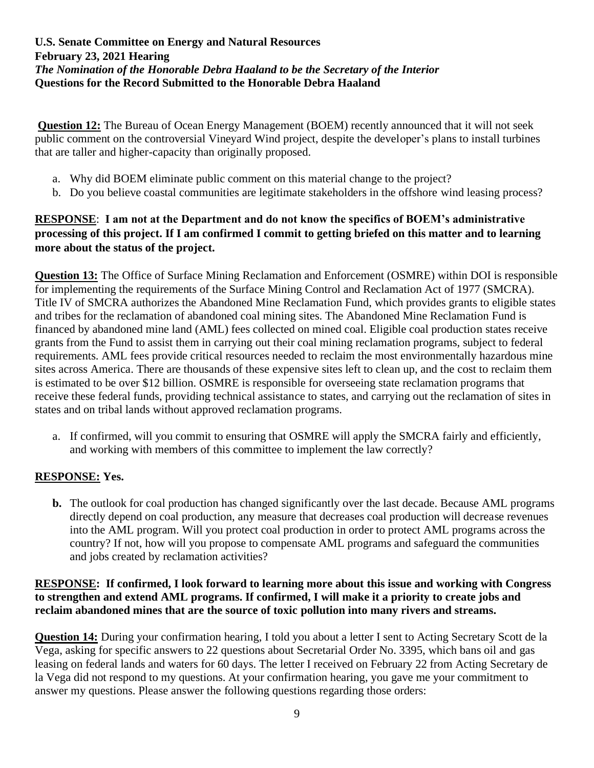**Question 12:** The Bureau of Ocean Energy Management (BOEM) recently announced that it will not seek public comment on the controversial Vineyard Wind project, despite the developer's plans to install turbines that are taller and higher-capacity than originally proposed.

- a. Why did BOEM eliminate public comment on this material change to the project?
- b. Do you believe coastal communities are legitimate stakeholders in the offshore wind leasing process?

# **RESPONSE**: **I am not at the Department and do not know the specifics of BOEM's administrative processing of this project. If I am confirmed I commit to getting briefed on this matter and to learning more about the status of the project.**

**Question 13:** The Office of Surface Mining Reclamation and Enforcement (OSMRE) within DOI is responsible for implementing the requirements of the Surface Mining Control and Reclamation Act of 1977 (SMCRA). Title IV of SMCRA authorizes the Abandoned Mine Reclamation Fund, which provides grants to eligible states and tribes for the reclamation of abandoned coal mining sites. The Abandoned Mine Reclamation Fund is financed by abandoned mine land (AML) fees collected on mined coal. Eligible coal production states receive grants from the Fund to assist them in carrying out their coal mining reclamation programs, subject to federal requirements. AML fees provide critical resources needed to reclaim the most environmentally hazardous mine sites across America. There are thousands of these expensive sites left to clean up, and the cost to reclaim them is estimated to be over \$12 billion. OSMRE is responsible for overseeing state reclamation programs that receive these federal funds, providing technical assistance to states, and carrying out the reclamation of sites in states and on tribal lands without approved reclamation programs.

a. If confirmed, will you commit to ensuring that OSMRE will apply the SMCRA fairly and efficiently, and working with members of this committee to implement the law correctly?

# **RESPONSE: Yes.**

**b.** The outlook for coal production has changed significantly over the last decade. Because AML programs directly depend on coal production, any measure that decreases coal production will decrease revenues into the AML program. Will you protect coal production in order to protect AML programs across the country? If not, how will you propose to compensate AML programs and safeguard the communities and jobs created by reclamation activities?

#### **RESPONSE: If confirmed, I look forward to learning more about this issue and working with Congress to strengthen and extend AML programs. If confirmed, I will make it a priority to create jobs and reclaim abandoned mines that are the source of toxic pollution into many rivers and streams.**

**Question 14:** During your confirmation hearing, I told you about a letter I sent to Acting Secretary Scott de la Vega, asking for specific answers to 22 questions about Secretarial Order No. 3395, which bans oil and gas leasing on federal lands and waters for 60 days. The letter I received on February 22 from Acting Secretary de la Vega did not respond to my questions. At your confirmation hearing, you gave me your commitment to answer my questions. Please answer the following questions regarding those orders: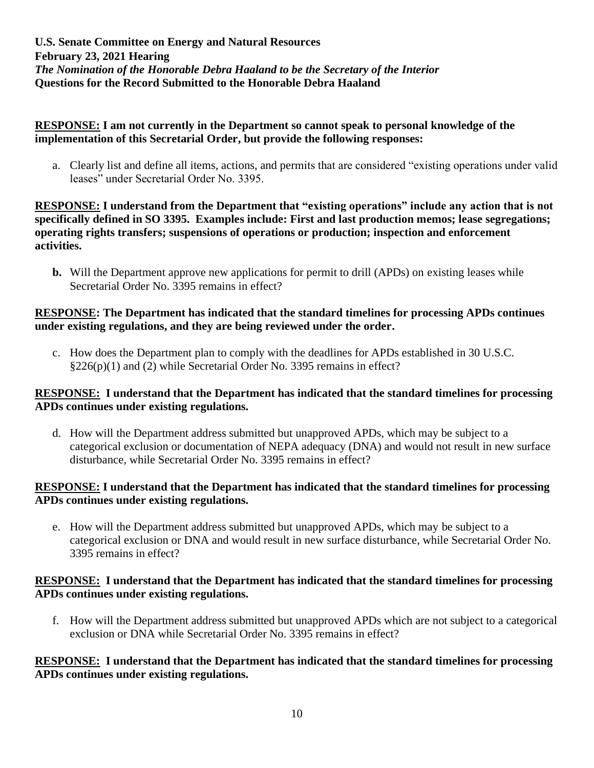### **RESPONSE: I am not currently in the Department so cannot speak to personal knowledge of the implementation of this Secretarial Order, but provide the following responses:**

a. Clearly list and define all items, actions, and permits that are considered "existing operations under valid leases" under Secretarial Order No. 3395.

**RESPONSE: I understand from the Department that "existing operations" include any action that is not specifically defined in SO 3395. Examples include: First and last production memos; lease segregations; operating rights transfers; suspensions of operations or production; inspection and enforcement activities.**

**b.** Will the Department approve new applications for permit to drill (APDs) on existing leases while Secretarial Order No. 3395 remains in effect?

#### **RESPONSE: The Department has indicated that the standard timelines for processing APDs continues under existing regulations, and they are being reviewed under the order.**

c. How does the Department plan to comply with the deadlines for APDs established in 30 U.S.C. §226(p)(1) and (2) while Secretarial Order No. 3395 remains in effect?

#### **RESPONSE: I understand that the Department has indicated that the standard timelines for processing APDs continues under existing regulations.**

d. How will the Department address submitted but unapproved APDs, which may be subject to a categorical exclusion or documentation of NEPA adequacy (DNA) and would not result in new surface disturbance, while Secretarial Order No. 3395 remains in effect?

#### **RESPONSE: I understand that the Department has indicated that the standard timelines for processing APDs continues under existing regulations.**

e. How will the Department address submitted but unapproved APDs, which may be subject to a categorical exclusion or DNA and would result in new surface disturbance, while Secretarial Order No. 3395 remains in effect?

### **RESPONSE: I understand that the Department has indicated that the standard timelines for processing APDs continues under existing regulations.**

f. How will the Department address submitted but unapproved APDs which are not subject to a categorical exclusion or DNA while Secretarial Order No. 3395 remains in effect?

### **RESPONSE: I understand that the Department has indicated that the standard timelines for processing APDs continues under existing regulations.**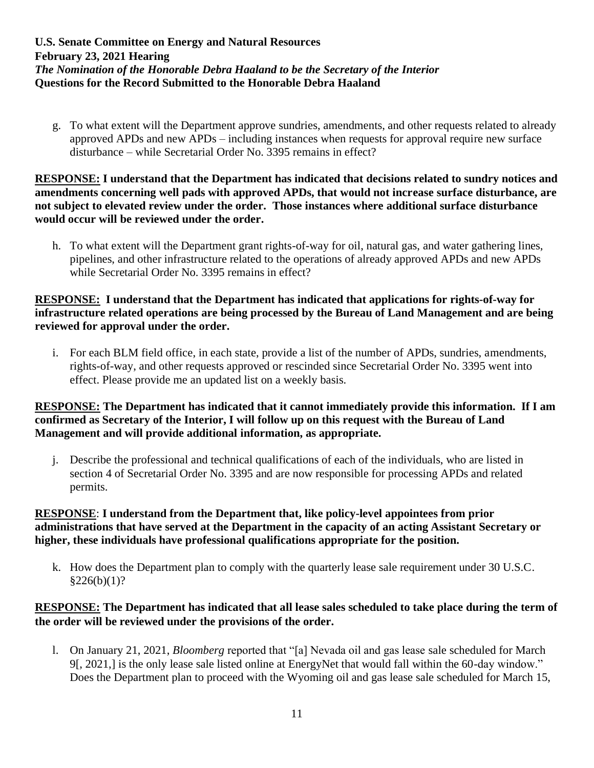g. To what extent will the Department approve sundries, amendments, and other requests related to already approved APDs and new APDs – including instances when requests for approval require new surface disturbance – while Secretarial Order No. 3395 remains in effect?

**RESPONSE: I understand that the Department has indicated that decisions related to sundry notices and amendments concerning well pads with approved APDs, that would not increase surface disturbance, are not subject to elevated review under the order. Those instances where additional surface disturbance would occur will be reviewed under the order.**

h. To what extent will the Department grant rights-of-way for oil, natural gas, and water gathering lines, pipelines, and other infrastructure related to the operations of already approved APDs and new APDs while Secretarial Order No. 3395 remains in effect?

#### **RESPONSE: I understand that the Department has indicated that applications for rights-of-way for infrastructure related operations are being processed by the Bureau of Land Management and are being reviewed for approval under the order.**

i. For each BLM field office, in each state, provide a list of the number of APDs, sundries, amendments, rights-of-way, and other requests approved or rescinded since Secretarial Order No. 3395 went into effect. Please provide me an updated list on a weekly basis.

### **RESPONSE: The Department has indicated that it cannot immediately provide this information. If I am confirmed as Secretary of the Interior, I will follow up on this request with the Bureau of Land Management and will provide additional information, as appropriate.**

j. Describe the professional and technical qualifications of each of the individuals, who are listed in section 4 of Secretarial Order No. 3395 and are now responsible for processing APDs and related permits.

# **RESPONSE**: **I understand from the Department that, like policy-level appointees from prior administrations that have served at the Department in the capacity of an acting Assistant Secretary or higher, these individuals have professional qualifications appropriate for the position.**

k. How does the Department plan to comply with the quarterly lease sale requirement under 30 U.S.C.  $$226(b)(1)?$ 

### **RESPONSE: The Department has indicated that all lease sales scheduled to take place during the term of the order will be reviewed under the provisions of the order.**

l. On January 21, 2021, *Bloomberg* reported that "[a] Nevada oil and gas lease sale scheduled for March 9[, 2021,] is the only lease sale listed online at EnergyNet that would fall within the 60-day window." Does the Department plan to proceed with the Wyoming oil and gas lease sale scheduled for March 15,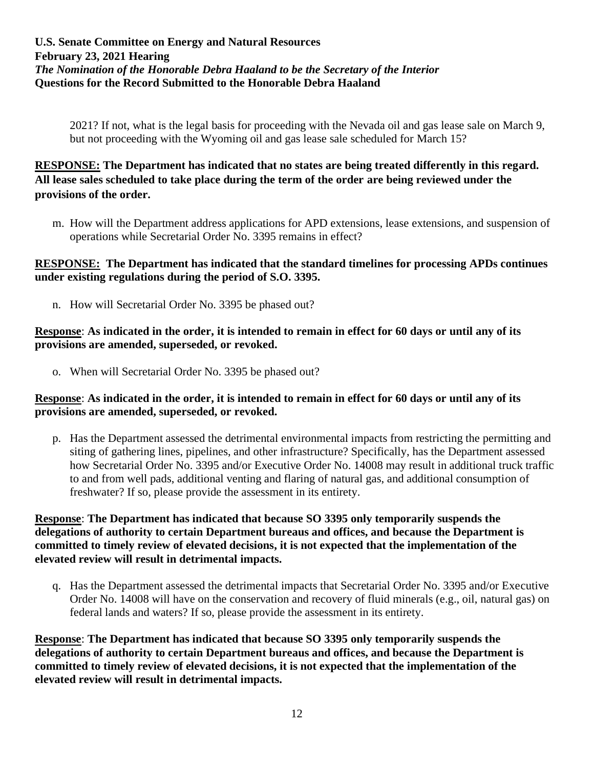2021? If not, what is the legal basis for proceeding with the Nevada oil and gas lease sale on March 9, but not proceeding with the Wyoming oil and gas lease sale scheduled for March 15?

# **RESPONSE: The Department has indicated that no states are being treated differently in this regard. All lease sales scheduled to take place during the term of the order are being reviewed under the provisions of the order.**

m. How will the Department address applications for APD extensions, lease extensions, and suspension of operations while Secretarial Order No. 3395 remains in effect?

### **RESPONSE: The Department has indicated that the standard timelines for processing APDs continues under existing regulations during the period of S.O. 3395.**

n. How will Secretarial Order No. 3395 be phased out?

#### **Response**: **As indicated in the order, it is intended to remain in effect for 60 days or until any of its provisions are amended, superseded, or revoked.**

o. When will Secretarial Order No. 3395 be phased out?

#### **Response**: **As indicated in the order, it is intended to remain in effect for 60 days or until any of its provisions are amended, superseded, or revoked.**

p. Has the Department assessed the detrimental environmental impacts from restricting the permitting and siting of gathering lines, pipelines, and other infrastructure? Specifically, has the Department assessed how Secretarial Order No. 3395 and/or Executive Order No. 14008 may result in additional truck traffic to and from well pads, additional venting and flaring of natural gas, and additional consumption of freshwater? If so, please provide the assessment in its entirety.

#### **Response**: **The Department has indicated that because SO 3395 only temporarily suspends the delegations of authority to certain Department bureaus and offices, and because the Department is committed to timely review of elevated decisions, it is not expected that the implementation of the elevated review will result in detrimental impacts.**

q. Has the Department assessed the detrimental impacts that Secretarial Order No. 3395 and/or Executive Order No. 14008 will have on the conservation and recovery of fluid minerals (e.g., oil, natural gas) on federal lands and waters? If so, please provide the assessment in its entirety.

**Response**: **The Department has indicated that because SO 3395 only temporarily suspends the delegations of authority to certain Department bureaus and offices, and because the Department is committed to timely review of elevated decisions, it is not expected that the implementation of the elevated review will result in detrimental impacts.**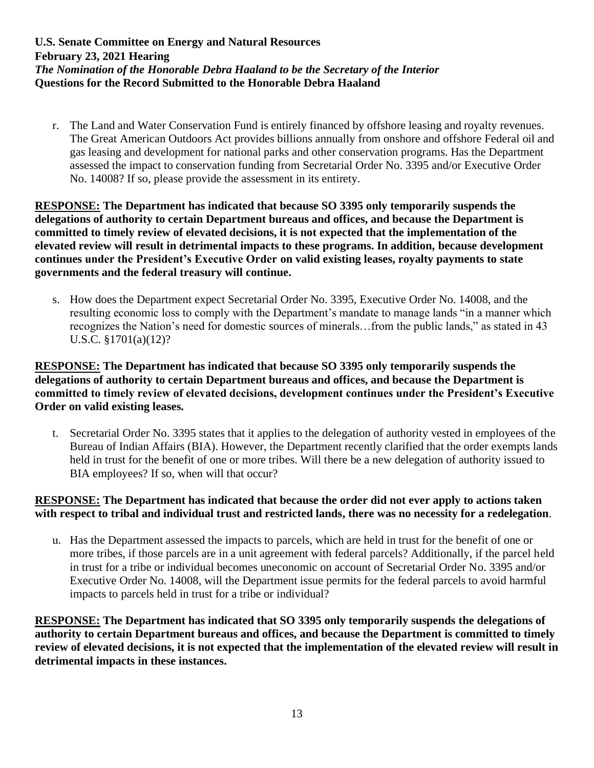r. The Land and Water Conservation Fund is entirely financed by offshore leasing and royalty revenues. The Great American Outdoors Act provides billions annually from onshore and offshore Federal oil and gas leasing and development for national parks and other conservation programs. Has the Department assessed the impact to conservation funding from Secretarial Order No. 3395 and/or Executive Order No. 14008? If so, please provide the assessment in its entirety.

**RESPONSE: The Department has indicated that because SO 3395 only temporarily suspends the delegations of authority to certain Department bureaus and offices, and because the Department is committed to timely review of elevated decisions, it is not expected that the implementation of the elevated review will result in detrimental impacts to these programs. In addition, because development continues under the President's Executive Order on valid existing leases, royalty payments to state governments and the federal treasury will continue.**

s. How does the Department expect Secretarial Order No. 3395, Executive Order No. 14008, and the resulting economic loss to comply with the Department's mandate to manage lands "in a manner which recognizes the Nation's need for domestic sources of minerals…from the public lands," as stated in 43 U.S.C. §1701(a)(12)?

#### **RESPONSE: The Department has indicated that because SO 3395 only temporarily suspends the delegations of authority to certain Department bureaus and offices, and because the Department is committed to timely review of elevated decisions, development continues under the President's Executive Order on valid existing leases.**

t. Secretarial Order No. 3395 states that it applies to the delegation of authority vested in employees of the Bureau of Indian Affairs (BIA). However, the Department recently clarified that the order exempts lands held in trust for the benefit of one or more tribes. Will there be a new delegation of authority issued to BIA employees? If so, when will that occur?

### **RESPONSE: The Department has indicated that because the order did not ever apply to actions taken with respect to tribal and individual trust and restricted lands, there was no necessity for a redelegation**.

u. Has the Department assessed the impacts to parcels, which are held in trust for the benefit of one or more tribes, if those parcels are in a unit agreement with federal parcels? Additionally, if the parcel held in trust for a tribe or individual becomes uneconomic on account of Secretarial Order No. 3395 and/or Executive Order No. 14008, will the Department issue permits for the federal parcels to avoid harmful impacts to parcels held in trust for a tribe or individual?

**RESPONSE: The Department has indicated that SO 3395 only temporarily suspends the delegations of authority to certain Department bureaus and offices, and because the Department is committed to timely review of elevated decisions, it is not expected that the implementation of the elevated review will result in detrimental impacts in these instances.**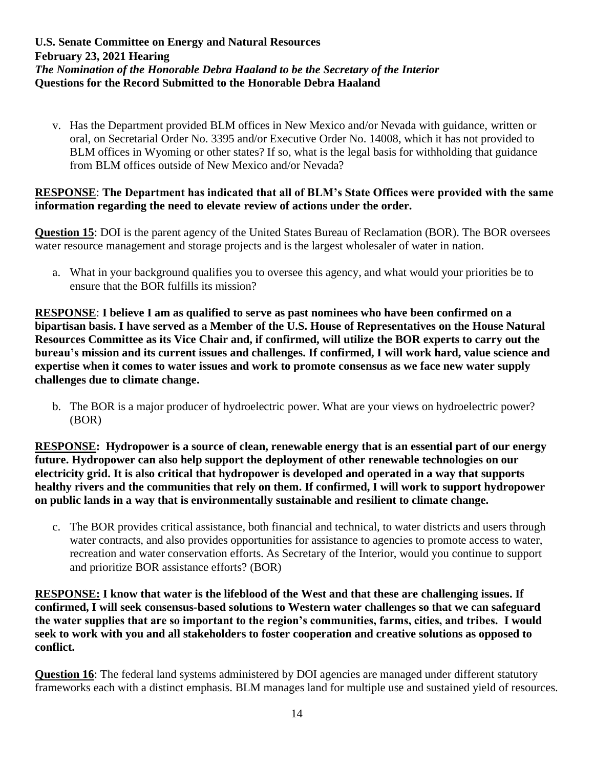v. Has the Department provided BLM offices in New Mexico and/or Nevada with guidance, written or oral, on Secretarial Order No. 3395 and/or Executive Order No. 14008, which it has not provided to BLM offices in Wyoming or other states? If so, what is the legal basis for withholding that guidance from BLM offices outside of New Mexico and/or Nevada?

#### **RESPONSE**: **The Department has indicated that all of BLM's State Offices were provided with the same information regarding the need to elevate review of actions under the order.**

**Question 15**: DOI is the parent agency of the United States Bureau of Reclamation (BOR). The BOR oversees water resource management and storage projects and is the largest wholesaler of water in nation.

a. What in your background qualifies you to oversee this agency, and what would your priorities be to ensure that the BOR fulfills its mission?

**RESPONSE**: **I believe I am as qualified to serve as past nominees who have been confirmed on a bipartisan basis. I have served as a Member of the U.S. House of Representatives on the House Natural Resources Committee as its Vice Chair and, if confirmed, will utilize the BOR experts to carry out the bureau's mission and its current issues and challenges. If confirmed, I will work hard, value science and expertise when it comes to water issues and work to promote consensus as we face new water supply challenges due to climate change.**

b. The BOR is a major producer of hydroelectric power. What are your views on hydroelectric power? (BOR)

**RESPONSE: Hydropower is a source of clean, renewable energy that is an essential part of our energy future. Hydropower can also help support the deployment of other renewable technologies on our electricity grid. It is also critical that hydropower is developed and operated in a way that supports healthy rivers and the communities that rely on them. If confirmed, I will work to support hydropower on public lands in a way that is environmentally sustainable and resilient to climate change.** 

c. The BOR provides critical assistance, both financial and technical, to water districts and users through water contracts, and also provides opportunities for assistance to agencies to promote access to water, recreation and water conservation efforts. As Secretary of the Interior, would you continue to support and prioritize BOR assistance efforts? (BOR)

**RESPONSE: I know that water is the lifeblood of the West and that these are challenging issues. If confirmed, I will seek consensus-based solutions to Western water challenges so that we can safeguard the water supplies that are so important to the region's communities, farms, cities, and tribes. I would seek to work with you and all stakeholders to foster cooperation and creative solutions as opposed to conflict.**

**Question 16**: The federal land systems administered by DOI agencies are managed under different statutory frameworks each with a distinct emphasis. BLM manages land for multiple use and sustained yield of resources.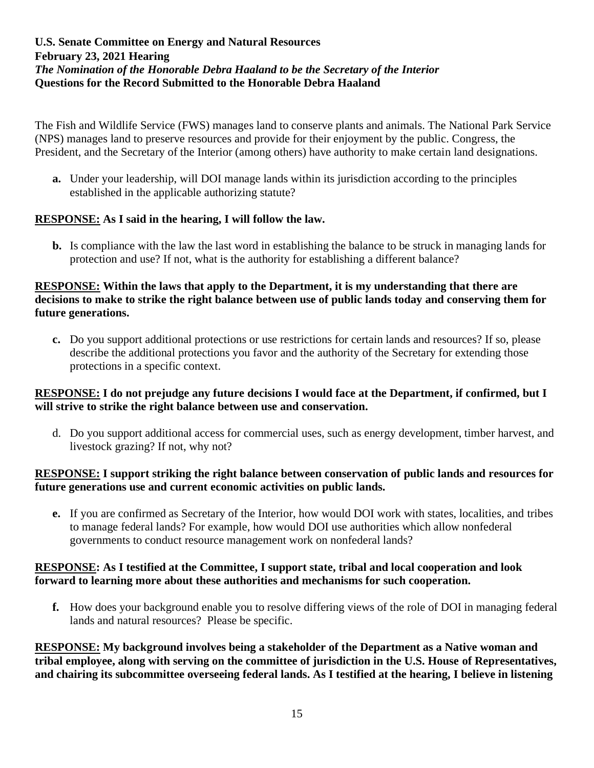The Fish and Wildlife Service (FWS) manages land to conserve plants and animals. The National Park Service (NPS) manages land to preserve resources and provide for their enjoyment by the public. Congress, the President, and the Secretary of the Interior (among others) have authority to make certain land designations.

**a.** Under your leadership, will DOI manage lands within its jurisdiction according to the principles established in the applicable authorizing statute?

# **RESPONSE: As I said in the hearing, I will follow the law.**

**b.** Is compliance with the law the last word in establishing the balance to be struck in managing lands for protection and use? If not, what is the authority for establishing a different balance?

### **RESPONSE: Within the laws that apply to the Department, it is my understanding that there are decisions to make to strike the right balance between use of public lands today and conserving them for future generations.**

**c.** Do you support additional protections or use restrictions for certain lands and resources? If so, please describe the additional protections you favor and the authority of the Secretary for extending those protections in a specific context.

### **RESPONSE: I do not prejudge any future decisions I would face at the Department, if confirmed, but I will strive to strike the right balance between use and conservation.**

d. Do you support additional access for commercial uses, such as energy development, timber harvest, and livestock grazing? If not, why not?

### **RESPONSE: I support striking the right balance between conservation of public lands and resources for future generations use and current economic activities on public lands.**

**e.** If you are confirmed as Secretary of the Interior, how would DOI work with states, localities, and tribes to manage federal lands? For example, how would DOI use authorities which allow nonfederal governments to conduct resource management work on nonfederal lands?

#### **RESPONSE: As I testified at the Committee, I support state, tribal and local cooperation and look forward to learning more about these authorities and mechanisms for such cooperation.**

**f.** How does your background enable you to resolve differing views of the role of DOI in managing federal lands and natural resources? Please be specific.

**RESPONSE: My background involves being a stakeholder of the Department as a Native woman and tribal employee, along with serving on the committee of jurisdiction in the U.S. House of Representatives, and chairing its subcommittee overseeing federal lands. As I testified at the hearing, I believe in listening**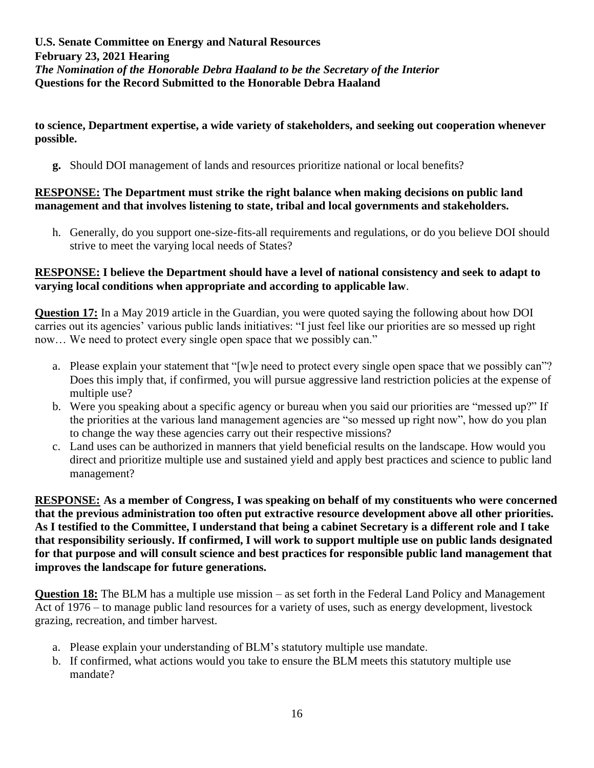**to science, Department expertise, a wide variety of stakeholders, and seeking out cooperation whenever possible.**

**g.** Should DOI management of lands and resources prioritize national or local benefits?

#### **RESPONSE: The Department must strike the right balance when making decisions on public land management and that involves listening to state, tribal and local governments and stakeholders.**

h. Generally, do you support one-size-fits-all requirements and regulations, or do you believe DOI should strive to meet the varying local needs of States?

#### **RESPONSE: I believe the Department should have a level of national consistency and seek to adapt to varying local conditions when appropriate and according to applicable law**.

**Question 17:** In a May 2019 article in the Guardian, you were quoted saying the following about how DOI carries out its agencies' various public lands initiatives: "I just feel like our priorities are so messed up right now… We need to protect every single open space that we possibly can."

- a. Please explain your statement that "[w]e need to protect every single open space that we possibly can"? Does this imply that, if confirmed, you will pursue aggressive land restriction policies at the expense of multiple use?
- b. Were you speaking about a specific agency or bureau when you said our priorities are "messed up?" If the priorities at the various land management agencies are "so messed up right now", how do you plan to change the way these agencies carry out their respective missions?
- c. Land uses can be authorized in manners that yield beneficial results on the landscape. How would you direct and prioritize multiple use and sustained yield and apply best practices and science to public land management?

**RESPONSE: As a member of Congress, I was speaking on behalf of my constituents who were concerned that the previous administration too often put extractive resource development above all other priorities. As I testified to the Committee, I understand that being a cabinet Secretary is a different role and I take that responsibility seriously. If confirmed, I will work to support multiple use on public lands designated for that purpose and will consult science and best practices for responsible public land management that improves the landscape for future generations.**

**Question 18:** The BLM has a multiple use mission – as set forth in the Federal Land Policy and Management Act of 1976 – to manage public land resources for a variety of uses, such as energy development, livestock grazing, recreation, and timber harvest.

- a. Please explain your understanding of BLM's statutory multiple use mandate.
- b. If confirmed, what actions would you take to ensure the BLM meets this statutory multiple use mandate?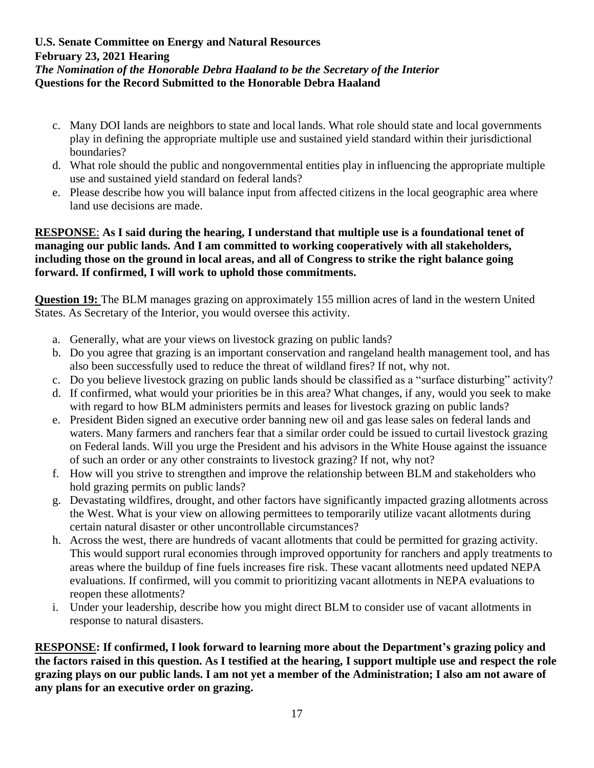- c. Many DOI lands are neighbors to state and local lands. What role should state and local governments play in defining the appropriate multiple use and sustained yield standard within their jurisdictional boundaries?
- d. What role should the public and nongovernmental entities play in influencing the appropriate multiple use and sustained yield standard on federal lands?
- e. Please describe how you will balance input from affected citizens in the local geographic area where land use decisions are made.

#### **RESPONSE**: **As I said during the hearing, I understand that multiple use is a foundational tenet of managing our public lands. And I am committed to working cooperatively with all stakeholders, including those on the ground in local areas, and all of Congress to strike the right balance going forward. If confirmed, I will work to uphold those commitments.**

**Question 19:** The BLM manages grazing on approximately 155 million acres of land in the western United States. As Secretary of the Interior, you would oversee this activity.

- a. Generally, what are your views on livestock grazing on public lands?
- b. Do you agree that grazing is an important conservation and rangeland health management tool, and has also been successfully used to reduce the threat of wildland fires? If not, why not.
- c. Do you believe livestock grazing on public lands should be classified as a "surface disturbing" activity?
- d. If confirmed, what would your priorities be in this area? What changes, if any, would you seek to make with regard to how BLM administers permits and leases for livestock grazing on public lands?
- e. President Biden signed an executive order banning new oil and gas lease sales on federal lands and waters. Many farmers and ranchers fear that a similar order could be issued to curtail livestock grazing on Federal lands. Will you urge the President and his advisors in the White House against the issuance of such an order or any other constraints to livestock grazing? If not, why not?
- f. How will you strive to strengthen and improve the relationship between BLM and stakeholders who hold grazing permits on public lands?
- g. Devastating wildfires, drought, and other factors have significantly impacted grazing allotments across the West. What is your view on allowing permittees to temporarily utilize vacant allotments during certain natural disaster or other uncontrollable circumstances?
- h. Across the west, there are hundreds of vacant allotments that could be permitted for grazing activity. This would support rural economies through improved opportunity for ranchers and apply treatments to areas where the buildup of fine fuels increases fire risk. These vacant allotments need updated NEPA evaluations. If confirmed, will you commit to prioritizing vacant allotments in NEPA evaluations to reopen these allotments?
- i. Under your leadership, describe how you might direct BLM to consider use of vacant allotments in response to natural disasters.

**RESPONSE: If confirmed, I look forward to learning more about the Department's grazing policy and the factors raised in this question. As I testified at the hearing, I support multiple use and respect the role grazing plays on our public lands. I am not yet a member of the Administration; I also am not aware of any plans for an executive order on grazing.**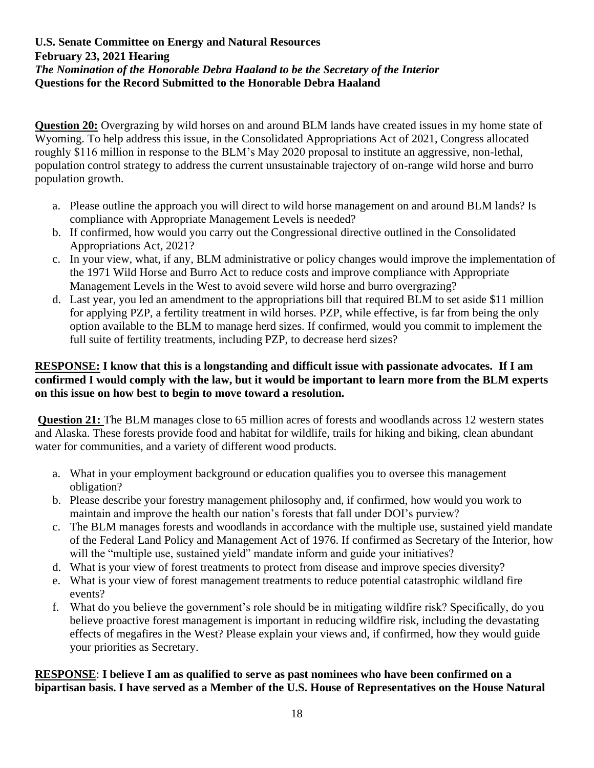**Question 20:** Overgrazing by wild horses on and around BLM lands have created issues in my home state of Wyoming. To help address this issue, in the Consolidated Appropriations Act of 2021, Congress allocated roughly \$116 million in response to the BLM's May 2020 proposal to institute an aggressive, non-lethal, population control strategy to address the current unsustainable trajectory of on-range wild horse and burro population growth.

- a. Please outline the approach you will direct to wild horse management on and around BLM lands? Is compliance with Appropriate Management Levels is needed?
- b. If confirmed, how would you carry out the Congressional directive outlined in the Consolidated Appropriations Act, 2021?
- c. In your view, what, if any, BLM administrative or policy changes would improve the implementation of the 1971 Wild Horse and Burro Act to reduce costs and improve compliance with Appropriate Management Levels in the West to avoid severe wild horse and burro overgrazing?
- d. Last year, you led an amendment to the appropriations bill that required BLM to set aside \$11 million for applying PZP, a fertility treatment in wild horses. PZP, while effective, is far from being the only option available to the BLM to manage herd sizes. If confirmed, would you commit to implement the full suite of fertility treatments, including PZP, to decrease herd sizes?

### **RESPONSE: I know that this is a longstanding and difficult issue with passionate advocates. If I am confirmed I would comply with the law, but it would be important to learn more from the BLM experts on this issue on how best to begin to move toward a resolution.**

**Question 21:** The BLM manages close to 65 million acres of forests and woodlands across 12 western states and Alaska. These forests provide food and habitat for wildlife, trails for hiking and biking, clean abundant water for communities, and a variety of different wood products.

- a. What in your employment background or education qualifies you to oversee this management obligation?
- b. Please describe your forestry management philosophy and, if confirmed, how would you work to maintain and improve the health our nation's forests that fall under DOI's purview?
- c. The BLM manages forests and woodlands in accordance with the multiple use, sustained yield mandate of the Federal Land Policy and Management Act of 1976. If confirmed as Secretary of the Interior, how will the "multiple use, sustained yield" mandate inform and guide your initiatives?
- d. What is your view of forest treatments to protect from disease and improve species diversity?
- e. What is your view of forest management treatments to reduce potential catastrophic wildland fire events?
- f. What do you believe the government's role should be in mitigating wildfire risk? Specifically, do you believe proactive forest management is important in reducing wildfire risk, including the devastating effects of megafires in the West? Please explain your views and, if confirmed, how they would guide your priorities as Secretary.

# **RESPONSE**: **I believe I am as qualified to serve as past nominees who have been confirmed on a bipartisan basis. I have served as a Member of the U.S. House of Representatives on the House Natural**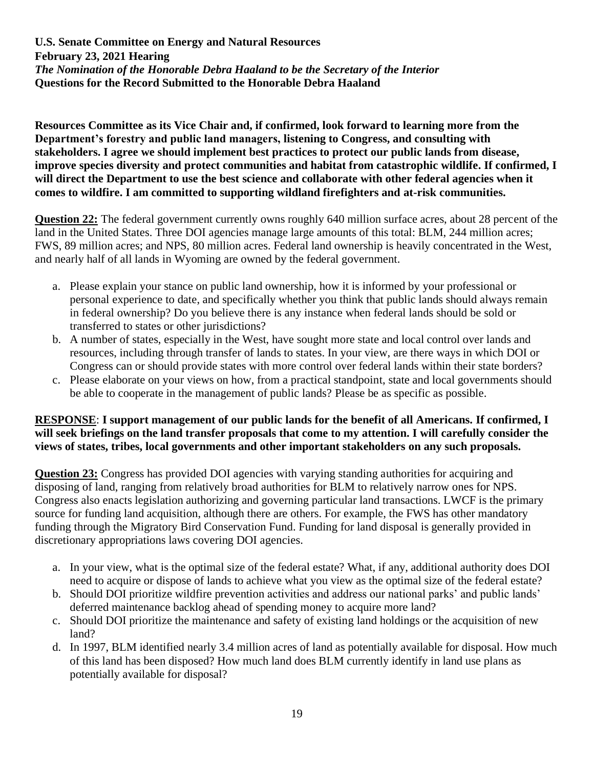**Resources Committee as its Vice Chair and, if confirmed, look forward to learning more from the Department's forestry and public land managers, listening to Congress, and consulting with stakeholders. I agree we should implement best practices to protect our public lands from disease, improve species diversity and protect communities and habitat from catastrophic wildlife. If confirmed, I will direct the Department to use the best science and collaborate with other federal agencies when it comes to wildfire. I am committed to supporting wildland firefighters and at-risk communities.**

**Question 22:** The federal government currently owns roughly 640 million surface acres, about 28 percent of the land in the United States. Three DOI agencies manage large amounts of this total: BLM, 244 million acres; FWS, 89 million acres; and NPS, 80 million acres. Federal land ownership is heavily concentrated in the West, and nearly half of all lands in Wyoming are owned by the federal government.

- a. Please explain your stance on public land ownership, how it is informed by your professional or personal experience to date, and specifically whether you think that public lands should always remain in federal ownership? Do you believe there is any instance when federal lands should be sold or transferred to states or other jurisdictions?
- b. A number of states, especially in the West, have sought more state and local control over lands and resources, including through transfer of lands to states. In your view, are there ways in which DOI or Congress can or should provide states with more control over federal lands within their state borders?
- c. Please elaborate on your views on how, from a practical standpoint, state and local governments should be able to cooperate in the management of public lands? Please be as specific as possible.

#### **RESPONSE**: **I support management of our public lands for the benefit of all Americans. If confirmed, I will seek briefings on the land transfer proposals that come to my attention. I will carefully consider the views of states, tribes, local governments and other important stakeholders on any such proposals.**

**Question 23:** Congress has provided DOI agencies with varying standing authorities for acquiring and disposing of land, ranging from relatively broad authorities for BLM to relatively narrow ones for NPS. Congress also enacts legislation authorizing and governing particular land transactions. LWCF is the primary source for funding land acquisition, although there are others. For example, the FWS has other mandatory funding through the Migratory Bird Conservation Fund. Funding for land disposal is generally provided in discretionary appropriations laws covering DOI agencies.

- a. In your view, what is the optimal size of the federal estate? What, if any, additional authority does DOI need to acquire or dispose of lands to achieve what you view as the optimal size of the federal estate?
- b. Should DOI prioritize wildfire prevention activities and address our national parks' and public lands' deferred maintenance backlog ahead of spending money to acquire more land?
- c. Should DOI prioritize the maintenance and safety of existing land holdings or the acquisition of new land?
- d. In 1997, BLM identified nearly 3.4 million acres of land as potentially available for disposal. How much of this land has been disposed? How much land does BLM currently identify in land use plans as potentially available for disposal?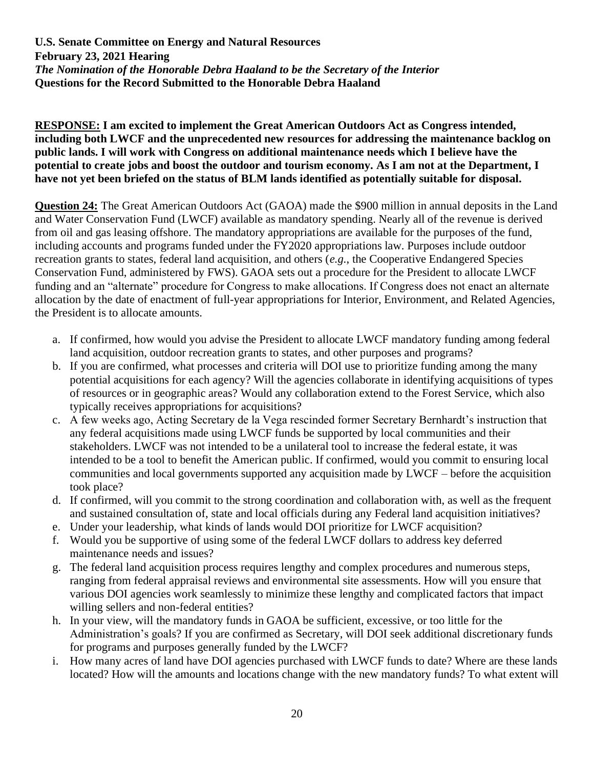#### **RESPONSE: I am excited to implement the Great American Outdoors Act as Congress intended, including both LWCF and the unprecedented new resources for addressing the maintenance backlog on public lands. I will work with Congress on additional maintenance needs which I believe have the potential to create jobs and boost the outdoor and tourism economy. As I am not at the Department, I have not yet been briefed on the status of BLM lands identified as potentially suitable for disposal.**

**Question 24:** The Great American Outdoors Act (GAOA) made the \$900 million in annual deposits in the Land and Water Conservation Fund (LWCF) available as mandatory spending. Nearly all of the revenue is derived from oil and gas leasing offshore. The mandatory appropriations are available for the purposes of the fund, including accounts and programs funded under the FY2020 appropriations law. Purposes include outdoor recreation grants to states, federal land acquisition, and others (*e.g.*, the Cooperative Endangered Species Conservation Fund, administered by FWS). GAOA sets out a procedure for the President to allocate LWCF funding and an "alternate" procedure for Congress to make allocations. If Congress does not enact an alternate allocation by the date of enactment of full-year appropriations for Interior, Environment, and Related Agencies, the President is to allocate amounts.

- a. If confirmed, how would you advise the President to allocate LWCF mandatory funding among federal land acquisition, outdoor recreation grants to states, and other purposes and programs?
- b. If you are confirmed, what processes and criteria will DOI use to prioritize funding among the many potential acquisitions for each agency? Will the agencies collaborate in identifying acquisitions of types of resources or in geographic areas? Would any collaboration extend to the Forest Service, which also typically receives appropriations for acquisitions?
- c. A few weeks ago, Acting Secretary de la Vega rescinded former Secretary Bernhardt's instruction that any federal acquisitions made using LWCF funds be supported by local communities and their stakeholders. LWCF was not intended to be a unilateral tool to increase the federal estate, it was intended to be a tool to benefit the American public. If confirmed, would you commit to ensuring local communities and local governments supported any acquisition made by LWCF – before the acquisition took place?
- d. If confirmed, will you commit to the strong coordination and collaboration with, as well as the frequent and sustained consultation of, state and local officials during any Federal land acquisition initiatives?
- e. Under your leadership, what kinds of lands would DOI prioritize for LWCF acquisition?
- f. Would you be supportive of using some of the federal LWCF dollars to address key deferred maintenance needs and issues?
- g. The federal land acquisition process requires lengthy and complex procedures and numerous steps, ranging from federal appraisal reviews and environmental site assessments. How will you ensure that various DOI agencies work seamlessly to minimize these lengthy and complicated factors that impact willing sellers and non-federal entities?
- h. In your view, will the mandatory funds in GAOA be sufficient, excessive, or too little for the Administration's goals? If you are confirmed as Secretary, will DOI seek additional discretionary funds for programs and purposes generally funded by the LWCF?
- i. How many acres of land have DOI agencies purchased with LWCF funds to date? Where are these lands located? How will the amounts and locations change with the new mandatory funds? To what extent will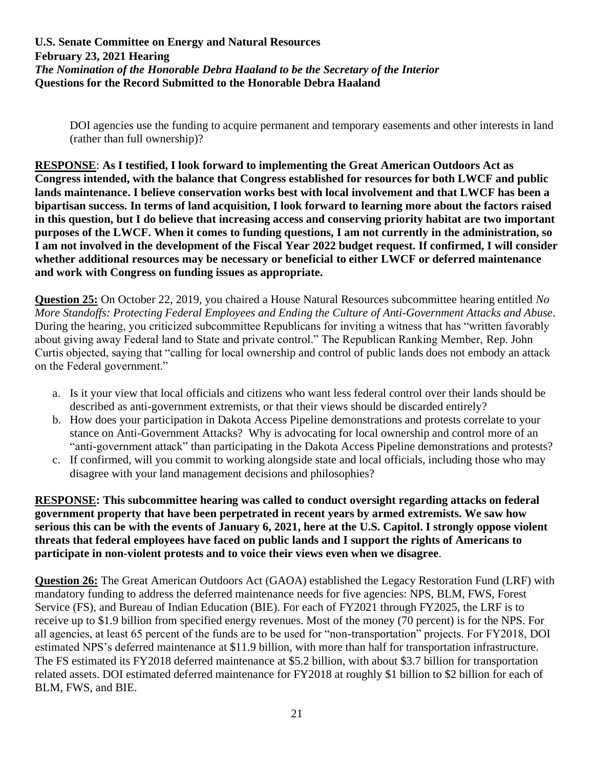DOI agencies use the funding to acquire permanent and temporary easements and other interests in land (rather than full ownership)?

**RESPONSE**: **As I testified, I look forward to implementing the Great American Outdoors Act as Congress intended, with the balance that Congress established for resources for both LWCF and public lands maintenance. I believe conservation works best with local involvement and that LWCF has been a bipartisan success. In terms of land acquisition, I look forward to learning more about the factors raised in this question, but I do believe that increasing access and conserving priority habitat are two important purposes of the LWCF. When it comes to funding questions, I am not currently in the administration, so I am not involved in the development of the Fiscal Year 2022 budget request. If confirmed, I will consider whether additional resources may be necessary or beneficial to either LWCF or deferred maintenance and work with Congress on funding issues as appropriate.**

**Question 25:** On October 22, 2019, you chaired a House Natural Resources subcommittee hearing entitled *No More Standoffs: Protecting Federal Employees and Ending the Culture of Anti-Government Attacks and Abuse*. During the hearing, you criticized subcommittee Republicans for inviting a witness that has "written favorably about giving away Federal land to State and private control." The Republican Ranking Member, Rep. John Curtis objected, saying that "calling for local ownership and control of public lands does not embody an attack on the Federal government."

- a. Is it your view that local officials and citizens who want less federal control over their lands should be described as anti-government extremists, or that their views should be discarded entirely?
- b. How does your participation in Dakota Access Pipeline demonstrations and protests correlate to your stance on Anti-Government Attacks? Why is advocating for local ownership and control more of an "anti-government attack" than participating in the Dakota Access Pipeline demonstrations and protests?
- c. If confirmed, will you commit to working alongside state and local officials, including those who may disagree with your land management decisions and philosophies?

**RESPONSE: This subcommittee hearing was called to conduct oversight regarding attacks on federal government property that have been perpetrated in recent years by armed extremists. We saw how serious this can be with the events of January 6, 2021, here at the U.S. Capitol. I strongly oppose violent threats that federal employees have faced on public lands and I support the rights of Americans to participate in non-violent protests and to voice their views even when we disagree**.

**Question 26:** The Great American Outdoors Act (GAOA) established the Legacy Restoration Fund (LRF) with mandatory funding to address the deferred maintenance needs for five agencies: NPS, BLM, FWS, Forest Service (FS), and Bureau of Indian Education (BIE). For each of FY2021 through FY2025, the LRF is to receive up to \$1.9 billion from specified energy revenues. Most of the money (70 percent) is for the NPS. For all agencies, at least 65 percent of the funds are to be used for "non-transportation" projects. For FY2018, DOI estimated NPS's deferred maintenance at \$11.9 billion, with more than half for transportation infrastructure. The FS estimated its FY2018 deferred maintenance at \$5.2 billion, with about \$3.7 billion for transportation related assets. DOI estimated deferred maintenance for FY2018 at roughly \$1 billion to \$2 billion for each of BLM, FWS, and BIE.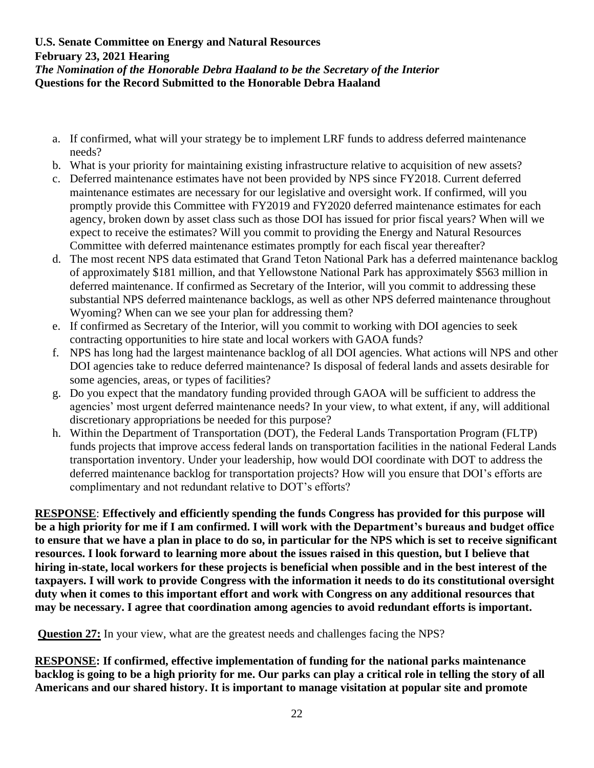- a. If confirmed, what will your strategy be to implement LRF funds to address deferred maintenance needs?
- b. What is your priority for maintaining existing infrastructure relative to acquisition of new assets?
- c. Deferred maintenance estimates have not been provided by NPS since FY2018. Current deferred maintenance estimates are necessary for our legislative and oversight work. If confirmed, will you promptly provide this Committee with FY2019 and FY2020 deferred maintenance estimates for each agency, broken down by asset class such as those DOI has issued for prior fiscal years? When will we expect to receive the estimates? Will you commit to providing the Energy and Natural Resources Committee with deferred maintenance estimates promptly for each fiscal year thereafter?
- d. The most recent NPS data estimated that Grand Teton National Park has a deferred maintenance backlog of approximately \$181 million, and that Yellowstone National Park has approximately \$563 million in deferred maintenance. If confirmed as Secretary of the Interior, will you commit to addressing these substantial NPS deferred maintenance backlogs, as well as other NPS deferred maintenance throughout Wyoming? When can we see your plan for addressing them?
- e. If confirmed as Secretary of the Interior, will you commit to working with DOI agencies to seek contracting opportunities to hire state and local workers with GAOA funds?
- f. NPS has long had the largest maintenance backlog of all DOI agencies. What actions will NPS and other DOI agencies take to reduce deferred maintenance? Is disposal of federal lands and assets desirable for some agencies, areas, or types of facilities?
- g. Do you expect that the mandatory funding provided through GAOA will be sufficient to address the agencies' most urgent deferred maintenance needs? In your view, to what extent, if any, will additional discretionary appropriations be needed for this purpose?
- h. Within the Department of Transportation (DOT), the Federal Lands Transportation Program (FLTP) funds projects that improve access federal lands on transportation facilities in the national Federal Lands transportation inventory. Under your leadership, how would DOI coordinate with DOT to address the deferred maintenance backlog for transportation projects? How will you ensure that DOI's efforts are complimentary and not redundant relative to DOT's efforts?

**RESPONSE**: **Effectively and efficiently spending the funds Congress has provided for this purpose will be a high priority for me if I am confirmed. I will work with the Department's bureaus and budget office to ensure that we have a plan in place to do so, in particular for the NPS which is set to receive significant resources. I look forward to learning more about the issues raised in this question, but I believe that hiring in-state, local workers for these projects is beneficial when possible and in the best interest of the taxpayers. I will work to provide Congress with the information it needs to do its constitutional oversight duty when it comes to this important effort and work with Congress on any additional resources that may be necessary. I agree that coordination among agencies to avoid redundant efforts is important.**

**Question 27:** In your view, what are the greatest needs and challenges facing the NPS?

**RESPONSE: If confirmed, effective implementation of funding for the national parks maintenance backlog is going to be a high priority for me. Our parks can play a critical role in telling the story of all Americans and our shared history. It is important to manage visitation at popular site and promote**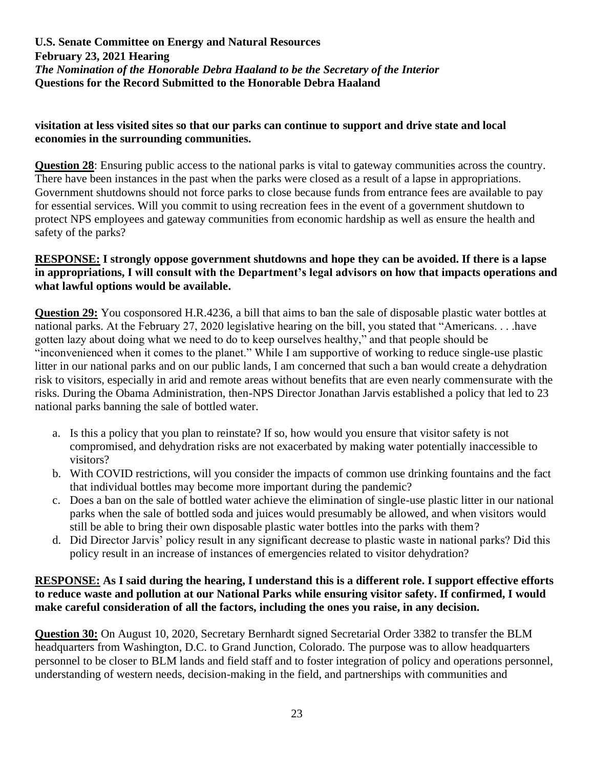### **visitation at less visited sites so that our parks can continue to support and drive state and local economies in the surrounding communities.**

**Question 28**: Ensuring public access to the national parks is vital to gateway communities across the country. There have been instances in the past when the parks were closed as a result of a lapse in appropriations. Government shutdowns should not force parks to close because funds from entrance fees are available to pay for essential services. Will you commit to using recreation fees in the event of a government shutdown to protect NPS employees and gateway communities from economic hardship as well as ensure the health and safety of the parks?

### **RESPONSE: I strongly oppose government shutdowns and hope they can be avoided. If there is a lapse in appropriations, I will consult with the Department's legal advisors on how that impacts operations and what lawful options would be available.**

**Question 29:** You cosponsored H.R.4236, a bill that aims to ban the sale of disposable plastic water bottles at national parks. At the February 27, 2020 legislative hearing on the bill, you stated that "Americans. . . .have gotten lazy about doing what we need to do to keep ourselves healthy," and that people should be "inconvenienced when it comes to the planet." While I am supportive of working to reduce single-use plastic litter in our national parks and on our public lands, I am concerned that such a ban would create a dehydration risk to visitors, especially in arid and remote areas without benefits that are even nearly commensurate with the risks. During the Obama Administration, then-NPS Director Jonathan Jarvis established a policy that led to 23 national parks banning the sale of bottled water.

- a. Is this a policy that you plan to reinstate? If so, how would you ensure that visitor safety is not compromised, and dehydration risks are not exacerbated by making water potentially inaccessible to visitors?
- b. With COVID restrictions, will you consider the impacts of common use drinking fountains and the fact that individual bottles may become more important during the pandemic?
- c. Does a ban on the sale of bottled water achieve the elimination of single-use plastic litter in our national parks when the sale of bottled soda and juices would presumably be allowed, and when visitors would still be able to bring their own disposable plastic water bottles into the parks with them?
- d. Did Director Jarvis' policy result in any significant decrease to plastic waste in national parks? Did this policy result in an increase of instances of emergencies related to visitor dehydration?

# **RESPONSE: As I said during the hearing, I understand this is a different role. I support effective efforts to reduce waste and pollution at our National Parks while ensuring visitor safety. If confirmed, I would make careful consideration of all the factors, including the ones you raise, in any decision.**

**Question 30:** On August 10, 2020, Secretary Bernhardt signed Secretarial Order 3382 to transfer the BLM headquarters from Washington, D.C. to Grand Junction, Colorado. The purpose was to allow headquarters personnel to be closer to BLM lands and field staff and to foster integration of policy and operations personnel, understanding of western needs, decision-making in the field, and partnerships with communities and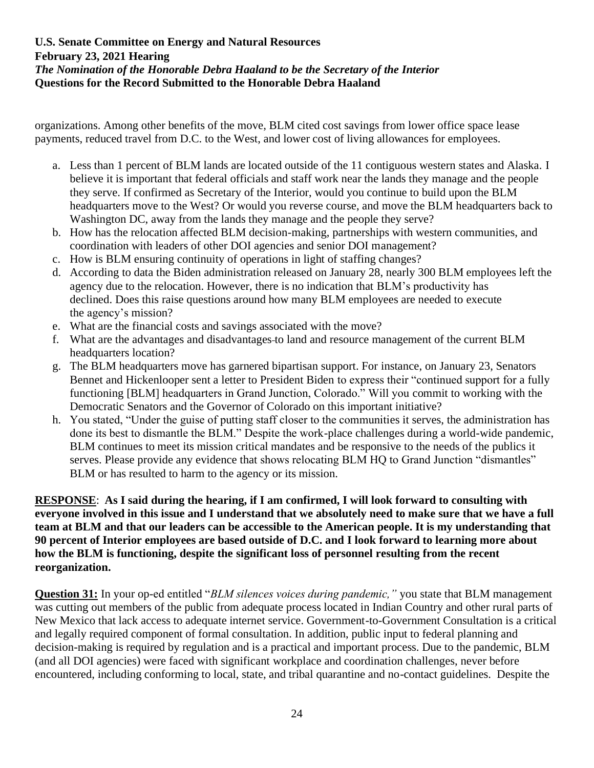organizations. Among other benefits of the move, BLM cited cost savings from lower office space lease payments, reduced travel from D.C. to the West, and lower cost of living allowances for employees.

- a. Less than 1 percent of BLM lands are located outside of the 11 contiguous western states and Alaska. I believe it is important that federal officials and staff work near the lands they manage and the people they serve. If confirmed as Secretary of the Interior, would you continue to build upon the BLM headquarters move to the West? Or would you reverse course, and move the BLM headquarters back to Washington DC, away from the lands they manage and the people they serve?
- b. How has the relocation affected BLM decision-making, partnerships with western communities, and coordination with leaders of other DOI agencies and senior DOI management?
- c. How is BLM ensuring continuity of operations in light of staffing changes?
- d. According to data the Biden administration released on January 28, nearly 300 BLM employees left the agency due to the relocation. However, there is no indication that BLM's productivity has declined. Does this raise questions around how many BLM employees are needed to execute the agency's mission?
- e. What are the financial costs and savings associated with the move?
- f. What are the advantages and disadvantages to land and resource management of the current BLM headquarters location?
- g. The BLM headquarters move has garnered bipartisan support. For instance, on January 23, Senators Bennet and Hickenlooper sent a letter to President Biden to express their "continued support for a fully functioning [BLM] headquarters in Grand Junction, Colorado." Will you commit to working with the Democratic Senators and the Governor of Colorado on this important initiative?
- h. You stated, "Under the guise of putting staff closer to the communities it serves, the administration has done its best to dismantle the BLM." Despite the work-place challenges during a world-wide pandemic, BLM continues to meet its mission critical mandates and be responsive to the needs of the publics it serves. Please provide any evidence that shows relocating BLM HO to Grand Junction "dismantles" BLM or has resulted to harm to the agency or its mission.

**RESPONSE**: **As I said during the hearing, if I am confirmed, I will look forward to consulting with everyone involved in this issue and I understand that we absolutely need to make sure that we have a full team at BLM and that our leaders can be accessible to the American people. It is my understanding that 90 percent of Interior employees are based outside of D.C. and I look forward to learning more about how the BLM is functioning, despite the significant loss of personnel resulting from the recent reorganization.**

**Question 31:** In your op-ed entitled "*BLM silences voices during pandemic,"* you state that BLM management was cutting out members of the public from adequate process located in Indian Country and other rural parts of New Mexico that lack access to adequate internet service. Government-to-Government Consultation is a critical and legally required component of formal consultation. In addition, public input to federal planning and decision-making is required by regulation and is a practical and important process. Due to the pandemic, BLM (and all DOI agencies) were faced with significant workplace and coordination challenges, never before encountered, including conforming to local, state, and tribal quarantine and no-contact guidelines. Despite the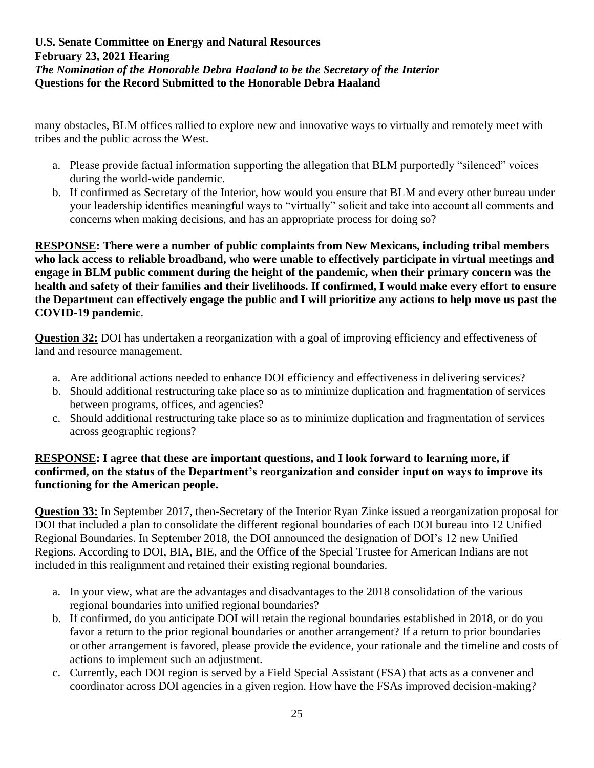many obstacles, BLM offices rallied to explore new and innovative ways to virtually and remotely meet with tribes and the public across the West.

- a. Please provide factual information supporting the allegation that BLM purportedly "silenced" voices during the world-wide pandemic.
- b. If confirmed as Secretary of the Interior, how would you ensure that BLM and every other bureau under your leadership identifies meaningful ways to "virtually" solicit and take into account all comments and concerns when making decisions, and has an appropriate process for doing so?

**RESPONSE: There were a number of public complaints from New Mexicans, including tribal members who lack access to reliable broadband, who were unable to effectively participate in virtual meetings and engage in BLM public comment during the height of the pandemic, when their primary concern was the health and safety of their families and their livelihoods. If confirmed, I would make every effort to ensure the Department can effectively engage the public and I will prioritize any actions to help move us past the COVID-19 pandemic**.

**Question 32:** DOI has undertaken a reorganization with a goal of improving efficiency and effectiveness of land and resource management.

- a. Are additional actions needed to enhance DOI efficiency and effectiveness in delivering services?
- b. Should additional restructuring take place so as to minimize duplication and fragmentation of services between programs, offices, and agencies?
- c. Should additional restructuring take place so as to minimize duplication and fragmentation of services across geographic regions?

### **RESPONSE: I agree that these are important questions, and I look forward to learning more, if confirmed, on the status of the Department's reorganization and consider input on ways to improve its functioning for the American people.**

**Question 33:** In September 2017, then-Secretary of the Interior Ryan Zinke issued a reorganization proposal for DOI that included a plan to consolidate the different regional boundaries of each DOI bureau into 12 Unified Regional Boundaries. In September 2018, the DOI announced the designation of DOI's 12 new Unified Regions. According to DOI, BIA, BIE, and the Office of the Special Trustee for American Indians are not included in this realignment and retained their existing regional boundaries.

- a. In your view, what are the advantages and disadvantages to the 2018 consolidation of the various regional boundaries into unified regional boundaries?
- b. If confirmed, do you anticipate DOI will retain the regional boundaries established in 2018, or do you favor a return to the prior regional boundaries or another arrangement? If a return to prior boundaries or other arrangement is favored, please provide the evidence, your rationale and the timeline and costs of actions to implement such an adjustment.
- c. Currently, each DOI region is served by a Field Special Assistant (FSA) that acts as a convener and coordinator across DOI agencies in a given region. How have the FSAs improved decision-making?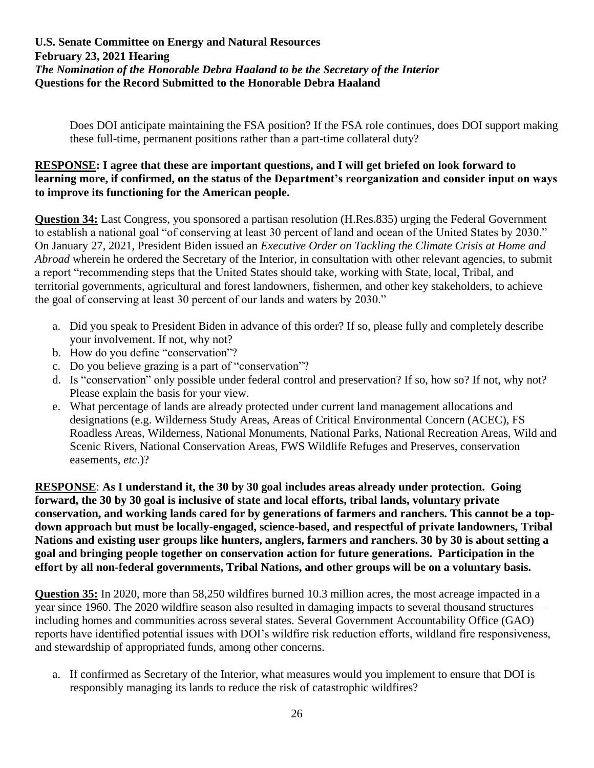Does DOI anticipate maintaining the FSA position? If the FSA role continues, does DOI support making these full-time, permanent positions rather than a part-time collateral duty?

#### **RESPONSE: I agree that these are important questions, and I will get briefed on look forward to learning more, if confirmed, on the status of the Department's reorganization and consider input on ways to improve its functioning for the American people.**

**Question 34:** Last Congress, you sponsored a partisan resolution (H.Res.835) urging the Federal Government to establish a national goal "of conserving at least 30 percent of land and ocean of the United States by 2030." On January 27, 2021, President Biden issued an *Executive Order on Tackling the Climate Crisis at Home and Abroad* wherein he ordered the Secretary of the Interior, in consultation with other relevant agencies, to submit a report "recommending steps that the United States should take, working with State, local, Tribal, and territorial governments, agricultural and forest landowners, fishermen, and other key stakeholders, to achieve the goal of conserving at least 30 percent of our lands and waters by 2030."

- a. Did you speak to President Biden in advance of this order? If so, please fully and completely describe your involvement. If not, why not?
- b. How do you define "conservation"?
- c. Do you believe grazing is a part of "conservation"?
- d. Is "conservation" only possible under federal control and preservation? If so, how so? If not, why not? Please explain the basis for your view.
- e. What percentage of lands are already protected under current land management allocations and designations (e.g. Wilderness Study Areas, Areas of Critical Environmental Concern (ACEC), FS Roadless Areas, Wilderness, National Monuments, National Parks, National Recreation Areas, Wild and Scenic Rivers, National Conservation Areas, FWS Wildlife Refuges and Preserves, conservation easements, *etc*.)?

**RESPONSE**: **As I understand it, the 30 by 30 goal includes areas already under protection. Going forward, the 30 by 30 goal is inclusive of state and local efforts, tribal lands, voluntary private conservation, and working lands cared for by generations of farmers and ranchers. This cannot be a topdown approach but must be locally-engaged, science-based, and respectful of private landowners, Tribal Nations and existing user groups like hunters, anglers, farmers and ranchers. 30 by 30 is about setting a goal and bringing people together on conservation action for future generations. Participation in the effort by all non-federal governments, Tribal Nations, and other groups will be on a voluntary basis.**

**Question 35:** In 2020, more than 58,250 wildfires burned 10.3 million acres, the most acreage impacted in a year since 1960. The 2020 wildfire season also resulted in damaging impacts to several thousand structures including homes and communities across several states. Several Government Accountability Office (GAO) reports have identified potential issues with DOI's wildfire risk reduction efforts, wildland fire responsiveness, and stewardship of appropriated funds, among other concerns.

a. If confirmed as Secretary of the Interior, what measures would you implement to ensure that DOI is responsibly managing its lands to reduce the risk of catastrophic wildfires?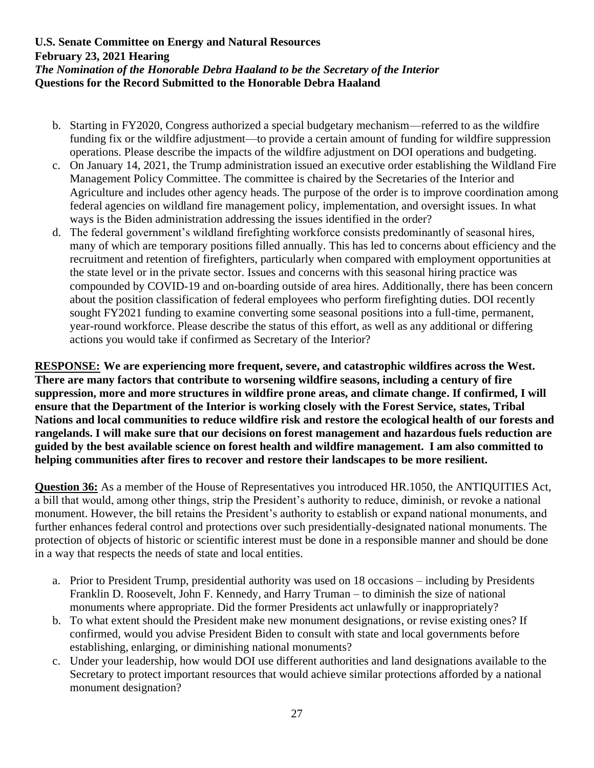- b. Starting in FY2020, Congress authorized a special budgetary mechanism—referred to as the wildfire funding fix or the wildfire adjustment—to provide a certain amount of funding for wildfire suppression operations. Please describe the impacts of the wildfire adjustment on DOI operations and budgeting.
- c. On January 14, 2021, the Trump administration issued an executive order establishing the Wildland Fire Management Policy Committee. The committee is chaired by the Secretaries of the Interior and Agriculture and includes other agency heads. The purpose of the order is to improve coordination among federal agencies on wildland fire management policy, implementation, and oversight issues. In what ways is the Biden administration addressing the issues identified in the order?
- d. The federal government's wildland firefighting workforce consists predominantly of seasonal hires, many of which are temporary positions filled annually. This has led to concerns about efficiency and the recruitment and retention of firefighters, particularly when compared with employment opportunities at the state level or in the private sector. Issues and concerns with this seasonal hiring practice was compounded by COVID-19 and on-boarding outside of area hires. Additionally, there has been concern about the position classification of federal employees who perform firefighting duties. DOI recently sought FY2021 funding to examine converting some seasonal positions into a full-time, permanent, year-round workforce. Please describe the status of this effort, as well as any additional or differing actions you would take if confirmed as Secretary of the Interior?

**RESPONSE: We are experiencing more frequent, severe, and catastrophic wildfires across the West. There are many factors that contribute to worsening wildfire seasons, including a century of fire suppression, more and more structures in wildfire prone areas, and climate change. If confirmed, I will ensure that the Department of the Interior is working closely with the Forest Service, states, Tribal Nations and local communities to reduce wildfire risk and restore the ecological health of our forests and rangelands. I will make sure that our decisions on forest management and hazardous fuels reduction are guided by the best available science on forest health and wildfire management. I am also committed to helping communities after fires to recover and restore their landscapes to be more resilient.**

**Question 36:** As a member of the House of Representatives you introduced HR.1050, the ANTIQUITIES Act, a bill that would, among other things, strip the President's authority to reduce, diminish, or revoke a national monument. However, the bill retains the President's authority to establish or expand national monuments, and further enhances federal control and protections over such presidentially-designated national monuments. The protection of objects of historic or scientific interest must be done in a responsible manner and should be done in a way that respects the needs of state and local entities.

- a. Prior to President Trump, presidential authority was used on 18 occasions including by Presidents Franklin D. Roosevelt, John F. Kennedy, and Harry Truman – to diminish the size of national monuments where appropriate. Did the former Presidents act unlawfully or inappropriately?
- b. To what extent should the President make new monument designations, or revise existing ones? If confirmed, would you advise President Biden to consult with state and local governments before establishing, enlarging, or diminishing national monuments?
- c. Under your leadership, how would DOI use different authorities and land designations available to the Secretary to protect important resources that would achieve similar protections afforded by a national monument designation?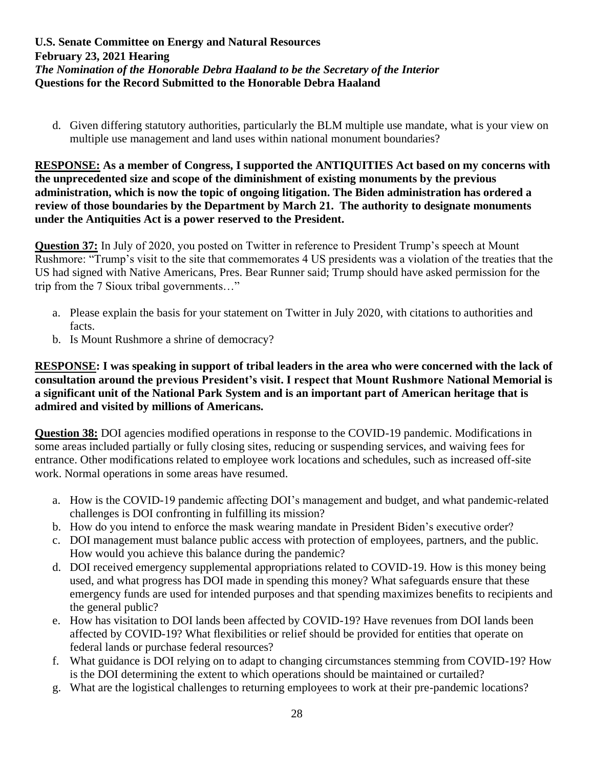d. Given differing statutory authorities, particularly the BLM multiple use mandate, what is your view on multiple use management and land uses within national monument boundaries?

**RESPONSE: As a member of Congress, I supported the ANTIQUITIES Act based on my concerns with the unprecedented size and scope of the diminishment of existing monuments by the previous administration, which is now the topic of ongoing litigation. The Biden administration has ordered a review of those boundaries by the Department by March 21. The authority to designate monuments under the Antiquities Act is a power reserved to the President.**

**Question 37:** In July of 2020, you posted on Twitter in reference to President Trump's speech at Mount Rushmore: "Trump's visit to the site that commemorates 4 US presidents was a violation of the treaties that the US had signed with Native Americans, Pres. Bear Runner said; Trump should have asked permission for the trip from the 7 Sioux tribal governments…"

- a. Please explain the basis for your statement on Twitter in July 2020, with citations to authorities and facts.
- b. Is Mount Rushmore a shrine of democracy?

**RESPONSE: I was speaking in support of tribal leaders in the area who were concerned with the lack of consultation around the previous President's visit. I respect that Mount Rushmore National Memorial is a significant unit of the National Park System and is an important part of American heritage that is admired and visited by millions of Americans.**

**Question 38:** DOI agencies modified operations in response to the COVID-19 pandemic. Modifications in some areas included partially or fully closing sites, reducing or suspending services, and waiving fees for entrance. Other modifications related to employee work locations and schedules, such as increased off-site work. Normal operations in some areas have resumed.

- a. How is the COVID-19 pandemic affecting DOI's management and budget, and what pandemic-related challenges is DOI confronting in fulfilling its mission?
- b. How do you intend to enforce the mask wearing mandate in President Biden's executive order?
- c. DOI management must balance public access with protection of employees, partners, and the public. How would you achieve this balance during the pandemic?
- d. DOI received emergency supplemental appropriations related to COVID-19. How is this money being used, and what progress has DOI made in spending this money? What safeguards ensure that these emergency funds are used for intended purposes and that spending maximizes benefits to recipients and the general public?
- e. How has visitation to DOI lands been affected by COVID-19? Have revenues from DOI lands been affected by COVID-19? What flexibilities or relief should be provided for entities that operate on federal lands or purchase federal resources?
- f. What guidance is DOI relying on to adapt to changing circumstances stemming from COVID-19? How is the DOI determining the extent to which operations should be maintained or curtailed?
- g. What are the logistical challenges to returning employees to work at their pre-pandemic locations?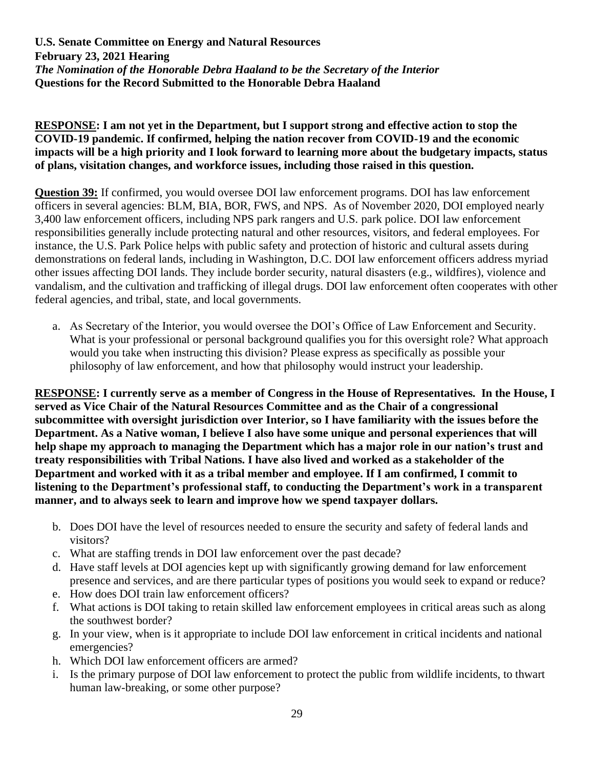### **RESPONSE: I am not yet in the Department, but I support strong and effective action to stop the COVID-19 pandemic. If confirmed, helping the nation recover from COVID-19 and the economic impacts will be a high priority and I look forward to learning more about the budgetary impacts, status of plans, visitation changes, and workforce issues, including those raised in this question.**

**Question 39:** If confirmed, you would oversee DOI law enforcement programs. DOI has law enforcement officers in several agencies: BLM, BIA, BOR, FWS, and NPS. As of November 2020, DOI employed nearly 3,400 law enforcement officers, including NPS park rangers and U.S. park police. DOI law enforcement responsibilities generally include protecting natural and other resources, visitors, and federal employees. For instance, the U.S. Park Police helps with public safety and protection of historic and cultural assets during demonstrations on federal lands, including in Washington, D.C. DOI law enforcement officers address myriad other issues affecting DOI lands. They include border security, natural disasters (e.g., wildfires), violence and vandalism, and the cultivation and trafficking of illegal drugs. DOI law enforcement often cooperates with other federal agencies, and tribal, state, and local governments.

a. As Secretary of the Interior, you would oversee the DOI's Office of Law Enforcement and Security. What is your professional or personal background qualifies you for this oversight role? What approach would you take when instructing this division? Please express as specifically as possible your philosophy of law enforcement, and how that philosophy would instruct your leadership.

**RESPONSE: I currently serve as a member of Congress in the House of Representatives. In the House, I served as Vice Chair of the Natural Resources Committee and as the Chair of a congressional subcommittee with oversight jurisdiction over Interior, so I have familiarity with the issues before the Department. As a Native woman, I believe I also have some unique and personal experiences that will help shape my approach to managing the Department which has a major role in our nation's trust and treaty responsibilities with Tribal Nations. I have also lived and worked as a stakeholder of the Department and worked with it as a tribal member and employee. If I am confirmed, I commit to listening to the Department's professional staff, to conducting the Department's work in a transparent manner, and to always seek to learn and improve how we spend taxpayer dollars.**

- b. Does DOI have the level of resources needed to ensure the security and safety of federal lands and visitors?
- c. What are staffing trends in DOI law enforcement over the past decade?
- d. Have staff levels at DOI agencies kept up with significantly growing demand for law enforcement presence and services, and are there particular types of positions you would seek to expand or reduce?
- e. How does DOI train law enforcement officers?
- f. What actions is DOI taking to retain skilled law enforcement employees in critical areas such as along the southwest border?
- g. In your view, when is it appropriate to include DOI law enforcement in critical incidents and national emergencies?
- h. Which DOI law enforcement officers are armed?
- i. Is the primary purpose of DOI law enforcement to protect the public from wildlife incidents, to thwart human law-breaking, or some other purpose?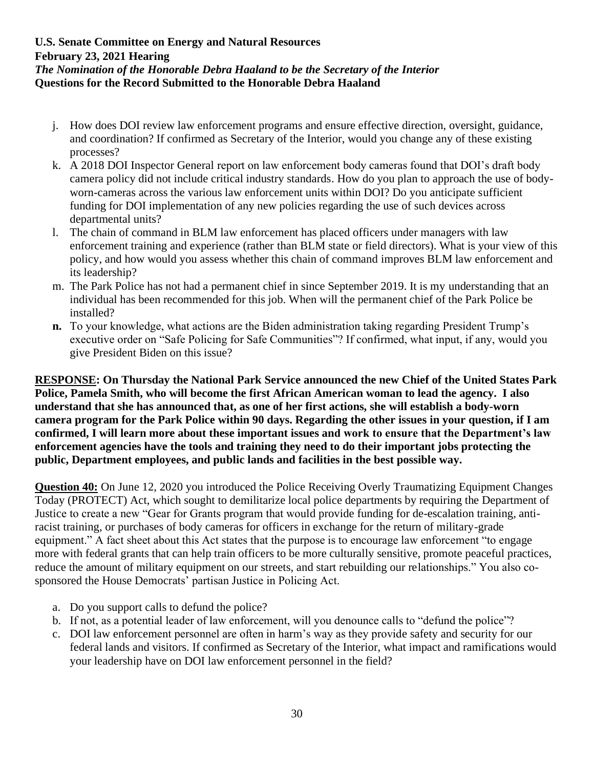- j. How does DOI review law enforcement programs and ensure effective direction, oversight, guidance, and coordination? If confirmed as Secretary of the Interior, would you change any of these existing processes?
- k. A 2018 DOI Inspector General report on law enforcement body cameras found that DOI's draft body camera policy did not include critical industry standards. How do you plan to approach the use of bodyworn-cameras across the various law enforcement units within DOI? Do you anticipate sufficient funding for DOI implementation of any new policies regarding the use of such devices across departmental units?
- l. The chain of command in BLM law enforcement has placed officers under managers with law enforcement training and experience (rather than BLM state or field directors). What is your view of this policy, and how would you assess whether this chain of command improves BLM law enforcement and its leadership?
- m. The Park Police has not had a permanent chief in since September 2019. It is my understanding that an individual has been recommended for this job. When will the permanent chief of the Park Police be installed?
- **n.** To your knowledge, what actions are the Biden administration taking regarding President Trump's executive order on "Safe Policing for Safe Communities"? If confirmed, what input, if any, would you give President Biden on this issue?

**RESPONSE: On Thursday the National Park Service announced the new Chief of the United States Park Police, Pamela Smith, who will become the first African American woman to lead the agency. I also understand that she has announced that, as one of her first actions, she will establish a body-worn camera program for the Park Police within 90 days. Regarding the other issues in your question, if I am confirmed, I will learn more about these important issues and work to ensure that the Department's law enforcement agencies have the tools and training they need to do their important jobs protecting the public, Department employees, and public lands and facilities in the best possible way.**

**Question 40:** On June 12, 2020 you introduced the Police Receiving Overly Traumatizing Equipment Changes Today (PROTECT) Act, which sought to demilitarize local police departments by requiring the Department of Justice to create a new "Gear for Grants program that would provide funding for de-escalation training, antiracist training, or purchases of body cameras for officers in exchange for the return of military-grade equipment." A fact sheet about this Act states that the purpose is to encourage law enforcement "to engage more with federal grants that can help train officers to be more culturally sensitive, promote peaceful practices, reduce the amount of military equipment on our streets, and start rebuilding our relationships." You also cosponsored the House Democrats' partisan Justice in Policing Act.

- a. Do you support calls to defund the police?
- b. If not, as a potential leader of law enforcement, will you denounce calls to "defund the police"?
- c. DOI law enforcement personnel are often in harm's way as they provide safety and security for our federal lands and visitors. If confirmed as Secretary of the Interior, what impact and ramifications would your leadership have on DOI law enforcement personnel in the field?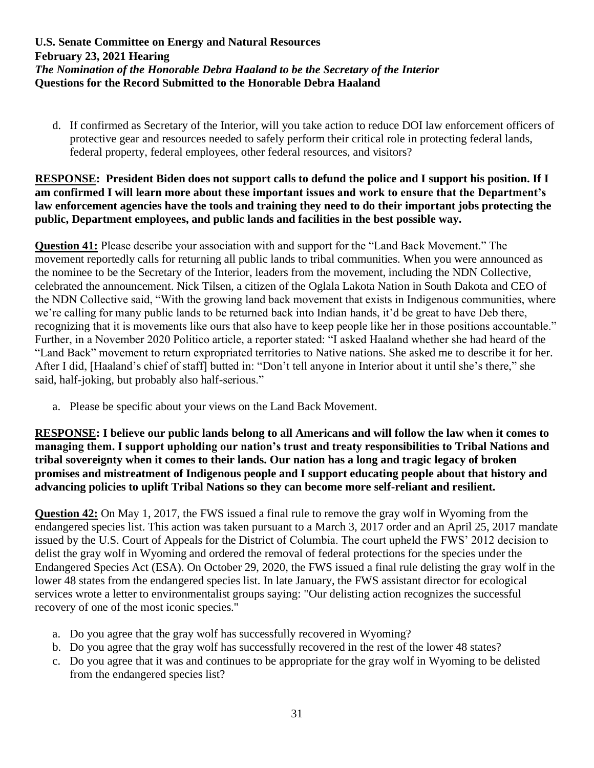d. If confirmed as Secretary of the Interior, will you take action to reduce DOI law enforcement officers of protective gear and resources needed to safely perform their critical role in protecting federal lands, federal property, federal employees, other federal resources, and visitors?

### **RESPONSE: President Biden does not support calls to defund the police and I support his position. If I am confirmed I will learn more about these important issues and work to ensure that the Department's law enforcement agencies have the tools and training they need to do their important jobs protecting the public, Department employees, and public lands and facilities in the best possible way.**

**Question 41:** Please describe your association with and support for the "Land Back Movement." The movement reportedly calls for returning all public lands to tribal communities. When you were announced as the nominee to be the Secretary of the Interior, leaders from the movement, including the NDN Collective, celebrated the announcement. Nick Tilsen, a citizen of the Oglala Lakota Nation in South Dakota and CEO of the NDN Collective said, "With the growing land back movement that exists in Indigenous communities, where we're calling for many public lands to be returned back into Indian hands, it'd be great to have Deb there, recognizing that it is movements like ours that also have to keep people like her in those positions accountable." Further, in a November 2020 Politico article, a reporter stated: "I asked Haaland whether she had heard of the "Land Back" movement to return expropriated territories to Native nations. She asked me to describe it for her. After I did, [Haaland's chief of staff] butted in: "Don't tell anyone in Interior about it until she's there," she said, half-joking, but probably also half-serious."

a. Please be specific about your views on the Land Back Movement.

**RESPONSE: I believe our public lands belong to all Americans and will follow the law when it comes to managing them. I support upholding our nation's trust and treaty responsibilities to Tribal Nations and tribal sovereignty when it comes to their lands. Our nation has a long and tragic legacy of broken promises and mistreatment of Indigenous people and I support educating people about that history and advancing policies to uplift Tribal Nations so they can become more self-reliant and resilient.**

**Question 42:** On May 1, 2017, the FWS issued a final rule to remove the gray wolf in Wyoming from the endangered species list. This action was taken pursuant to a March 3, 2017 order and an April 25, 2017 mandate issued by the U.S. Court of Appeals for the District of Columbia. The court upheld the FWS' 2012 decision to delist the gray wolf in Wyoming and ordered the removal of federal protections for the species under the Endangered Species Act (ESA). On October 29, 2020, the FWS issued a final rule delisting the gray wolf in the lower 48 states from the endangered species list. In late January, the FWS assistant director for ecological services wrote a letter to environmentalist groups saying: "Our delisting action recognizes the successful recovery of one of the most iconic species."

- a. Do you agree that the gray wolf has successfully recovered in Wyoming?
- b. Do you agree that the gray wolf has successfully recovered in the rest of the lower 48 states?
- c. Do you agree that it was and continues to be appropriate for the gray wolf in Wyoming to be delisted from the endangered species list?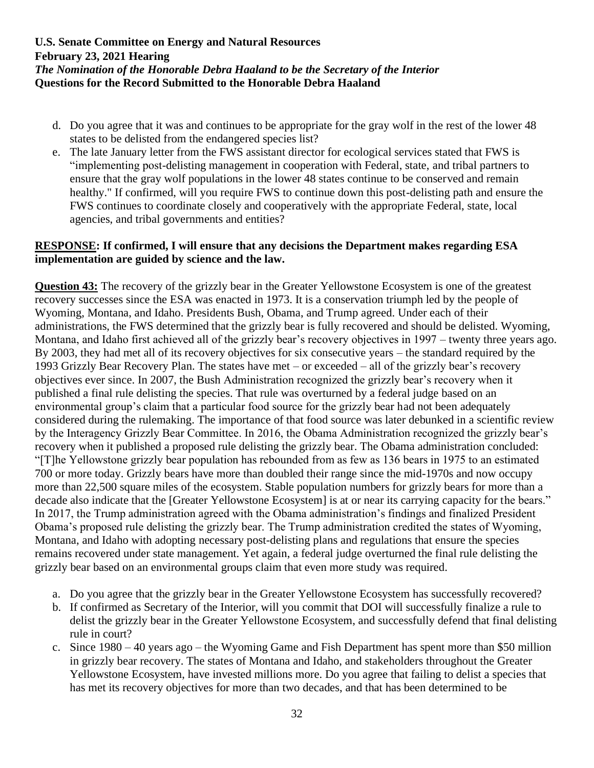- d. Do you agree that it was and continues to be appropriate for the gray wolf in the rest of the lower 48 states to be delisted from the endangered species list?
- e. The late January letter from the FWS assistant director for ecological services stated that FWS is "implementing post-delisting management in cooperation with Federal, state, and tribal partners to ensure that the gray wolf populations in the lower 48 states continue to be conserved and remain healthy." If confirmed, will you require FWS to continue down this post-delisting path and ensure the FWS continues to coordinate closely and cooperatively with the appropriate Federal, state, local agencies, and tribal governments and entities?

### **RESPONSE: If confirmed, I will ensure that any decisions the Department makes regarding ESA implementation are guided by science and the law.**

**Question 43:** The recovery of the grizzly bear in the Greater Yellowstone Ecosystem is one of the greatest recovery successes since the ESA was enacted in 1973. It is a conservation triumph led by the people of Wyoming, Montana, and Idaho. Presidents Bush, Obama, and Trump agreed. Under each of their administrations, the FWS determined that the grizzly bear is fully recovered and should be delisted. Wyoming, Montana, and Idaho first achieved all of the grizzly bear's recovery objectives in 1997 – twenty three years ago. By 2003, they had met all of its recovery objectives for six consecutive years – the standard required by the 1993 Grizzly Bear Recovery Plan. The states have met – or exceeded – all of the grizzly bear's recovery objectives ever since. In 2007, the Bush Administration recognized the grizzly bear's recovery when it published a final rule delisting the species. That rule was overturned by a federal judge based on an environmental group's claim that a particular food source for the grizzly bear had not been adequately considered during the rulemaking. The importance of that food source was later debunked in a scientific review by the Interagency Grizzly Bear Committee. In 2016, the Obama Administration recognized the grizzly bear's recovery when it published a proposed rule delisting the grizzly bear. The Obama administration concluded: "[T]he Yellowstone grizzly bear population has rebounded from as few as 136 bears in 1975 to an estimated 700 or more today. Grizzly bears have more than doubled their range since the mid-1970s and now occupy more than 22,500 square miles of the ecosystem. Stable population numbers for grizzly bears for more than a decade also indicate that the [Greater Yellowstone Ecosystem] is at or near its carrying capacity for the bears." In 2017, the Trump administration agreed with the Obama administration's findings and finalized President Obama's proposed rule delisting the grizzly bear. The Trump administration credited the states of Wyoming, Montana, and Idaho with adopting necessary post-delisting plans and regulations that ensure the species remains recovered under state management. Yet again, a federal judge overturned the final rule delisting the grizzly bear based on an environmental groups claim that even more study was required.

- a. Do you agree that the grizzly bear in the Greater Yellowstone Ecosystem has successfully recovered?
- b. If confirmed as Secretary of the Interior, will you commit that DOI will successfully finalize a rule to delist the grizzly bear in the Greater Yellowstone Ecosystem, and successfully defend that final delisting rule in court?
- c. Since 1980 40 years ago the Wyoming Game and Fish Department has spent more than \$50 million in grizzly bear recovery. The states of Montana and Idaho, and stakeholders throughout the Greater Yellowstone Ecosystem, have invested millions more. Do you agree that failing to delist a species that has met its recovery objectives for more than two decades, and that has been determined to be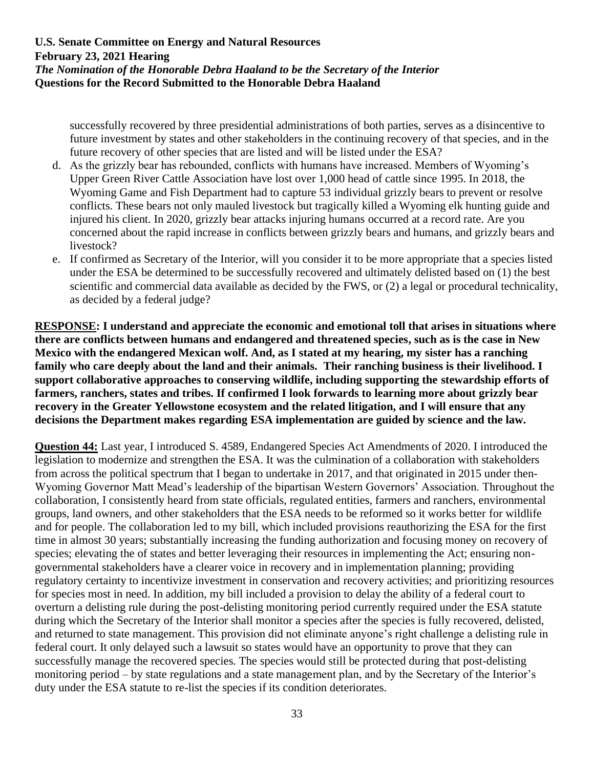successfully recovered by three presidential administrations of both parties, serves as a disincentive to future investment by states and other stakeholders in the continuing recovery of that species, and in the future recovery of other species that are listed and will be listed under the ESA?

- d. As the grizzly bear has rebounded, conflicts with humans have increased. Members of Wyoming's Upper Green River Cattle Association have lost over 1,000 head of cattle since 1995. In 2018, the Wyoming Game and Fish Department had to capture 53 individual grizzly bears to prevent or resolve conflicts. These bears not only mauled livestock but tragically killed a Wyoming elk hunting guide and injured his client. In 2020, grizzly bear attacks injuring humans occurred at a record rate. Are you concerned about the rapid increase in conflicts between grizzly bears and humans, and grizzly bears and livestock?
- e. If confirmed as Secretary of the Interior, will you consider it to be more appropriate that a species listed under the ESA be determined to be successfully recovered and ultimately delisted based on (1) the best scientific and commercial data available as decided by the FWS, or (2) a legal or procedural technicality, as decided by a federal judge?

**RESPONSE: I understand and appreciate the economic and emotional toll that arises in situations where there are conflicts between humans and endangered and threatened species, such as is the case in New Mexico with the endangered Mexican wolf. And, as I stated at my hearing, my sister has a ranching family who care deeply about the land and their animals. Their ranching business is their livelihood. I support collaborative approaches to conserving wildlife, including supporting the stewardship efforts of farmers, ranchers, states and tribes. If confirmed I look forwards to learning more about grizzly bear recovery in the Greater Yellowstone ecosystem and the related litigation, and I will ensure that any decisions the Department makes regarding ESA implementation are guided by science and the law.** 

**Question 44:** Last year, I introduced S. 4589, Endangered Species Act Amendments of 2020. I introduced the legislation to modernize and strengthen the ESA. It was the culmination of a collaboration with stakeholders from across the political spectrum that I began to undertake in 2017, and that originated in 2015 under then-Wyoming Governor Matt Mead's leadership of the bipartisan Western Governors' Association. Throughout the collaboration, I consistently heard from state officials, regulated entities, farmers and ranchers, environmental groups, land owners, and other stakeholders that the ESA needs to be reformed so it works better for wildlife and for people. The collaboration led to my bill, which included provisions reauthorizing the ESA for the first time in almost 30 years; substantially increasing the funding authorization and focusing money on recovery of species; elevating the of states and better leveraging their resources in implementing the Act; ensuring nongovernmental stakeholders have a clearer voice in recovery and in implementation planning; providing regulatory certainty to incentivize investment in conservation and recovery activities; and prioritizing resources for species most in need. In addition, my bill included a provision to delay the ability of a federal court to overturn a delisting rule during the post-delisting monitoring period currently required under the ESA statute during which the Secretary of the Interior shall monitor a species after the species is fully recovered, delisted, and returned to state management. This provision did not eliminate anyone's right challenge a delisting rule in federal court. It only delayed such a lawsuit so states would have an opportunity to prove that they can successfully manage the recovered species. The species would still be protected during that post-delisting monitoring period – by state regulations and a state management plan, and by the Secretary of the Interior's duty under the ESA statute to re-list the species if its condition deteriorates.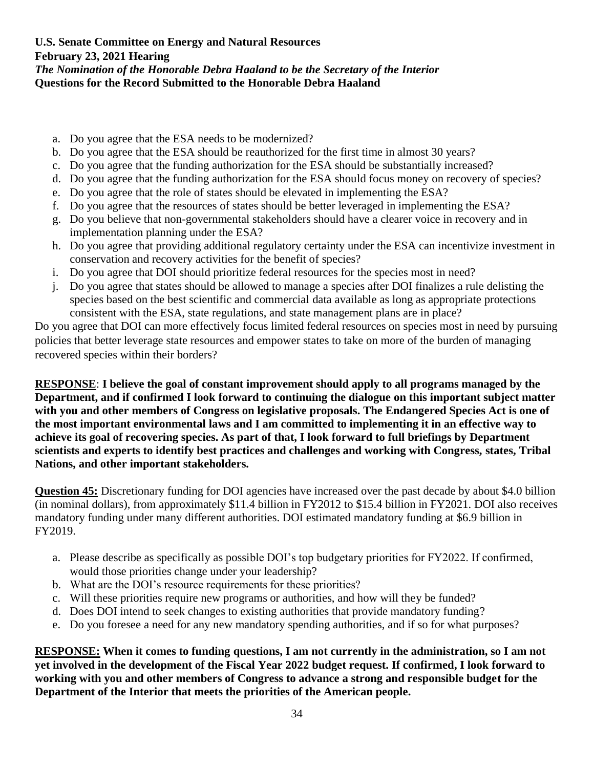- a. Do you agree that the ESA needs to be modernized?
- b. Do you agree that the ESA should be reauthorized for the first time in almost 30 years?
- c. Do you agree that the funding authorization for the ESA should be substantially increased?
- d. Do you agree that the funding authorization for the ESA should focus money on recovery of species?
- e. Do you agree that the role of states should be elevated in implementing the ESA?
- f. Do you agree that the resources of states should be better leveraged in implementing the ESA?
- g. Do you believe that non-governmental stakeholders should have a clearer voice in recovery and in implementation planning under the ESA?
- h. Do you agree that providing additional regulatory certainty under the ESA can incentivize investment in conservation and recovery activities for the benefit of species?
- i. Do you agree that DOI should prioritize federal resources for the species most in need?
- j. Do you agree that states should be allowed to manage a species after DOI finalizes a rule delisting the species based on the best scientific and commercial data available as long as appropriate protections consistent with the ESA, state regulations, and state management plans are in place?

Do you agree that DOI can more effectively focus limited federal resources on species most in need by pursuing policies that better leverage state resources and empower states to take on more of the burden of managing recovered species within their borders?

**RESPONSE**: **I believe the goal of constant improvement should apply to all programs managed by the Department, and if confirmed I look forward to continuing the dialogue on this important subject matter with you and other members of Congress on legislative proposals. The Endangered Species Act is one of the most important environmental laws and I am committed to implementing it in an effective way to achieve its goal of recovering species. As part of that, I look forward to full briefings by Department scientists and experts to identify best practices and challenges and working with Congress, states, Tribal Nations, and other important stakeholders.**

**Question 45:** Discretionary funding for DOI agencies have increased over the past decade by about \$4.0 billion (in nominal dollars), from approximately \$11.4 billion in FY2012 to \$15.4 billion in FY2021. DOI also receives mandatory funding under many different authorities. DOI estimated mandatory funding at \$6.9 billion in FY2019.

- a. Please describe as specifically as possible DOI's top budgetary priorities for FY2022. If confirmed, would those priorities change under your leadership?
- b. What are the DOI's resource requirements for these priorities?
- c. Will these priorities require new programs or authorities, and how will they be funded?
- d. Does DOI intend to seek changes to existing authorities that provide mandatory funding?
- e. Do you foresee a need for any new mandatory spending authorities, and if so for what purposes?

**RESPONSE: When it comes to funding questions, I am not currently in the administration, so I am not yet involved in the development of the Fiscal Year 2022 budget request. If confirmed, I look forward to working with you and other members of Congress to advance a strong and responsible budget for the Department of the Interior that meets the priorities of the American people.**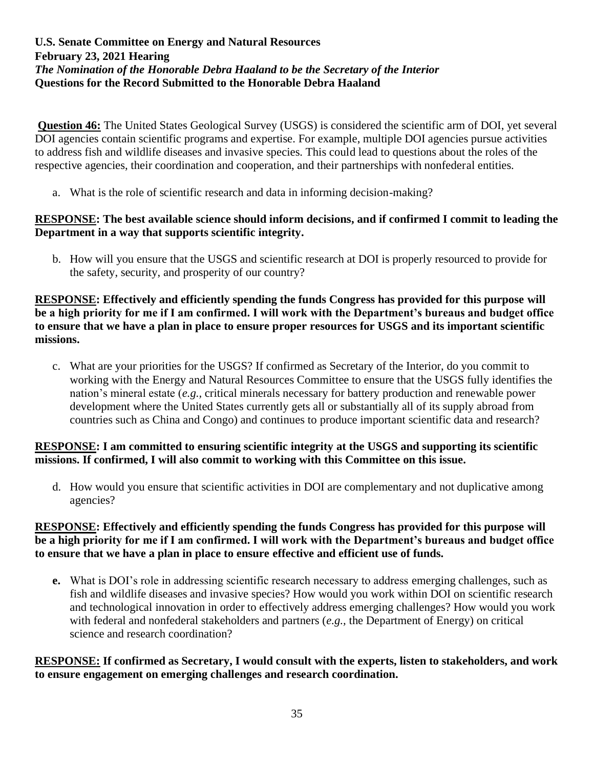**Question 46:** The United States Geological Survey (USGS) is considered the scientific arm of DOI, yet several DOI agencies contain scientific programs and expertise. For example, multiple DOI agencies pursue activities to address fish and wildlife diseases and invasive species. This could lead to questions about the roles of the respective agencies, their coordination and cooperation, and their partnerships with nonfederal entities.

a. What is the role of scientific research and data in informing decision-making?

### **RESPONSE: The best available science should inform decisions, and if confirmed I commit to leading the Department in a way that supports scientific integrity.**

b. How will you ensure that the USGS and scientific research at DOI is properly resourced to provide for the safety, security, and prosperity of our country?

### **RESPONSE: Effectively and efficiently spending the funds Congress has provided for this purpose will be a high priority for me if I am confirmed. I will work with the Department's bureaus and budget office to ensure that we have a plan in place to ensure proper resources for USGS and its important scientific missions.**

c. What are your priorities for the USGS? If confirmed as Secretary of the Interior, do you commit to working with the Energy and Natural Resources Committee to ensure that the USGS fully identifies the nation's mineral estate (*e.g.,* critical minerals necessary for battery production and renewable power development where the United States currently gets all or substantially all of its supply abroad from countries such as China and Congo) and continues to produce important scientific data and research?

# **RESPONSE: I am committed to ensuring scientific integrity at the USGS and supporting its scientific missions. If confirmed, I will also commit to working with this Committee on this issue.**

d. How would you ensure that scientific activities in DOI are complementary and not duplicative among agencies?

# **RESPONSE: Effectively and efficiently spending the funds Congress has provided for this purpose will be a high priority for me if I am confirmed. I will work with the Department's bureaus and budget office to ensure that we have a plan in place to ensure effective and efficient use of funds.**

**e.** What is DOI's role in addressing scientific research necessary to address emerging challenges, such as fish and wildlife diseases and invasive species? How would you work within DOI on scientific research and technological innovation in order to effectively address emerging challenges? How would you work with federal and nonfederal stakeholders and partners (*e.g.,* the Department of Energy) on critical science and research coordination?

### **RESPONSE: If confirmed as Secretary, I would consult with the experts, listen to stakeholders, and work to ensure engagement on emerging challenges and research coordination.**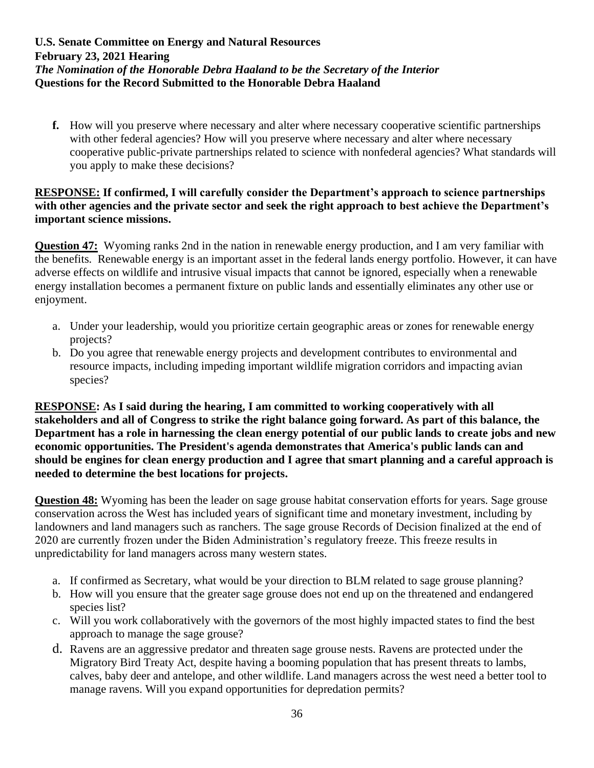**f.** How will you preserve where necessary and alter where necessary cooperative scientific partnerships with other federal agencies? How will you preserve where necessary and alter where necessary cooperative public-private partnerships related to science with nonfederal agencies? What standards will you apply to make these decisions?

### **RESPONSE: If confirmed, I will carefully consider the Department's approach to science partnerships with other agencies and the private sector and seek the right approach to best achieve the Department's important science missions.**

**Question 47:** Wyoming ranks 2nd in the nation in renewable energy production, and I am very familiar with the benefits. Renewable energy is an important asset in the federal lands energy portfolio. However, it can have adverse effects on wildlife and intrusive visual impacts that cannot be ignored, especially when a renewable energy installation becomes a permanent fixture on public lands and essentially eliminates any other use or enjoyment.

- a. Under your leadership, would you prioritize certain geographic areas or zones for renewable energy projects?
- b. Do you agree that renewable energy projects and development contributes to environmental and resource impacts, including impeding important wildlife migration corridors and impacting avian species?

**RESPONSE: As I said during the hearing, I am committed to working cooperatively with all stakeholders and all of Congress to strike the right balance going forward. As part of this balance, the Department has a role in harnessing the clean energy potential of our public lands to create jobs and new economic opportunities. The President's agenda demonstrates that America's public lands can and should be engines for clean energy production and I agree that smart planning and a careful approach is needed to determine the best locations for projects.**

**Question 48:** Wyoming has been the leader on sage grouse habitat conservation efforts for years. Sage grouse conservation across the West has included years of significant time and monetary investment, including by landowners and land managers such as ranchers. The sage grouse Records of Decision finalized at the end of 2020 are currently frozen under the Biden Administration's regulatory freeze. This freeze results in unpredictability for land managers across many western states.

- a. If confirmed as Secretary, what would be your direction to BLM related to sage grouse planning?
- b. How will you ensure that the greater sage grouse does not end up on the threatened and endangered species list?
- c. Will you work collaboratively with the governors of the most highly impacted states to find the best approach to manage the sage grouse?
- d. Ravens are an aggressive predator and threaten sage grouse nests. Ravens are protected under the Migratory Bird Treaty Act, despite having a booming population that has present threats to lambs, calves, baby deer and antelope, and other wildlife. Land managers across the west need a better tool to manage ravens. Will you expand opportunities for depredation permits?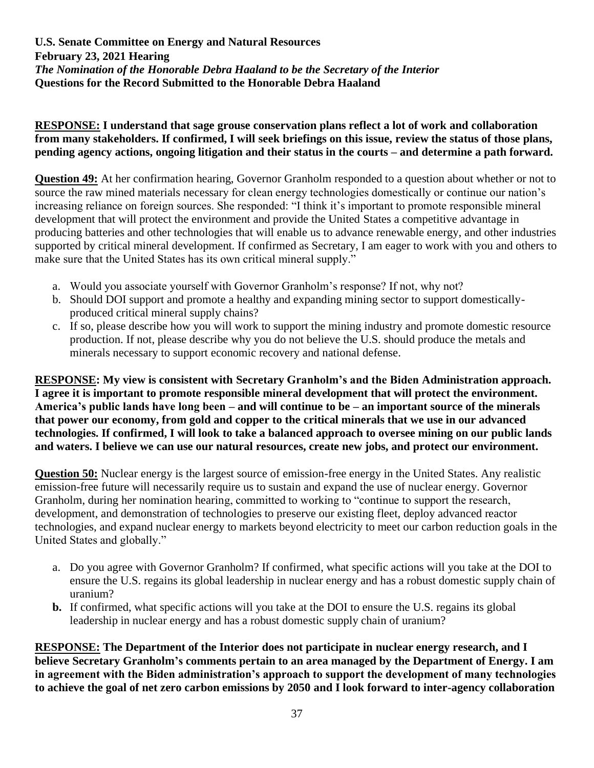# **RESPONSE: I understand that sage grouse conservation plans reflect a lot of work and collaboration from many stakeholders. If confirmed, I will seek briefings on this issue, review the status of those plans, pending agency actions, ongoing litigation and their status in the courts – and determine a path forward.**

**Question 49:** At her confirmation hearing, Governor Granholm responded to a question about whether or not to source the raw mined materials necessary for clean energy technologies domestically or continue our nation's increasing reliance on foreign sources. She responded: "I think it's important to promote responsible mineral development that will protect the environment and provide the United States a competitive advantage in producing batteries and other technologies that will enable us to advance renewable energy, and other industries supported by critical mineral development. If confirmed as Secretary, I am eager to work with you and others to make sure that the United States has its own critical mineral supply."

- a. Would you associate yourself with Governor Granholm's response? If not, why not?
- b. Should DOI support and promote a healthy and expanding mining sector to support domesticallyproduced critical mineral supply chains?
- c. If so, please describe how you will work to support the mining industry and promote domestic resource production. If not, please describe why you do not believe the U.S. should produce the metals and minerals necessary to support economic recovery and national defense.

**RESPONSE: My view is consistent with Secretary Granholm's and the Biden Administration approach. I agree it is important to promote responsible mineral development that will protect the environment. America's public lands have long been – and will continue to be – an important source of the minerals that power our economy, from gold and copper to the critical minerals that we use in our advanced technologies. If confirmed, I will look to take a balanced approach to oversee mining on our public lands and waters. I believe we can use our natural resources, create new jobs, and protect our environment.** 

**Question 50:** Nuclear energy is the largest source of emission-free energy in the United States. Any realistic emission-free future will necessarily require us to sustain and expand the use of nuclear energy. Governor Granholm, during her nomination hearing, committed to working to "continue to support the research, development, and demonstration of technologies to preserve our existing fleet, deploy advanced reactor technologies, and expand nuclear energy to markets beyond electricity to meet our carbon reduction goals in the United States and globally."

- a. Do you agree with Governor Granholm? If confirmed, what specific actions will you take at the DOI to ensure the U.S. regains its global leadership in nuclear energy and has a robust domestic supply chain of uranium?
- **b.** If confirmed, what specific actions will you take at the DOI to ensure the U.S. regains its global leadership in nuclear energy and has a robust domestic supply chain of uranium?

**RESPONSE: The Department of the Interior does not participate in nuclear energy research, and I believe Secretary Granholm's comments pertain to an area managed by the Department of Energy. I am in agreement with the Biden administration's approach to support the development of many technologies to achieve the goal of net zero carbon emissions by 2050 and I look forward to inter-agency collaboration**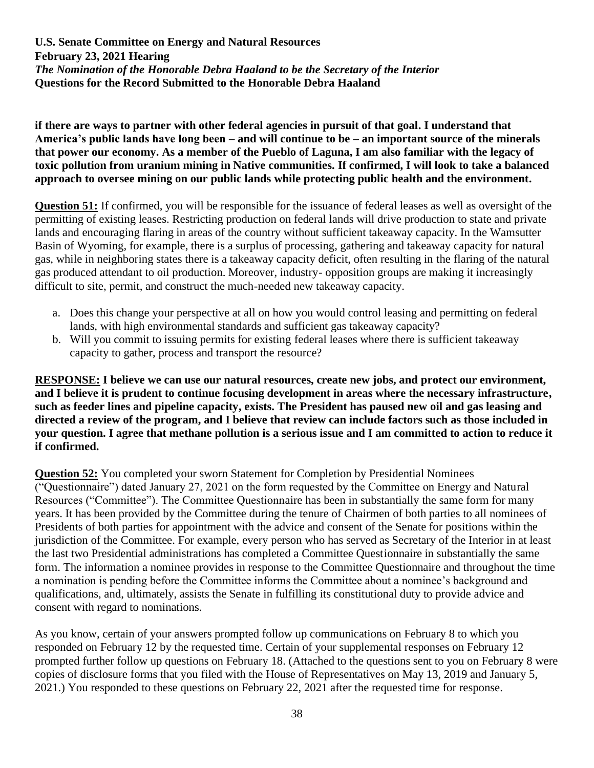**if there are ways to partner with other federal agencies in pursuit of that goal. I understand that America's public lands have long been – and will continue to be – an important source of the minerals that power our economy. As a member of the Pueblo of Laguna, I am also familiar with the legacy of toxic pollution from uranium mining in Native communities. If confirmed, I will look to take a balanced approach to oversee mining on our public lands while protecting public health and the environment.** 

**Question 51:** If confirmed, you will be responsible for the issuance of federal leases as well as oversight of the permitting of existing leases. Restricting production on federal lands will drive production to state and private lands and encouraging flaring in areas of the country without sufficient takeaway capacity. In the Wamsutter Basin of Wyoming, for example, there is a surplus of processing, gathering and takeaway capacity for natural gas, while in neighboring states there is a takeaway capacity deficit, often resulting in the flaring of the natural gas produced attendant to oil production. Moreover, industry- opposition groups are making it increasingly difficult to site, permit, and construct the much-needed new takeaway capacity.

- a. Does this change your perspective at all on how you would control leasing and permitting on federal lands, with high environmental standards and sufficient gas takeaway capacity?
- b. Will you commit to issuing permits for existing federal leases where there is sufficient takeaway capacity to gather, process and transport the resource?

**RESPONSE: I believe we can use our natural resources, create new jobs, and protect our environment, and I believe it is prudent to continue focusing development in areas where the necessary infrastructure, such as feeder lines and pipeline capacity, exists. The President has paused new oil and gas leasing and directed a review of the program, and I believe that review can include factors such as those included in your question. I agree that methane pollution is a serious issue and I am committed to action to reduce it if confirmed.**

**Question 52:** You completed your sworn Statement for Completion by Presidential Nominees ("Questionnaire") dated January 27, 2021 on the form requested by the Committee on Energy and Natural Resources ("Committee"). The Committee Questionnaire has been in substantially the same form for many years. It has been provided by the Committee during the tenure of Chairmen of both parties to all nominees of Presidents of both parties for appointment with the advice and consent of the Senate for positions within the jurisdiction of the Committee. For example, every person who has served as Secretary of the Interior in at least the last two Presidential administrations has completed a Committee Questionnaire in substantially the same form. The information a nominee provides in response to the Committee Questionnaire and throughout the time a nomination is pending before the Committee informs the Committee about a nominee's background and qualifications, and, ultimately, assists the Senate in fulfilling its constitutional duty to provide advice and consent with regard to nominations.

As you know, certain of your answers prompted follow up communications on February 8 to which you responded on February 12 by the requested time. Certain of your supplemental responses on February 12 prompted further follow up questions on February 18. (Attached to the questions sent to you on February 8 were copies of disclosure forms that you filed with the House of Representatives on May 13, 2019 and January 5, 2021.) You responded to these questions on February 22, 2021 after the requested time for response.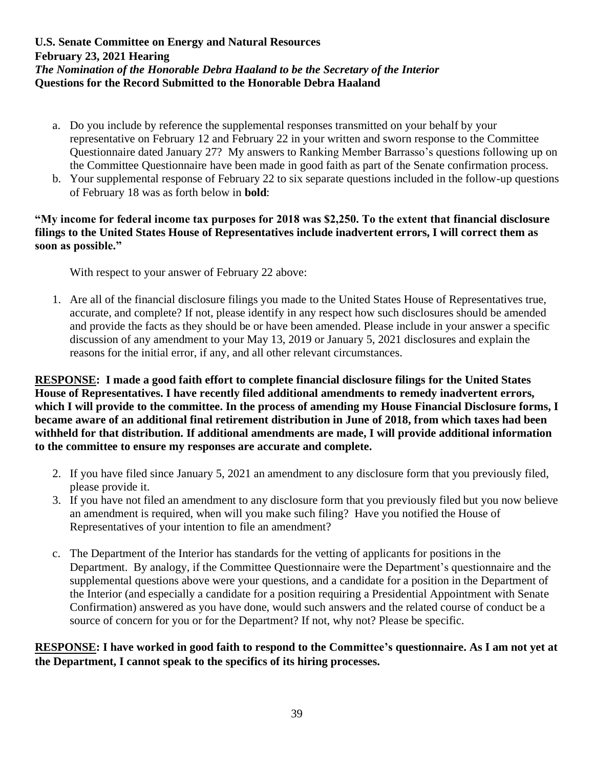- a. Do you include by reference the supplemental responses transmitted on your behalf by your representative on February 12 and February 22 in your written and sworn response to the Committee Questionnaire dated January 27? My answers to Ranking Member Barrasso's questions following up on the Committee Questionnaire have been made in good faith as part of the Senate confirmation process.
- b. Your supplemental response of February 22 to six separate questions included in the follow-up questions of February 18 was as forth below in **bold**:

#### **"My income for federal income tax purposes for 2018 was \$2,250. To the extent that financial disclosure filings to the United States House of Representatives include inadvertent errors, I will correct them as soon as possible."**

With respect to your answer of February 22 above:

1. Are all of the financial disclosure filings you made to the United States House of Representatives true, accurate, and complete? If not, please identify in any respect how such disclosures should be amended and provide the facts as they should be or have been amended. Please include in your answer a specific discussion of any amendment to your May 13, 2019 or January 5, 2021 disclosures and explain the reasons for the initial error, if any, and all other relevant circumstances.

**RESPONSE: I made a good faith effort to complete financial disclosure filings for the United States House of Representatives. I have recently filed additional amendments to remedy inadvertent errors, which I will provide to the committee. In the process of amending my House Financial Disclosure forms, I became aware of an additional final retirement distribution in June of 2018, from which taxes had been withheld for that distribution. If additional amendments are made, I will provide additional information to the committee to ensure my responses are accurate and complete.** 

- 2. If you have filed since January 5, 2021 an amendment to any disclosure form that you previously filed, please provide it.
- 3. If you have not filed an amendment to any disclosure form that you previously filed but you now believe an amendment is required, when will you make such filing? Have you notified the House of Representatives of your intention to file an amendment?
- c. The Department of the Interior has standards for the vetting of applicants for positions in the Department. By analogy, if the Committee Questionnaire were the Department's questionnaire and the supplemental questions above were your questions, and a candidate for a position in the Department of the Interior (and especially a candidate for a position requiring a Presidential Appointment with Senate Confirmation) answered as you have done, would such answers and the related course of conduct be a source of concern for you or for the Department? If not, why not? Please be specific.

# **RESPONSE: I have worked in good faith to respond to the Committee's questionnaire. As I am not yet at the Department, I cannot speak to the specifics of its hiring processes.**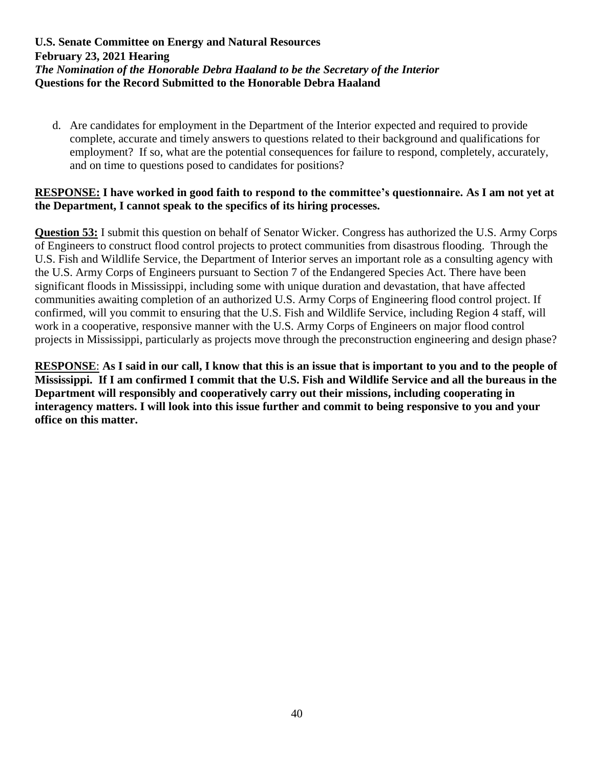d. Are candidates for employment in the Department of the Interior expected and required to provide complete, accurate and timely answers to questions related to their background and qualifications for employment? If so, what are the potential consequences for failure to respond, completely, accurately, and on time to questions posed to candidates for positions?

#### **RESPONSE: I have worked in good faith to respond to the committee's questionnaire. As I am not yet at the Department, I cannot speak to the specifics of its hiring processes.**

**Question 53:** I submit this question on behalf of Senator Wicker. Congress has authorized the U.S. Army Corps of Engineers to construct flood control projects to protect communities from disastrous flooding. Through the U.S. Fish and Wildlife Service, the Department of Interior serves an important role as a consulting agency with the U.S. Army Corps of Engineers pursuant to Section 7 of the Endangered Species Act. There have been significant floods in Mississippi, including some with unique duration and devastation, that have affected communities awaiting completion of an authorized U.S. Army Corps of Engineering flood control project. If confirmed, will you commit to ensuring that the U.S. Fish and Wildlife Service, including Region 4 staff, will work in a cooperative, responsive manner with the U.S. Army Corps of Engineers on major flood control projects in Mississippi, particularly as projects move through the preconstruction engineering and design phase?

**RESPONSE**: **As I said in our call, I know that this is an issue that is important to you and to the people of Mississippi. If I am confirmed I commit that the U.S. Fish and Wildlife Service and all the bureaus in the Department will responsibly and cooperatively carry out their missions, including cooperating in interagency matters. I will look into this issue further and commit to being responsive to you and your office on this matter.**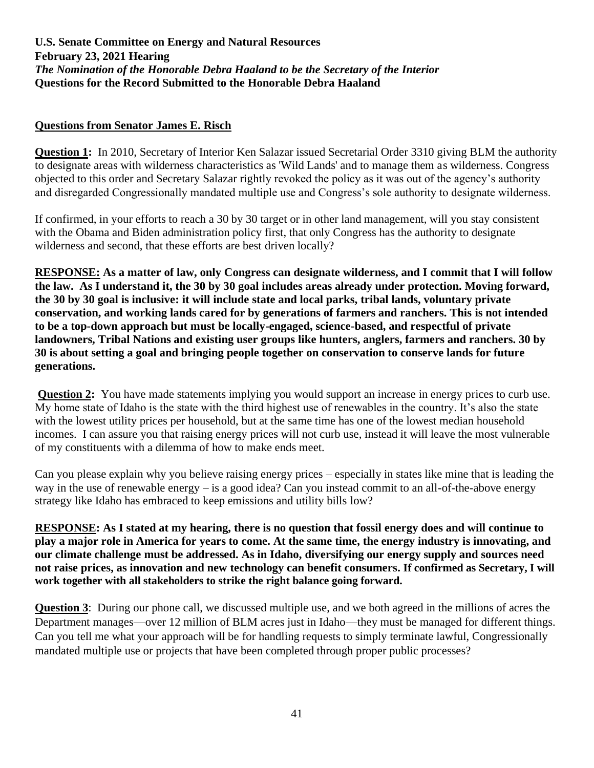#### **Questions from Senator James E. Risch**

**Question 1:** In 2010, Secretary of Interior Ken Salazar issued Secretarial Order 3310 giving BLM the authority to designate areas with wilderness characteristics as 'Wild Lands' and to manage them as wilderness. Congress objected to this order and Secretary Salazar rightly revoked the policy as it was out of the agency's authority and disregarded Congressionally mandated multiple use and Congress's sole authority to designate wilderness.

If confirmed, in your efforts to reach a 30 by 30 target or in other land management, will you stay consistent with the Obama and Biden administration policy first, that only Congress has the authority to designate wilderness and second, that these efforts are best driven locally?

**RESPONSE: As a matter of law, only Congress can designate wilderness, and I commit that I will follow the law. As I understand it, the 30 by 30 goal includes areas already under protection. Moving forward, the 30 by 30 goal is inclusive: it will include state and local parks, tribal lands, voluntary private conservation, and working lands cared for by generations of farmers and ranchers. This is not intended to be a top-down approach but must be locally-engaged, science-based, and respectful of private landowners, Tribal Nations and existing user groups like hunters, anglers, farmers and ranchers. 30 by 30 is about setting a goal and bringing people together on conservation to conserve lands for future generations.**

**Question 2:** You have made statements implying you would support an increase in energy prices to curb use. My home state of Idaho is the state with the third highest use of renewables in the country. It's also the state with the lowest utility prices per household, but at the same time has one of the lowest median household incomes. I can assure you that raising energy prices will not curb use, instead it will leave the most vulnerable of my constituents with a dilemma of how to make ends meet.

Can you please explain why you believe raising energy prices – especially in states like mine that is leading the way in the use of renewable energy – is a good idea? Can you instead commit to an all-of-the-above energy strategy like Idaho has embraced to keep emissions and utility bills low?

**RESPONSE: As I stated at my hearing, there is no question that fossil energy does and will continue to play a major role in America for years to come. At the same time, the energy industry is innovating, and our climate challenge must be addressed. As in Idaho, diversifying our energy supply and sources need not raise prices, as innovation and new technology can benefit consumers. If confirmed as Secretary, I will work together with all stakeholders to strike the right balance going forward.** 

**Question 3**: During our phone call, we discussed multiple use, and we both agreed in the millions of acres the Department manages—over 12 million of BLM acres just in Idaho—they must be managed for different things. Can you tell me what your approach will be for handling requests to simply terminate lawful, Congressionally mandated multiple use or projects that have been completed through proper public processes?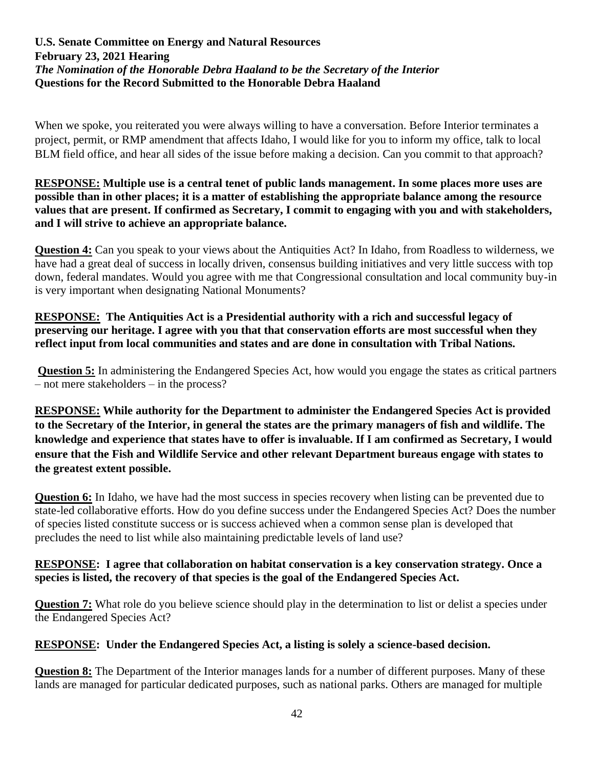When we spoke, you reiterated you were always willing to have a conversation. Before Interior terminates a project, permit, or RMP amendment that affects Idaho, I would like for you to inform my office, talk to local BLM field office, and hear all sides of the issue before making a decision. Can you commit to that approach?

**RESPONSE: Multiple use is a central tenet of public lands management. In some places more uses are possible than in other places; it is a matter of establishing the appropriate balance among the resource values that are present. If confirmed as Secretary, I commit to engaging with you and with stakeholders, and I will strive to achieve an appropriate balance.** 

**Question 4:** Can you speak to your views about the Antiquities Act? In Idaho, from Roadless to wilderness, we have had a great deal of success in locally driven, consensus building initiatives and very little success with top down, federal mandates. Would you agree with me that Congressional consultation and local community buy-in is very important when designating National Monuments?

**RESPONSE: The Antiquities Act is a Presidential authority with a rich and successful legacy of preserving our heritage. I agree with you that that conservation efforts are most successful when they reflect input from local communities and states and are done in consultation with Tribal Nations.**

**Question 5:** In administering the Endangered Species Act, how would you engage the states as critical partners – not mere stakeholders – in the process?

**RESPONSE: While authority for the Department to administer the Endangered Species Act is provided to the Secretary of the Interior, in general the states are the primary managers of fish and wildlife. The knowledge and experience that states have to offer is invaluable. If I am confirmed as Secretary, I would ensure that the Fish and Wildlife Service and other relevant Department bureaus engage with states to the greatest extent possible.** 

**Question 6:** In Idaho, we have had the most success in species recovery when listing can be prevented due to state-led collaborative efforts. How do you define success under the Endangered Species Act? Does the number of species listed constitute success or is success achieved when a common sense plan is developed that precludes the need to list while also maintaining predictable levels of land use?

## **RESPONSE: I agree that collaboration on habitat conservation is a key conservation strategy. Once a species is listed, the recovery of that species is the goal of the Endangered Species Act.**

**Question 7:** What role do you believe science should play in the determination to list or delist a species under the Endangered Species Act?

# **RESPONSE: Under the Endangered Species Act, a listing is solely a science-based decision.**

**Question 8:** The Department of the Interior manages lands for a number of different purposes. Many of these lands are managed for particular dedicated purposes, such as national parks. Others are managed for multiple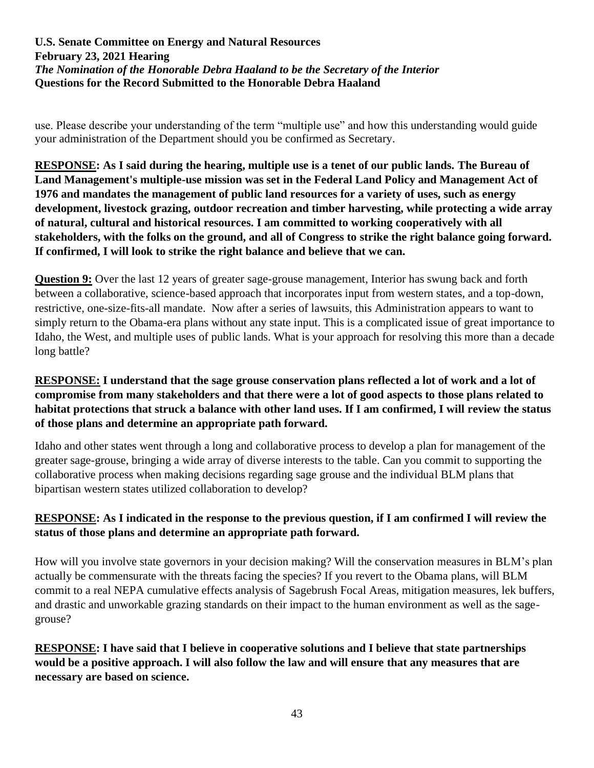use. Please describe your understanding of the term "multiple use" and how this understanding would guide your administration of the Department should you be confirmed as Secretary.

**RESPONSE: As I said during the hearing, multiple use is a tenet of our public lands. The Bureau of Land Management's multiple-use mission was set in the Federal Land Policy and Management Act of 1976 and mandates the management of public land resources for a variety of uses, such as energy development, livestock grazing, outdoor recreation and timber harvesting, while protecting a wide array of natural, cultural and historical resources. I am committed to working cooperatively with all stakeholders, with the folks on the ground, and all of Congress to strike the right balance going forward. If confirmed, I will look to strike the right balance and believe that we can.**

**Question 9:** Over the last 12 years of greater sage-grouse management, Interior has swung back and forth between a collaborative, science-based approach that incorporates input from western states, and a top-down, restrictive, one-size-fits-all mandate. Now after a series of lawsuits, this Administration appears to want to simply return to the Obama-era plans without any state input. This is a complicated issue of great importance to Idaho, the West, and multiple uses of public lands. What is your approach for resolving this more than a decade long battle?

# **RESPONSE: I understand that the sage grouse conservation plans reflected a lot of work and a lot of compromise from many stakeholders and that there were a lot of good aspects to those plans related to habitat protections that struck a balance with other land uses. If I am confirmed, I will review the status of those plans and determine an appropriate path forward.**

Idaho and other states went through a long and collaborative process to develop a plan for management of the greater sage-grouse, bringing a wide array of diverse interests to the table. Can you commit to supporting the collaborative process when making decisions regarding sage grouse and the individual BLM plans that bipartisan western states utilized collaboration to develop?

# **RESPONSE: As I indicated in the response to the previous question, if I am confirmed I will review the status of those plans and determine an appropriate path forward.**

How will you involve state governors in your decision making? Will the conservation measures in BLM's plan actually be commensurate with the threats facing the species? If you revert to the Obama plans, will BLM commit to a real NEPA cumulative effects analysis of Sagebrush Focal Areas, mitigation measures, lek buffers, and drastic and unworkable grazing standards on their impact to the human environment as well as the sagegrouse?

**RESPONSE: I have said that I believe in cooperative solutions and I believe that state partnerships would be a positive approach. I will also follow the law and will ensure that any measures that are necessary are based on science.**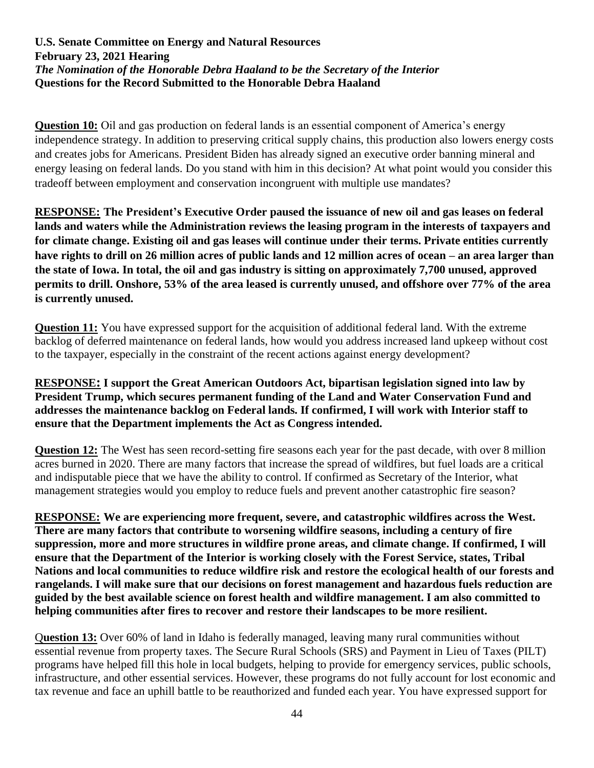**Question 10:** Oil and gas production on federal lands is an essential component of America's energy independence strategy. In addition to preserving critical supply chains, this production also lowers energy costs and creates jobs for Americans. President Biden has already signed an executive order banning mineral and energy leasing on federal lands. Do you stand with him in this decision? At what point would you consider this tradeoff between employment and conservation incongruent with multiple use mandates?

**RESPONSE: The President's Executive Order paused the issuance of new oil and gas leases on federal lands and waters while the Administration reviews the leasing program in the interests of taxpayers and for climate change. Existing oil and gas leases will continue under their terms. Private entities currently have rights to drill on 26 million acres of public lands and 12 million acres of ocean – an area larger than the state of Iowa. In total, the oil and gas industry is sitting on approximately 7,700 unused, approved permits to drill. Onshore, 53% of the area leased is currently unused, and offshore over 77% of the area is currently unused.**

**Question 11:** You have expressed support for the acquisition of additional federal land. With the extreme backlog of deferred maintenance on federal lands, how would you address increased land upkeep without cost to the taxpayer, especially in the constraint of the recent actions against energy development?

## **RESPONSE: I support the Great American Outdoors Act, bipartisan legislation signed into law by President Trump, which secures permanent funding of the Land and Water Conservation Fund and addresses the maintenance backlog on Federal lands. If confirmed, I will work with Interior staff to ensure that the Department implements the Act as Congress intended.**

**Question 12:** The West has seen record-setting fire seasons each year for the past decade, with over 8 million acres burned in 2020. There are many factors that increase the spread of wildfires, but fuel loads are a critical and indisputable piece that we have the ability to control. If confirmed as Secretary of the Interior, what management strategies would you employ to reduce fuels and prevent another catastrophic fire season?

**RESPONSE: We are experiencing more frequent, severe, and catastrophic wildfires across the West. There are many factors that contribute to worsening wildfire seasons, including a century of fire suppression, more and more structures in wildfire prone areas, and climate change. If confirmed, I will ensure that the Department of the Interior is working closely with the Forest Service, states, Tribal Nations and local communities to reduce wildfire risk and restore the ecological health of our forests and rangelands. I will make sure that our decisions on forest management and hazardous fuels reduction are guided by the best available science on forest health and wildfire management. I am also committed to helping communities after fires to recover and restore their landscapes to be more resilient.**

Q**uestion 13:** Over 60% of land in Idaho is federally managed, leaving many rural communities without essential revenue from property taxes. The Secure Rural Schools (SRS) and Payment in Lieu of Taxes (PILT) programs have helped fill this hole in local budgets, helping to provide for emergency services, public schools, infrastructure, and other essential services. However, these programs do not fully account for lost economic and tax revenue and face an uphill battle to be reauthorized and funded each year. You have expressed support for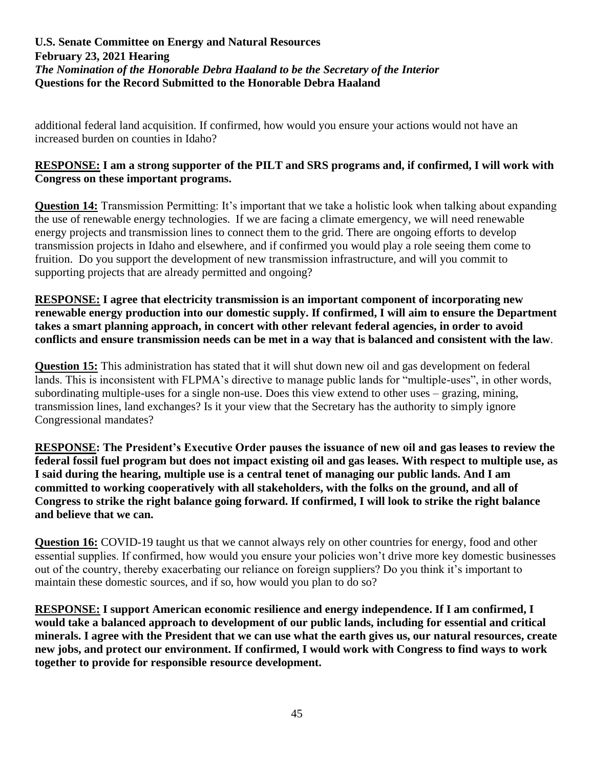additional federal land acquisition. If confirmed, how would you ensure your actions would not have an increased burden on counties in Idaho?

# **RESPONSE: I am a strong supporter of the PILT and SRS programs and, if confirmed, I will work with Congress on these important programs.**

**Question 14:** Transmission Permitting: It's important that we take a holistic look when talking about expanding the use of renewable energy technologies. If we are facing a climate emergency, we will need renewable energy projects and transmission lines to connect them to the grid. There are ongoing efforts to develop transmission projects in Idaho and elsewhere, and if confirmed you would play a role seeing them come to fruition. Do you support the development of new transmission infrastructure, and will you commit to supporting projects that are already permitted and ongoing?

**RESPONSE: I agree that electricity transmission is an important component of incorporating new renewable energy production into our domestic supply. If confirmed, I will aim to ensure the Department takes a smart planning approach, in concert with other relevant federal agencies, in order to avoid conflicts and ensure transmission needs can be met in a way that is balanced and consistent with the law**.

**Question 15:** This administration has stated that it will shut down new oil and gas development on federal lands. This is inconsistent with FLPMA's directive to manage public lands for "multiple-uses", in other words, subordinating multiple-uses for a single non-use. Does this view extend to other uses – grazing, mining, transmission lines, land exchanges? Is it your view that the Secretary has the authority to simply ignore Congressional mandates?

**RESPONSE: The President's Executive Order pauses the issuance of new oil and gas leases to review the federal fossil fuel program but does not impact existing oil and gas leases. With respect to multiple use, as I said during the hearing, multiple use is a central tenet of managing our public lands. And I am committed to working cooperatively with all stakeholders, with the folks on the ground, and all of Congress to strike the right balance going forward. If confirmed, I will look to strike the right balance and believe that we can.**

**Question 16:** COVID-19 taught us that we cannot always rely on other countries for energy, food and other essential supplies. If confirmed, how would you ensure your policies won't drive more key domestic businesses out of the country, thereby exacerbating our reliance on foreign suppliers? Do you think it's important to maintain these domestic sources, and if so, how would you plan to do so?

**RESPONSE: I support American economic resilience and energy independence. If I am confirmed, I would take a balanced approach to development of our public lands, including for essential and critical minerals. I agree with the President that we can use what the earth gives us, our natural resources, create new jobs, and protect our environment. If confirmed, I would work with Congress to find ways to work together to provide for responsible resource development.**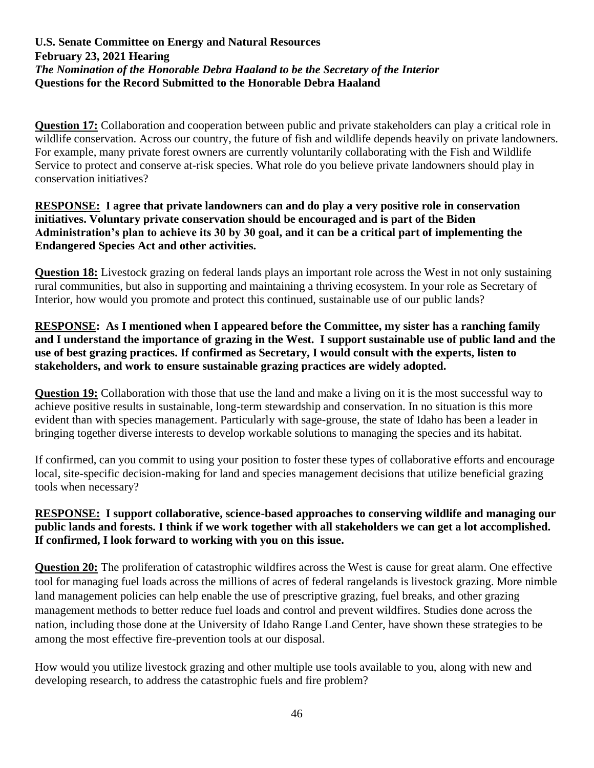**Question 17:** Collaboration and cooperation between public and private stakeholders can play a critical role in wildlife conservation. Across our country, the future of fish and wildlife depends heavily on private landowners. For example, many private forest owners are currently voluntarily collaborating with the Fish and Wildlife Service to protect and conserve at-risk species. What role do you believe private landowners should play in conservation initiatives?

### **RESPONSE: I agree that private landowners can and do play a very positive role in conservation initiatives. Voluntary private conservation should be encouraged and is part of the Biden Administration's plan to achieve its 30 by 30 goal, and it can be a critical part of implementing the Endangered Species Act and other activities.**

**Question 18:** Livestock grazing on federal lands plays an important role across the West in not only sustaining rural communities, but also in supporting and maintaining a thriving ecosystem. In your role as Secretary of Interior, how would you promote and protect this continued, sustainable use of our public lands?

### **RESPONSE: As I mentioned when I appeared before the Committee, my sister has a ranching family and I understand the importance of grazing in the West. I support sustainable use of public land and the use of best grazing practices. If confirmed as Secretary, I would consult with the experts, listen to stakeholders, and work to ensure sustainable grazing practices are widely adopted.**

**Question 19:** Collaboration with those that use the land and make a living on it is the most successful way to achieve positive results in sustainable, long-term stewardship and conservation. In no situation is this more evident than with species management. Particularly with sage-grouse, the state of Idaho has been a leader in bringing together diverse interests to develop workable solutions to managing the species and its habitat.

If confirmed, can you commit to using your position to foster these types of collaborative efforts and encourage local, site-specific decision-making for land and species management decisions that utilize beneficial grazing tools when necessary?

# **RESPONSE: I support collaborative, science-based approaches to conserving wildlife and managing our public lands and forests. I think if we work together with all stakeholders we can get a lot accomplished. If confirmed, I look forward to working with you on this issue.**

**Question 20:** The proliferation of catastrophic wildfires across the West is cause for great alarm. One effective tool for managing fuel loads across the millions of acres of federal rangelands is livestock grazing. More nimble land management policies can help enable the use of prescriptive grazing, fuel breaks, and other grazing management methods to better reduce fuel loads and control and prevent wildfires. Studies done across the nation, including those done at the University of Idaho Range Land Center, have shown these strategies to be among the most effective fire-prevention tools at our disposal.

How would you utilize livestock grazing and other multiple use tools available to you, along with new and developing research, to address the catastrophic fuels and fire problem?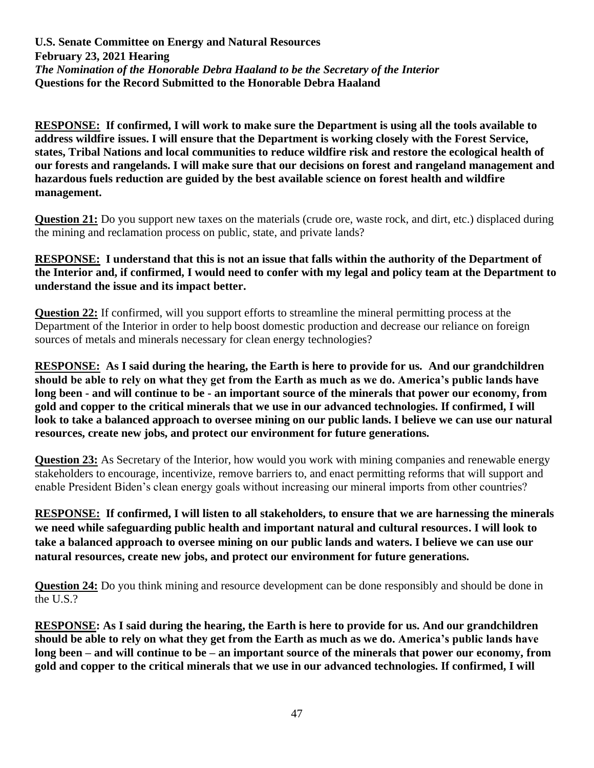**RESPONSE: If confirmed, I will work to make sure the Department is using all the tools available to address wildfire issues. I will ensure that the Department is working closely with the Forest Service, states, Tribal Nations and local communities to reduce wildfire risk and restore the ecological health of our forests and rangelands. I will make sure that our decisions on forest and rangeland management and hazardous fuels reduction are guided by the best available science on forest health and wildfire management.** 

**Question 21:** Do you support new taxes on the materials (crude ore, waste rock, and dirt, etc.) displaced during the mining and reclamation process on public, state, and private lands?

### **RESPONSE: I understand that this is not an issue that falls within the authority of the Department of the Interior and, if confirmed, I would need to confer with my legal and policy team at the Department to understand the issue and its impact better.**

**Question 22:** If confirmed, will you support efforts to streamline the mineral permitting process at the Department of the Interior in order to help boost domestic production and decrease our reliance on foreign sources of metals and minerals necessary for clean energy technologies?

**RESPONSE: As I said during the hearing, the Earth is here to provide for us. And our grandchildren should be able to rely on what they get from the Earth as much as we do. America's public lands have long been - and will continue to be - an important source of the minerals that power our economy, from gold and copper to the critical minerals that we use in our advanced technologies. If confirmed, I will look to take a balanced approach to oversee mining on our public lands. I believe we can use our natural resources, create new jobs, and protect our environment for future generations.**

**Question 23:** As Secretary of the Interior, how would you work with mining companies and renewable energy stakeholders to encourage, incentivize, remove barriers to, and enact permitting reforms that will support and enable President Biden's clean energy goals without increasing our mineral imports from other countries?

**RESPONSE: If confirmed, I will listen to all stakeholders, to ensure that we are harnessing the minerals we need while safeguarding public health and important natural and cultural resources. I will look to take a balanced approach to oversee mining on our public lands and waters. I believe we can use our natural resources, create new jobs, and protect our environment for future generations.**

**Question 24:** Do you think mining and resource development can be done responsibly and should be done in the U.S.?

**RESPONSE: As I said during the hearing, the Earth is here to provide for us. And our grandchildren should be able to rely on what they get from the Earth as much as we do. America's public lands have long been – and will continue to be – an important source of the minerals that power our economy, from gold and copper to the critical minerals that we use in our advanced technologies. If confirmed, I will**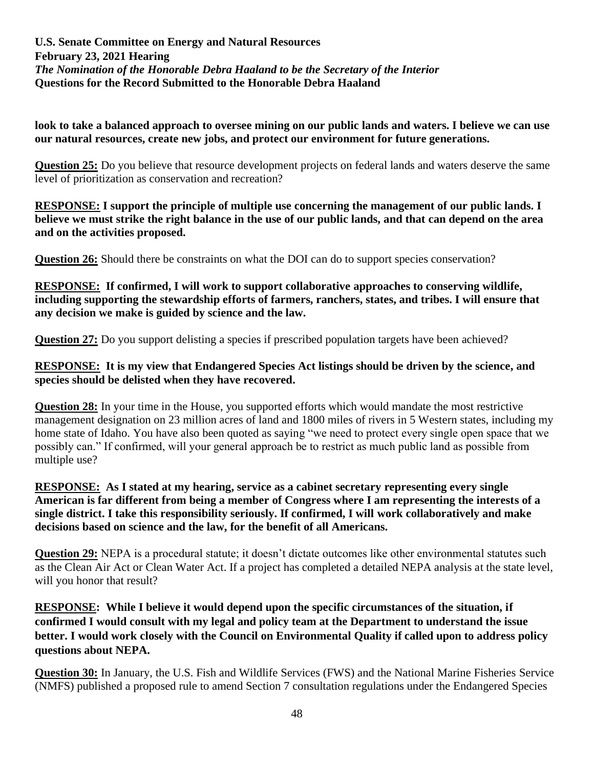**look to take a balanced approach to oversee mining on our public lands and waters. I believe we can use our natural resources, create new jobs, and protect our environment for future generations.**

**Question 25:** Do you believe that resource development projects on federal lands and waters deserve the same level of prioritization as conservation and recreation?

**RESPONSE: I support the principle of multiple use concerning the management of our public lands. I believe we must strike the right balance in the use of our public lands, and that can depend on the area and on the activities proposed.**

**Question 26:** Should there be constraints on what the DOI can do to support species conservation?

**RESPONSE: If confirmed, I will work to support collaborative approaches to conserving wildlife, including supporting the stewardship efforts of farmers, ranchers, states, and tribes. I will ensure that any decision we make is guided by science and the law.**

**Question 27:** Do you support delisting a species if prescribed population targets have been achieved?

## **RESPONSE: It is my view that Endangered Species Act listings should be driven by the science, and species should be delisted when they have recovered.**

**Question 28:** In your time in the House, you supported efforts which would mandate the most restrictive management designation on 23 million acres of land and 1800 miles of rivers in 5 Western states, including my home state of Idaho. You have also been quoted as saying "we need to protect every single open space that we possibly can." If confirmed, will your general approach be to restrict as much public land as possible from multiple use?

#### **RESPONSE: As I stated at my hearing, service as a cabinet secretary representing every single American is far different from being a member of Congress where I am representing the interests of a single district. I take this responsibility seriously. If confirmed, I will work collaboratively and make decisions based on science and the law, for the benefit of all Americans.**

**Question 29:** NEPA is a procedural statute; it doesn't dictate outcomes like other environmental statutes such as the Clean Air Act or Clean Water Act. If a project has completed a detailed NEPA analysis at the state level, will you honor that result?

# **RESPONSE: While I believe it would depend upon the specific circumstances of the situation, if confirmed I would consult with my legal and policy team at the Department to understand the issue better. I would work closely with the Council on Environmental Quality if called upon to address policy questions about NEPA.**

**Question 30:** In January, the U.S. Fish and Wildlife Services (FWS) and the National Marine Fisheries Service (NMFS) published a proposed rule to amend Section 7 consultation regulations under the Endangered Species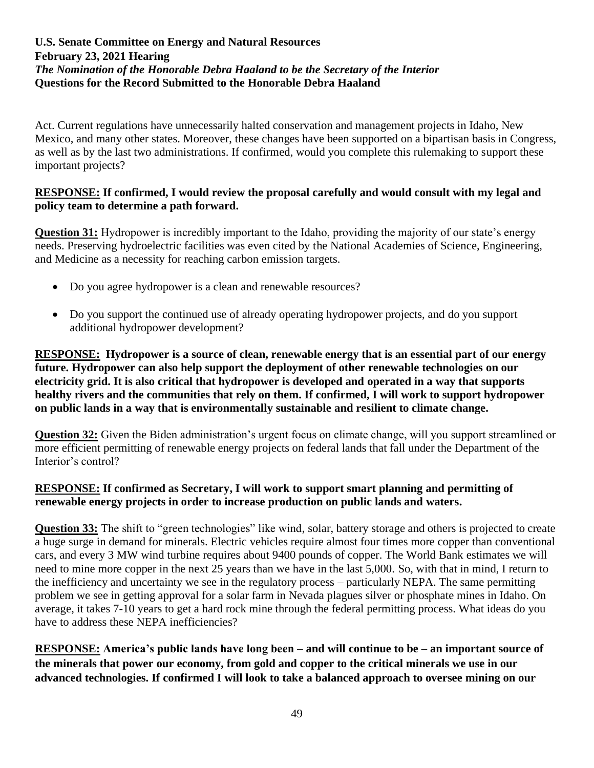Act. Current regulations have unnecessarily halted conservation and management projects in Idaho, New Mexico, and many other states. Moreover, these changes have been supported on a bipartisan basis in Congress, as well as by the last two administrations. If confirmed, would you complete this rulemaking to support these important projects?

### **RESPONSE: If confirmed, I would review the proposal carefully and would consult with my legal and policy team to determine a path forward.**

**Question 31:** Hydropower is incredibly important to the Idaho, providing the majority of our state's energy needs. Preserving hydroelectric facilities was even cited by the National Academies of Science, Engineering, and Medicine as a necessity for reaching carbon emission targets.

- Do you agree hydropower is a clean and renewable resources?
- Do you support the continued use of already operating hydropower projects, and do you support additional hydropower development?

**RESPONSE: Hydropower is a source of clean, renewable energy that is an essential part of our energy future. Hydropower can also help support the deployment of other renewable technologies on our electricity grid. It is also critical that hydropower is developed and operated in a way that supports healthy rivers and the communities that rely on them. If confirmed, I will work to support hydropower on public lands in a way that is environmentally sustainable and resilient to climate change.**

**Question 32:** Given the Biden administration's urgent focus on climate change, will you support streamlined or more efficient permitting of renewable energy projects on federal lands that fall under the Department of the Interior's control?

# **RESPONSE: If confirmed as Secretary, I will work to support smart planning and permitting of renewable energy projects in order to increase production on public lands and waters.**

**Question 33:** The shift to "green technologies" like wind, solar, battery storage and others is projected to create a huge surge in demand for minerals. Electric vehicles require almost four times more copper than conventional cars, and every 3 MW wind turbine requires about 9400 pounds of copper. The World Bank estimates we will need to mine more copper in the next 25 years than we have in the last 5,000. So, with that in mind, I return to the inefficiency and uncertainty we see in the regulatory process – particularly NEPA. The same permitting problem we see in getting approval for a solar farm in Nevada plagues silver or phosphate mines in Idaho. On average, it takes 7-10 years to get a hard rock mine through the federal permitting process. What ideas do you have to address these NEPA inefficiencies?

**RESPONSE: America's public lands have long been – and will continue to be – an important source of the minerals that power our economy, from gold and copper to the critical minerals we use in our advanced technologies. If confirmed I will look to take a balanced approach to oversee mining on our**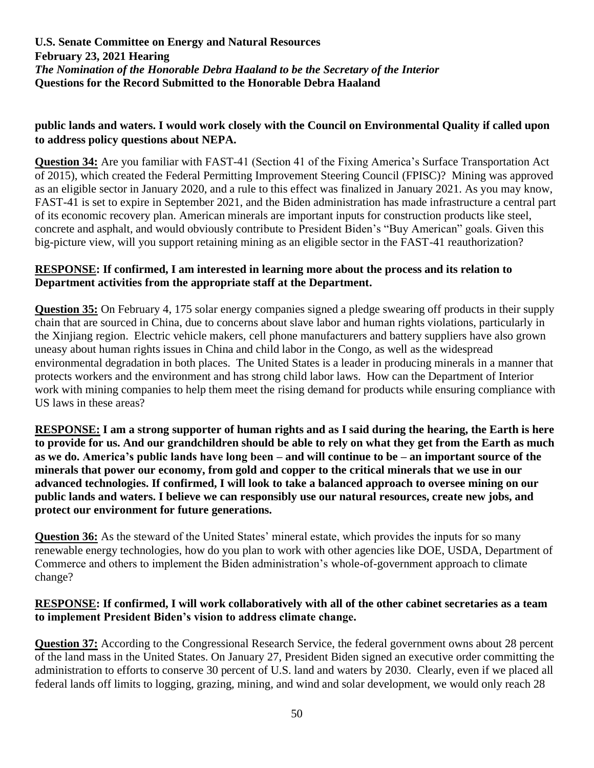# **public lands and waters. I would work closely with the Council on Environmental Quality if called upon to address policy questions about NEPA.**

**Question 34:** Are you familiar with FAST-41 (Section 41 of the Fixing America's Surface Transportation Act of 2015), which created the Federal Permitting Improvement Steering Council (FPISC)? Mining was approved as an eligible sector in January 2020, and a rule to this effect was finalized in January 2021. As you may know, FAST-41 is set to expire in September 2021, and the Biden administration has made infrastructure a central part of its economic recovery plan. American minerals are important inputs for construction products like steel, concrete and asphalt, and would obviously contribute to President Biden's "Buy American" goals. Given this big-picture view, will you support retaining mining as an eligible sector in the FAST-41 reauthorization?

# **RESPONSE: If confirmed, I am interested in learning more about the process and its relation to Department activities from the appropriate staff at the Department.**

**Question 35:** On February 4, 175 solar energy companies signed a pledge swearing off products in their supply chain that are sourced in China, due to concerns about slave labor and human rights violations, particularly in the Xinjiang region. Electric vehicle makers, cell phone manufacturers and battery suppliers have also grown uneasy about human rights issues in China and child labor in the Congo, as well as the widespread environmental degradation in both places. The United States is a leader in producing minerals in a manner that protects workers and the environment and has strong child labor laws. How can the Department of Interior work with mining companies to help them meet the rising demand for products while ensuring compliance with US laws in these areas?

**RESPONSE: I am a strong supporter of human rights and as I said during the hearing, the Earth is here to provide for us. And our grandchildren should be able to rely on what they get from the Earth as much as we do. America's public lands have long been – and will continue to be – an important source of the minerals that power our economy, from gold and copper to the critical minerals that we use in our advanced technologies. If confirmed, I will look to take a balanced approach to oversee mining on our public lands and waters. I believe we can responsibly use our natural resources, create new jobs, and protect our environment for future generations.**

**Question 36:** As the steward of the United States' mineral estate, which provides the inputs for so many renewable energy technologies, how do you plan to work with other agencies like DOE, USDA, Department of Commerce and others to implement the Biden administration's whole-of-government approach to climate change?

# **RESPONSE: If confirmed, I will work collaboratively with all of the other cabinet secretaries as a team to implement President Biden's vision to address climate change.**

**Question 37:** According to the Congressional Research Service, the federal government owns about 28 percent of the land mass in the United States. On January 27, President Biden signed an executive order committing the administration to efforts to conserve 30 percent of U.S. land and waters by 2030. Clearly, even if we placed all federal lands off limits to logging, grazing, mining, and wind and solar development, we would only reach 28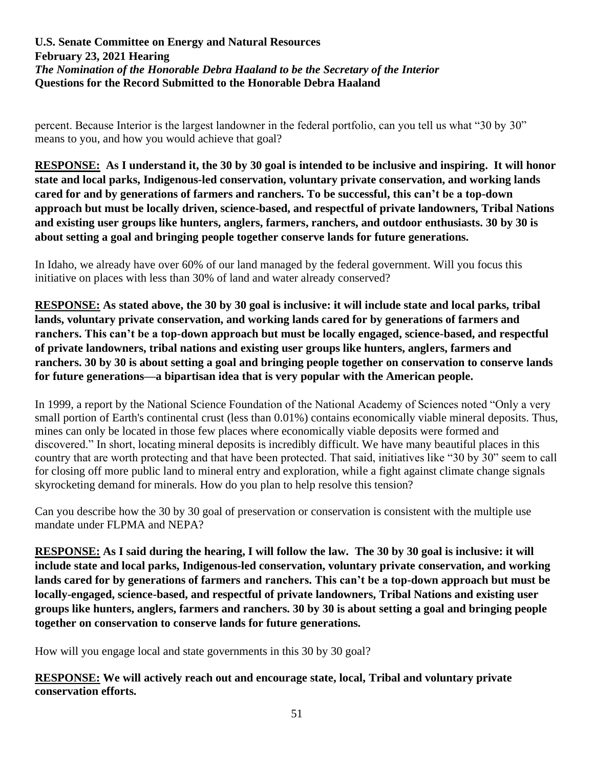percent. Because Interior is the largest landowner in the federal portfolio, can you tell us what "30 by 30" means to you, and how you would achieve that goal?

**RESPONSE: As I understand it, the 30 by 30 goal is intended to be inclusive and inspiring. It will honor state and local parks, Indigenous-led conservation, voluntary private conservation, and working lands cared for and by generations of farmers and ranchers. To be successful, this can't be a top-down approach but must be locally driven, science-based, and respectful of private landowners, Tribal Nations and existing user groups like hunters, anglers, farmers, ranchers, and outdoor enthusiasts. 30 by 30 is about setting a goal and bringing people together conserve lands for future generations.**

In Idaho, we already have over 60% of our land managed by the federal government. Will you focus this initiative on places with less than 30% of land and water already conserved?

**RESPONSE: As stated above, the 30 by 30 goal is inclusive: it will include state and local parks, tribal lands, voluntary private conservation, and working lands cared for by generations of farmers and ranchers. This can't be a top-down approach but must be locally engaged, science-based, and respectful of private landowners, tribal nations and existing user groups like hunters, anglers, farmers and ranchers. 30 by 30 is about setting a goal and bringing people together on conservation to conserve lands for future generations—a bipartisan idea that is very popular with the American people.**

In 1999, a report by the National Science Foundation of the National Academy of Sciences noted "Only a very small portion of Earth's continental crust (less than 0.01%) contains economically viable mineral deposits. Thus, mines can only be located in those few places where economically viable deposits were formed and discovered." In short, locating mineral deposits is incredibly difficult. We have many beautiful places in this country that are worth protecting and that have been protected. That said, initiatives like "30 by 30" seem to call for closing off more public land to mineral entry and exploration, while a fight against climate change signals skyrocketing demand for minerals. How do you plan to help resolve this tension?

Can you describe how the 30 by 30 goal of preservation or conservation is consistent with the multiple use mandate under FLPMA and NEPA?

**RESPONSE: As I said during the hearing, I will follow the law. The 30 by 30 goal is inclusive: it will include state and local parks, Indigenous-led conservation, voluntary private conservation, and working lands cared for by generations of farmers and ranchers. This can't be a top-down approach but must be locally-engaged, science-based, and respectful of private landowners, Tribal Nations and existing user groups like hunters, anglers, farmers and ranchers. 30 by 30 is about setting a goal and bringing people together on conservation to conserve lands for future generations.**

How will you engage local and state governments in this 30 by 30 goal?

# **RESPONSE: We will actively reach out and encourage state, local, Tribal and voluntary private conservation efforts.**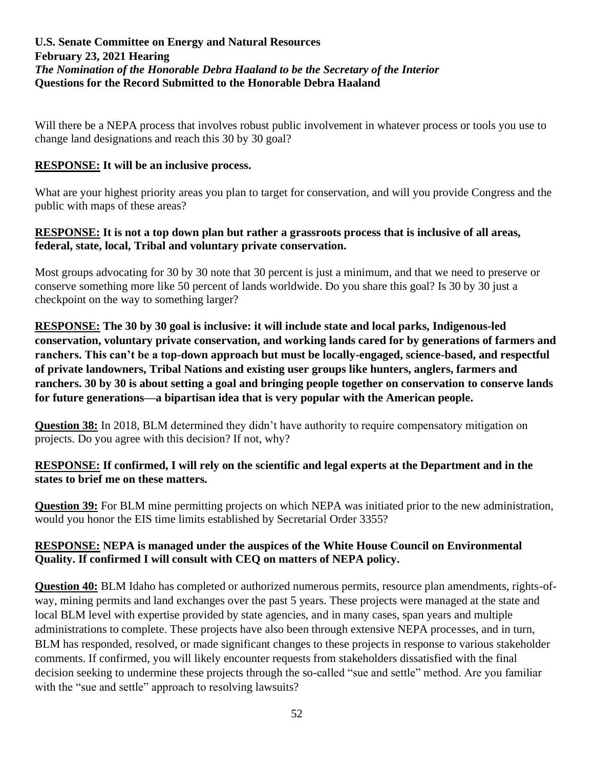Will there be a NEPA process that involves robust public involvement in whatever process or tools you use to change land designations and reach this 30 by 30 goal?

## **RESPONSE: It will be an inclusive process.**

What are your highest priority areas you plan to target for conservation, and will you provide Congress and the public with maps of these areas?

#### **RESPONSE: It is not a top down plan but rather a grassroots process that is inclusive of all areas, federal, state, local, Tribal and voluntary private conservation.**

Most groups advocating for 30 by 30 note that 30 percent is just a minimum, and that we need to preserve or conserve something more like 50 percent of lands worldwide. Do you share this goal? Is 30 by 30 just a checkpoint on the way to something larger?

**RESPONSE: The 30 by 30 goal is inclusive: it will include state and local parks, Indigenous-led conservation, voluntary private conservation, and working lands cared for by generations of farmers and ranchers. This can't be a top-down approach but must be locally-engaged, science-based, and respectful of private landowners, Tribal Nations and existing user groups like hunters, anglers, farmers and ranchers. 30 by 30 is about setting a goal and bringing people together on conservation to conserve lands for future generations—a bipartisan idea that is very popular with the American people.**

**Question 38:** In 2018, BLM determined they didn't have authority to require compensatory mitigation on projects. Do you agree with this decision? If not, why?

## **RESPONSE: If confirmed, I will rely on the scientific and legal experts at the Department and in the states to brief me on these matters.**

**Question 39:** For BLM mine permitting projects on which NEPA was initiated prior to the new administration, would you honor the EIS time limits established by Secretarial Order 3355?

## **RESPONSE: NEPA is managed under the auspices of the White House Council on Environmental Quality. If confirmed I will consult with CEQ on matters of NEPA policy.**

**Question 40:** BLM Idaho has completed or authorized numerous permits, resource plan amendments, rights-ofway, mining permits and land exchanges over the past 5 years. These projects were managed at the state and local BLM level with expertise provided by state agencies, and in many cases, span years and multiple administrations to complete. These projects have also been through extensive NEPA processes, and in turn, BLM has responded, resolved, or made significant changes to these projects in response to various stakeholder comments. If confirmed, you will likely encounter requests from stakeholders dissatisfied with the final decision seeking to undermine these projects through the so-called "sue and settle" method. Are you familiar with the "sue and settle" approach to resolving lawsuits?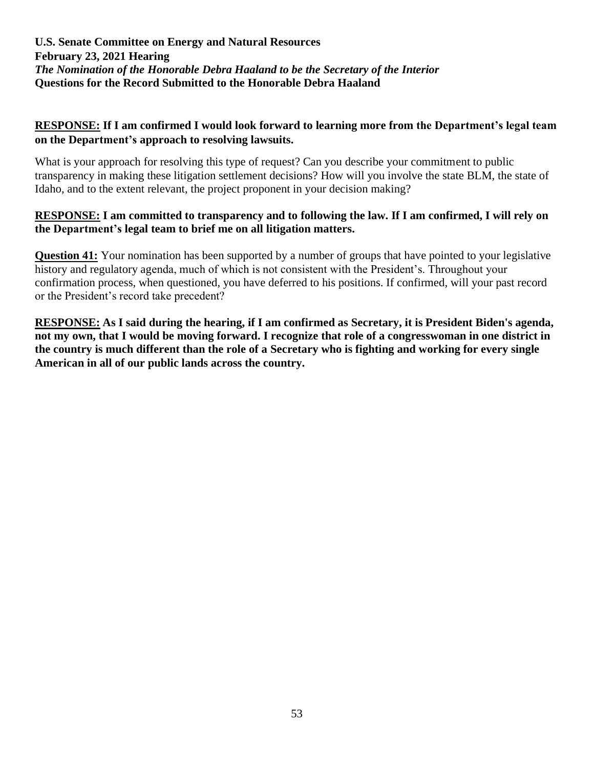## **RESPONSE: If I am confirmed I would look forward to learning more from the Department's legal team on the Department's approach to resolving lawsuits.**

What is your approach for resolving this type of request? Can you describe your commitment to public transparency in making these litigation settlement decisions? How will you involve the state BLM, the state of Idaho, and to the extent relevant, the project proponent in your decision making?

## **RESPONSE: I am committed to transparency and to following the law. If I am confirmed, I will rely on the Department's legal team to brief me on all litigation matters.**

**Question 41:** Your nomination has been supported by a number of groups that have pointed to your legislative history and regulatory agenda, much of which is not consistent with the President's. Throughout your confirmation process, when questioned, you have deferred to his positions. If confirmed, will your past record or the President's record take precedent?

**RESPONSE: As I said during the hearing, if I am confirmed as Secretary, it is President Biden's agenda, not my own, that I would be moving forward. I recognize that role of a congresswoman in one district in the country is much different than the role of a Secretary who is fighting and working for every single American in all of our public lands across the country.**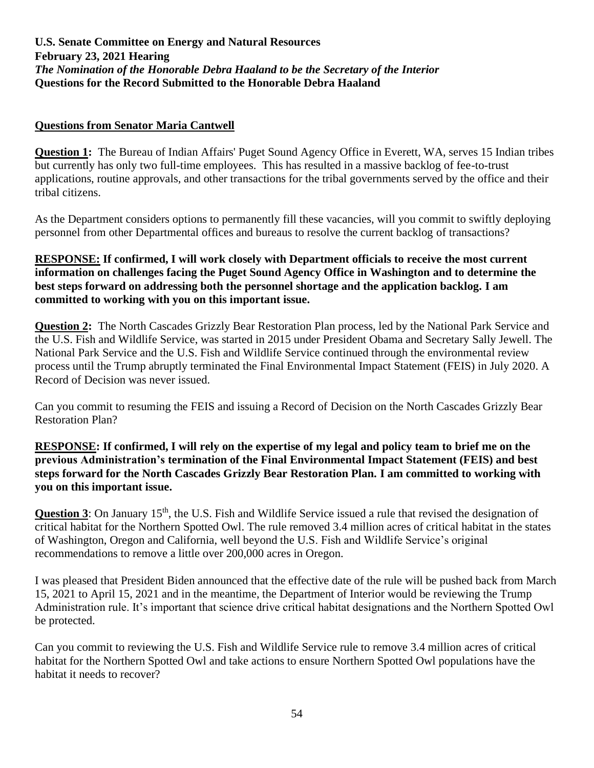#### **Questions from Senator Maria Cantwell**

**Question 1:** The Bureau of Indian Affairs' Puget Sound Agency Office in Everett, WA, serves 15 Indian tribes but currently has only two full-time employees. This has resulted in a massive backlog of fee-to-trust applications, routine approvals, and other transactions for the tribal governments served by the office and their tribal citizens.

As the Department considers options to permanently fill these vacancies, will you commit to swiftly deploying personnel from other Departmental offices and bureaus to resolve the current backlog of transactions?

### **RESPONSE: If confirmed, I will work closely with Department officials to receive the most current information on challenges facing the Puget Sound Agency Office in Washington and to determine the best steps forward on addressing both the personnel shortage and the application backlog. I am committed to working with you on this important issue.**

**Question 2:** The North Cascades Grizzly Bear Restoration Plan process, led by the National Park Service and the U.S. Fish and Wildlife Service, was started in 2015 under President Obama and Secretary Sally Jewell. The National Park Service and the U.S. Fish and Wildlife Service continued through the environmental review process until the Trump abruptly terminated the Final Environmental Impact Statement (FEIS) in July 2020. A Record of Decision was never issued.

Can you commit to resuming the FEIS and issuing a Record of Decision on the North Cascades Grizzly Bear Restoration Plan?

**RESPONSE: If confirmed, I will rely on the expertise of my legal and policy team to brief me on the previous Administration's termination of the Final Environmental Impact Statement (FEIS) and best steps forward for the North Cascades Grizzly Bear Restoration Plan. I am committed to working with you on this important issue.**

**Question 3**: On January 15<sup>th</sup>, the U.S. Fish and Wildlife Service issued a rule that revised the designation of critical habitat for the Northern Spotted Owl. The rule removed 3.4 million acres of critical habitat in the states of Washington, Oregon and California, well beyond the U.S. Fish and Wildlife Service's original recommendations to remove a little over 200,000 acres in Oregon.

I was pleased that President Biden announced that the effective date of the rule will be pushed back from March 15, 2021 to April 15, 2021 and in the meantime, the Department of Interior would be reviewing the Trump Administration rule. It's important that science drive critical habitat designations and the Northern Spotted Owl be protected.

Can you commit to reviewing the U.S. Fish and Wildlife Service rule to remove 3.4 million acres of critical habitat for the Northern Spotted Owl and take actions to ensure Northern Spotted Owl populations have the habitat it needs to recover?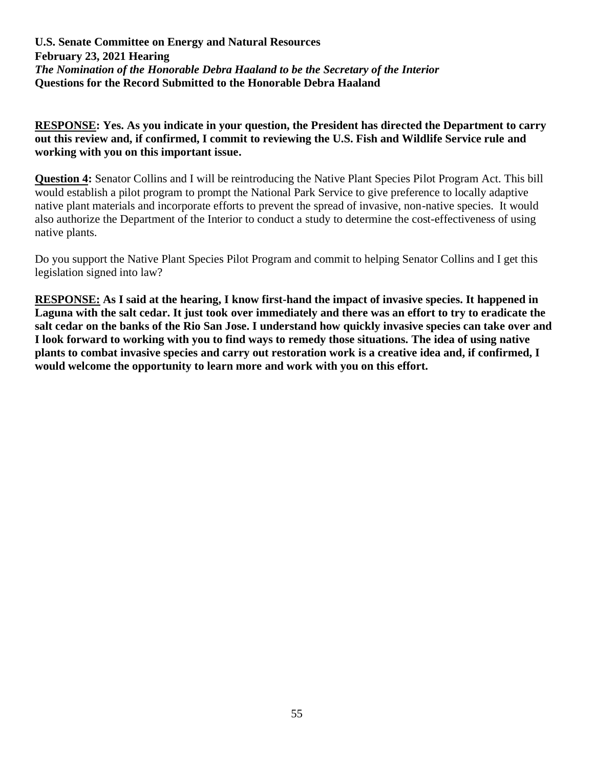**RESPONSE: Yes. As you indicate in your question, the President has directed the Department to carry out this review and, if confirmed, I commit to reviewing the U.S. Fish and Wildlife Service rule and working with you on this important issue.**

**Question 4:** Senator Collins and I will be reintroducing the Native Plant Species Pilot Program Act. This bill would establish a pilot program to prompt the National Park Service to give preference to locally adaptive native plant materials and incorporate efforts to prevent the spread of invasive, non-native species. It would also authorize the Department of the Interior to conduct a study to determine the cost-effectiveness of using native plants.

Do you support the Native Plant Species Pilot Program and commit to helping Senator Collins and I get this legislation signed into law?

**RESPONSE: As I said at the hearing, I know first-hand the impact of invasive species. It happened in Laguna with the salt cedar. It just took over immediately and there was an effort to try to eradicate the salt cedar on the banks of the Rio San Jose. I understand how quickly invasive species can take over and I look forward to working with you to find ways to remedy those situations. The idea of using native plants to combat invasive species and carry out restoration work is a creative idea and, if confirmed, I would welcome the opportunity to learn more and work with you on this effort.**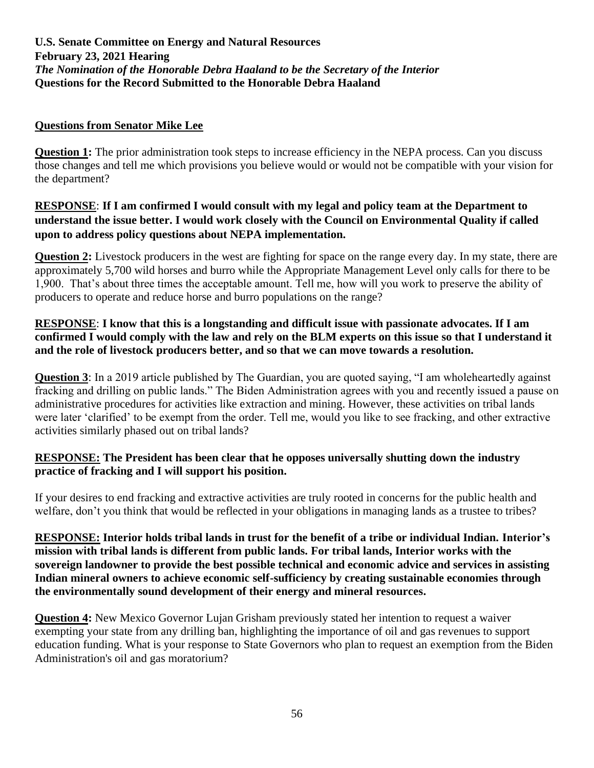## **Questions from Senator Mike Lee**

**Question 1:** The prior administration took steps to increase efficiency in the NEPA process. Can you discuss those changes and tell me which provisions you believe would or would not be compatible with your vision for the department?

# **RESPONSE**: **If I am confirmed I would consult with my legal and policy team at the Department to understand the issue better. I would work closely with the Council on Environmental Quality if called upon to address policy questions about NEPA implementation.**

**Question 2:** Livestock producers in the west are fighting for space on the range every day. In my state, there are approximately 5,700 wild horses and burro while the Appropriate Management Level only calls for there to be 1,900. That's about three times the acceptable amount. Tell me, how will you work to preserve the ability of producers to operate and reduce horse and burro populations on the range?

# **RESPONSE**: **I know that this is a longstanding and difficult issue with passionate advocates. If I am confirmed I would comply with the law and rely on the BLM experts on this issue so that I understand it and the role of livestock producers better, and so that we can move towards a resolution.**

**Question 3**: In a 2019 article published by The Guardian, you are quoted saying, "I am wholeheartedly against fracking and drilling on public lands." The Biden Administration agrees with you and recently issued a pause on administrative procedures for activities like extraction and mining. However, these activities on tribal lands were later 'clarified' to be exempt from the order. Tell me, would you like to see fracking, and other extractive activities similarly phased out on tribal lands?

# **RESPONSE: The President has been clear that he opposes universally shutting down the industry practice of fracking and I will support his position.**

If your desires to end fracking and extractive activities are truly rooted in concerns for the public health and welfare, don't you think that would be reflected in your obligations in managing lands as a trustee to tribes?

**RESPONSE: Interior holds tribal lands in trust for the benefit of a tribe or individual Indian. Interior's mission with tribal lands is different from public lands. For tribal lands, Interior works with the sovereign landowner to provide the best possible technical and economic advice and services in assisting Indian mineral owners to achieve economic self-sufficiency by creating sustainable economies through the environmentally sound development of their energy and mineral resources.**

**Question 4:** New Mexico Governor Lujan Grisham previously stated her intention to request a waiver exempting your state from any drilling ban, highlighting the importance of oil and gas revenues to support education funding. What is your response to State Governors who plan to request an exemption from the Biden Administration's oil and gas moratorium?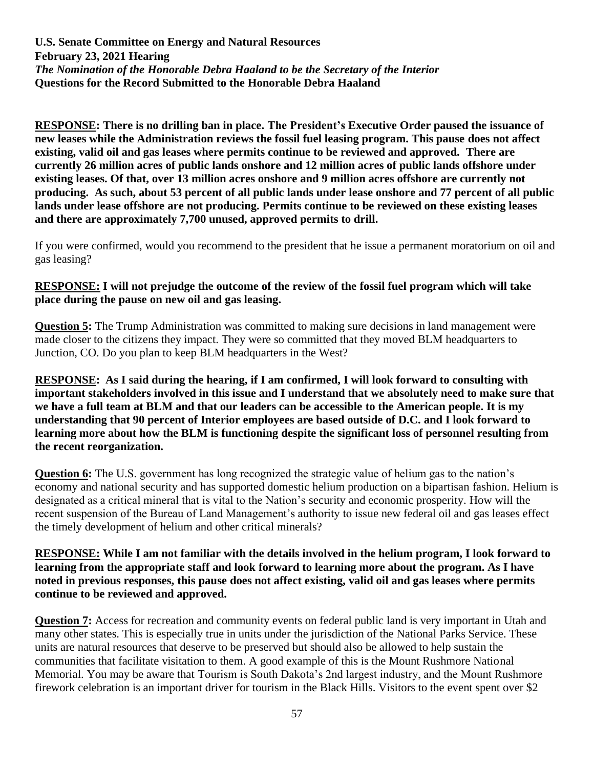**RESPONSE: There is no drilling ban in place. The President's Executive Order paused the issuance of new leases while the Administration reviews the fossil fuel leasing program. This pause does not affect existing, valid oil and gas leases where permits continue to be reviewed and approved. There are currently 26 million acres of public lands onshore and 12 million acres of public lands offshore under existing leases. Of that, over 13 million acres onshore and 9 million acres offshore are currently not producing. As such, about 53 percent of all public lands under lease onshore and 77 percent of all public lands under lease offshore are not producing. Permits continue to be reviewed on these existing leases and there are approximately 7,700 unused, approved permits to drill.**

If you were confirmed, would you recommend to the president that he issue a permanent moratorium on oil and gas leasing?

# **RESPONSE: I will not prejudge the outcome of the review of the fossil fuel program which will take place during the pause on new oil and gas leasing.**

**Question 5:** The Trump Administration was committed to making sure decisions in land management were made closer to the citizens they impact. They were so committed that they moved BLM headquarters to Junction, CO. Do you plan to keep BLM headquarters in the West?

**RESPONSE: As I said during the hearing, if I am confirmed, I will look forward to consulting with important stakeholders involved in this issue and I understand that we absolutely need to make sure that we have a full team at BLM and that our leaders can be accessible to the American people. It is my understanding that 90 percent of Interior employees are based outside of D.C. and I look forward to learning more about how the BLM is functioning despite the significant loss of personnel resulting from the recent reorganization.**

**Question 6:** The U.S. government has long recognized the strategic value of helium gas to the nation's economy and national security and has supported domestic helium production on a bipartisan fashion. Helium is designated as a critical mineral that is vital to the Nation's security and economic prosperity. How will the recent suspension of the Bureau of Land Management's authority to issue new federal oil and gas leases effect the timely development of helium and other critical minerals?

**RESPONSE: While I am not familiar with the details involved in the helium program, I look forward to learning from the appropriate staff and look forward to learning more about the program. As I have noted in previous responses, this pause does not affect existing, valid oil and gas leases where permits continue to be reviewed and approved.** 

**Question 7:** Access for recreation and community events on federal public land is very important in Utah and many other states. This is especially true in units under the jurisdiction of the National Parks Service. These units are natural resources that deserve to be preserved but should also be allowed to help sustain the communities that facilitate visitation to them. A good example of this is the Mount Rushmore National Memorial. You may be aware that Tourism is South Dakota's 2nd largest industry, and the Mount Rushmore firework celebration is an important driver for tourism in the Black Hills. Visitors to the event spent over \$2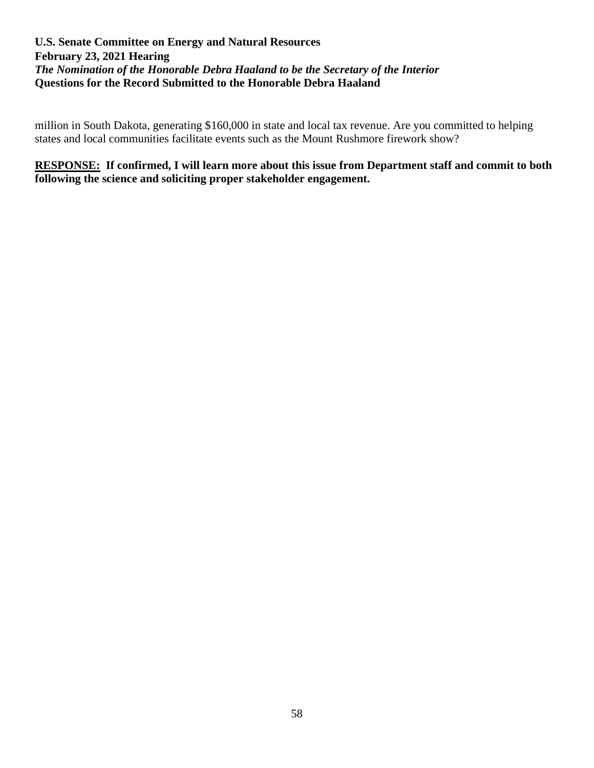million in South Dakota, generating \$160,000 in state and local tax revenue. Are you committed to helping states and local communities facilitate events such as the Mount Rushmore firework show?

**RESPONSE: If confirmed, I will learn more about this issue from Department staff and commit to both following the science and soliciting proper stakeholder engagement.**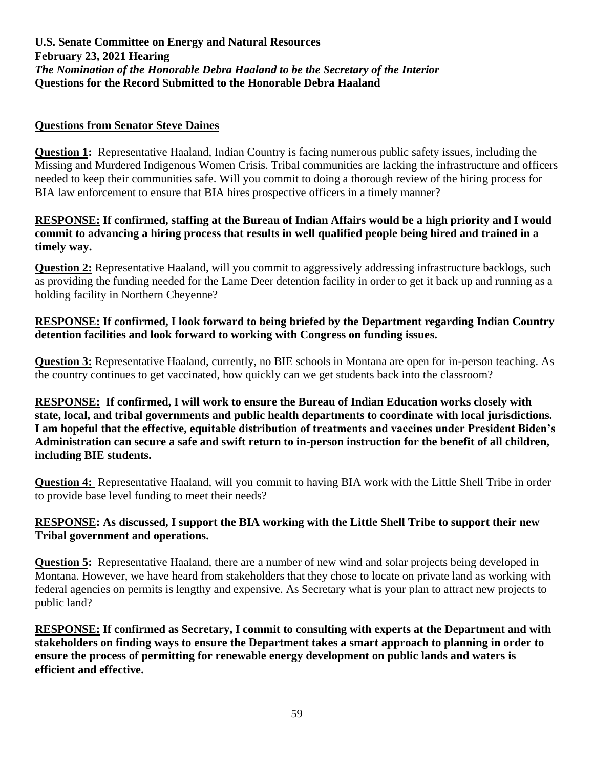## **Questions from Senator Steve Daines**

**Question 1:** Representative Haaland, Indian Country is facing numerous public safety issues, including the Missing and Murdered Indigenous Women Crisis. Tribal communities are lacking the infrastructure and officers needed to keep their communities safe. Will you commit to doing a thorough review of the hiring process for BIA law enforcement to ensure that BIA hires prospective officers in a timely manner?

#### **RESPONSE: If confirmed, staffing at the Bureau of Indian Affairs would be a high priority and I would commit to advancing a hiring process that results in well qualified people being hired and trained in a timely way.**

**Question 2:** Representative Haaland, will you commit to aggressively addressing infrastructure backlogs, such as providing the funding needed for the Lame Deer detention facility in order to get it back up and running as a holding facility in Northern Cheyenne?

# **RESPONSE: If confirmed, I look forward to being briefed by the Department regarding Indian Country detention facilities and look forward to working with Congress on funding issues.**

**Question 3:** Representative Haaland, currently, no BIE schools in Montana are open for in-person teaching. As the country continues to get vaccinated, how quickly can we get students back into the classroom?

**RESPONSE: If confirmed, I will work to ensure the Bureau of Indian Education works closely with state, local, and tribal governments and public health departments to coordinate with local jurisdictions. I am hopeful that the effective, equitable distribution of treatments and vaccines under President Biden's Administration can secure a safe and swift return to in-person instruction for the benefit of all children, including BIE students.**

**Question 4:** Representative Haaland, will you commit to having BIA work with the Little Shell Tribe in order to provide base level funding to meet their needs?

# **RESPONSE: As discussed, I support the BIA working with the Little Shell Tribe to support their new Tribal government and operations.**

**Question 5:** Representative Haaland, there are a number of new wind and solar projects being developed in Montana. However, we have heard from stakeholders that they chose to locate on private land as working with federal agencies on permits is lengthy and expensive. As Secretary what is your plan to attract new projects to public land?

**RESPONSE: If confirmed as Secretary, I commit to consulting with experts at the Department and with stakeholders on finding ways to ensure the Department takes a smart approach to planning in order to ensure the process of permitting for renewable energy development on public lands and waters is efficient and effective.**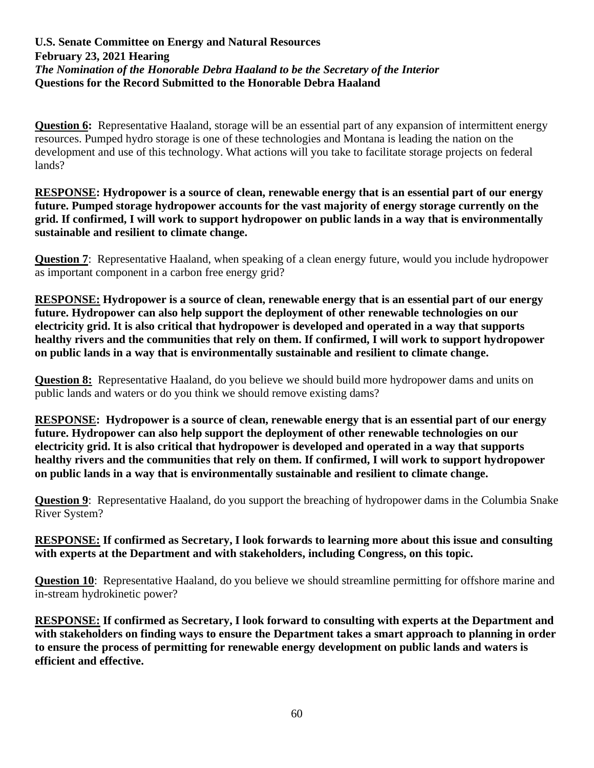**Question 6:** Representative Haaland, storage will be an essential part of any expansion of intermittent energy resources. Pumped hydro storage is one of these technologies and Montana is leading the nation on the development and use of this technology. What actions will you take to facilitate storage projects on federal lands?

**RESPONSE: Hydropower is a source of clean, renewable energy that is an essential part of our energy future. Pumped storage hydropower accounts for the vast majority of energy storage currently on the grid. If confirmed, I will work to support hydropower on public lands in a way that is environmentally sustainable and resilient to climate change.** 

**Question 7:** Representative Haaland, when speaking of a clean energy future, would you include hydropower as important component in a carbon free energy grid?

**RESPONSE: Hydropower is a source of clean, renewable energy that is an essential part of our energy future. Hydropower can also help support the deployment of other renewable technologies on our electricity grid. It is also critical that hydropower is developed and operated in a way that supports healthy rivers and the communities that rely on them. If confirmed, I will work to support hydropower on public lands in a way that is environmentally sustainable and resilient to climate change.** 

**Question 8:** Representative Haaland, do you believe we should build more hydropower dams and units on public lands and waters or do you think we should remove existing dams?

**RESPONSE: Hydropower is a source of clean, renewable energy that is an essential part of our energy future. Hydropower can also help support the deployment of other renewable technologies on our electricity grid. It is also critical that hydropower is developed and operated in a way that supports healthy rivers and the communities that rely on them. If confirmed, I will work to support hydropower on public lands in a way that is environmentally sustainable and resilient to climate change.**

**Question 9**: Representative Haaland, do you support the breaching of hydropower dams in the Columbia Snake River System?

## **RESPONSE: If confirmed as Secretary, I look forwards to learning more about this issue and consulting with experts at the Department and with stakeholders, including Congress, on this topic.**

**Question 10**: Representative Haaland, do you believe we should streamline permitting for offshore marine and in-stream hydrokinetic power?

**RESPONSE: If confirmed as Secretary, I look forward to consulting with experts at the Department and with stakeholders on finding ways to ensure the Department takes a smart approach to planning in order to ensure the process of permitting for renewable energy development on public lands and waters is efficient and effective.**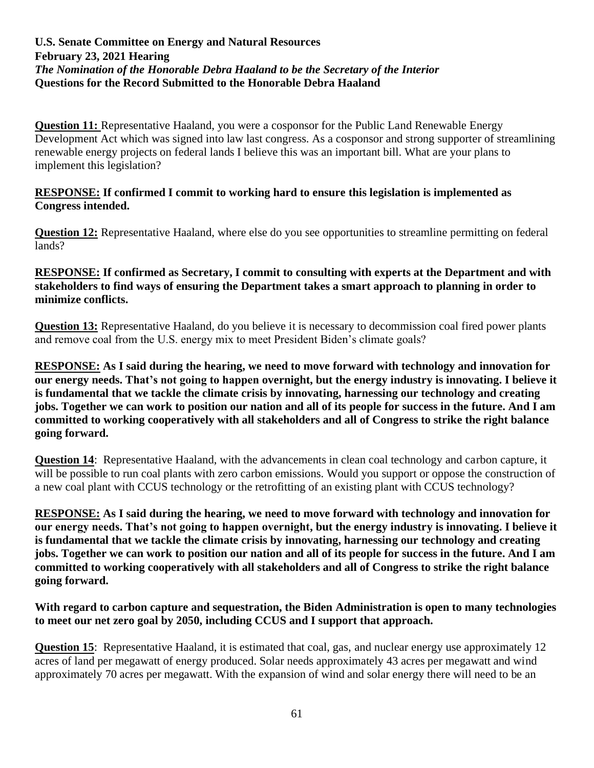**Question 11:** Representative Haaland, you were a cosponsor for the Public Land Renewable Energy Development Act which was signed into law last congress. As a cosponsor and strong supporter of streamlining renewable energy projects on federal lands I believe this was an important bill. What are your plans to implement this legislation?

#### **RESPONSE: If confirmed I commit to working hard to ensure this legislation is implemented as Congress intended.**

**Question 12:** Representative Haaland, where else do you see opportunities to streamline permitting on federal lands?

## **RESPONSE: If confirmed as Secretary, I commit to consulting with experts at the Department and with stakeholders to find ways of ensuring the Department takes a smart approach to planning in order to minimize conflicts.**

**Question 13:** Representative Haaland, do you believe it is necessary to decommission coal fired power plants and remove coal from the U.S. energy mix to meet President Biden's climate goals?

**RESPONSE: As I said during the hearing, we need to move forward with technology and innovation for our energy needs. That's not going to happen overnight, but the energy industry is innovating. I believe it is fundamental that we tackle the climate crisis by innovating, harnessing our technology and creating jobs. Together we can work to position our nation and all of its people for success in the future. And I am committed to working cooperatively with all stakeholders and all of Congress to strike the right balance going forward.**

**Question 14:** Representative Haaland, with the advancements in clean coal technology and carbon capture, it will be possible to run coal plants with zero carbon emissions. Would you support or oppose the construction of a new coal plant with CCUS technology or the retrofitting of an existing plant with CCUS technology?

**RESPONSE: As I said during the hearing, we need to move forward with technology and innovation for our energy needs. That's not going to happen overnight, but the energy industry is innovating. I believe it is fundamental that we tackle the climate crisis by innovating, harnessing our technology and creating jobs. Together we can work to position our nation and all of its people for success in the future. And I am committed to working cooperatively with all stakeholders and all of Congress to strike the right balance going forward.**

**With regard to carbon capture and sequestration, the Biden Administration is open to many technologies to meet our net zero goal by 2050, including CCUS and I support that approach.**

**Question 15**: Representative Haaland, it is estimated that coal, gas, and nuclear energy use approximately 12 acres of land per megawatt of energy produced. Solar needs approximately 43 acres per megawatt and wind approximately 70 acres per megawatt. With the expansion of wind and solar energy there will need to be an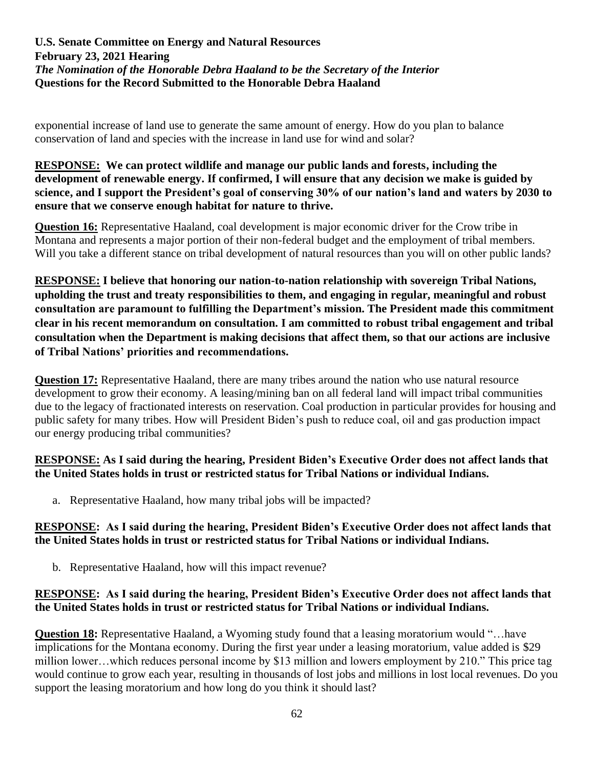exponential increase of land use to generate the same amount of energy. How do you plan to balance conservation of land and species with the increase in land use for wind and solar?

#### **RESPONSE: We can protect wildlife and manage our public lands and forests, including the development of renewable energy. If confirmed, I will ensure that any decision we make is guided by science, and I support the President's goal of conserving 30% of our nation's land and waters by 2030 to ensure that we conserve enough habitat for nature to thrive.**

**Question 16:** Representative Haaland, coal development is major economic driver for the Crow tribe in Montana and represents a major portion of their non-federal budget and the employment of tribal members. Will you take a different stance on tribal development of natural resources than you will on other public lands?

**RESPONSE: I believe that honoring our nation-to-nation relationship with sovereign Tribal Nations, upholding the trust and treaty responsibilities to them, and engaging in regular, meaningful and robust consultation are paramount to fulfilling the Department's mission. The President made this commitment clear in his recent memorandum on consultation. I am committed to robust tribal engagement and tribal consultation when the Department is making decisions that affect them, so that our actions are inclusive of Tribal Nations' priorities and recommendations.**

**Question 17:** Representative Haaland, there are many tribes around the nation who use natural resource development to grow their economy. A leasing/mining ban on all federal land will impact tribal communities due to the legacy of fractionated interests on reservation. Coal production in particular provides for housing and public safety for many tribes. How will President Biden's push to reduce coal, oil and gas production impact our energy producing tribal communities?

## **RESPONSE: As I said during the hearing, President Biden's Executive Order does not affect lands that the United States holds in trust or restricted status for Tribal Nations or individual Indians.**

a. Representative Haaland, how many tribal jobs will be impacted?

# **RESPONSE: As I said during the hearing, President Biden's Executive Order does not affect lands that the United States holds in trust or restricted status for Tribal Nations or individual Indians.**

b. Representative Haaland, how will this impact revenue?

## **RESPONSE: As I said during the hearing, President Biden's Executive Order does not affect lands that the United States holds in trust or restricted status for Tribal Nations or individual Indians.**

**Question 18:** Representative Haaland, a Wyoming study found that a leasing moratorium would "…have implications for the Montana economy. During the first year under a leasing moratorium, value added is \$29 million lower…which reduces personal income by \$13 million and lowers employment by 210." This price tag would continue to grow each year, resulting in thousands of lost jobs and millions in lost local revenues. Do you support the leasing moratorium and how long do you think it should last?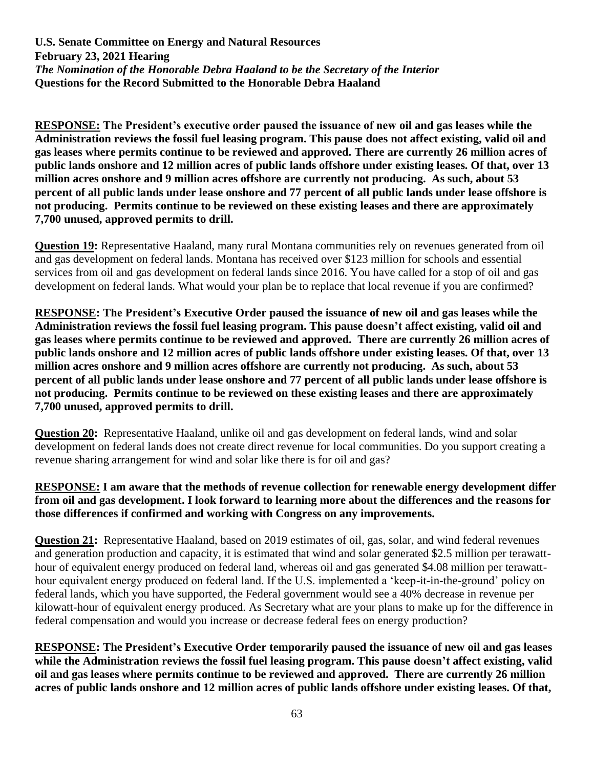**RESPONSE: The President's executive order paused the issuance of new oil and gas leases while the Administration reviews the fossil fuel leasing program. This pause does not affect existing, valid oil and gas leases where permits continue to be reviewed and approved. There are currently 26 million acres of public lands onshore and 12 million acres of public lands offshore under existing leases. Of that, over 13 million acres onshore and 9 million acres offshore are currently not producing. As such, about 53 percent of all public lands under lease onshore and 77 percent of all public lands under lease offshore is not producing. Permits continue to be reviewed on these existing leases and there are approximately 7,700 unused, approved permits to drill.**

**Question 19:** Representative Haaland, many rural Montana communities rely on revenues generated from oil and gas development on federal lands. Montana has received over \$123 million for schools and essential services from oil and gas development on federal lands since 2016. You have called for a stop of oil and gas development on federal lands. What would your plan be to replace that local revenue if you are confirmed?

**RESPONSE: The President's Executive Order paused the issuance of new oil and gas leases while the Administration reviews the fossil fuel leasing program. This pause doesn't affect existing, valid oil and gas leases where permits continue to be reviewed and approved. There are currently 26 million acres of public lands onshore and 12 million acres of public lands offshore under existing leases. Of that, over 13 million acres onshore and 9 million acres offshore are currently not producing. As such, about 53 percent of all public lands under lease onshore and 77 percent of all public lands under lease offshore is not producing. Permits continue to be reviewed on these existing leases and there are approximately 7,700 unused, approved permits to drill.**

**Question 20:** Representative Haaland, unlike oil and gas development on federal lands, wind and solar development on federal lands does not create direct revenue for local communities. Do you support creating a revenue sharing arrangement for wind and solar like there is for oil and gas?

#### **RESPONSE: I am aware that the methods of revenue collection for renewable energy development differ from oil and gas development. I look forward to learning more about the differences and the reasons for those differences if confirmed and working with Congress on any improvements.**

**Question 21:** Representative Haaland, based on 2019 estimates of oil, gas, solar, and wind federal revenues and generation production and capacity, it is estimated that wind and solar generated \$2.5 million per terawatthour of equivalent energy produced on federal land, whereas oil and gas generated \$4.08 million per terawatthour equivalent energy produced on federal land. If the U.S. implemented a 'keep-it-in-the-ground' policy on federal lands, which you have supported, the Federal government would see a 40% decrease in revenue per kilowatt-hour of equivalent energy produced. As Secretary what are your plans to make up for the difference in federal compensation and would you increase or decrease federal fees on energy production?

**RESPONSE: The President's Executive Order temporarily paused the issuance of new oil and gas leases while the Administration reviews the fossil fuel leasing program. This pause doesn't affect existing, valid oil and gas leases where permits continue to be reviewed and approved. There are currently 26 million acres of public lands onshore and 12 million acres of public lands offshore under existing leases. Of that,**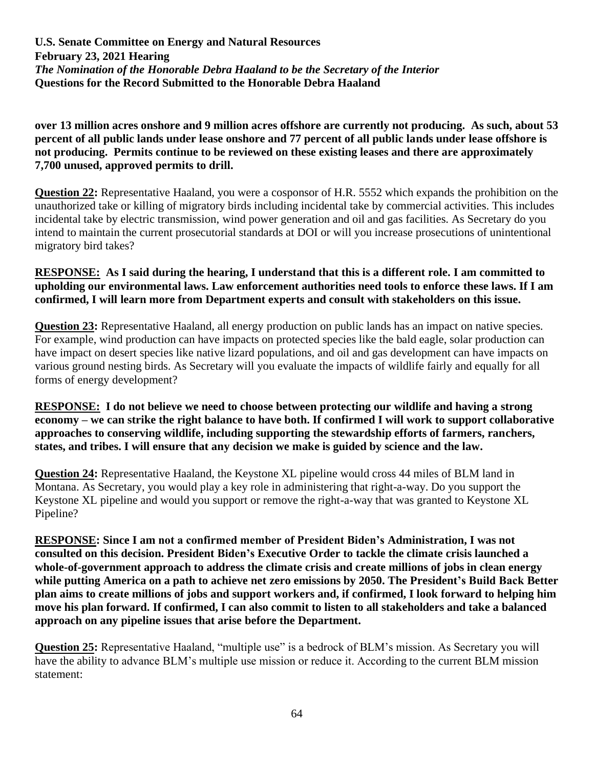**over 13 million acres onshore and 9 million acres offshore are currently not producing. As such, about 53 percent of all public lands under lease onshore and 77 percent of all public lands under lease offshore is not producing. Permits continue to be reviewed on these existing leases and there are approximately 7,700 unused, approved permits to drill.**

**Question 22:** Representative Haaland, you were a cosponsor of H.R. 5552 which expands the prohibition on the unauthorized take or killing of migratory birds including incidental take by commercial activities. This includes incidental take by electric transmission, wind power generation and oil and gas facilities. As Secretary do you intend to maintain the current prosecutorial standards at DOI or will you increase prosecutions of unintentional migratory bird takes?

### **RESPONSE: As I said during the hearing, I understand that this is a different role. I am committed to upholding our environmental laws. Law enforcement authorities need tools to enforce these laws. If I am confirmed, I will learn more from Department experts and consult with stakeholders on this issue.**

**Question 23:** Representative Haaland, all energy production on public lands has an impact on native species. For example, wind production can have impacts on protected species like the bald eagle, solar production can have impact on desert species like native lizard populations, and oil and gas development can have impacts on various ground nesting birds. As Secretary will you evaluate the impacts of wildlife fairly and equally for all forms of energy development?

**RESPONSE: I do not believe we need to choose between protecting our wildlife and having a strong economy – we can strike the right balance to have both. If confirmed I will work to support collaborative approaches to conserving wildlife, including supporting the stewardship efforts of farmers, ranchers, states, and tribes. I will ensure that any decision we make is guided by science and the law.**

**Question 24:** Representative Haaland, the Keystone XL pipeline would cross 44 miles of BLM land in Montana. As Secretary, you would play a key role in administering that right-a-way. Do you support the Keystone XL pipeline and would you support or remove the right-a-way that was granted to Keystone XL Pipeline?

**RESPONSE: Since I am not a confirmed member of President Biden's Administration, I was not consulted on this decision. President Biden's Executive Order to tackle the climate crisis launched a whole-of-government approach to address the climate crisis and create millions of jobs in clean energy while putting America on a path to achieve net zero emissions by 2050. The President's Build Back Better plan aims to create millions of jobs and support workers and, if confirmed, I look forward to helping him move his plan forward. If confirmed, I can also commit to listen to all stakeholders and take a balanced approach on any pipeline issues that arise before the Department.** 

**Question 25:** Representative Haaland, "multiple use" is a bedrock of BLM's mission. As Secretary you will have the ability to advance BLM's multiple use mission or reduce it. According to the current BLM mission statement: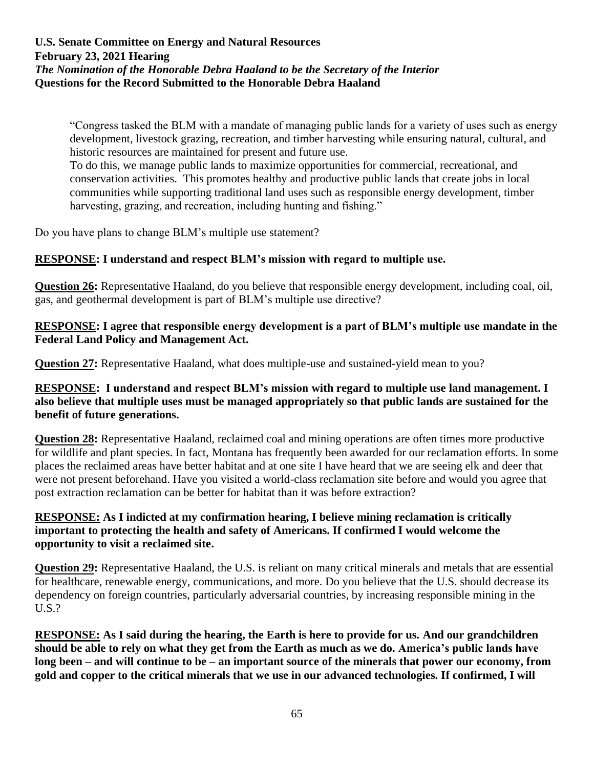"Congress tasked the BLM with a mandate of managing public lands for a variety of uses such as energy development, livestock grazing, recreation, and timber harvesting while ensuring natural, cultural, and historic resources are maintained for present and future use.

To do this, we manage public lands to maximize opportunities for commercial, recreational, and conservation activities. This promotes healthy and productive public lands that create jobs in local communities while supporting traditional land uses such as responsible energy development, timber harvesting, grazing, and recreation, including hunting and fishing."

Do you have plans to change BLM's multiple use statement?

## **RESPONSE: I understand and respect BLM's mission with regard to multiple use.**

**Question 26:** Representative Haaland, do you believe that responsible energy development, including coal, oil, gas, and geothermal development is part of BLM's multiple use directive?

#### **RESPONSE: I agree that responsible energy development is a part of BLM's multiple use mandate in the Federal Land Policy and Management Act.**

**Question 27:** Representative Haaland, what does multiple-use and sustained-yield mean to you?

### **RESPONSE: I understand and respect BLM's mission with regard to multiple use land management. I also believe that multiple uses must be managed appropriately so that public lands are sustained for the benefit of future generations.**

**Question 28:** Representative Haaland, reclaimed coal and mining operations are often times more productive for wildlife and plant species. In fact, Montana has frequently been awarded for our reclamation efforts. In some places the reclaimed areas have better habitat and at one site I have heard that we are seeing elk and deer that were not present beforehand. Have you visited a world-class reclamation site before and would you agree that post extraction reclamation can be better for habitat than it was before extraction?

## **RESPONSE: As I indicted at my confirmation hearing, I believe mining reclamation is critically important to protecting the health and safety of Americans. If confirmed I would welcome the opportunity to visit a reclaimed site.**

**Question 29:** Representative Haaland, the U.S. is reliant on many critical minerals and metals that are essential for healthcare, renewable energy, communications, and more. Do you believe that the U.S. should decrease its dependency on foreign countries, particularly adversarial countries, by increasing responsible mining in the U.S.?

**RESPONSE: As I said during the hearing, the Earth is here to provide for us. And our grandchildren should be able to rely on what they get from the Earth as much as we do. America's public lands have long been – and will continue to be – an important source of the minerals that power our economy, from gold and copper to the critical minerals that we use in our advanced technologies. If confirmed, I will**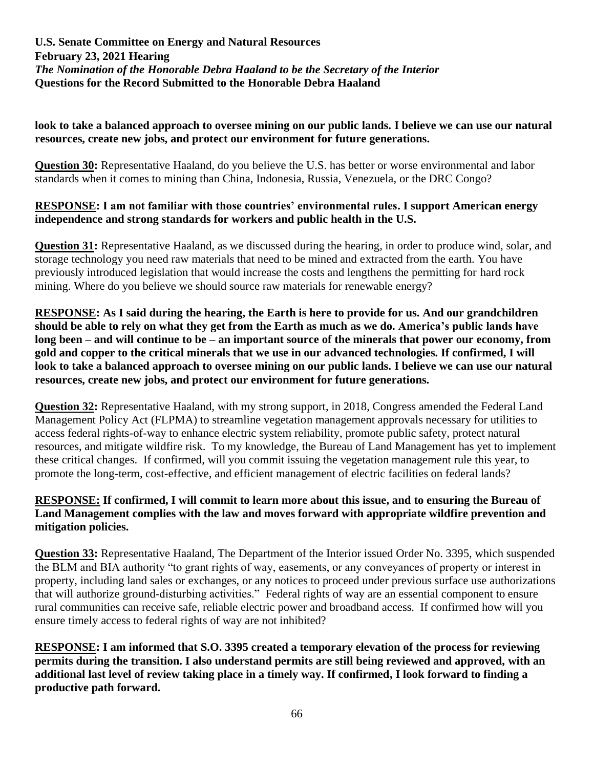### **look to take a balanced approach to oversee mining on our public lands. I believe we can use our natural resources, create new jobs, and protect our environment for future generations.**

**Question 30:** Representative Haaland, do you believe the U.S. has better or worse environmental and labor standards when it comes to mining than China, Indonesia, Russia, Venezuela, or the DRC Congo?

## **RESPONSE: I am not familiar with those countries' environmental rules. I support American energy independence and strong standards for workers and public health in the U.S.**

**Question 31:** Representative Haaland, as we discussed during the hearing, in order to produce wind, solar, and storage technology you need raw materials that need to be mined and extracted from the earth. You have previously introduced legislation that would increase the costs and lengthens the permitting for hard rock mining. Where do you believe we should source raw materials for renewable energy?

**RESPONSE: As I said during the hearing, the Earth is here to provide for us. And our grandchildren should be able to rely on what they get from the Earth as much as we do. America's public lands have long been – and will continue to be – an important source of the minerals that power our economy, from gold and copper to the critical minerals that we use in our advanced technologies. If confirmed, I will look to take a balanced approach to oversee mining on our public lands. I believe we can use our natural resources, create new jobs, and protect our environment for future generations.**

**Question 32:** Representative Haaland, with my strong support, in 2018, Congress amended the Federal Land Management Policy Act (FLPMA) to streamline vegetation management approvals necessary for utilities to access federal rights-of-way to enhance electric system reliability, promote public safety, protect natural resources, and mitigate wildfire risk. To my knowledge, the Bureau of Land Management has yet to implement these critical changes. If confirmed, will you commit issuing the vegetation management rule this year, to promote the long-term, cost-effective, and efficient management of electric facilities on federal lands?

# **RESPONSE: If confirmed, I will commit to learn more about this issue, and to ensuring the Bureau of Land Management complies with the law and moves forward with appropriate wildfire prevention and mitigation policies.**

**Question 33:** Representative Haaland, The Department of the Interior issued Order No. 3395, which suspended the BLM and BIA authority "to grant rights of way, easements, or any conveyances of property or interest in property, including land sales or exchanges, or any notices to proceed under previous surface use authorizations that will authorize ground-disturbing activities." Federal rights of way are an essential component to ensure rural communities can receive safe, reliable electric power and broadband access. If confirmed how will you ensure timely access to federal rights of way are not inhibited?

**RESPONSE: I am informed that S.O. 3395 created a temporary elevation of the process for reviewing permits during the transition. I also understand permits are still being reviewed and approved, with an additional last level of review taking place in a timely way. If confirmed, I look forward to finding a productive path forward.**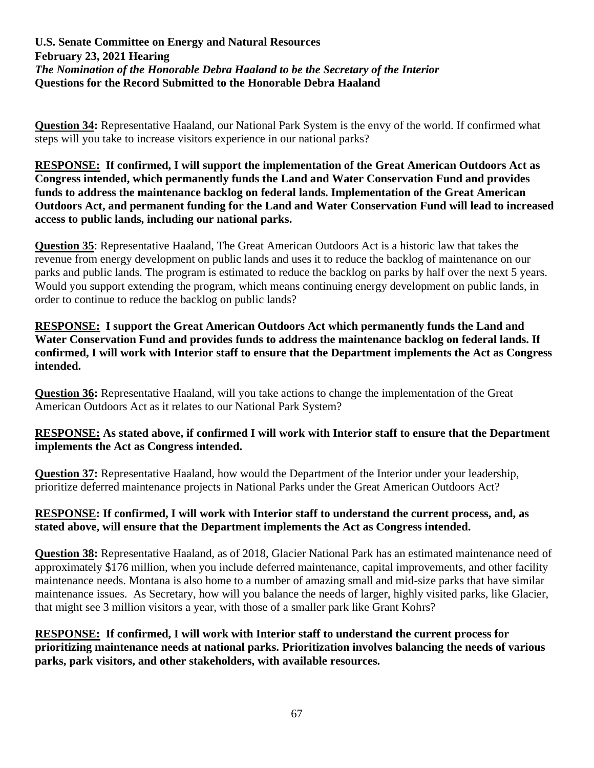**Question 34:** Representative Haaland, our National Park System is the envy of the world. If confirmed what steps will you take to increase visitors experience in our national parks?

**RESPONSE: If confirmed, I will support the implementation of the Great American Outdoors Act as Congress intended, which permanently funds the Land and Water Conservation Fund and provides funds to address the maintenance backlog on federal lands. Implementation of the Great American Outdoors Act, and permanent funding for the Land and Water Conservation Fund will lead to increased access to public lands, including our national parks.** 

**Question 35**: Representative Haaland, The Great American Outdoors Act is a historic law that takes the revenue from energy development on public lands and uses it to reduce the backlog of maintenance on our parks and public lands. The program is estimated to reduce the backlog on parks by half over the next 5 years. Would you support extending the program, which means continuing energy development on public lands, in order to continue to reduce the backlog on public lands?

### **RESPONSE: I support the Great American Outdoors Act which permanently funds the Land and Water Conservation Fund and provides funds to address the maintenance backlog on federal lands. If confirmed, I will work with Interior staff to ensure that the Department implements the Act as Congress intended.**

**Question 36:** Representative Haaland, will you take actions to change the implementation of the Great American Outdoors Act as it relates to our National Park System?

## **RESPONSE: As stated above, if confirmed I will work with Interior staff to ensure that the Department implements the Act as Congress intended.**

**Question 37:** Representative Haaland, how would the Department of the Interior under your leadership, prioritize deferred maintenance projects in National Parks under the Great American Outdoors Act?

# **RESPONSE: If confirmed, I will work with Interior staff to understand the current process, and, as stated above, will ensure that the Department implements the Act as Congress intended.**

**Question 38:** Representative Haaland, as of 2018, Glacier National Park has an estimated maintenance need of approximately \$176 million, when you include deferred maintenance, capital improvements, and other facility maintenance needs. Montana is also home to a number of amazing small and mid-size parks that have similar maintenance issues. As Secretary, how will you balance the needs of larger, highly visited parks, like Glacier, that might see 3 million visitors a year, with those of a smaller park like Grant Kohrs?

## **RESPONSE: If confirmed, I will work with Interior staff to understand the current process for prioritizing maintenance needs at national parks. Prioritization involves balancing the needs of various parks, park visitors, and other stakeholders, with available resources.**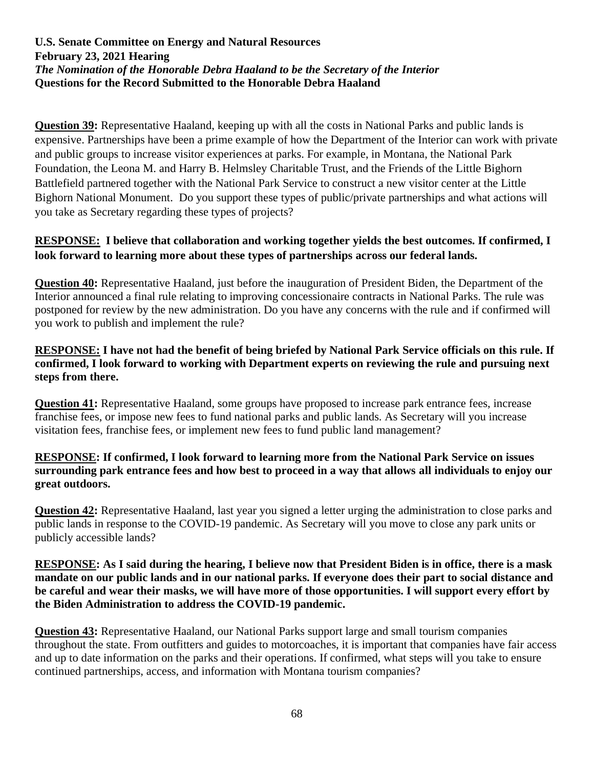**Question 39:** Representative Haaland, keeping up with all the costs in National Parks and public lands is expensive. Partnerships have been a prime example of how the Department of the Interior can work with private and public groups to increase visitor experiences at parks. For example, in Montana, the National Park Foundation, the Leona M. and Harry B. Helmsley Charitable Trust, and the Friends of the Little Bighorn Battlefield partnered together with the National Park Service to construct a new visitor center at the Little Bighorn National Monument. Do you support these types of public/private partnerships and what actions will you take as Secretary regarding these types of projects?

# **RESPONSE: I believe that collaboration and working together yields the best outcomes. If confirmed, I look forward to learning more about these types of partnerships across our federal lands.**

**Question 40:** Representative Haaland, just before the inauguration of President Biden, the Department of the Interior announced a final rule relating to improving concessionaire contracts in National Parks. The rule was postponed for review by the new administration. Do you have any concerns with the rule and if confirmed will you work to publish and implement the rule?

## **RESPONSE: I have not had the benefit of being briefed by National Park Service officials on this rule. If confirmed, I look forward to working with Department experts on reviewing the rule and pursuing next steps from there.**

**Question 41:** Representative Haaland, some groups have proposed to increase park entrance fees, increase franchise fees, or impose new fees to fund national parks and public lands. As Secretary will you increase visitation fees, franchise fees, or implement new fees to fund public land management?

## **RESPONSE: If confirmed, I look forward to learning more from the National Park Service on issues surrounding park entrance fees and how best to proceed in a way that allows all individuals to enjoy our great outdoors.**

**Question 42:** Representative Haaland, last year you signed a letter urging the administration to close parks and public lands in response to the COVID-19 pandemic. As Secretary will you move to close any park units or publicly accessible lands?

#### **RESPONSE: As I said during the hearing, I believe now that President Biden is in office, there is a mask mandate on our public lands and in our national parks. If everyone does their part to social distance and be careful and wear their masks, we will have more of those opportunities. I will support every effort by the Biden Administration to address the COVID-19 pandemic.**

**Question 43:** Representative Haaland, our National Parks support large and small tourism companies throughout the state. From outfitters and guides to motorcoaches, it is important that companies have fair access and up to date information on the parks and their operations. If confirmed, what steps will you take to ensure continued partnerships, access, and information with Montana tourism companies?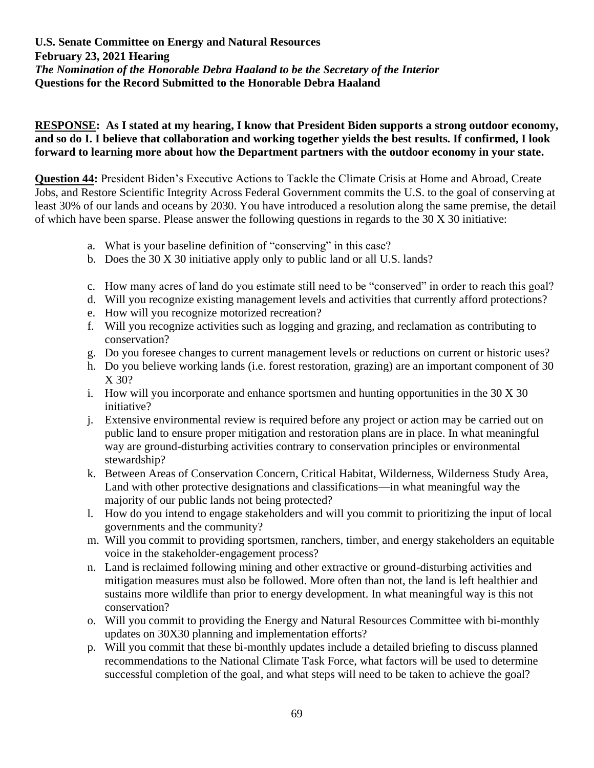**RESPONSE: As I stated at my hearing, I know that President Biden supports a strong outdoor economy, and so do I. I believe that collaboration and working together yields the best results. If confirmed, I look forward to learning more about how the Department partners with the outdoor economy in your state.**

**Question 44:** President Biden's Executive Actions to Tackle the Climate Crisis at Home and Abroad, Create Jobs, and Restore Scientific Integrity Across Federal Government commits the U.S. to the goal of conserving at least 30% of our lands and oceans by 2030. You have introduced a resolution along the same premise, the detail of which have been sparse. Please answer the following questions in regards to the 30 X 30 initiative:

- a. What is your baseline definition of "conserving" in this case?
- b. Does the 30 X 30 initiative apply only to public land or all U.S. lands?
- c. How many acres of land do you estimate still need to be "conserved" in order to reach this goal?
- d. Will you recognize existing management levels and activities that currently afford protections?
- e. How will you recognize motorized recreation?
- f. Will you recognize activities such as logging and grazing, and reclamation as contributing to conservation?
- g. Do you foresee changes to current management levels or reductions on current or historic uses?
- h. Do you believe working lands (i.e. forest restoration, grazing) are an important component of 30 X 30?
- i. How will you incorporate and enhance sportsmen and hunting opportunities in the 30 X 30 initiative?
- j. Extensive environmental review is required before any project or action may be carried out on public land to ensure proper mitigation and restoration plans are in place. In what meaningful way are ground-disturbing activities contrary to conservation principles or environmental stewardship?
- k. Between Areas of Conservation Concern, Critical Habitat, Wilderness, Wilderness Study Area, Land with other protective designations and classifications—in what meaningful way the majority of our public lands not being protected?
- l. How do you intend to engage stakeholders and will you commit to prioritizing the input of local governments and the community?
- m. Will you commit to providing sportsmen, ranchers, timber, and energy stakeholders an equitable voice in the stakeholder-engagement process?
- n. Land is reclaimed following mining and other extractive or ground-disturbing activities and mitigation measures must also be followed. More often than not, the land is left healthier and sustains more wildlife than prior to energy development. In what meaningful way is this not conservation?
- o. Will you commit to providing the Energy and Natural Resources Committee with bi-monthly updates on 30X30 planning and implementation efforts?
- p. Will you commit that these bi-monthly updates include a detailed briefing to discuss planned recommendations to the National Climate Task Force, what factors will be used to determine successful completion of the goal, and what steps will need to be taken to achieve the goal?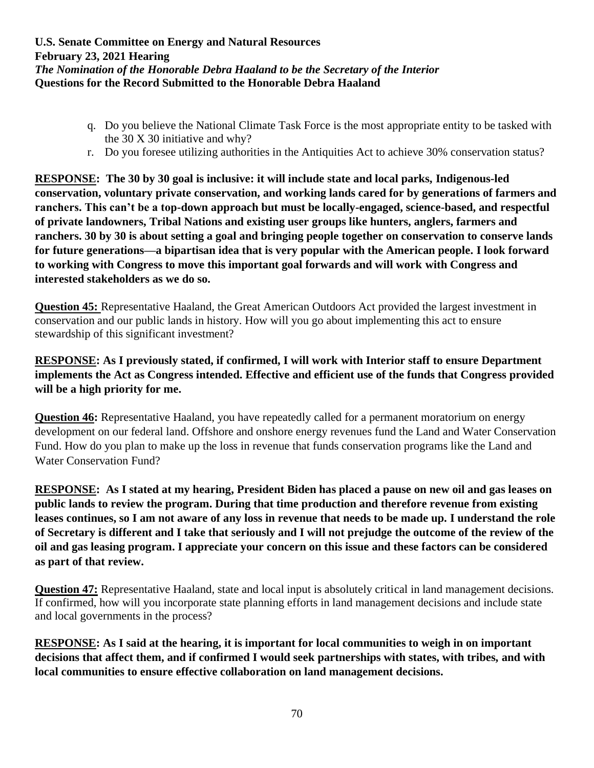- q. Do you believe the National Climate Task Force is the most appropriate entity to be tasked with the 30 X 30 initiative and why?
- r. Do you foresee utilizing authorities in the Antiquities Act to achieve 30% conservation status?

**RESPONSE: The 30 by 30 goal is inclusive: it will include state and local parks, Indigenous-led conservation, voluntary private conservation, and working lands cared for by generations of farmers and ranchers. This can't be a top-down approach but must be locally-engaged, science-based, and respectful of private landowners, Tribal Nations and existing user groups like hunters, anglers, farmers and ranchers. 30 by 30 is about setting a goal and bringing people together on conservation to conserve lands for future generations—a bipartisan idea that is very popular with the American people. I look forward to working with Congress to move this important goal forwards and will work with Congress and interested stakeholders as we do so.**

**Question 45:** Representative Haaland, the Great American Outdoors Act provided the largest investment in conservation and our public lands in history. How will you go about implementing this act to ensure stewardship of this significant investment?

# **RESPONSE: As I previously stated, if confirmed, I will work with Interior staff to ensure Department implements the Act as Congress intended. Effective and efficient use of the funds that Congress provided will be a high priority for me.**

**Question 46:** Representative Haaland, you have repeatedly called for a permanent moratorium on energy development on our federal land. Offshore and onshore energy revenues fund the Land and Water Conservation Fund. How do you plan to make up the loss in revenue that funds conservation programs like the Land and Water Conservation Fund?

**RESPONSE: As I stated at my hearing, President Biden has placed a pause on new oil and gas leases on public lands to review the program. During that time production and therefore revenue from existing leases continues, so I am not aware of any loss in revenue that needs to be made up. I understand the role of Secretary is different and I take that seriously and I will not prejudge the outcome of the review of the oil and gas leasing program. I appreciate your concern on this issue and these factors can be considered as part of that review.**

**Question 47:** Representative Haaland, state and local input is absolutely critical in land management decisions. If confirmed, how will you incorporate state planning efforts in land management decisions and include state and local governments in the process?

**RESPONSE: As I said at the hearing, it is important for local communities to weigh in on important decisions that affect them, and if confirmed I would seek partnerships with states, with tribes, and with local communities to ensure effective collaboration on land management decisions.**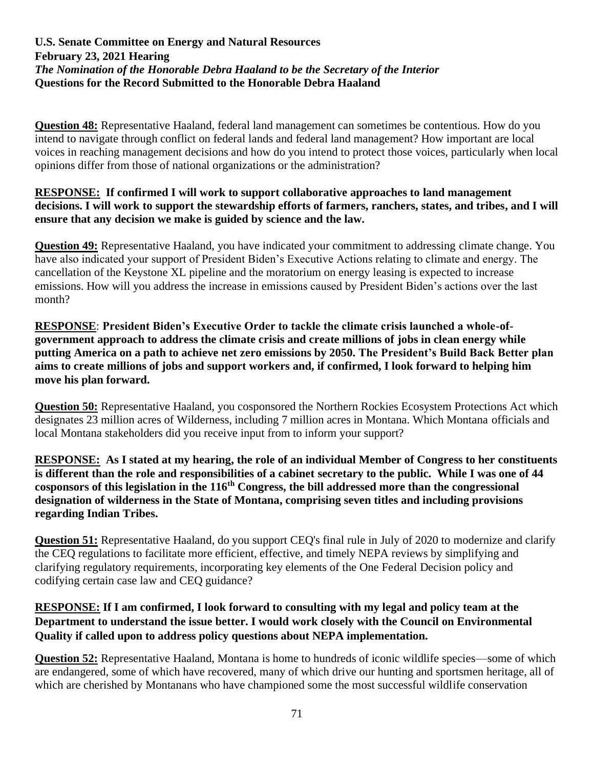**Question 48:** Representative Haaland, federal land management can sometimes be contentious. How do you intend to navigate through conflict on federal lands and federal land management? How important are local voices in reaching management decisions and how do you intend to protect those voices, particularly when local opinions differ from those of national organizations or the administration?

## **RESPONSE: If confirmed I will work to support collaborative approaches to land management decisions. I will work to support the stewardship efforts of farmers, ranchers, states, and tribes, and I will ensure that any decision we make is guided by science and the law.**

**Question 49:** Representative Haaland, you have indicated your commitment to addressing climate change. You have also indicated your support of President Biden's Executive Actions relating to climate and energy. The cancellation of the Keystone XL pipeline and the moratorium on energy leasing is expected to increase emissions. How will you address the increase in emissions caused by President Biden's actions over the last month?

**RESPONSE**: **President Biden's Executive Order to tackle the climate crisis launched a whole-ofgovernment approach to address the climate crisis and create millions of jobs in clean energy while putting America on a path to achieve net zero emissions by 2050. The President's Build Back Better plan aims to create millions of jobs and support workers and, if confirmed, I look forward to helping him move his plan forward.**

**Question 50:** Representative Haaland, you cosponsored the Northern Rockies Ecosystem Protections Act which designates 23 million acres of Wilderness, including 7 million acres in Montana. Which Montana officials and local Montana stakeholders did you receive input from to inform your support?

**RESPONSE: As I stated at my hearing, the role of an individual Member of Congress to her constituents is different than the role and responsibilities of a cabinet secretary to the public. While I was one of 44 cosponsors of this legislation in the 116th Congress, the bill addressed more than the congressional designation of wilderness in the State of Montana, comprising seven titles and including provisions regarding Indian Tribes.**

**Question 51:** Representative Haaland, do you support CEQ's final rule in July of 2020 to modernize and clarify the CEQ regulations to facilitate more efficient, effective, and timely NEPA reviews by simplifying and clarifying regulatory requirements, incorporating key elements of the One Federal Decision policy and codifying certain case law and CEQ guidance?

# **RESPONSE: If I am confirmed, I look forward to consulting with my legal and policy team at the Department to understand the issue better. I would work closely with the Council on Environmental Quality if called upon to address policy questions about NEPA implementation.**

**Question 52:** Representative Haaland, Montana is home to hundreds of iconic wildlife species—some of which are endangered, some of which have recovered, many of which drive our hunting and sportsmen heritage, all of which are cherished by Montanans who have championed some the most successful wildlife conservation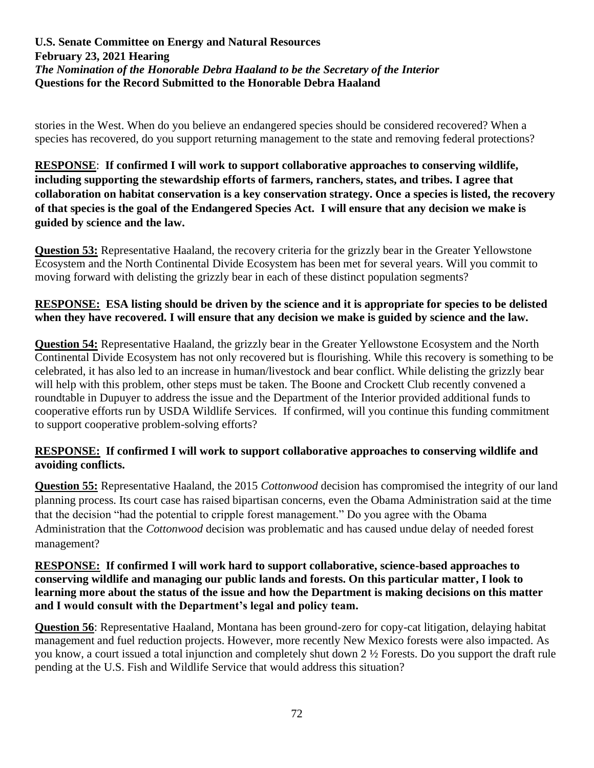stories in the West. When do you believe an endangered species should be considered recovered? When a species has recovered, do you support returning management to the state and removing federal protections?

**RESPONSE**: **If confirmed I will work to support collaborative approaches to conserving wildlife, including supporting the stewardship efforts of farmers, ranchers, states, and tribes. I agree that collaboration on habitat conservation is a key conservation strategy. Once a species is listed, the recovery of that species is the goal of the Endangered Species Act. I will ensure that any decision we make is guided by science and the law.**

**Question 53:** Representative Haaland, the recovery criteria for the grizzly bear in the Greater Yellowstone Ecosystem and the North Continental Divide Ecosystem has been met for several years. Will you commit to moving forward with delisting the grizzly bear in each of these distinct population segments?

# **RESPONSE: ESA listing should be driven by the science and it is appropriate for species to be delisted when they have recovered. I will ensure that any decision we make is guided by science and the law.**

**Question 54:** Representative Haaland, the grizzly bear in the Greater Yellowstone Ecosystem and the North Continental Divide Ecosystem has not only recovered but is flourishing. While this recovery is something to be celebrated, it has also led to an increase in human/livestock and bear conflict. While delisting the grizzly bear will help with this problem, other steps must be taken. The Boone and Crockett Club recently convened a roundtable in Dupuyer to address the issue and the Department of the Interior provided additional funds to cooperative efforts run by USDA Wildlife Services. If confirmed, will you continue this funding commitment to support cooperative problem-solving efforts?

# **RESPONSE: If confirmed I will work to support collaborative approaches to conserving wildlife and avoiding conflicts.**

**Question 55:** Representative Haaland, the 2015 *Cottonwood* decision has compromised the integrity of our land planning process. Its court case has raised bipartisan concerns, even the Obama Administration said at the time that the decision "had the potential to cripple forest management." Do you agree with the Obama Administration that the *Cottonwood* decision was problematic and has caused undue delay of needed forest management?

#### **RESPONSE: If confirmed I will work hard to support collaborative, science-based approaches to conserving wildlife and managing our public lands and forests. On this particular matter, I look to learning more about the status of the issue and how the Department is making decisions on this matter and I would consult with the Department's legal and policy team.**

**Question 56**: Representative Haaland, Montana has been ground-zero for copy-cat litigation, delaying habitat management and fuel reduction projects. However, more recently New Mexico forests were also impacted. As you know, a court issued a total injunction and completely shut down 2 ½ Forests. Do you support the draft rule pending at the U.S. Fish and Wildlife Service that would address this situation?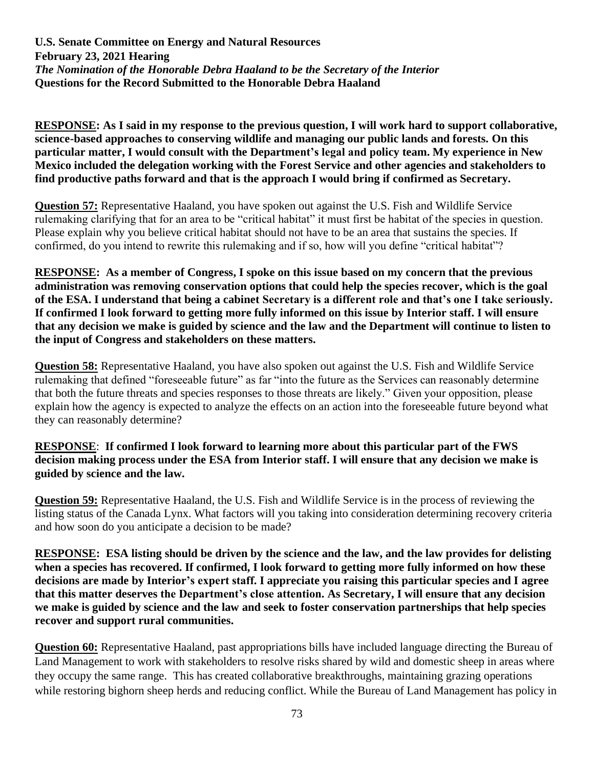**RESPONSE: As I said in my response to the previous question, I will work hard to support collaborative, science-based approaches to conserving wildlife and managing our public lands and forests. On this particular matter, I would consult with the Department's legal and policy team. My experience in New Mexico included the delegation working with the Forest Service and other agencies and stakeholders to find productive paths forward and that is the approach I would bring if confirmed as Secretary.**

**Question 57:** Representative Haaland, you have spoken out against the U.S. Fish and Wildlife Service rulemaking clarifying that for an area to be "critical habitat" it must first be habitat of the species in question. Please explain why you believe critical habitat should not have to be an area that sustains the species. If confirmed, do you intend to rewrite this rulemaking and if so, how will you define "critical habitat"?

**RESPONSE: As a member of Congress, I spoke on this issue based on my concern that the previous administration was removing conservation options that could help the species recover, which is the goal of the ESA. I understand that being a cabinet Secretary is a different role and that's one I take seriously. If confirmed I look forward to getting more fully informed on this issue by Interior staff. I will ensure that any decision we make is guided by science and the law and the Department will continue to listen to the input of Congress and stakeholders on these matters.**

**Question 58:** Representative Haaland, you have also spoken out against the U.S. Fish and Wildlife Service rulemaking that defined "foreseeable future" as far "into the future as the Services can reasonably determine that both the future threats and species responses to those threats are likely." Given your opposition, please explain how the agency is expected to analyze the effects on an action into the foreseeable future beyond what they can reasonably determine?

## **RESPONSE**: **If confirmed I look forward to learning more about this particular part of the FWS decision making process under the ESA from Interior staff. I will ensure that any decision we make is guided by science and the law.**

**Question 59:** Representative Haaland, the U.S. Fish and Wildlife Service is in the process of reviewing the listing status of the Canada Lynx. What factors will you taking into consideration determining recovery criteria and how soon do you anticipate a decision to be made?

**RESPONSE: ESA listing should be driven by the science and the law, and the law provides for delisting when a species has recovered. If confirmed, I look forward to getting more fully informed on how these decisions are made by Interior's expert staff. I appreciate you raising this particular species and I agree that this matter deserves the Department's close attention. As Secretary, I will ensure that any decision we make is guided by science and the law and seek to foster conservation partnerships that help species recover and support rural communities.**

**Question 60:** Representative Haaland, past appropriations bills have included language directing the Bureau of Land Management to work with stakeholders to resolve risks shared by wild and domestic sheep in areas where they occupy the same range. This has created collaborative breakthroughs, maintaining grazing operations while restoring bighorn sheep herds and reducing conflict. While the Bureau of Land Management has policy in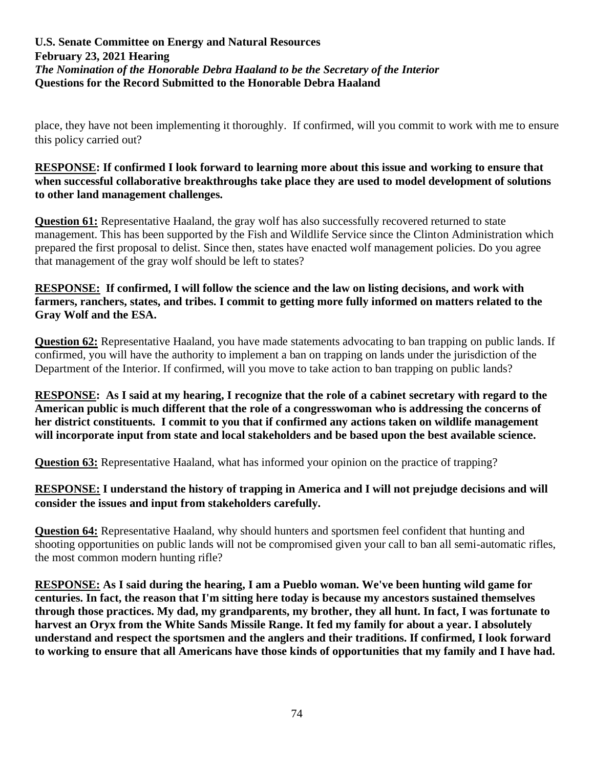place, they have not been implementing it thoroughly. If confirmed, will you commit to work with me to ensure this policy carried out?

## **RESPONSE: If confirmed I look forward to learning more about this issue and working to ensure that when successful collaborative breakthroughs take place they are used to model development of solutions to other land management challenges.**

**Question 61:** Representative Haaland, the gray wolf has also successfully recovered returned to state management. This has been supported by the Fish and Wildlife Service since the Clinton Administration which prepared the first proposal to delist. Since then, states have enacted wolf management policies. Do you agree that management of the gray wolf should be left to states?

# **RESPONSE: If confirmed, I will follow the science and the law on listing decisions, and work with farmers, ranchers, states, and tribes. I commit to getting more fully informed on matters related to the Gray Wolf and the ESA.**

**Question 62:** Representative Haaland, you have made statements advocating to ban trapping on public lands. If confirmed, you will have the authority to implement a ban on trapping on lands under the jurisdiction of the Department of the Interior. If confirmed, will you move to take action to ban trapping on public lands?

**RESPONSE: As I said at my hearing, I recognize that the role of a cabinet secretary with regard to the American public is much different that the role of a congresswoman who is addressing the concerns of her district constituents. I commit to you that if confirmed any actions taken on wildlife management will incorporate input from state and local stakeholders and be based upon the best available science.**

**Question 63:** Representative Haaland, what has informed your opinion on the practice of trapping?

# **RESPONSE: I understand the history of trapping in America and I will not prejudge decisions and will consider the issues and input from stakeholders carefully.**

**Question 64:** Representative Haaland, why should hunters and sportsmen feel confident that hunting and shooting opportunities on public lands will not be compromised given your call to ban all semi-automatic rifles, the most common modern hunting rifle?

**RESPONSE: As I said during the hearing, I am a Pueblo woman. We've been hunting wild game for centuries. In fact, the reason that I'm sitting here today is because my ancestors sustained themselves through those practices. My dad, my grandparents, my brother, they all hunt. In fact, I was fortunate to harvest an Oryx from the White Sands Missile Range. It fed my family for about a year. I absolutely understand and respect the sportsmen and the anglers and their traditions. If confirmed, I look forward to working to ensure that all Americans have those kinds of opportunities that my family and I have had.**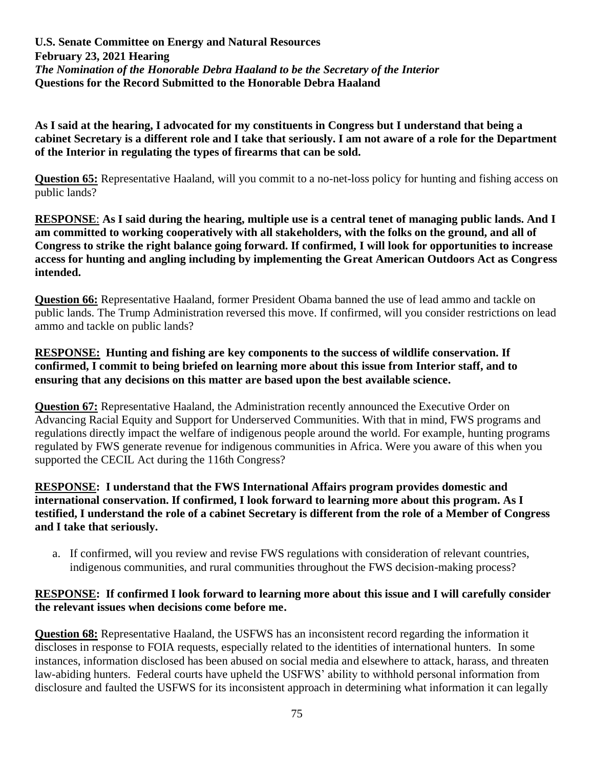**As I said at the hearing, I advocated for my constituents in Congress but I understand that being a cabinet Secretary is a different role and I take that seriously. I am not aware of a role for the Department of the Interior in regulating the types of firearms that can be sold.**

**Question 65:** Representative Haaland, will you commit to a no-net-loss policy for hunting and fishing access on public lands?

**RESPONSE**: **As I said during the hearing, multiple use is a central tenet of managing public lands. And I am committed to working cooperatively with all stakeholders, with the folks on the ground, and all of Congress to strike the right balance going forward. If confirmed, I will look for opportunities to increase access for hunting and angling including by implementing the Great American Outdoors Act as Congress intended.**

**Question 66:** Representative Haaland, former President Obama banned the use of lead ammo and tackle on public lands. The Trump Administration reversed this move. If confirmed, will you consider restrictions on lead ammo and tackle on public lands?

## **RESPONSE: Hunting and fishing are key components to the success of wildlife conservation. If confirmed, I commit to being briefed on learning more about this issue from Interior staff, and to ensuring that any decisions on this matter are based upon the best available science.**

**Question 67:** Representative Haaland, the Administration recently announced the Executive Order on Advancing Racial Equity and Support for Underserved Communities. With that in mind, FWS programs and regulations directly impact the welfare of indigenous people around the world. For example, hunting programs regulated by FWS generate revenue for indigenous communities in Africa. Were you aware of this when you supported the CECIL Act during the 116th Congress?

### **RESPONSE: I understand that the FWS International Affairs program provides domestic and international conservation. If confirmed, I look forward to learning more about this program. As I testified, I understand the role of a cabinet Secretary is different from the role of a Member of Congress and I take that seriously.**

a. If confirmed, will you review and revise FWS regulations with consideration of relevant countries, indigenous communities, and rural communities throughout the FWS decision-making process?

## **RESPONSE: If confirmed I look forward to learning more about this issue and I will carefully consider the relevant issues when decisions come before me.**

**Question 68:** Representative Haaland, the USFWS has an inconsistent record regarding the information it discloses in response to FOIA requests, especially related to the identities of international hunters. In some instances, information disclosed has been abused on social media and elsewhere to attack, harass, and threaten law-abiding hunters. Federal courts have upheld the USFWS' ability to withhold personal information from disclosure and faulted the USFWS for its inconsistent approach in determining what information it can legally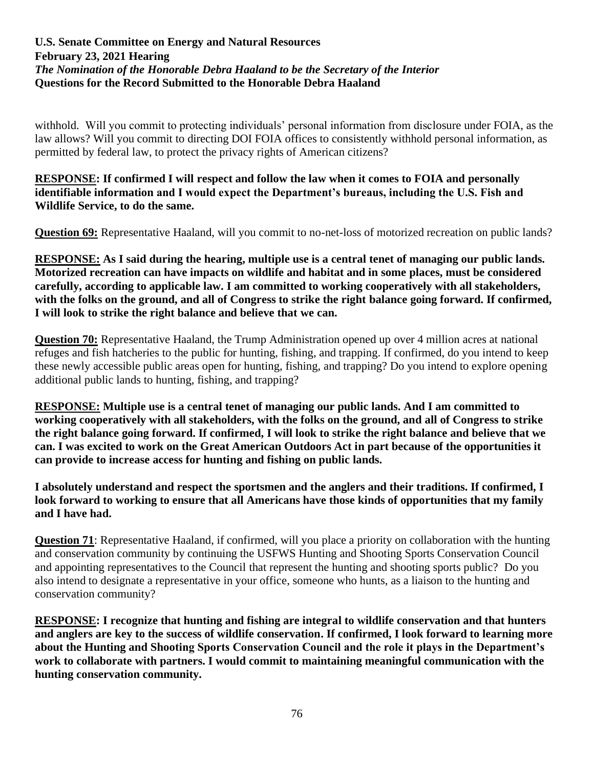withhold. Will you commit to protecting individuals' personal information from disclosure under FOIA, as the law allows? Will you commit to directing DOI FOIA offices to consistently withhold personal information, as permitted by federal law, to protect the privacy rights of American citizens?

## **RESPONSE: If confirmed I will respect and follow the law when it comes to FOIA and personally identifiable information and I would expect the Department's bureaus, including the U.S. Fish and Wildlife Service, to do the same.**

**Question 69:** Representative Haaland, will you commit to no-net-loss of motorized recreation on public lands?

**RESPONSE: As I said during the hearing, multiple use is a central tenet of managing our public lands. Motorized recreation can have impacts on wildlife and habitat and in some places, must be considered carefully, according to applicable law. I am committed to working cooperatively with all stakeholders, with the folks on the ground, and all of Congress to strike the right balance going forward. If confirmed, I will look to strike the right balance and believe that we can.**

**Question 70:** Representative Haaland, the Trump Administration opened up over 4 million acres at national refuges and fish hatcheries to the public for hunting, fishing, and trapping. If confirmed, do you intend to keep these newly accessible public areas open for hunting, fishing, and trapping? Do you intend to explore opening additional public lands to hunting, fishing, and trapping?

**RESPONSE: Multiple use is a central tenet of managing our public lands. And I am committed to working cooperatively with all stakeholders, with the folks on the ground, and all of Congress to strike the right balance going forward. If confirmed, I will look to strike the right balance and believe that we can. I was excited to work on the Great American Outdoors Act in part because of the opportunities it can provide to increase access for hunting and fishing on public lands.**

**I absolutely understand and respect the sportsmen and the anglers and their traditions. If confirmed, I look forward to working to ensure that all Americans have those kinds of opportunities that my family and I have had.**

**Question 71**: Representative Haaland, if confirmed, will you place a priority on collaboration with the hunting and conservation community by continuing the USFWS Hunting and Shooting Sports Conservation Council and appointing representatives to the Council that represent the hunting and shooting sports public? Do you also intend to designate a representative in your office, someone who hunts, as a liaison to the hunting and conservation community?

**RESPONSE: I recognize that hunting and fishing are integral to wildlife conservation and that hunters and anglers are key to the success of wildlife conservation. If confirmed, I look forward to learning more about the Hunting and Shooting Sports Conservation Council and the role it plays in the Department's work to collaborate with partners. I would commit to maintaining meaningful communication with the hunting conservation community.**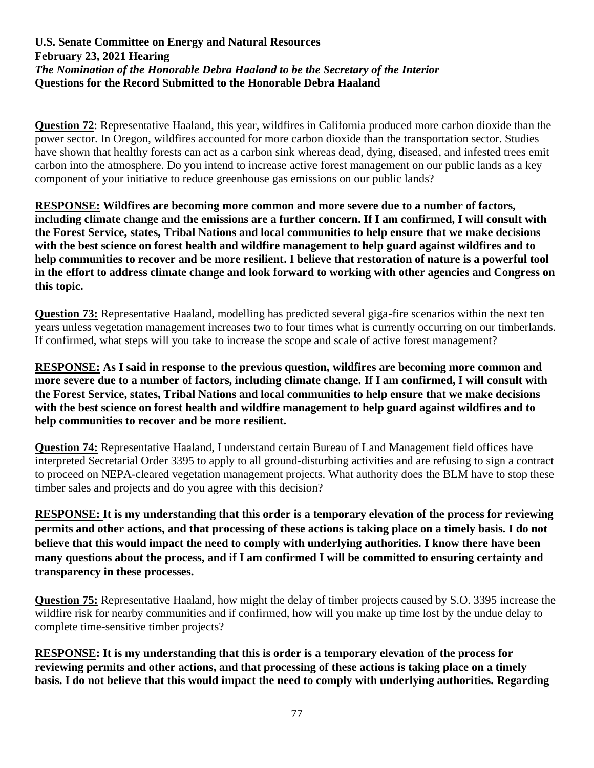**Question 72**: Representative Haaland, this year, wildfires in California produced more carbon dioxide than the power sector. In Oregon, wildfires accounted for more carbon dioxide than the transportation sector. Studies have shown that healthy forests can act as a carbon sink whereas dead, dying, diseased, and infested trees emit carbon into the atmosphere. Do you intend to increase active forest management on our public lands as a key component of your initiative to reduce greenhouse gas emissions on our public lands?

**RESPONSE: Wildfires are becoming more common and more severe due to a number of factors, including climate change and the emissions are a further concern. If I am confirmed, I will consult with the Forest Service, states, Tribal Nations and local communities to help ensure that we make decisions with the best science on forest health and wildfire management to help guard against wildfires and to help communities to recover and be more resilient. I believe that restoration of nature is a powerful tool in the effort to address climate change and look forward to working with other agencies and Congress on this topic.**

**Question 73:** Representative Haaland, modelling has predicted several giga-fire scenarios within the next ten years unless vegetation management increases two to four times what is currently occurring on our timberlands. If confirmed, what steps will you take to increase the scope and scale of active forest management?

**RESPONSE: As I said in response to the previous question, wildfires are becoming more common and more severe due to a number of factors, including climate change. If I am confirmed, I will consult with the Forest Service, states, Tribal Nations and local communities to help ensure that we make decisions with the best science on forest health and wildfire management to help guard against wildfires and to help communities to recover and be more resilient.**

**Question 74:** Representative Haaland, I understand certain Bureau of Land Management field offices have interpreted Secretarial Order 3395 to apply to all ground-disturbing activities and are refusing to sign a contract to proceed on NEPA-cleared vegetation management projects. What authority does the BLM have to stop these timber sales and projects and do you agree with this decision?

**RESPONSE: It is my understanding that this order is a temporary elevation of the process for reviewing permits and other actions, and that processing of these actions is taking place on a timely basis. I do not believe that this would impact the need to comply with underlying authorities. I know there have been many questions about the process, and if I am confirmed I will be committed to ensuring certainty and transparency in these processes.** 

**Question 75:** Representative Haaland, how might the delay of timber projects caused by S.O. 3395 increase the wildfire risk for nearby communities and if confirmed, how will you make up time lost by the undue delay to complete time-sensitive timber projects?

**RESPONSE: It is my understanding that this is order is a temporary elevation of the process for reviewing permits and other actions, and that processing of these actions is taking place on a timely basis. I do not believe that this would impact the need to comply with underlying authorities. Regarding**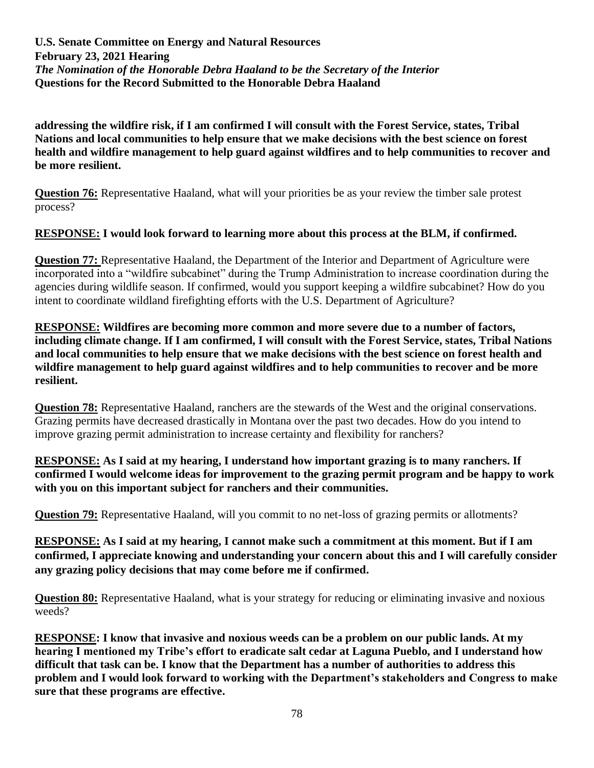**addressing the wildfire risk, if I am confirmed I will consult with the Forest Service, states, Tribal Nations and local communities to help ensure that we make decisions with the best science on forest health and wildfire management to help guard against wildfires and to help communities to recover and be more resilient.**

**Question 76:** Representative Haaland, what will your priorities be as your review the timber sale protest process?

# **RESPONSE: I would look forward to learning more about this process at the BLM, if confirmed.**

**Question 77:** Representative Haaland, the Department of the Interior and Department of Agriculture were incorporated into a "wildfire subcabinet" during the Trump Administration to increase coordination during the agencies during wildlife season. If confirmed, would you support keeping a wildfire subcabinet? How do you intent to coordinate wildland firefighting efforts with the U.S. Department of Agriculture?

**RESPONSE: Wildfires are becoming more common and more severe due to a number of factors, including climate change. If I am confirmed, I will consult with the Forest Service, states, Tribal Nations and local communities to help ensure that we make decisions with the best science on forest health and wildfire management to help guard against wildfires and to help communities to recover and be more resilient.**

**Question 78:** Representative Haaland, ranchers are the stewards of the West and the original conservations. Grazing permits have decreased drastically in Montana over the past two decades. How do you intend to improve grazing permit administration to increase certainty and flexibility for ranchers?

**RESPONSE: As I said at my hearing, I understand how important grazing is to many ranchers. If confirmed I would welcome ideas for improvement to the grazing permit program and be happy to work with you on this important subject for ranchers and their communities.**

**Question 79:** Representative Haaland, will you commit to no net-loss of grazing permits or allotments?

**RESPONSE: As I said at my hearing, I cannot make such a commitment at this moment. But if I am confirmed, I appreciate knowing and understanding your concern about this and I will carefully consider any grazing policy decisions that may come before me if confirmed.**

**Question 80:** Representative Haaland, what is your strategy for reducing or eliminating invasive and noxious weeds?

**RESPONSE: I know that invasive and noxious weeds can be a problem on our public lands. At my hearing I mentioned my Tribe's effort to eradicate salt cedar at Laguna Pueblo, and I understand how difficult that task can be. I know that the Department has a number of authorities to address this problem and I would look forward to working with the Department's stakeholders and Congress to make sure that these programs are effective.**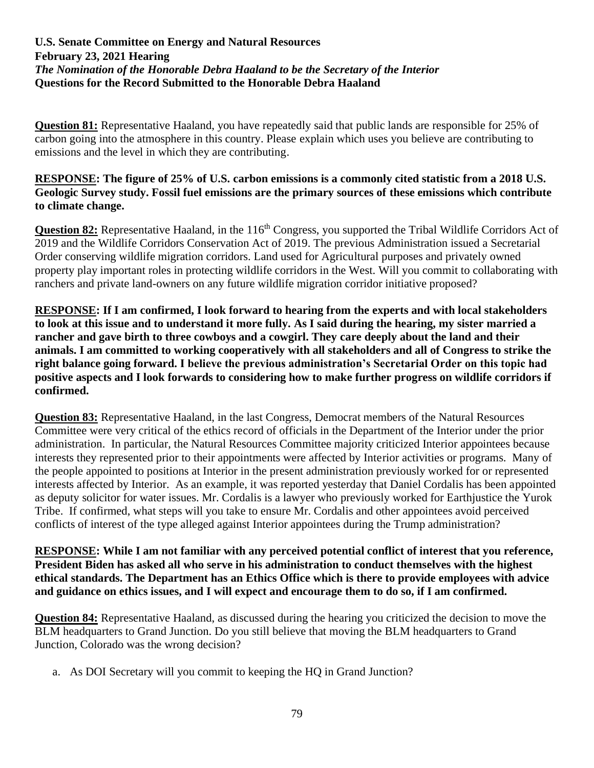**Question 81:** Representative Haaland, you have repeatedly said that public lands are responsible for 25% of carbon going into the atmosphere in this country. Please explain which uses you believe are contributing to emissions and the level in which they are contributing.

# **RESPONSE: The figure of 25% of U.S. carbon emissions is a commonly cited statistic from a 2018 U.S. Geologic Survey study. Fossil fuel emissions are the primary sources of these emissions which contribute to climate change.**

Question 82: Representative Haaland, in the 116<sup>th</sup> Congress, you supported the Tribal Wildlife Corridors Act of 2019 and the Wildlife Corridors Conservation Act of 2019. The previous Administration issued a Secretarial Order conserving wildlife migration corridors. Land used for Agricultural purposes and privately owned property play important roles in protecting wildlife corridors in the West. Will you commit to collaborating with ranchers and private land-owners on any future wildlife migration corridor initiative proposed?

**RESPONSE: If I am confirmed, I look forward to hearing from the experts and with local stakeholders to look at this issue and to understand it more fully. As I said during the hearing, my sister married a rancher and gave birth to three cowboys and a cowgirl. They care deeply about the land and their animals. I am committed to working cooperatively with all stakeholders and all of Congress to strike the right balance going forward. I believe the previous administration's Secretarial Order on this topic had positive aspects and I look forwards to considering how to make further progress on wildlife corridors if confirmed.**

**Question 83:** Representative Haaland, in the last Congress, Democrat members of the Natural Resources Committee were very critical of the ethics record of officials in the Department of the Interior under the prior administration. In particular, the Natural Resources Committee majority criticized Interior appointees because interests they represented prior to their appointments were affected by Interior activities or programs. Many of the people appointed to positions at Interior in the present administration previously worked for or represented interests affected by Interior. As an example, it was reported yesterday that Daniel Cordalis has been appointed as deputy solicitor for water issues. Mr. Cordalis is a lawyer who previously worked for Earthjustice the Yurok Tribe. If confirmed, what steps will you take to ensure Mr. Cordalis and other appointees avoid perceived conflicts of interest of the type alleged against Interior appointees during the Trump administration?

**RESPONSE: While I am not familiar with any perceived potential conflict of interest that you reference, President Biden has asked all who serve in his administration to conduct themselves with the highest ethical standards. The Department has an Ethics Office which is there to provide employees with advice and guidance on ethics issues, and I will expect and encourage them to do so, if I am confirmed.**

**Question 84:** Representative Haaland, as discussed during the hearing you criticized the decision to move the BLM headquarters to Grand Junction. Do you still believe that moving the BLM headquarters to Grand Junction, Colorado was the wrong decision?

a. As DOI Secretary will you commit to keeping the HQ in Grand Junction?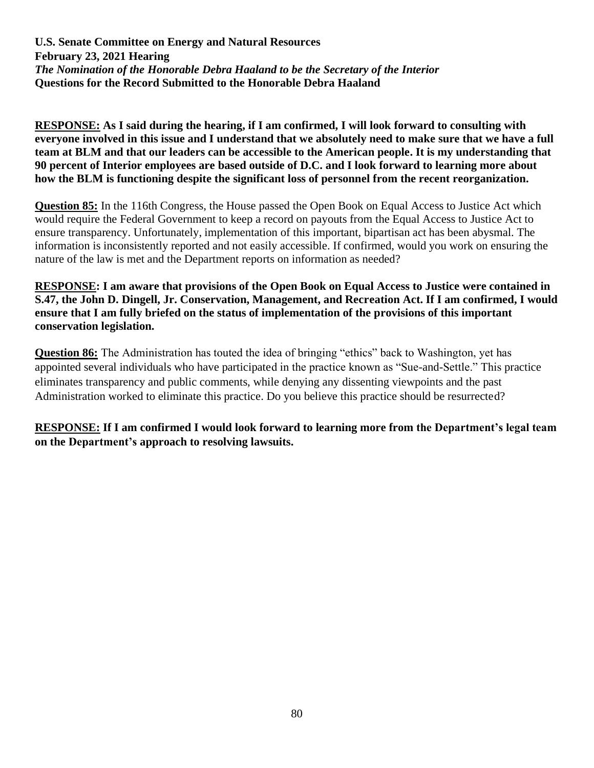**RESPONSE: As I said during the hearing, if I am confirmed, I will look forward to consulting with everyone involved in this issue and I understand that we absolutely need to make sure that we have a full team at BLM and that our leaders can be accessible to the American people. It is my understanding that 90 percent of Interior employees are based outside of D.C. and I look forward to learning more about how the BLM is functioning despite the significant loss of personnel from the recent reorganization.**

**Question 85:** In the 116th Congress, the House passed the Open Book on Equal Access to Justice Act which would require the Federal Government to keep a record on payouts from the Equal Access to Justice Act to ensure transparency. Unfortunately, implementation of this important, bipartisan act has been abysmal. The information is inconsistently reported and not easily accessible. If confirmed, would you work on ensuring the nature of the law is met and the Department reports on information as needed?

**RESPONSE: I am aware that provisions of the Open Book on Equal Access to Justice were contained in S.47, the John D. Dingell, Jr. Conservation, Management, and Recreation Act. If I am confirmed, I would ensure that I am fully briefed on the status of implementation of the provisions of this important conservation legislation.** 

**Question 86:** The Administration has touted the idea of bringing "ethics" back to Washington, yet has appointed several individuals who have participated in the practice known as "Sue-and-Settle." This practice eliminates transparency and public comments, while denying any dissenting viewpoints and the past Administration worked to eliminate this practice. Do you believe this practice should be resurrected?

**RESPONSE: If I am confirmed I would look forward to learning more from the Department's legal team on the Department's approach to resolving lawsuits.**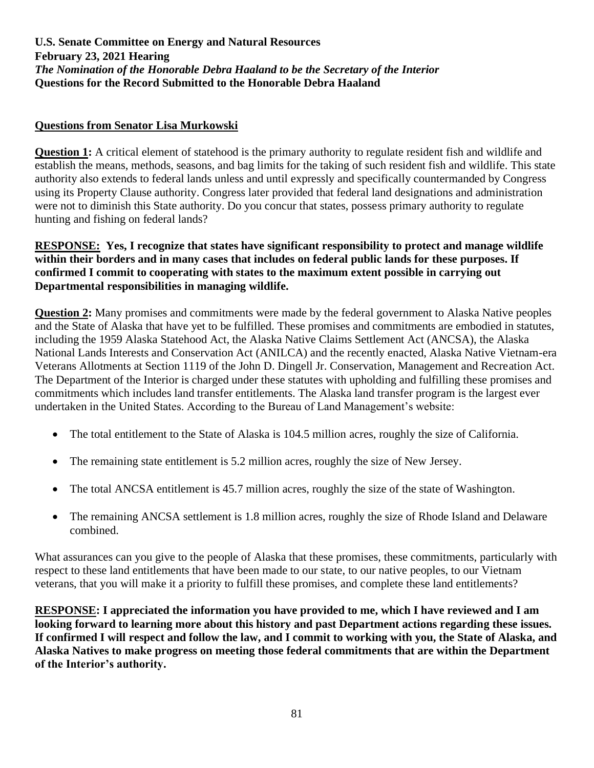# **Questions from Senator Lisa Murkowski**

**Question 1:** A critical element of statehood is the primary authority to regulate resident fish and wildlife and establish the means, methods, seasons, and bag limits for the taking of such resident fish and wildlife. This state authority also extends to federal lands unless and until expressly and specifically countermanded by Congress using its Property Clause authority. Congress later provided that federal land designations and administration were not to diminish this State authority. Do you concur that states, possess primary authority to regulate hunting and fishing on federal lands?

## **RESPONSE: Yes, I recognize that states have significant responsibility to protect and manage wildlife within their borders and in many cases that includes on federal public lands for these purposes. If confirmed I commit to cooperating with states to the maximum extent possible in carrying out Departmental responsibilities in managing wildlife.**

**Question 2:** Many promises and commitments were made by the federal government to Alaska Native peoples and the State of Alaska that have yet to be fulfilled. These promises and commitments are embodied in statutes, including the 1959 Alaska Statehood Act, the Alaska Native Claims Settlement Act (ANCSA), the Alaska National Lands Interests and Conservation Act (ANILCA) and the recently enacted, Alaska Native Vietnam-era Veterans Allotments at Section 1119 of the John D. Dingell Jr. Conservation, Management and Recreation Act. The Department of the Interior is charged under these statutes with upholding and fulfilling these promises and commitments which includes land transfer entitlements. The Alaska land transfer program is the largest ever undertaken in the United States. According to the Bureau of Land Management's website:

- The total entitlement to the State of Alaska is 104.5 million acres, roughly the size of California.
- The remaining state entitlement is 5.2 million acres, roughly the size of New Jersey.
- The total ANCSA entitlement is 45.7 million acres, roughly the size of the state of Washington.
- The remaining ANCSA settlement is 1.8 million acres, roughly the size of Rhode Island and Delaware combined.

What assurances can you give to the people of Alaska that these promises, these commitments, particularly with respect to these land entitlements that have been made to our state, to our native peoples, to our Vietnam veterans, that you will make it a priority to fulfill these promises, and complete these land entitlements?

**RESPONSE: I appreciated the information you have provided to me, which I have reviewed and I am looking forward to learning more about this history and past Department actions regarding these issues. If confirmed I will respect and follow the law, and I commit to working with you, the State of Alaska, and Alaska Natives to make progress on meeting those federal commitments that are within the Department of the Interior's authority.**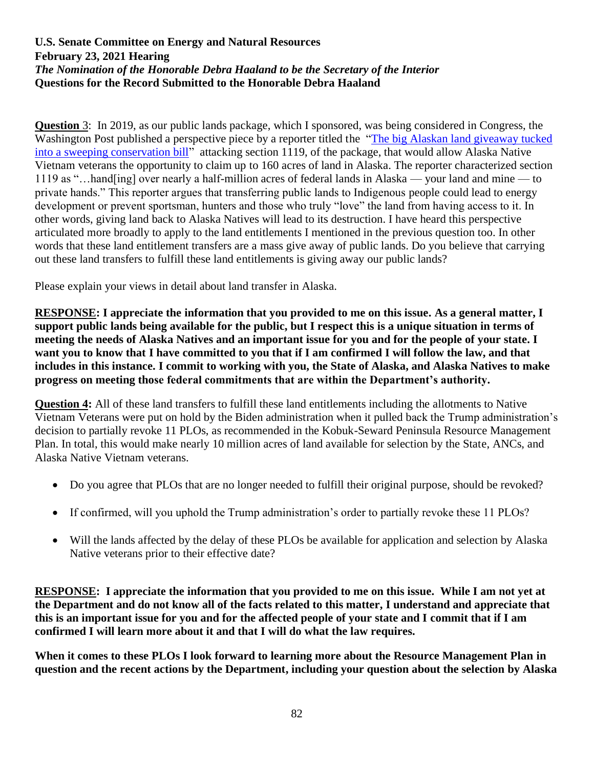**Question** 3: In 2019, as our public lands package, which I sponsored, was being considered in Congress, the Washington Post published a perspective piece by a reporter titled the ["The big Alaskan land giveaway tucked](https://www.washingtonpost.com/outlook/2019/02/13/big-alaskan-land-giveaway-tucked-into-sweeping-conservation-bill/?noredirect=on&utm_term=.bb41fea6607b)  [into a sweeping conservation bill"](https://www.washingtonpost.com/outlook/2019/02/13/big-alaskan-land-giveaway-tucked-into-sweeping-conservation-bill/?noredirect=on&utm_term=.bb41fea6607b) attacking section 1119, of the package, that would allow Alaska Native Vietnam veterans the opportunity to claim up to 160 acres of land in Alaska. The reporter characterized section 1119 as "…hand[ing] over nearly a half-million acres of federal lands in Alaska — your land and mine — to private hands." This reporter argues that transferring public lands to Indigenous people could lead to energy development or prevent sportsman, hunters and those who truly "love" the land from having access to it. In other words, giving land back to Alaska Natives will lead to its destruction. I have heard this perspective articulated more broadly to apply to the land entitlements I mentioned in the previous question too. In other words that these land entitlement transfers are a mass give away of public lands. Do you believe that carrying out these land transfers to fulfill these land entitlements is giving away our public lands?

Please explain your views in detail about land transfer in Alaska.

**RESPONSE: I appreciate the information that you provided to me on this issue. As a general matter, I support public lands being available for the public, but I respect this is a unique situation in terms of meeting the needs of Alaska Natives and an important issue for you and for the people of your state. I want you to know that I have committed to you that if I am confirmed I will follow the law, and that includes in this instance. I commit to working with you, the State of Alaska, and Alaska Natives to make progress on meeting those federal commitments that are within the Department's authority.**

**Question 4:** All of these land transfers to fulfill these land entitlements including the allotments to Native Vietnam Veterans were put on hold by the Biden administration when it pulled back the Trump administration's decision to partially revoke 11 PLOs, as recommended in the Kobuk-Seward Peninsula Resource Management Plan. In total, this would make nearly 10 million acres of land available for selection by the State, ANCs, and Alaska Native Vietnam veterans.

- Do you agree that PLOs that are no longer needed to fulfill their original purpose, should be revoked?
- If confirmed, will you uphold the Trump administration's order to partially revoke these 11 PLOs?
- Will the lands affected by the delay of these PLOs be available for application and selection by Alaska Native veterans prior to their effective date?

**RESPONSE: I appreciate the information that you provided to me on this issue. While I am not yet at the Department and do not know all of the facts related to this matter, I understand and appreciate that this is an important issue for you and for the affected people of your state and I commit that if I am confirmed I will learn more about it and that I will do what the law requires.** 

**When it comes to these PLOs I look forward to learning more about the Resource Management Plan in question and the recent actions by the Department, including your question about the selection by Alaska**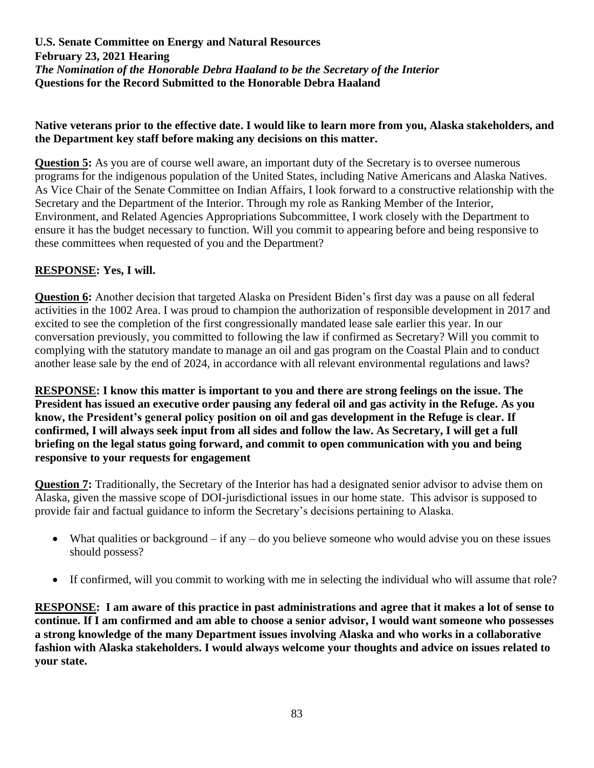#### **Native veterans prior to the effective date. I would like to learn more from you, Alaska stakeholders, and the Department key staff before making any decisions on this matter.**

**Question 5:** As you are of course well aware, an important duty of the Secretary is to oversee numerous programs for the indigenous population of the United States, including Native Americans and Alaska Natives. As Vice Chair of the Senate Committee on Indian Affairs, I look forward to a constructive relationship with the Secretary and the Department of the Interior. Through my role as Ranking Member of the Interior, Environment, and Related Agencies Appropriations Subcommittee, I work closely with the Department to ensure it has the budget necessary to function. Will you commit to appearing before and being responsive to these committees when requested of you and the Department?

# **RESPONSE: Yes, I will.**

**Question 6:** Another decision that targeted Alaska on President Biden's first day was a pause on all federal activities in the 1002 Area. I was proud to champion the authorization of responsible development in 2017 and excited to see the completion of the first congressionally mandated lease sale earlier this year. In our conversation previously, you committed to following the law if confirmed as Secretary? Will you commit to complying with the statutory mandate to manage an oil and gas program on the Coastal Plain and to conduct another lease sale by the end of 2024, in accordance with all relevant environmental regulations and laws?

**RESPONSE: I know this matter is important to you and there are strong feelings on the issue. The President has issued an executive order pausing any federal oil and gas activity in the Refuge. As you know, the President's general policy position on oil and gas development in the Refuge is clear. If confirmed, I will always seek input from all sides and follow the law. As Secretary, I will get a full briefing on the legal status going forward, and commit to open communication with you and being responsive to your requests for engagement**

**Question 7:** Traditionally, the Secretary of the Interior has had a designated senior advisor to advise them on Alaska, given the massive scope of DOI-jurisdictional issues in our home state. This advisor is supposed to provide fair and factual guidance to inform the Secretary's decisions pertaining to Alaska.

- What qualities or background if any do you believe someone who would advise you on these issues should possess?
- If confirmed, will you commit to working with me in selecting the individual who will assume that role?

**RESPONSE: I am aware of this practice in past administrations and agree that it makes a lot of sense to continue. If I am confirmed and am able to choose a senior advisor, I would want someone who possesses a strong knowledge of the many Department issues involving Alaska and who works in a collaborative fashion with Alaska stakeholders. I would always welcome your thoughts and advice on issues related to your state.**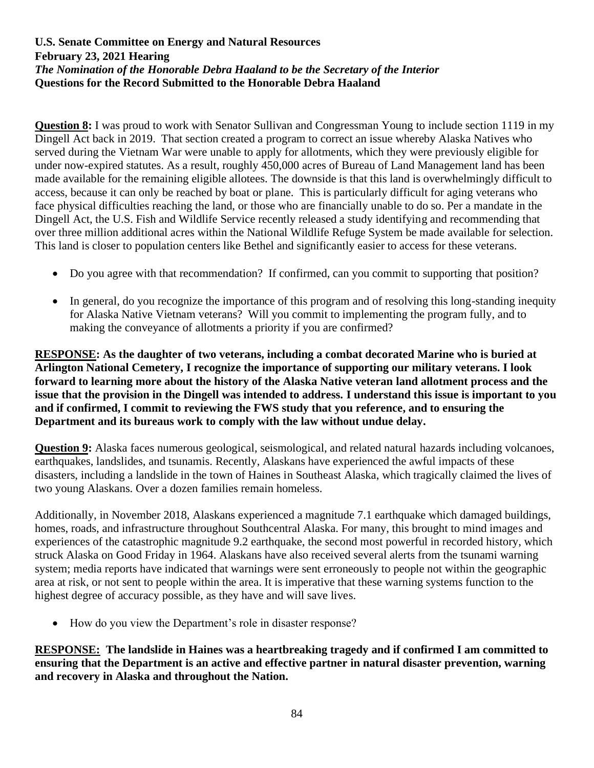**Question 8:** I was proud to work with Senator Sullivan and Congressman Young to include section 1119 in my Dingell Act back in 2019. That section created a program to correct an issue whereby Alaska Natives who served during the Vietnam War were unable to apply for allotments, which they were previously eligible for under now-expired statutes. As a result, roughly 450,000 acres of Bureau of Land Management land has been made available for the remaining eligible allotees. The downside is that this land is overwhelmingly difficult to access, because it can only be reached by boat or plane. This is particularly difficult for aging veterans who face physical difficulties reaching the land, or those who are financially unable to do so. Per a mandate in the Dingell Act, the U.S. Fish and Wildlife Service recently released a study identifying and recommending that over three million additional acres within the National Wildlife Refuge System be made available for selection. This land is closer to population centers like Bethel and significantly easier to access for these veterans.

- Do you agree with that recommendation? If confirmed, can you commit to supporting that position?
- In general, do you recognize the importance of this program and of resolving this long-standing inequity for Alaska Native Vietnam veterans? Will you commit to implementing the program fully, and to making the conveyance of allotments a priority if you are confirmed?

**RESPONSE: As the daughter of two veterans, including a combat decorated Marine who is buried at Arlington National Cemetery, I recognize the importance of supporting our military veterans. I look forward to learning more about the history of the Alaska Native veteran land allotment process and the issue that the provision in the Dingell was intended to address. I understand this issue is important to you and if confirmed, I commit to reviewing the FWS study that you reference, and to ensuring the Department and its bureaus work to comply with the law without undue delay.**

**Question 9:** Alaska faces numerous geological, seismological, and related natural hazards including volcanoes, earthquakes, landslides, and tsunamis. Recently, Alaskans have experienced the awful impacts of these disasters, including a landslide in the town of Haines in Southeast Alaska, which tragically claimed the lives of two young Alaskans. Over a dozen families remain homeless.

Additionally, in November 2018, Alaskans experienced a magnitude 7.1 earthquake which damaged buildings, homes, roads, and infrastructure throughout Southcentral Alaska. For many, this brought to mind images and experiences of the catastrophic magnitude 9.2 earthquake, the second most powerful in recorded history, which struck Alaska on Good Friday in 1964. Alaskans have also received several alerts from the tsunami warning system; media reports have indicated that warnings were sent erroneously to people not within the geographic area at risk, or not sent to people within the area. It is imperative that these warning systems function to the highest degree of accuracy possible, as they have and will save lives.

• How do you view the Department's role in disaster response?

**RESPONSE: The landslide in Haines was a heartbreaking tragedy and if confirmed I am committed to ensuring that the Department is an active and effective partner in natural disaster prevention, warning and recovery in Alaska and throughout the Nation.**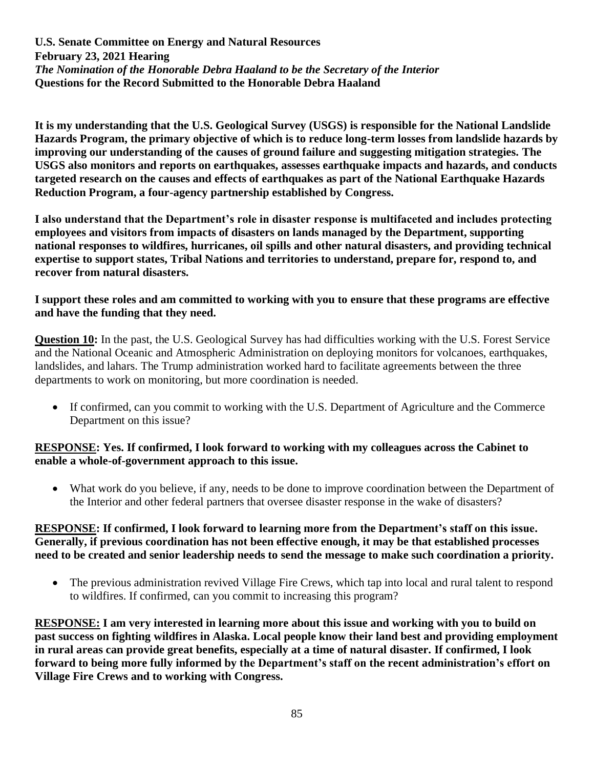**It is my understanding that the U.S. Geological Survey (USGS) is responsible for the National Landslide Hazards Program, the primary objective of which is to reduce long-term losses from landslide hazards by improving our understanding of the causes of ground failure and suggesting mitigation strategies. The USGS also monitors and reports on earthquakes, assesses earthquake impacts and hazards, and conducts targeted research on the causes and effects of earthquakes as part of the National Earthquake Hazards Reduction Program, a four-agency partnership established by Congress.**

**I also understand that the Department's role in disaster response is multifaceted and includes protecting employees and visitors from impacts of disasters on lands managed by the Department, supporting national responses to wildfires, hurricanes, oil spills and other natural disasters, and providing technical expertise to support states, Tribal Nations and territories to understand, prepare for, respond to, and recover from natural disasters.**

### **I support these roles and am committed to working with you to ensure that these programs are effective and have the funding that they need.**

**Question 10:** In the past, the U.S. Geological Survey has had difficulties working with the U.S. Forest Service and the National Oceanic and Atmospheric Administration on deploying monitors for volcanoes, earthquakes, landslides, and lahars. The Trump administration worked hard to facilitate agreements between the three departments to work on monitoring, but more coordination is needed.

• If confirmed, can you commit to working with the U.S. Department of Agriculture and the Commerce Department on this issue?

## **RESPONSE: Yes. If confirmed, I look forward to working with my colleagues across the Cabinet to enable a whole-of-government approach to this issue.**

• What work do you believe, if any, needs to be done to improve coordination between the Department of the Interior and other federal partners that oversee disaster response in the wake of disasters?

## **RESPONSE: If confirmed, I look forward to learning more from the Department's staff on this issue. Generally, if previous coordination has not been effective enough, it may be that established processes need to be created and senior leadership needs to send the message to make such coordination a priority.**

• The previous administration revived Village Fire Crews, which tap into local and rural talent to respond to wildfires. If confirmed, can you commit to increasing this program?

**RESPONSE: I am very interested in learning more about this issue and working with you to build on past success on fighting wildfires in Alaska. Local people know their land best and providing employment in rural areas can provide great benefits, especially at a time of natural disaster. If confirmed, I look forward to being more fully informed by the Department's staff on the recent administration's effort on Village Fire Crews and to working with Congress.**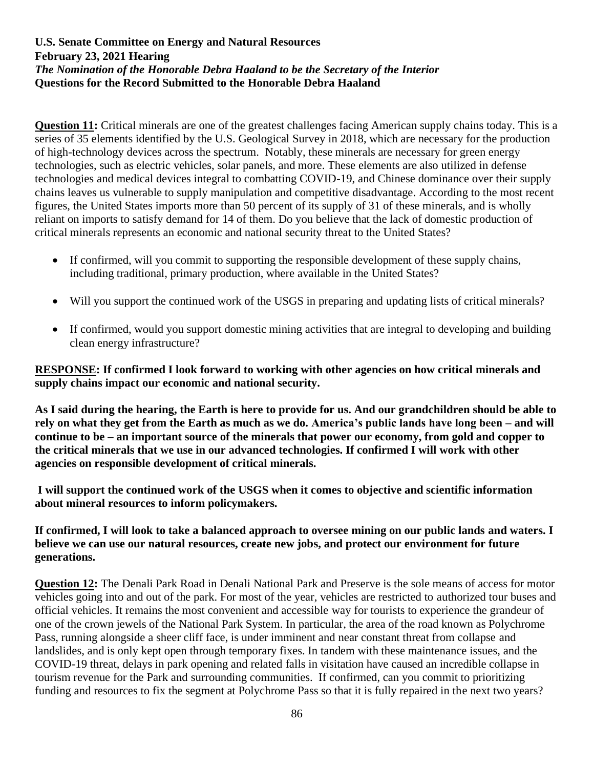**Question 11:** Critical minerals are one of the greatest challenges facing American supply chains today. This is a series of 35 elements identified by the U.S. Geological Survey in 2018, which are necessary for the production of high-technology devices across the spectrum. Notably, these minerals are necessary for green energy technologies, such as electric vehicles, solar panels, and more. These elements are also utilized in defense technologies and medical devices integral to combatting COVID-19, and Chinese dominance over their supply chains leaves us vulnerable to supply manipulation and competitive disadvantage. According to the most recent figures, the United States imports more than 50 percent of its supply of 31 of these minerals, and is wholly reliant on imports to satisfy demand for 14 of them. Do you believe that the lack of domestic production of critical minerals represents an economic and national security threat to the United States?

- If confirmed, will you commit to supporting the responsible development of these supply chains, including traditional, primary production, where available in the United States?
- Will you support the continued work of the USGS in preparing and updating lists of critical minerals?
- If confirmed, would you support domestic mining activities that are integral to developing and building clean energy infrastructure?

## **RESPONSE: If confirmed I look forward to working with other agencies on how critical minerals and supply chains impact our economic and national security.**

**As I said during the hearing, the Earth is here to provide for us. And our grandchildren should be able to rely on what they get from the Earth as much as we do. America's public lands have long been – and will continue to be – an important source of the minerals that power our economy, from gold and copper to the critical minerals that we use in our advanced technologies. If confirmed I will work with other agencies on responsible development of critical minerals.**

**I will support the continued work of the USGS when it comes to objective and scientific information about mineral resources to inform policymakers.**

## **If confirmed, I will look to take a balanced approach to oversee mining on our public lands and waters. I believe we can use our natural resources, create new jobs, and protect our environment for future generations.**

**Question 12:** The Denali Park Road in Denali National Park and Preserve is the sole means of access for motor vehicles going into and out of the park. For most of the year, vehicles are restricted to authorized tour buses and official vehicles. It remains the most convenient and accessible way for tourists to experience the grandeur of one of the crown jewels of the National Park System. In particular, the area of the road known as Polychrome Pass, running alongside a sheer cliff face, is under imminent and near constant threat from collapse and landslides, and is only kept open through temporary fixes. In tandem with these maintenance issues, and the COVID-19 threat, delays in park opening and related falls in visitation have caused an incredible collapse in tourism revenue for the Park and surrounding communities. If confirmed, can you commit to prioritizing funding and resources to fix the segment at Polychrome Pass so that it is fully repaired in the next two years?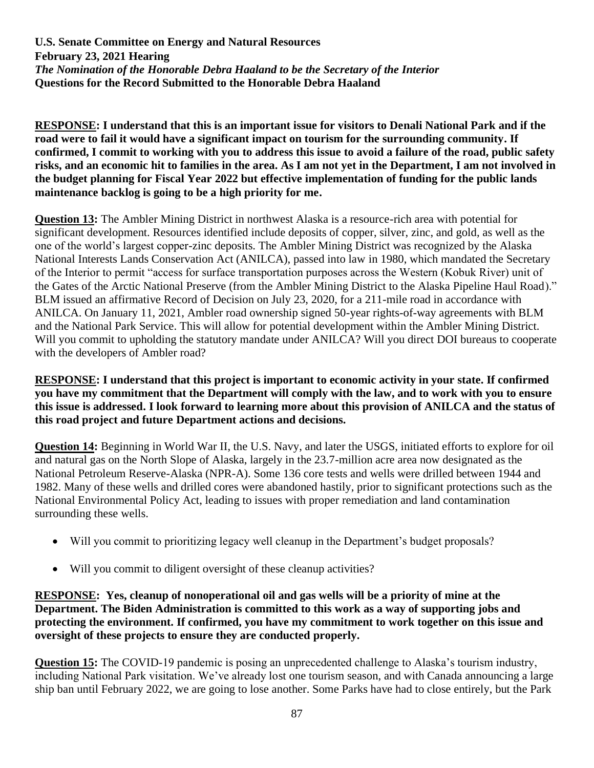**RESPONSE: I understand that this is an important issue for visitors to Denali National Park and if the road were to fail it would have a significant impact on tourism for the surrounding community. If confirmed, I commit to working with you to address this issue to avoid a failure of the road, public safety risks, and an economic hit to families in the area. As I am not yet in the Department, I am not involved in the budget planning for Fiscal Year 2022 but effective implementation of funding for the public lands maintenance backlog is going to be a high priority for me.**

**Question 13:** The Ambler Mining District in northwest Alaska is a resource-rich area with potential for significant development. Resources identified include deposits of copper, silver, zinc, and gold, as well as the one of the world's largest copper-zinc deposits. The Ambler Mining District was recognized by the Alaska National Interests Lands Conservation Act (ANILCA), passed into law in 1980, which mandated the Secretary of the Interior to permit "access for surface transportation purposes across the Western (Kobuk River) unit of the Gates of the Arctic National Preserve (from the Ambler Mining District to the Alaska Pipeline Haul Road)." BLM issued an affirmative Record of Decision on July 23, 2020, for a 211-mile road in accordance with ANILCA. On January 11, 2021, Ambler road ownership signed 50-year rights-of-way agreements with BLM and the National Park Service. This will allow for potential development within the Ambler Mining District. Will you commit to upholding the statutory mandate under ANILCA? Will you direct DOI bureaus to cooperate with the developers of Ambler road?

**RESPONSE: I understand that this project is important to economic activity in your state. If confirmed you have my commitment that the Department will comply with the law, and to work with you to ensure this issue is addressed. I look forward to learning more about this provision of ANILCA and the status of this road project and future Department actions and decisions.** 

**Question 14:** Beginning in World War II, the U.S. Navy, and later the USGS, initiated efforts to explore for oil and natural gas on the North Slope of Alaska, largely in the 23.7-million acre area now designated as the National Petroleum Reserve-Alaska (NPR-A). Some 136 core tests and wells were drilled between 1944 and 1982. Many of these wells and drilled cores were abandoned hastily, prior to significant protections such as the National Environmental Policy Act, leading to issues with proper remediation and land contamination surrounding these wells.

- Will you commit to prioritizing legacy well cleanup in the Department's budget proposals?
- Will you commit to diligent oversight of these cleanup activities?

**RESPONSE: Yes, cleanup of nonoperational oil and gas wells will be a priority of mine at the Department. The Biden Administration is committed to this work as a way of supporting jobs and protecting the environment. If confirmed, you have my commitment to work together on this issue and oversight of these projects to ensure they are conducted properly.** 

**Question 15:** The COVID-19 pandemic is posing an unprecedented challenge to Alaska's tourism industry, including National Park visitation. We've already lost one tourism season, and with Canada announcing a large ship ban until February 2022, we are going to lose another. Some Parks have had to close entirely, but the Park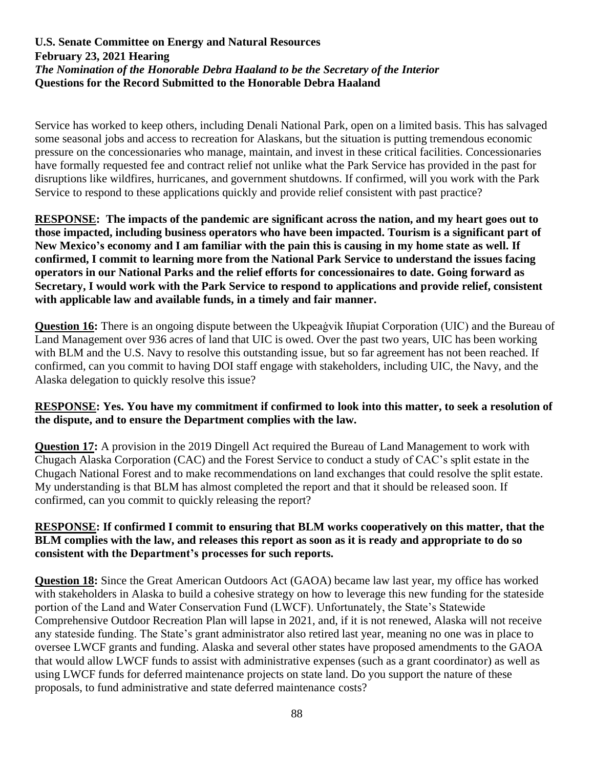Service has worked to keep others, including Denali National Park, open on a limited basis. This has salvaged some seasonal jobs and access to recreation for Alaskans, but the situation is putting tremendous economic pressure on the concessionaries who manage, maintain, and invest in these critical facilities. Concessionaries have formally requested fee and contract relief not unlike what the Park Service has provided in the past for disruptions like wildfires, hurricanes, and government shutdowns. If confirmed, will you work with the Park Service to respond to these applications quickly and provide relief consistent with past practice?

**RESPONSE: The impacts of the pandemic are significant across the nation, and my heart goes out to those impacted, including business operators who have been impacted. Tourism is a significant part of New Mexico's economy and I am familiar with the pain this is causing in my home state as well. If confirmed, I commit to learning more from the National Park Service to understand the issues facing operators in our National Parks and the relief efforts for concessionaires to date. Going forward as Secretary, I would work with the Park Service to respond to applications and provide relief, consistent with applicable law and available funds, in a timely and fair manner.**

**Question 16:** There is an ongoing dispute between the Ukpeaġvik Iñupiat Corporation (UIC) and the Bureau of Land Management over 936 acres of land that UIC is owed. Over the past two years, UIC has been working with BLM and the U.S. Navy to resolve this outstanding issue, but so far agreement has not been reached. If confirmed, can you commit to having DOI staff engage with stakeholders, including UIC, the Navy, and the Alaska delegation to quickly resolve this issue?

## **RESPONSE: Yes. You have my commitment if confirmed to look into this matter, to seek a resolution of the dispute, and to ensure the Department complies with the law.**

**Question 17:** A provision in the 2019 Dingell Act required the Bureau of Land Management to work with Chugach Alaska Corporation (CAC) and the Forest Service to conduct a study of CAC's split estate in the Chugach National Forest and to make recommendations on land exchanges that could resolve the split estate. My understanding is that BLM has almost completed the report and that it should be released soon. If confirmed, can you commit to quickly releasing the report?

## **RESPONSE: If confirmed I commit to ensuring that BLM works cooperatively on this matter, that the BLM complies with the law, and releases this report as soon as it is ready and appropriate to do so consistent with the Department's processes for such reports.**

**Question 18:** Since the Great American Outdoors Act (GAOA) became law last year, my office has worked with stakeholders in Alaska to build a cohesive strategy on how to leverage this new funding for the stateside portion of the Land and Water Conservation Fund (LWCF). Unfortunately, the State's Statewide Comprehensive Outdoor Recreation Plan will lapse in 2021, and, if it is not renewed, Alaska will not receive any stateside funding. The State's grant administrator also retired last year, meaning no one was in place to oversee LWCF grants and funding. Alaska and several other states have proposed amendments to the GAOA that would allow LWCF funds to assist with administrative expenses (such as a grant coordinator) as well as using LWCF funds for deferred maintenance projects on state land. Do you support the nature of these proposals, to fund administrative and state deferred maintenance costs?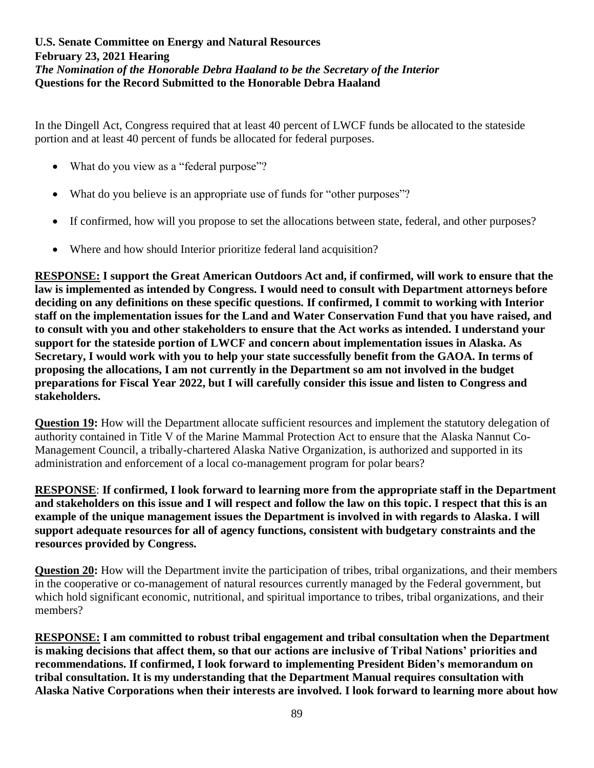In the Dingell Act, Congress required that at least 40 percent of LWCF funds be allocated to the stateside portion and at least 40 percent of funds be allocated for federal purposes.

- What do you view as a "federal purpose"?
- What do you believe is an appropriate use of funds for "other purposes"?
- If confirmed, how will you propose to set the allocations between state, federal, and other purposes?
- Where and how should Interior prioritize federal land acquisition?

**RESPONSE: I support the Great American Outdoors Act and, if confirmed, will work to ensure that the law is implemented as intended by Congress. I would need to consult with Department attorneys before deciding on any definitions on these specific questions. If confirmed, I commit to working with Interior staff on the implementation issues for the Land and Water Conservation Fund that you have raised, and to consult with you and other stakeholders to ensure that the Act works as intended. I understand your support for the stateside portion of LWCF and concern about implementation issues in Alaska. As Secretary, I would work with you to help your state successfully benefit from the GAOA. In terms of proposing the allocations, I am not currently in the Department so am not involved in the budget preparations for Fiscal Year 2022, but I will carefully consider this issue and listen to Congress and stakeholders.**

**Question 19:** How will the Department allocate sufficient resources and implement the statutory delegation of authority contained in Title V of the Marine Mammal Protection Act to ensure that the Alaska Nannut Co-Management Council, a tribally-chartered Alaska Native Organization, is authorized and supported in its administration and enforcement of a local co-management program for polar bears?

**RESPONSE**: **If confirmed, I look forward to learning more from the appropriate staff in the Department and stakeholders on this issue and I will respect and follow the law on this topic. I respect that this is an example of the unique management issues the Department is involved in with regards to Alaska. I will support adequate resources for all of agency functions, consistent with budgetary constraints and the resources provided by Congress.**

**Question 20:** How will the Department invite the participation of tribes, tribal organizations, and their members in the cooperative or co-management of natural resources currently managed by the Federal government, but which hold significant economic, nutritional, and spiritual importance to tribes, tribal organizations, and their members?

**RESPONSE: I am committed to robust tribal engagement and tribal consultation when the Department is making decisions that affect them, so that our actions are inclusive of Tribal Nations' priorities and recommendations. If confirmed, I look forward to implementing President Biden's memorandum on tribal consultation. It is my understanding that the Department Manual requires consultation with Alaska Native Corporations when their interests are involved. I look forward to learning more about how**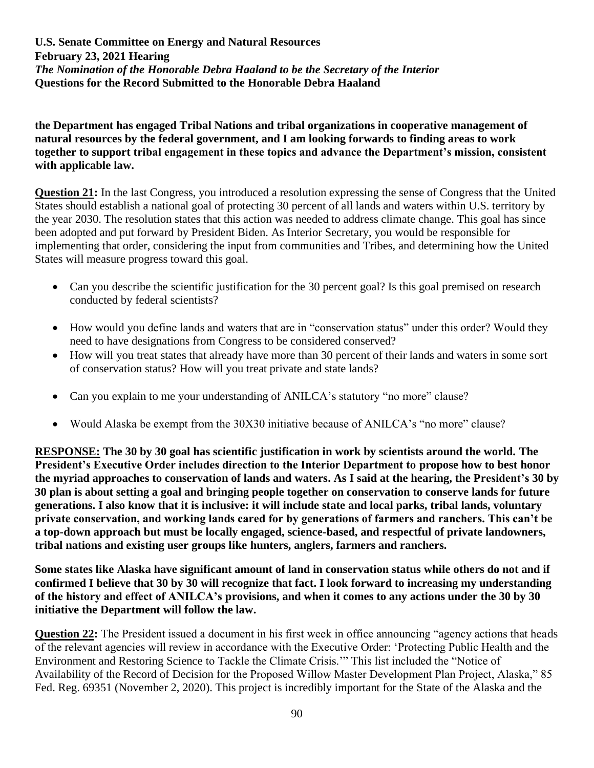**the Department has engaged Tribal Nations and tribal organizations in cooperative management of natural resources by the federal government, and I am looking forwards to finding areas to work together to support tribal engagement in these topics and advance the Department's mission, consistent with applicable law.**

**Question 21:** In the last Congress, you introduced a resolution expressing the sense of Congress that the United States should establish a national goal of protecting 30 percent of all lands and waters within U.S. territory by the year 2030. The resolution states that this action was needed to address climate change. This goal has since been adopted and put forward by President Biden. As Interior Secretary, you would be responsible for implementing that order, considering the input from communities and Tribes, and determining how the United States will measure progress toward this goal.

- Can you describe the scientific justification for the 30 percent goal? Is this goal premised on research conducted by federal scientists?
- How would you define lands and waters that are in "conservation status" under this order? Would they need to have designations from Congress to be considered conserved?
- How will you treat states that already have more than 30 percent of their lands and waters in some sort of conservation status? How will you treat private and state lands?
- Can you explain to me your understanding of ANILCA's statutory "no more" clause?
- Would Alaska be exempt from the 30X30 initiative because of ANILCA's "no more" clause?

**RESPONSE: The 30 by 30 goal has scientific justification in work by scientists around the world. The President's Executive Order includes direction to the Interior Department to propose how to best honor the myriad approaches to conservation of lands and waters. As I said at the hearing, the President's 30 by 30 plan is about setting a goal and bringing people together on conservation to conserve lands for future generations. I also know that it is inclusive: it will include state and local parks, tribal lands, voluntary private conservation, and working lands cared for by generations of farmers and ranchers. This can't be a top-down approach but must be locally engaged, science-based, and respectful of private landowners, tribal nations and existing user groups like hunters, anglers, farmers and ranchers.** 

**Some states like Alaska have significant amount of land in conservation status while others do not and if confirmed I believe that 30 by 30 will recognize that fact. I look forward to increasing my understanding of the history and effect of ANILCA's provisions, and when it comes to any actions under the 30 by 30 initiative the Department will follow the law.** 

**Question 22:** The President issued a document in his first week in office announcing "agency actions that heads of the relevant agencies will review in accordance with the Executive Order: 'Protecting Public Health and the Environment and Restoring Science to Tackle the Climate Crisis.'" This list included the "Notice of Availability of the Record of Decision for the Proposed Willow Master Development Plan Project, Alaska," 85 Fed. Reg. 69351 (November 2, 2020). This project is incredibly important for the State of the Alaska and the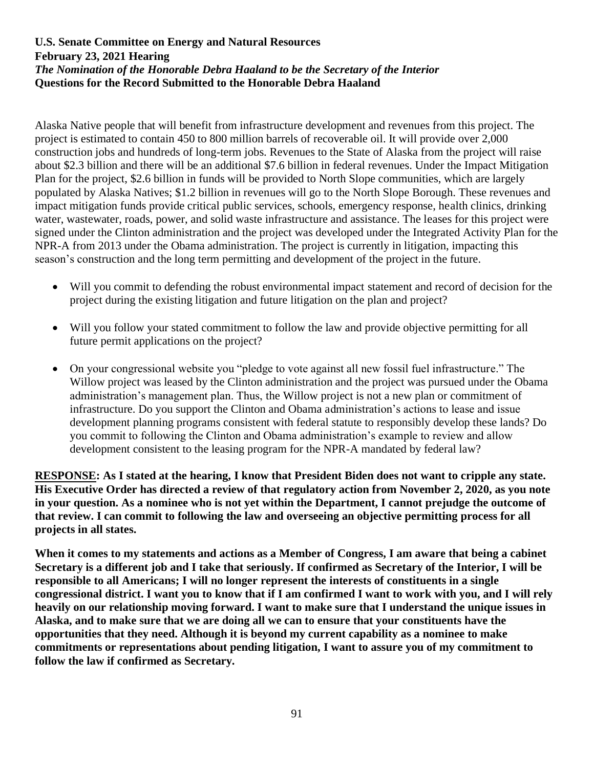Alaska Native people that will benefit from infrastructure development and revenues from this project. The project is estimated to contain 450 to 800 million barrels of recoverable oil. It will provide over 2,000 construction jobs and hundreds of long-term jobs. Revenues to the State of Alaska from the project will raise about \$2.3 billion and there will be an additional \$7.6 billion in federal revenues. Under the Impact Mitigation Plan for the project, \$2.6 billion in funds will be provided to North Slope communities, which are largely populated by Alaska Natives; \$1.2 billion in revenues will go to the North Slope Borough. These revenues and impact mitigation funds provide critical public services, schools, emergency response, health clinics, drinking water, wastewater, roads, power, and solid waste infrastructure and assistance. The leases for this project were signed under the Clinton administration and the project was developed under the Integrated Activity Plan for the NPR-A from 2013 under the Obama administration. The project is currently in litigation, impacting this season's construction and the long term permitting and development of the project in the future.

- Will you commit to defending the robust environmental impact statement and record of decision for the project during the existing litigation and future litigation on the plan and project?
- Will you follow your stated commitment to follow the law and provide objective permitting for all future permit applications on the project?
- On your congressional website you "pledge to vote against all new fossil fuel infrastructure." The Willow project was leased by the Clinton administration and the project was pursued under the Obama administration's management plan. Thus, the Willow project is not a new plan or commitment of infrastructure. Do you support the Clinton and Obama administration's actions to lease and issue development planning programs consistent with federal statute to responsibly develop these lands? Do you commit to following the Clinton and Obama administration's example to review and allow development consistent to the leasing program for the NPR-A mandated by federal law?

**RESPONSE: As I stated at the hearing, I know that President Biden does not want to cripple any state. His Executive Order has directed a review of that regulatory action from November 2, 2020, as you note in your question. As a nominee who is not yet within the Department, I cannot prejudge the outcome of that review. I can commit to following the law and overseeing an objective permitting process for all projects in all states.**

**When it comes to my statements and actions as a Member of Congress, I am aware that being a cabinet Secretary is a different job and I take that seriously. If confirmed as Secretary of the Interior, I will be responsible to all Americans; I will no longer represent the interests of constituents in a single congressional district. I want you to know that if I am confirmed I want to work with you, and I will rely heavily on our relationship moving forward. I want to make sure that I understand the unique issues in Alaska, and to make sure that we are doing all we can to ensure that your constituents have the opportunities that they need. Although it is beyond my current capability as a nominee to make commitments or representations about pending litigation, I want to assure you of my commitment to follow the law if confirmed as Secretary.**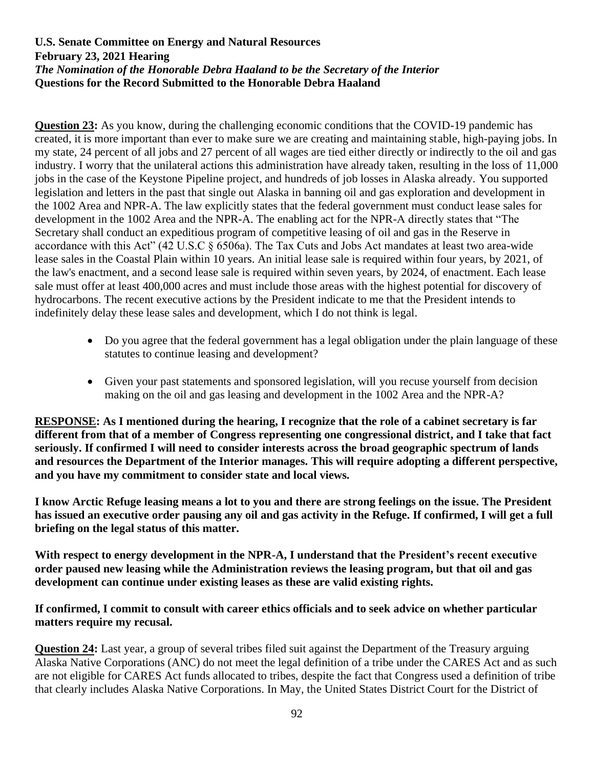**Question 23:** As you know, during the challenging economic conditions that the COVID-19 pandemic has created, it is more important than ever to make sure we are creating and maintaining stable, high-paying jobs. In my state, 24 percent of all jobs and 27 percent of all wages are tied either directly or indirectly to the oil and gas industry. I worry that the unilateral actions this administration have already taken, resulting in the loss of 11,000 jobs in the case of the Keystone Pipeline project, and hundreds of job losses in Alaska already. You supported legislation and letters in the past that single out Alaska in banning oil and gas exploration and development in the 1002 Area and NPR-A. The law explicitly states that the federal government must conduct lease sales for development in the 1002 Area and the NPR-A. The enabling act for the NPR-A directly states that "The Secretary shall conduct an expeditious program of competitive leasing of oil and gas in the Reserve in accordance with this Act" (42 U.S.C § 6506a). The Tax Cuts and Jobs Act mandates at least two area-wide lease sales in the Coastal Plain within 10 years. An initial lease sale is required within four years, by 2021, of the law's enactment, and a second lease sale is required within seven years, by 2024, of enactment. Each lease sale must offer at least 400,000 acres and must include those areas with the highest potential for discovery of hydrocarbons. The recent executive actions by the President indicate to me that the President intends to indefinitely delay these lease sales and development, which I do not think is legal.

- Do you agree that the federal government has a legal obligation under the plain language of these statutes to continue leasing and development?
- Given your past statements and sponsored legislation, will you recuse yourself from decision making on the oil and gas leasing and development in the 1002 Area and the NPR-A?

**RESPONSE: As I mentioned during the hearing, I recognize that the role of a cabinet secretary is far different from that of a member of Congress representing one congressional district, and I take that fact seriously. If confirmed I will need to consider interests across the broad geographic spectrum of lands and resources the Department of the Interior manages. This will require adopting a different perspective, and you have my commitment to consider state and local views.**

**I know Arctic Refuge leasing means a lot to you and there are strong feelings on the issue. The President has issued an executive order pausing any oil and gas activity in the Refuge. If confirmed, I will get a full briefing on the legal status of this matter.** 

**With respect to energy development in the NPR-A, I understand that the President's recent executive order paused new leasing while the Administration reviews the leasing program, but that oil and gas development can continue under existing leases as these are valid existing rights.**

## **If confirmed, I commit to consult with career ethics officials and to seek advice on whether particular matters require my recusal.**

**Question 24:** Last year, a group of several tribes filed suit against the Department of the Treasury arguing Alaska Native Corporations (ANC) do not meet the legal definition of a tribe under the CARES Act and as such are not eligible for CARES Act funds allocated to tribes, despite the fact that Congress used a definition of tribe that clearly includes Alaska Native Corporations. In May, the United States District Court for the District of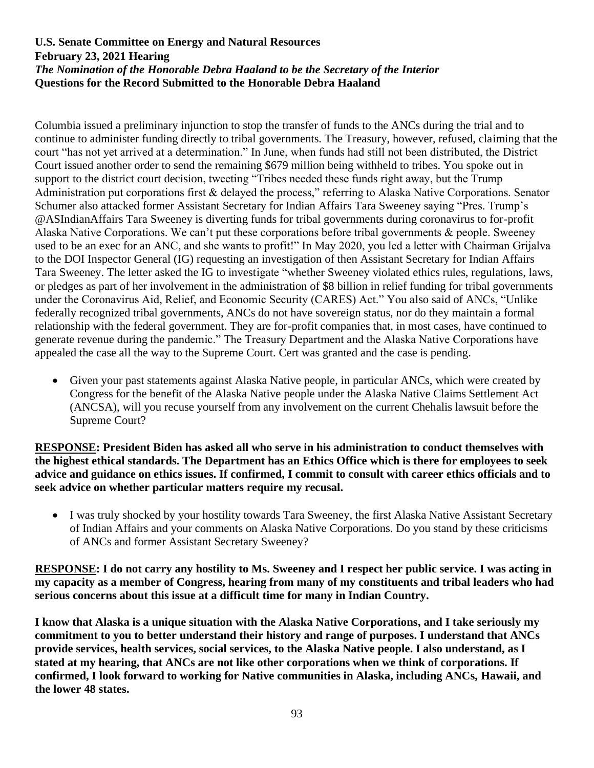Columbia issued a preliminary injunction to stop the transfer of funds to the ANCs during the trial and to continue to administer funding directly to tribal governments. The Treasury, however, refused, claiming that the court "has not yet arrived at a determination." In June, when funds had still not been distributed, the District Court issued another order to send the remaining \$679 million being withheld to tribes. You spoke out in support to the district court decision, tweeting "Tribes needed these funds right away, but the Trump Administration put corporations first & delayed the process," referring to Alaska Native Corporations. Senator Schumer also attacked former Assistant Secretary for Indian Affairs Tara Sweeney saying "Pres. Trump's @ASIndianAffairs Tara Sweeney is diverting funds for tribal governments during coronavirus to for-profit Alaska Native Corporations. We can't put these corporations before tribal governments & people. Sweeney used to be an exec for an ANC, and she wants to profit!" In May 2020, you led a letter with Chairman Grijalva to the DOI Inspector General (IG) requesting an investigation of then Assistant Secretary for Indian Affairs Tara Sweeney. The letter asked the IG to investigate "whether Sweeney violated ethics rules, regulations, laws, or pledges as part of her involvement in the administration of \$8 billion in relief funding for tribal governments under the Coronavirus Aid, Relief, and Economic Security (CARES) Act." You also said of ANCs, "Unlike federally recognized tribal governments, ANCs do not have sovereign status, nor do they maintain a formal relationship with the federal government. They are for-profit companies that, in most cases, have continued to generate revenue during the pandemic." The Treasury Department and the Alaska Native Corporations have appealed the case all the way to the Supreme Court. Cert was granted and the case is pending.

• Given your past statements against Alaska Native people, in particular ANCs, which were created by Congress for the benefit of the Alaska Native people under the Alaska Native Claims Settlement Act (ANCSA), will you recuse yourself from any involvement on the current Chehalis lawsuit before the Supreme Court?

**RESPONSE: President Biden has asked all who serve in his administration to conduct themselves with the highest ethical standards. The Department has an Ethics Office which is there for employees to seek advice and guidance on ethics issues. If confirmed, I commit to consult with career ethics officials and to seek advice on whether particular matters require my recusal.**

• I was truly shocked by your hostility towards Tara Sweeney, the first Alaska Native Assistant Secretary of Indian Affairs and your comments on Alaska Native Corporations. Do you stand by these criticisms of ANCs and former Assistant Secretary Sweeney?

**RESPONSE: I do not carry any hostility to Ms. Sweeney and I respect her public service. I was acting in my capacity as a member of Congress, hearing from many of my constituents and tribal leaders who had serious concerns about this issue at a difficult time for many in Indian Country.**

**I know that Alaska is a unique situation with the Alaska Native Corporations, and I take seriously my commitment to you to better understand their history and range of purposes. I understand that ANCs provide services, health services, social services, to the Alaska Native people. I also understand, as I stated at my hearing, that ANCs are not like other corporations when we think of corporations. If confirmed, I look forward to working for Native communities in Alaska, including ANCs, Hawaii, and the lower 48 states.**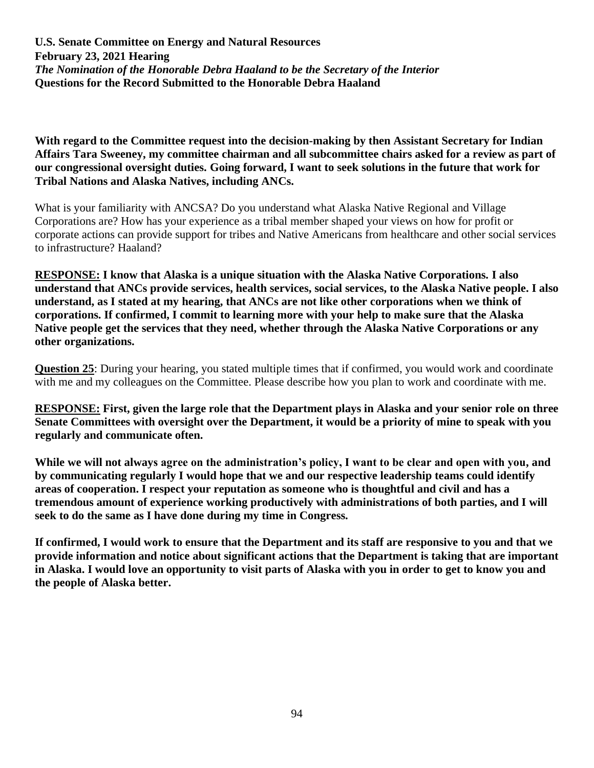**With regard to the Committee request into the decision-making by then Assistant Secretary for Indian Affairs Tara Sweeney, my committee chairman and all subcommittee chairs asked for a review as part of our congressional oversight duties. Going forward, I want to seek solutions in the future that work for Tribal Nations and Alaska Natives, including ANCs.**

What is your familiarity with ANCSA? Do you understand what Alaska Native Regional and Village Corporations are? How has your experience as a tribal member shaped your views on how for profit or corporate actions can provide support for tribes and Native Americans from healthcare and other social services to infrastructure? Haaland?

**RESPONSE: I know that Alaska is a unique situation with the Alaska Native Corporations. I also understand that ANCs provide services, health services, social services, to the Alaska Native people. I also understand, as I stated at my hearing, that ANCs are not like other corporations when we think of corporations. If confirmed, I commit to learning more with your help to make sure that the Alaska Native people get the services that they need, whether through the Alaska Native Corporations or any other organizations.** 

**Question 25**: During your hearing, you stated multiple times that if confirmed, you would work and coordinate with me and my colleagues on the Committee. Please describe how you plan to work and coordinate with me.

**RESPONSE: First, given the large role that the Department plays in Alaska and your senior role on three Senate Committees with oversight over the Department, it would be a priority of mine to speak with you regularly and communicate often.** 

**While we will not always agree on the administration's policy, I want to be clear and open with you, and by communicating regularly I would hope that we and our respective leadership teams could identify areas of cooperation. I respect your reputation as someone who is thoughtful and civil and has a tremendous amount of experience working productively with administrations of both parties, and I will seek to do the same as I have done during my time in Congress.**

**If confirmed, I would work to ensure that the Department and its staff are responsive to you and that we provide information and notice about significant actions that the Department is taking that are important in Alaska. I would love an opportunity to visit parts of Alaska with you in order to get to know you and the people of Alaska better.**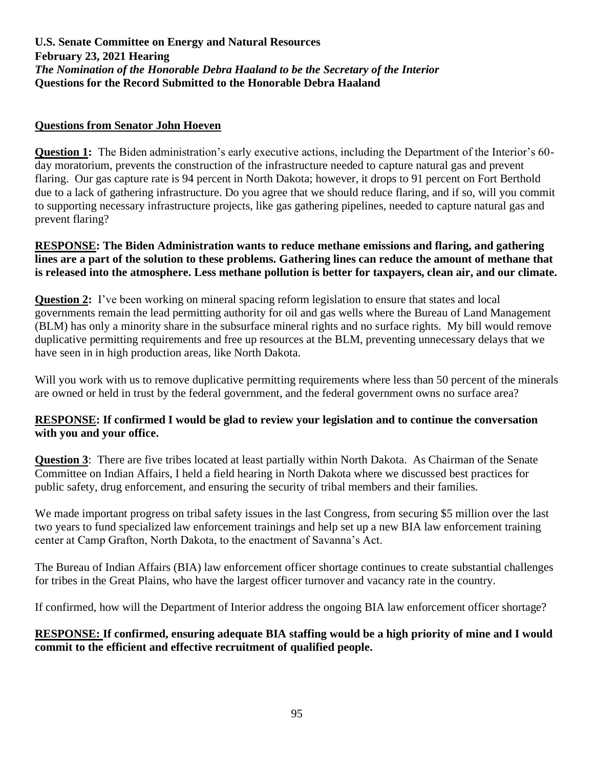### **Questions from Senator John Hoeven**

**Question 1:** The Biden administration's early executive actions, including the Department of the Interior's 60day moratorium, prevents the construction of the infrastructure needed to capture natural gas and prevent flaring. Our gas capture rate is 94 percent in North Dakota; however, it drops to 91 percent on Fort Berthold due to a lack of gathering infrastructure. Do you agree that we should reduce flaring, and if so, will you commit to supporting necessary infrastructure projects, like gas gathering pipelines, needed to capture natural gas and prevent flaring?

#### **RESPONSE: The Biden Administration wants to reduce methane emissions and flaring, and gathering lines are a part of the solution to these problems. Gathering lines can reduce the amount of methane that is released into the atmosphere. Less methane pollution is better for taxpayers, clean air, and our climate.**

**Question 2:** I've been working on mineral spacing reform legislation to ensure that states and local governments remain the lead permitting authority for oil and gas wells where the Bureau of Land Management (BLM) has only a minority share in the subsurface mineral rights and no surface rights. My bill would remove duplicative permitting requirements and free up resources at the BLM, preventing unnecessary delays that we have seen in in high production areas, like North Dakota.

Will you work with us to remove duplicative permitting requirements where less than 50 percent of the minerals are owned or held in trust by the federal government, and the federal government owns no surface area?

## **RESPONSE: If confirmed I would be glad to review your legislation and to continue the conversation with you and your office.**

**Question 3**: There are five tribes located at least partially within North Dakota. As Chairman of the Senate Committee on Indian Affairs, I held a field hearing in North Dakota where we discussed best practices for public safety, drug enforcement, and ensuring the security of tribal members and their families.

We made important progress on tribal safety issues in the last Congress, from securing \$5 million over the last two years to fund specialized law enforcement trainings and help set up a new BIA law enforcement training center at Camp Grafton, North Dakota, to the enactment of Savanna's Act.

The Bureau of Indian Affairs (BIA) law enforcement officer shortage continues to create substantial challenges for tribes in the Great Plains, who have the largest officer turnover and vacancy rate in the country.

If confirmed, how will the Department of Interior address the ongoing BIA law enforcement officer shortage?

## **RESPONSE: If confirmed, ensuring adequate BIA staffing would be a high priority of mine and I would commit to the efficient and effective recruitment of qualified people.**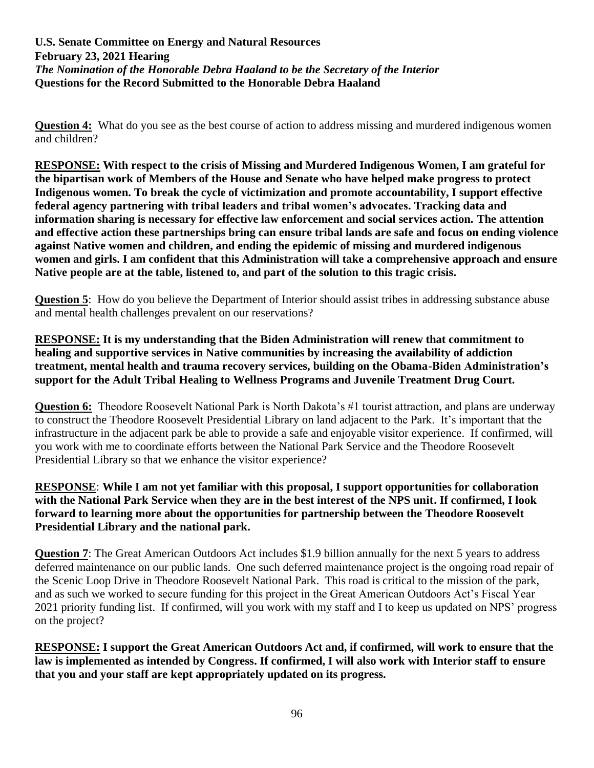**Question 4:** What do you see as the best course of action to address missing and murdered indigenous women and children?

**RESPONSE: With respect to the crisis of Missing and Murdered Indigenous Women, I am grateful for the bipartisan work of Members of the House and Senate who have helped make progress to protect Indigenous women. To break the cycle of victimization and promote accountability, I support effective federal agency partnering with tribal leaders and tribal women's advocates. Tracking data and information sharing is necessary for effective law enforcement and social services action. The attention and effective action these partnerships bring can ensure tribal lands are safe and focus on ending violence against Native women and children, and ending the epidemic of missing and murdered indigenous women and girls. I am confident that this Administration will take a comprehensive approach and ensure Native people are at the table, listened to, and part of the solution to this tragic crisis.**

**Question 5**: How do you believe the Department of Interior should assist tribes in addressing substance abuse and mental health challenges prevalent on our reservations?

**RESPONSE: It is my understanding that the Biden Administration will renew that commitment to healing and supportive services in Native communities by increasing the availability of addiction treatment, mental health and trauma recovery services, building on the Obama-Biden Administration's support for the Adult Tribal Healing to Wellness Programs and Juvenile Treatment Drug Court.**

**Question 6:** Theodore Roosevelt National Park is North Dakota's #1 tourist attraction, and plans are underway to construct the Theodore Roosevelt Presidential Library on land adjacent to the Park. It's important that the infrastructure in the adjacent park be able to provide a safe and enjoyable visitor experience. If confirmed, will you work with me to coordinate efforts between the National Park Service and the Theodore Roosevelt Presidential Library so that we enhance the visitor experience?

**RESPONSE**: **While I am not yet familiar with this proposal, I support opportunities for collaboration with the National Park Service when they are in the best interest of the NPS unit. If confirmed, I look forward to learning more about the opportunities for partnership between the Theodore Roosevelt Presidential Library and the national park.**

**Question 7:** The Great American Outdoors Act includes \$1.9 billion annually for the next 5 years to address deferred maintenance on our public lands. One such deferred maintenance project is the ongoing road repair of the Scenic Loop Drive in Theodore Roosevelt National Park. This road is critical to the mission of the park, and as such we worked to secure funding for this project in the Great American Outdoors Act's Fiscal Year 2021 priority funding list. If confirmed, will you work with my staff and I to keep us updated on NPS' progress on the project?

**RESPONSE: I support the Great American Outdoors Act and, if confirmed, will work to ensure that the law is implemented as intended by Congress. If confirmed, I will also work with Interior staff to ensure that you and your staff are kept appropriately updated on its progress.**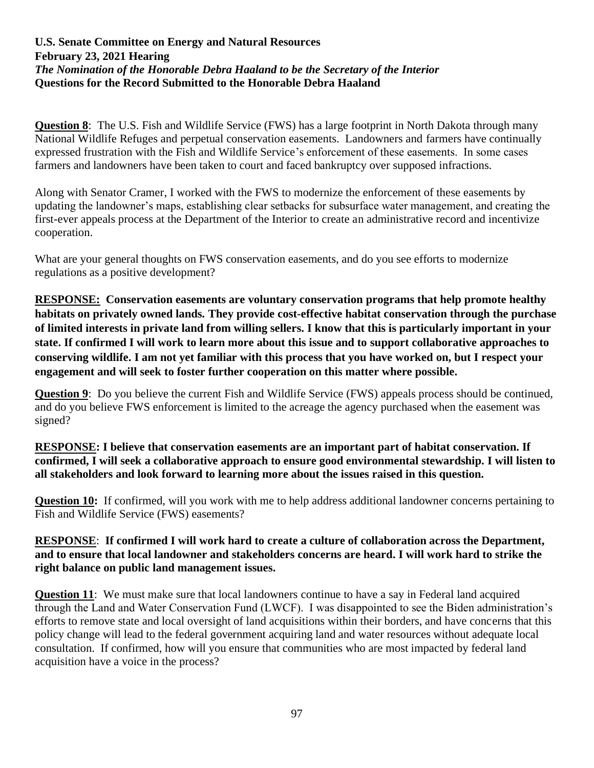**Question 8**: The U.S. Fish and Wildlife Service (FWS) has a large footprint in North Dakota through many National Wildlife Refuges and perpetual conservation easements. Landowners and farmers have continually expressed frustration with the Fish and Wildlife Service's enforcement of these easements. In some cases farmers and landowners have been taken to court and faced bankruptcy over supposed infractions.

Along with Senator Cramer, I worked with the FWS to modernize the enforcement of these easements by updating the landowner's maps, establishing clear setbacks for subsurface water management, and creating the first-ever appeals process at the Department of the Interior to create an administrative record and incentivize cooperation.

What are your general thoughts on FWS conservation easements, and do you see efforts to modernize regulations as a positive development?

**RESPONSE: Conservation easements are voluntary conservation programs that help promote healthy habitats on privately owned lands. They provide cost-effective habitat conservation through the purchase of limited interests in private land from willing sellers. I know that this is particularly important in your state. If confirmed I will work to learn more about this issue and to support collaborative approaches to conserving wildlife. I am not yet familiar with this process that you have worked on, but I respect your engagement and will seek to foster further cooperation on this matter where possible.**

**Question 9:** Do you believe the current Fish and Wildlife Service (FWS) appeals process should be continued, and do you believe FWS enforcement is limited to the acreage the agency purchased when the easement was signed?

## **RESPONSE: I believe that conservation easements are an important part of habitat conservation. If confirmed, I will seek a collaborative approach to ensure good environmental stewardship. I will listen to all stakeholders and look forward to learning more about the issues raised in this question.**

**Question 10:** If confirmed, will you work with me to help address additional landowner concerns pertaining to Fish and Wildlife Service (FWS) easements?

#### **RESPONSE**: **If confirmed I will work hard to create a culture of collaboration across the Department, and to ensure that local landowner and stakeholders concerns are heard. I will work hard to strike the right balance on public land management issues.**

**Question 11**: We must make sure that local landowners continue to have a say in Federal land acquired through the Land and Water Conservation Fund (LWCF). I was disappointed to see the Biden administration's efforts to remove state and local oversight of land acquisitions within their borders, and have concerns that this policy change will lead to the federal government acquiring land and water resources without adequate local consultation. If confirmed, how will you ensure that communities who are most impacted by federal land acquisition have a voice in the process?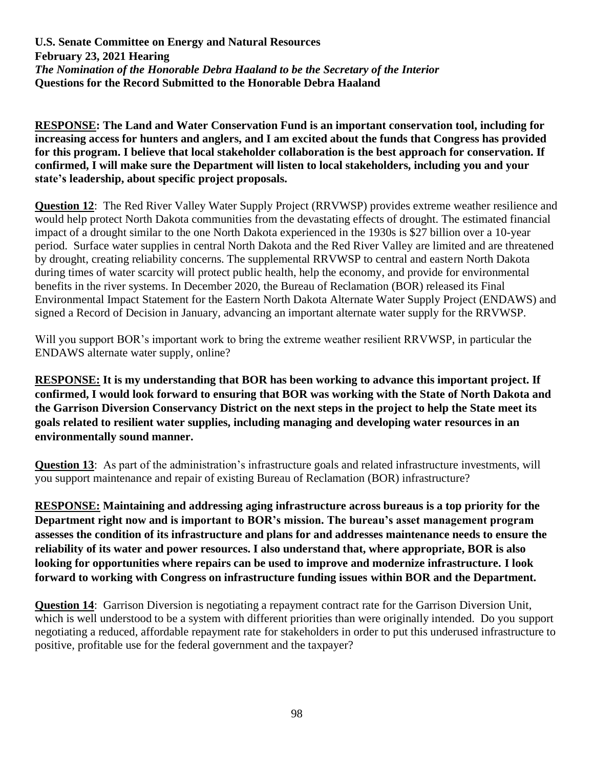**RESPONSE: The Land and Water Conservation Fund is an important conservation tool, including for increasing access for hunters and anglers, and I am excited about the funds that Congress has provided for this program. I believe that local stakeholder collaboration is the best approach for conservation. If confirmed, I will make sure the Department will listen to local stakeholders, including you and your state's leadership, about specific project proposals.** 

**Question 12**: The Red River Valley Water Supply Project (RRVWSP) provides extreme weather resilience and would help protect North Dakota communities from the devastating effects of drought. The estimated financial impact of a drought similar to the one North Dakota experienced in the 1930s is \$27 billion over a 10-year period. Surface water supplies in central North Dakota and the Red River Valley are limited and are threatened by drought, creating reliability concerns. The supplemental RRVWSP to central and eastern North Dakota during times of water scarcity will protect public health, help the economy, and provide for environmental benefits in the river systems. In December 2020, the Bureau of Reclamation (BOR) released its Final Environmental Impact Statement for the Eastern North Dakota Alternate Water Supply Project (ENDAWS) and signed a Record of Decision in January, advancing an important alternate water supply for the RRVWSP.

Will you support BOR's important work to bring the extreme weather resilient RRVWSP, in particular the ENDAWS alternate water supply, online?

**RESPONSE: It is my understanding that BOR has been working to advance this important project. If confirmed, I would look forward to ensuring that BOR was working with the State of North Dakota and the Garrison Diversion Conservancy District on the next steps in the project to help the State meet its goals related to resilient water supplies, including managing and developing water resources in an environmentally sound manner.**

**Question 13:** As part of the administration's infrastructure goals and related infrastructure investments, will you support maintenance and repair of existing Bureau of Reclamation (BOR) infrastructure?

**RESPONSE: Maintaining and addressing aging infrastructure across bureaus is a top priority for the Department right now and is important to BOR's mission. The bureau's asset management program assesses the condition of its infrastructure and plans for and addresses maintenance needs to ensure the reliability of its water and power resources. I also understand that, where appropriate, BOR is also looking for opportunities where repairs can be used to improve and modernize infrastructure. I look forward to working with Congress on infrastructure funding issues within BOR and the Department.**

**Question 14:** Garrison Diversion is negotiating a repayment contract rate for the Garrison Diversion Unit, which is well understood to be a system with different priorities than were originally intended. Do you support negotiating a reduced, affordable repayment rate for stakeholders in order to put this underused infrastructure to positive, profitable use for the federal government and the taxpayer?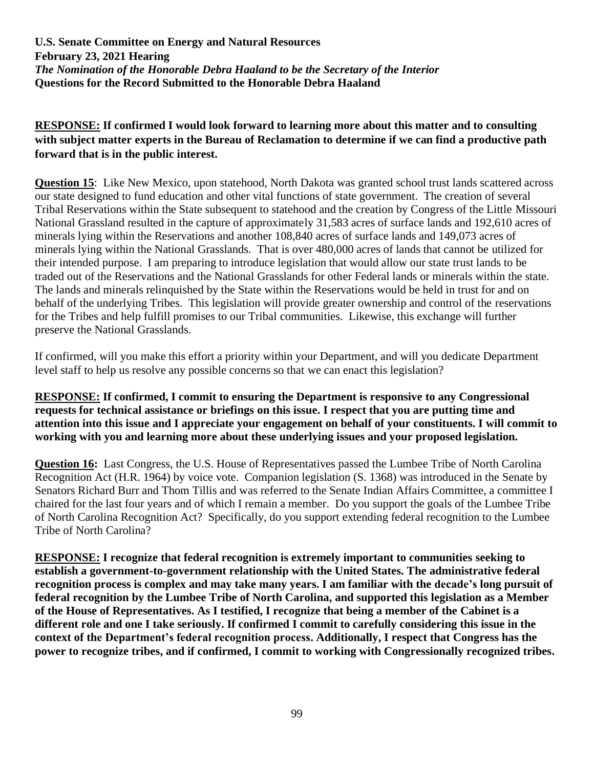# **RESPONSE: If confirmed I would look forward to learning more about this matter and to consulting with subject matter experts in the Bureau of Reclamation to determine if we can find a productive path forward that is in the public interest.**

**Question 15**: Like New Mexico, upon statehood, North Dakota was granted school trust lands scattered across our state designed to fund education and other vital functions of state government. The creation of several Tribal Reservations within the State subsequent to statehood and the creation by Congress of the Little Missouri National Grassland resulted in the capture of approximately 31,583 acres of surface lands and 192,610 acres of minerals lying within the Reservations and another 108,840 acres of surface lands and 149,073 acres of minerals lying within the National Grasslands. That is over 480,000 acres of lands that cannot be utilized for their intended purpose. I am preparing to introduce legislation that would allow our state trust lands to be traded out of the Reservations and the National Grasslands for other Federal lands or minerals within the state. The lands and minerals relinquished by the State within the Reservations would be held in trust for and on behalf of the underlying Tribes. This legislation will provide greater ownership and control of the reservations for the Tribes and help fulfill promises to our Tribal communities. Likewise, this exchange will further preserve the National Grasslands.

If confirmed, will you make this effort a priority within your Department, and will you dedicate Department level staff to help us resolve any possible concerns so that we can enact this legislation?

### **RESPONSE: If confirmed, I commit to ensuring the Department is responsive to any Congressional requests for technical assistance or briefings on this issue. I respect that you are putting time and attention into this issue and I appreciate your engagement on behalf of your constituents. I will commit to working with you and learning more about these underlying issues and your proposed legislation.**

**Question 16:** Last Congress, the U.S. House of Representatives passed the Lumbee Tribe of North Carolina Recognition Act (H.R. 1964) by voice vote. Companion legislation (S. 1368) was introduced in the Senate by Senators Richard Burr and Thom Tillis and was referred to the Senate Indian Affairs Committee, a committee I chaired for the last four years and of which I remain a member. Do you support the goals of the Lumbee Tribe of North Carolina Recognition Act? Specifically, do you support extending federal recognition to the Lumbee Tribe of North Carolina?

**RESPONSE: I recognize that federal recognition is extremely important to communities seeking to establish a government-to-government relationship with the United States. The administrative federal recognition process is complex and may take many years. I am familiar with the decade's long pursuit of federal recognition by the Lumbee Tribe of North Carolina, and supported this legislation as a Member of the House of Representatives. As I testified, I recognize that being a member of the Cabinet is a different role and one I take seriously. If confirmed I commit to carefully considering this issue in the context of the Department's federal recognition process. Additionally, I respect that Congress has the power to recognize tribes, and if confirmed, I commit to working with Congressionally recognized tribes.**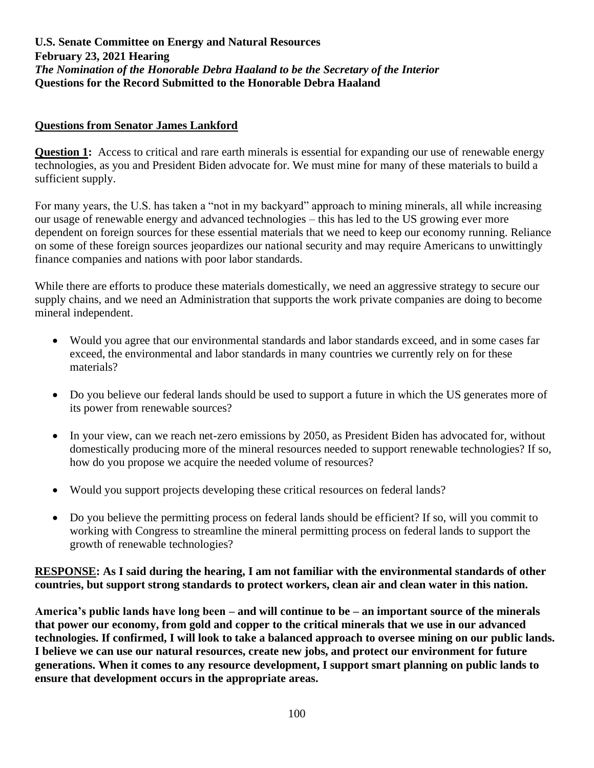### **Questions from Senator James Lankford**

**Question 1:** Access to critical and rare earth minerals is essential for expanding our use of renewable energy technologies, as you and President Biden advocate for. We must mine for many of these materials to build a sufficient supply.

For many years, the U.S. has taken a "not in my backyard" approach to mining minerals, all while increasing our usage of renewable energy and advanced technologies – this has led to the US growing ever more dependent on foreign sources for these essential materials that we need to keep our economy running. Reliance on some of these foreign sources jeopardizes our national security and may require Americans to unwittingly finance companies and nations with poor labor standards.

While there are efforts to produce these materials domestically, we need an aggressive strategy to secure our supply chains, and we need an Administration that supports the work private companies are doing to become mineral independent.

- Would you agree that our environmental standards and labor standards exceed, and in some cases far exceed, the environmental and labor standards in many countries we currently rely on for these materials?
- Do you believe our federal lands should be used to support a future in which the US generates more of its power from renewable sources?
- In your view, can we reach net-zero emissions by 2050, as President Biden has advocated for, without domestically producing more of the mineral resources needed to support renewable technologies? If so, how do you propose we acquire the needed volume of resources?
- Would you support projects developing these critical resources on federal lands?
- Do you believe the permitting process on federal lands should be efficient? If so, will you commit to working with Congress to streamline the mineral permitting process on federal lands to support the growth of renewable technologies?

#### **RESPONSE: As I said during the hearing, I am not familiar with the environmental standards of other countries, but support strong standards to protect workers, clean air and clean water in this nation.**

**America's public lands have long been – and will continue to be – an important source of the minerals that power our economy, from gold and copper to the critical minerals that we use in our advanced technologies. If confirmed, I will look to take a balanced approach to oversee mining on our public lands. I believe we can use our natural resources, create new jobs, and protect our environment for future generations. When it comes to any resource development, I support smart planning on public lands to ensure that development occurs in the appropriate areas.**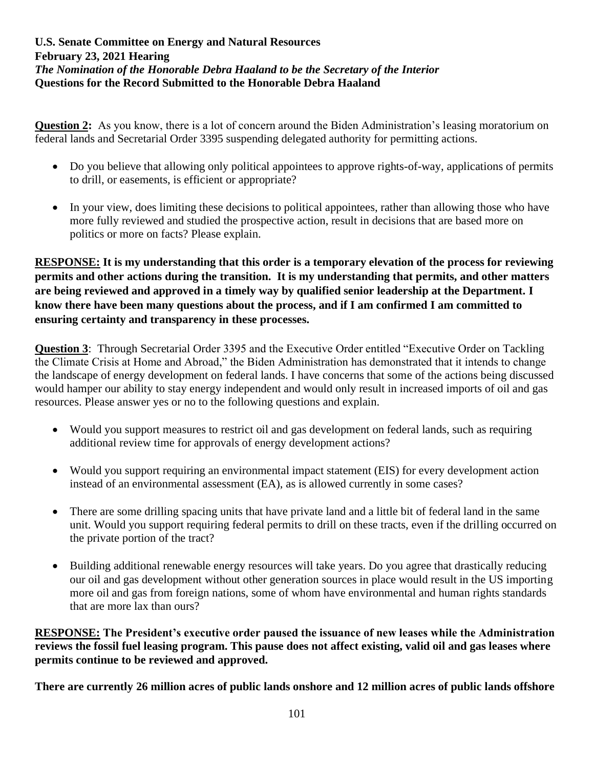**Question 2:** As you know, there is a lot of concern around the Biden Administration's leasing moratorium on federal lands and Secretarial Order 3395 suspending delegated authority for permitting actions.

- Do you believe that allowing only political appointees to approve rights-of-way, applications of permits to drill, or easements, is efficient or appropriate?
- In your view, does limiting these decisions to political appointees, rather than allowing those who have more fully reviewed and studied the prospective action, result in decisions that are based more on politics or more on facts? Please explain.

**RESPONSE: It is my understanding that this order is a temporary elevation of the process for reviewing permits and other actions during the transition. It is my understanding that permits, and other matters are being reviewed and approved in a timely way by qualified senior leadership at the Department. I know there have been many questions about the process, and if I am confirmed I am committed to ensuring certainty and transparency in these processes.**

**Question 3**: Through Secretarial Order 3395 and the Executive Order entitled "Executive Order on Tackling the Climate Crisis at Home and Abroad," the Biden Administration has demonstrated that it intends to change the landscape of energy development on federal lands. I have concerns that some of the actions being discussed would hamper our ability to stay energy independent and would only result in increased imports of oil and gas resources. Please answer yes or no to the following questions and explain.

- Would you support measures to restrict oil and gas development on federal lands, such as requiring additional review time for approvals of energy development actions?
- Would you support requiring an environmental impact statement (EIS) for every development action instead of an environmental assessment (EA), as is allowed currently in some cases?
- There are some drilling spacing units that have private land and a little bit of federal land in the same unit. Would you support requiring federal permits to drill on these tracts, even if the drilling occurred on the private portion of the tract?
- Building additional renewable energy resources will take years. Do you agree that drastically reducing our oil and gas development without other generation sources in place would result in the US importing more oil and gas from foreign nations, some of whom have environmental and human rights standards that are more lax than ours?

**RESPONSE: The President's executive order paused the issuance of new leases while the Administration reviews the fossil fuel leasing program. This pause does not affect existing, valid oil and gas leases where permits continue to be reviewed and approved.** 

**There are currently 26 million acres of public lands onshore and 12 million acres of public lands offshore**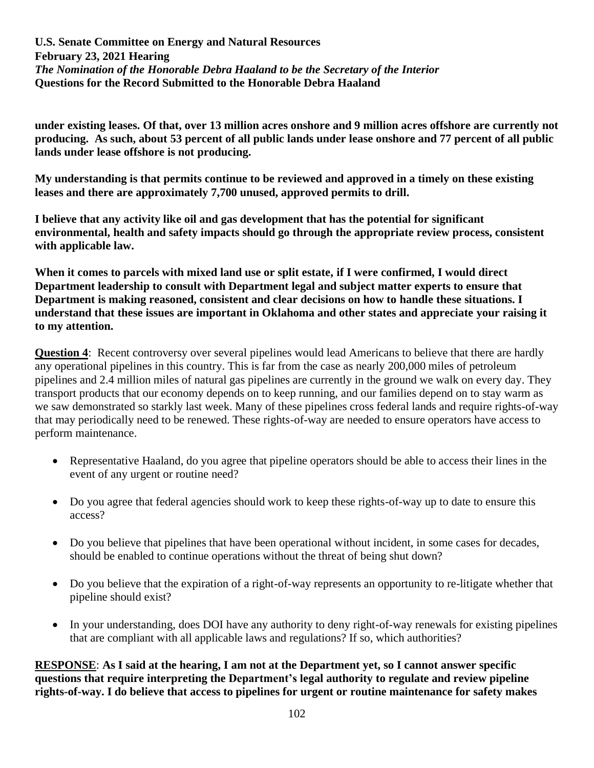**under existing leases. Of that, over 13 million acres onshore and 9 million acres offshore are currently not producing. As such, about 53 percent of all public lands under lease onshore and 77 percent of all public lands under lease offshore is not producing.** 

**My understanding is that permits continue to be reviewed and approved in a timely on these existing leases and there are approximately 7,700 unused, approved permits to drill.**

**I believe that any activity like oil and gas development that has the potential for significant environmental, health and safety impacts should go through the appropriate review process, consistent with applicable law.**

**When it comes to parcels with mixed land use or split estate, if I were confirmed, I would direct Department leadership to consult with Department legal and subject matter experts to ensure that Department is making reasoned, consistent and clear decisions on how to handle these situations. I understand that these issues are important in Oklahoma and other states and appreciate your raising it to my attention.**

**Question 4:** Recent controversy over several pipelines would lead Americans to believe that there are hardly any operational pipelines in this country. This is far from the case as nearly 200,000 miles of petroleum pipelines and 2.4 million miles of natural gas pipelines are currently in the ground we walk on every day. They transport products that our economy depends on to keep running, and our families depend on to stay warm as we saw demonstrated so starkly last week. Many of these pipelines cross federal lands and require rights-of-way that may periodically need to be renewed. These rights-of-way are needed to ensure operators have access to perform maintenance.

- Representative Haaland, do you agree that pipeline operators should be able to access their lines in the event of any urgent or routine need?
- Do you agree that federal agencies should work to keep these rights-of-way up to date to ensure this access?
- Do you believe that pipelines that have been operational without incident, in some cases for decades, should be enabled to continue operations without the threat of being shut down?
- Do you believe that the expiration of a right-of-way represents an opportunity to re-litigate whether that pipeline should exist?
- In your understanding, does DOI have any authority to deny right-of-way renewals for existing pipelines that are compliant with all applicable laws and regulations? If so, which authorities?

**RESPONSE**: **As I said at the hearing, I am not at the Department yet, so I cannot answer specific questions that require interpreting the Department's legal authority to regulate and review pipeline rights-of-way. I do believe that access to pipelines for urgent or routine maintenance for safety makes**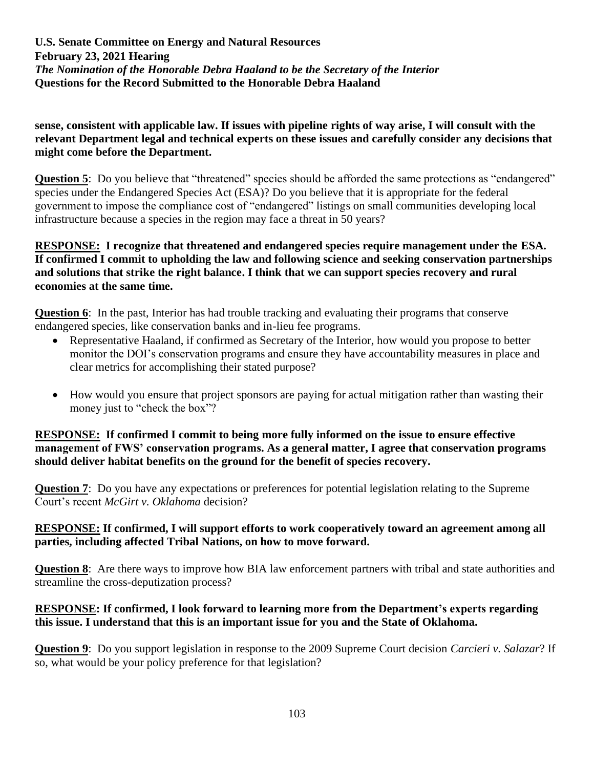# **sense, consistent with applicable law. If issues with pipeline rights of way arise, I will consult with the relevant Department legal and technical experts on these issues and carefully consider any decisions that might come before the Department.**

**Question 5**: Do you believe that "threatened" species should be afforded the same protections as "endangered" species under the Endangered Species Act (ESA)? Do you believe that it is appropriate for the federal government to impose the compliance cost of "endangered" listings on small communities developing local infrastructure because a species in the region may face a threat in 50 years?

### **RESPONSE: I recognize that threatened and endangered species require management under the ESA. If confirmed I commit to upholding the law and following science and seeking conservation partnerships and solutions that strike the right balance. I think that we can support species recovery and rural economies at the same time.**

**Question 6**: In the past, Interior has had trouble tracking and evaluating their programs that conserve endangered species, like conservation banks and in-lieu fee programs.

- Representative Haaland, if confirmed as Secretary of the Interior, how would you propose to better monitor the DOI's conservation programs and ensure they have accountability measures in place and clear metrics for accomplishing their stated purpose?
- How would you ensure that project sponsors are paying for actual mitigation rather than wasting their money just to "check the box"?

# **RESPONSE: If confirmed I commit to being more fully informed on the issue to ensure effective management of FWS' conservation programs. As a general matter, I agree that conservation programs should deliver habitat benefits on the ground for the benefit of species recovery.**

**Question 7:** Do you have any expectations or preferences for potential legislation relating to the Supreme Court's recent *McGirt v. Oklahoma* decision?

## **RESPONSE: If confirmed, I will support efforts to work cooperatively toward an agreement among all parties, including affected Tribal Nations, on how to move forward.**

**Question 8**: Are there ways to improve how BIA law enforcement partners with tribal and state authorities and streamline the cross-deputization process?

# **RESPONSE: If confirmed, I look forward to learning more from the Department's experts regarding this issue. I understand that this is an important issue for you and the State of Oklahoma.**

**Question 9**: Do you support legislation in response to the 2009 Supreme Court decision *Carcieri v. Salazar*? If so, what would be your policy preference for that legislation?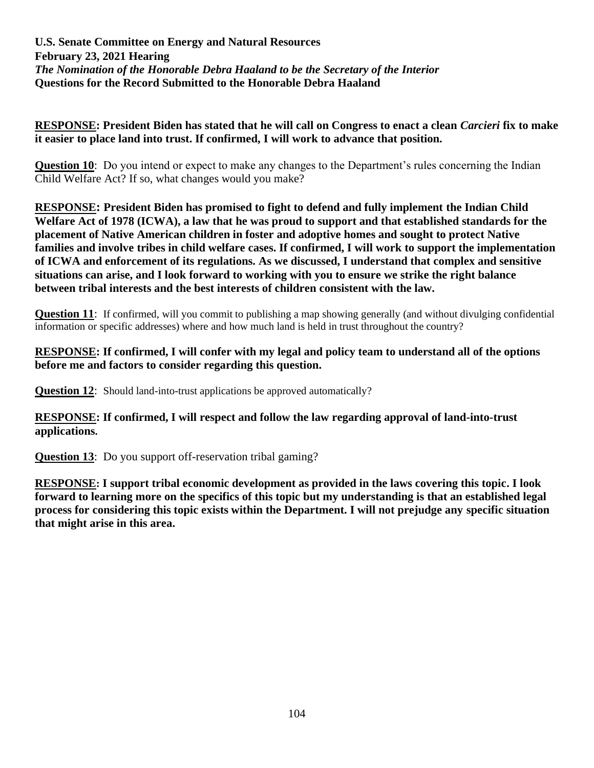### **RESPONSE: President Biden has stated that he will call on Congress to enact a clean** *Carcieri* **fix to make it easier to place land into trust. If confirmed, I will work to advance that position.**

**Question 10**: Do you intend or expect to make any changes to the Department's rules concerning the Indian Child Welfare Act? If so, what changes would you make?

**RESPONSE: President Biden has promised to fight to defend and fully implement the Indian Child Welfare Act of 1978 (ICWA), a law that he was proud to support and that established standards for the placement of Native American children in foster and adoptive homes and sought to protect Native families and involve tribes in child welfare cases. If confirmed, I will work to support the implementation of ICWA and enforcement of its regulations. As we discussed, I understand that complex and sensitive situations can arise, and I look forward to working with you to ensure we strike the right balance between tribal interests and the best interests of children consistent with the law.**

**Question 11:** If confirmed, will you commit to publishing a map showing generally (and without divulging confidential information or specific addresses) where and how much land is held in trust throughout the country?

#### **RESPONSE: If confirmed, I will confer with my legal and policy team to understand all of the options before me and factors to consider regarding this question.**

**Question 12:** Should land-into-trust applications be approved automatically?

## **RESPONSE: If confirmed, I will respect and follow the law regarding approval of land-into-trust applications.**

**Question 13:** Do you support off-reservation tribal gaming?

**RESPONSE: I support tribal economic development as provided in the laws covering this topic. I look forward to learning more on the specifics of this topic but my understanding is that an established legal process for considering this topic exists within the Department. I will not prejudge any specific situation that might arise in this area.**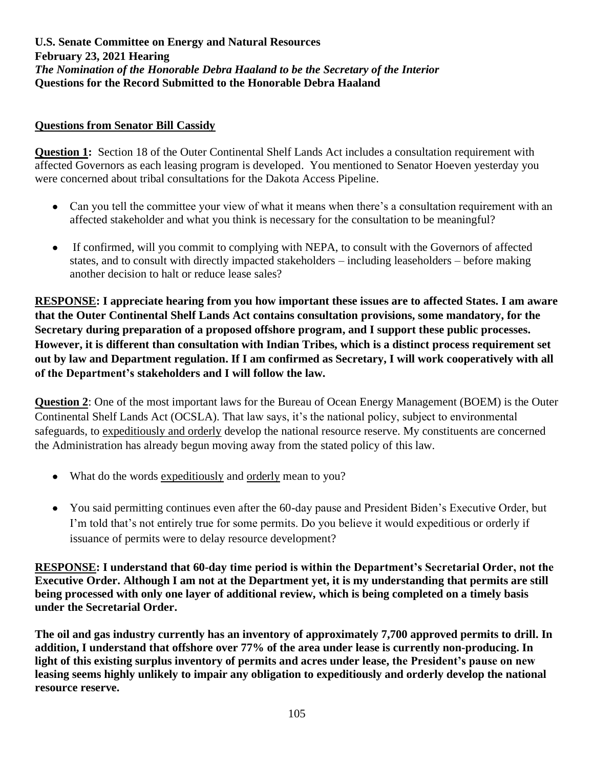## **Questions from Senator Bill Cassidy**

**Question 1:** Section 18 of the Outer Continental Shelf Lands Act includes a consultation requirement with affected Governors as each leasing program is developed. You mentioned to Senator Hoeven yesterday you were concerned about tribal consultations for the Dakota Access Pipeline.

- Can you tell the committee your view of what it means when there's a consultation requirement with an affected stakeholder and what you think is necessary for the consultation to be meaningful?
- If confirmed, will you commit to complying with NEPA, to consult with the Governors of affected states, and to consult with directly impacted stakeholders – including leaseholders – before making another decision to halt or reduce lease sales?

**RESPONSE: I appreciate hearing from you how important these issues are to affected States. I am aware that the Outer Continental Shelf Lands Act contains consultation provisions, some mandatory, for the Secretary during preparation of a proposed offshore program, and I support these public processes. However, it is different than consultation with Indian Tribes, which is a distinct process requirement set out by law and Department regulation. If I am confirmed as Secretary, I will work cooperatively with all of the Department's stakeholders and I will follow the law.**

**Question 2**: One of the most important laws for the Bureau of Ocean Energy Management (BOEM) is the Outer Continental Shelf Lands Act (OCSLA). That law says, it's the national policy, subject to environmental safeguards, to expeditiously and orderly develop the national resource reserve. My constituents are concerned the Administration has already begun moving away from the stated policy of this law.

- What do the words expeditiously and orderly mean to you?
- You said permitting continues even after the 60-day pause and President Biden's Executive Order, but I'm told that's not entirely true for some permits. Do you believe it would expeditious or orderly if issuance of permits were to delay resource development?

**RESPONSE: I understand that 60-day time period is within the Department's Secretarial Order, not the Executive Order. Although I am not at the Department yet, it is my understanding that permits are still being processed with only one layer of additional review, which is being completed on a timely basis under the Secretarial Order.** 

**The oil and gas industry currently has an inventory of approximately 7,700 approved permits to drill. In addition, I understand that offshore over 77% of the area under lease is currently non-producing. In light of this existing surplus inventory of permits and acres under lease, the President's pause on new leasing seems highly unlikely to impair any obligation to expeditiously and orderly develop the national resource reserve.**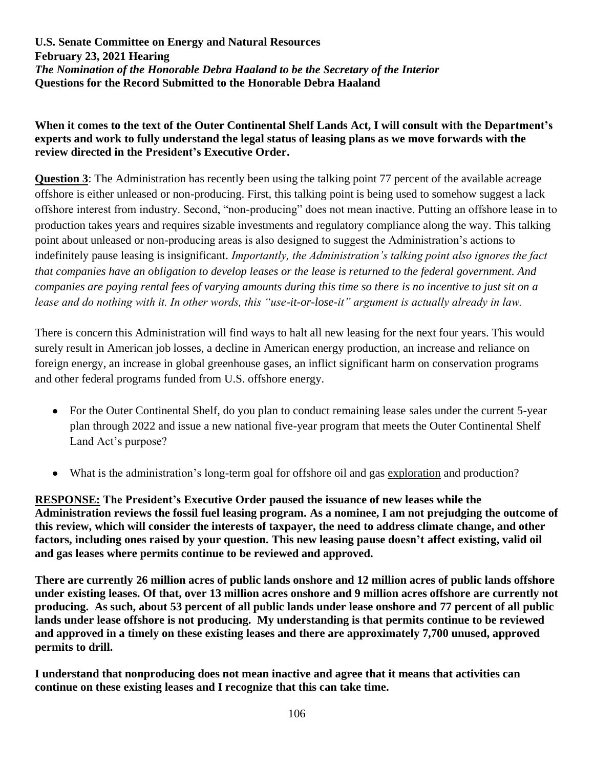# **When it comes to the text of the Outer Continental Shelf Lands Act, I will consult with the Department's experts and work to fully understand the legal status of leasing plans as we move forwards with the review directed in the President's Executive Order.**

**Question 3**: The Administration has recently been using the talking point 77 percent of the available acreage offshore is either unleased or non-producing. First, this talking point is being used to somehow suggest a lack offshore interest from industry. Second, "non-producing" does not mean inactive. Putting an offshore lease in to production takes years and requires sizable investments and regulatory compliance along the way. This talking point about unleased or non-producing areas is also designed to suggest the Administration's actions to indefinitely pause leasing is insignificant. *Importantly, the Administration's talking point also ignores the fact that companies have an obligation to develop leases or the lease is returned to the federal government. And companies are paying rental fees of varying amounts during this time so there is no incentive to just sit on a lease and do nothing with it. In other words, this "use-it-or-lose-it" argument is actually already in law.* 

There is concern this Administration will find ways to halt all new leasing for the next four years. This would surely result in American job losses, a decline in American energy production, an increase and reliance on foreign energy, an increase in global greenhouse gases, an inflict significant harm on conservation programs and other federal programs funded from U.S. offshore energy.

- For the Outer Continental Shelf, do you plan to conduct remaining lease sales under the current 5-year plan through 2022 and issue a new national five-year program that meets the Outer Continental Shelf Land Act's purpose?
- What is the administration's long-term goal for offshore oil and gas exploration and production?

**RESPONSE: The President's Executive Order paused the issuance of new leases while the Administration reviews the fossil fuel leasing program. As a nominee, I am not prejudging the outcome of this review, which will consider the interests of taxpayer, the need to address climate change, and other factors, including ones raised by your question. This new leasing pause doesn't affect existing, valid oil and gas leases where permits continue to be reviewed and approved.** 

**There are currently 26 million acres of public lands onshore and 12 million acres of public lands offshore under existing leases. Of that, over 13 million acres onshore and 9 million acres offshore are currently not producing. As such, about 53 percent of all public lands under lease onshore and 77 percent of all public lands under lease offshore is not producing. My understanding is that permits continue to be reviewed and approved in a timely on these existing leases and there are approximately 7,700 unused, approved permits to drill.**

**I understand that nonproducing does not mean inactive and agree that it means that activities can continue on these existing leases and I recognize that this can take time.**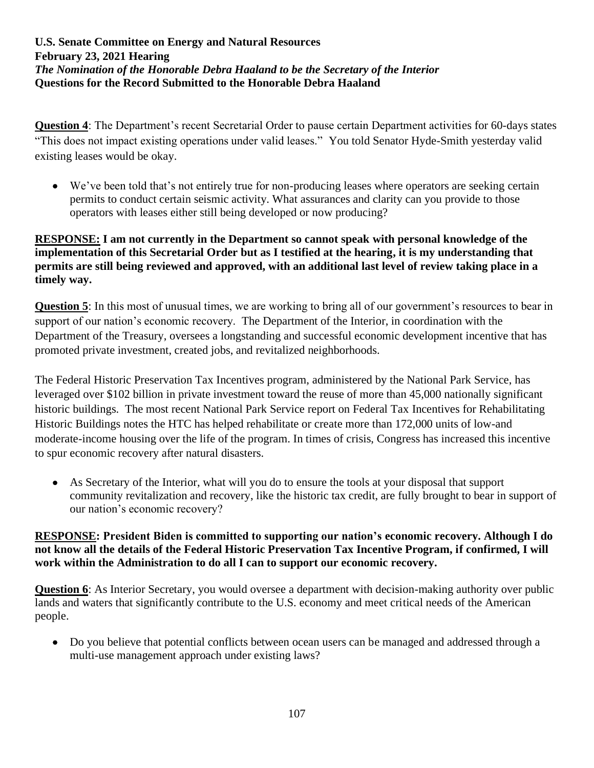**Question 4**: The Department's recent Secretarial Order to pause certain Department activities for 60-days states "This does not impact existing operations under valid leases." You told Senator Hyde-Smith yesterday valid existing leases would be okay.

• We've been told that's not entirely true for non-producing leases where operators are seeking certain permits to conduct certain seismic activity. What assurances and clarity can you provide to those operators with leases either still being developed or now producing?

# **RESPONSE: I am not currently in the Department so cannot speak with personal knowledge of the implementation of this Secretarial Order but as I testified at the hearing, it is my understanding that permits are still being reviewed and approved, with an additional last level of review taking place in a timely way.**

**Question 5**: In this most of unusual times, we are working to bring all of our government's resources to bear in support of our nation's economic recovery. The Department of the Interior, in coordination with the Department of the Treasury, oversees a longstanding and successful economic development incentive that has promoted private investment, created jobs, and revitalized neighborhoods.

The Federal Historic Preservation Tax Incentives program, administered by the National Park Service, has leveraged over \$102 billion in private investment toward the reuse of more than 45,000 nationally significant historic buildings. The most recent National Park Service report on Federal Tax Incentives for Rehabilitating Historic Buildings notes the HTC has helped rehabilitate or create more than 172,000 units of low-and moderate-income housing over the life of the program. In times of crisis, Congress has increased this incentive to spur economic recovery after natural disasters.

• As Secretary of the Interior, what will you do to ensure the tools at your disposal that support community revitalization and recovery, like the historic tax credit, are fully brought to bear in support of our nation's economic recovery?

# **RESPONSE: President Biden is committed to supporting our nation's economic recovery. Although I do not know all the details of the Federal Historic Preservation Tax Incentive Program, if confirmed, I will work within the Administration to do all I can to support our economic recovery.**

**Question 6**: As Interior Secretary, you would oversee a department with decision-making authority over public lands and waters that significantly contribute to the U.S. economy and meet critical needs of the American people.

• Do you believe that potential conflicts between ocean users can be managed and addressed through a multi-use management approach under existing laws?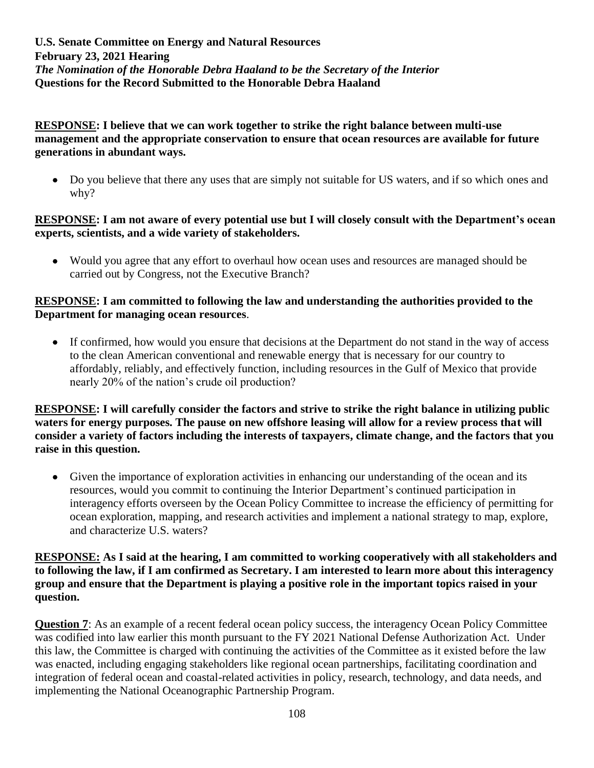## **RESPONSE: I believe that we can work together to strike the right balance between multi-use management and the appropriate conservation to ensure that ocean resources are available for future generations in abundant ways.**

• Do you believe that there any uses that are simply not suitable for US waters, and if so which ones and why?

### **RESPONSE: I am not aware of every potential use but I will closely consult with the Department's ocean experts, scientists, and a wide variety of stakeholders.**

• Would you agree that any effort to overhaul how ocean uses and resources are managed should be carried out by Congress, not the Executive Branch?

## **RESPONSE: I am committed to following the law and understanding the authorities provided to the Department for managing ocean resources**.

• If confirmed, how would you ensure that decisions at the Department do not stand in the way of access to the clean American conventional and renewable energy that is necessary for our country to affordably, reliably, and effectively function, including resources in the Gulf of Mexico that provide nearly 20% of the nation's crude oil production?

**RESPONSE: I will carefully consider the factors and strive to strike the right balance in utilizing public waters for energy purposes. The pause on new offshore leasing will allow for a review process that will consider a variety of factors including the interests of taxpayers, climate change, and the factors that you raise in this question.**

• Given the importance of exploration activities in enhancing our understanding of the ocean and its resources, would you commit to continuing the Interior Department's continued participation in interagency efforts overseen by the Ocean Policy Committee to increase the efficiency of permitting for ocean exploration, mapping, and research activities and implement a national strategy to map, explore, and characterize U.S. waters?

## **RESPONSE: As I said at the hearing, I am committed to working cooperatively with all stakeholders and to following the law, if I am confirmed as Secretary. I am interested to learn more about this interagency group and ensure that the Department is playing a positive role in the important topics raised in your question.**

**Question 7**: As an example of a recent federal ocean policy success, the interagency Ocean Policy Committee was codified into law earlier this month pursuant to the FY 2021 National Defense Authorization Act. Under this law, the Committee is charged with continuing the activities of the Committee as it existed before the law was enacted, including engaging stakeholders like regional ocean partnerships, facilitating coordination and integration of federal ocean and coastal-related activities in policy, research, technology, and data needs, and implementing the National Oceanographic Partnership Program.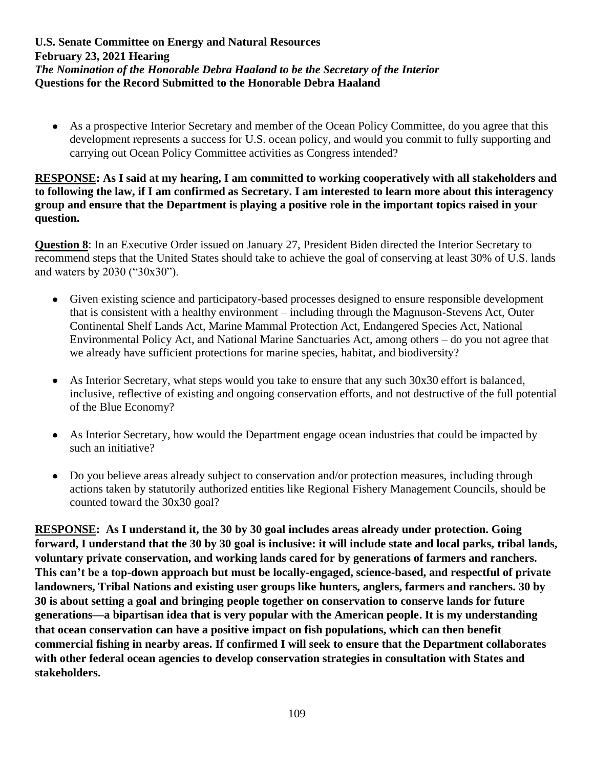• As a prospective Interior Secretary and member of the Ocean Policy Committee, do you agree that this development represents a success for U.S. ocean policy, and would you commit to fully supporting and carrying out Ocean Policy Committee activities as Congress intended?

#### **RESPONSE: As I said at my hearing, I am committed to working cooperatively with all stakeholders and to following the law, if I am confirmed as Secretary. I am interested to learn more about this interagency group and ensure that the Department is playing a positive role in the important topics raised in your question.**

**Question 8**: In an Executive Order issued on January 27, President Biden directed the Interior Secretary to recommend steps that the United States should take to achieve the goal of conserving at least 30% of U.S. lands and waters by 2030 ("30x30").

- Given existing science and participatory-based processes designed to ensure responsible development that is consistent with a healthy environment – including through the Magnuson-Stevens Act, Outer Continental Shelf Lands Act, Marine Mammal Protection Act, Endangered Species Act, National Environmental Policy Act, and National Marine Sanctuaries Act, among others – do you not agree that we already have sufficient protections for marine species, habitat, and biodiversity?
- As Interior Secretary, what steps would you take to ensure that any such 30x30 effort is balanced, inclusive, reflective of existing and ongoing conservation efforts, and not destructive of the full potential of the Blue Economy?
- As Interior Secretary, how would the Department engage ocean industries that could be impacted by such an initiative?
- Do you believe areas already subject to conservation and/or protection measures, including through actions taken by statutorily authorized entities like Regional Fishery Management Councils, should be counted toward the 30x30 goal?

**RESPONSE: As I understand it, the 30 by 30 goal includes areas already under protection. Going forward, I understand that the 30 by 30 goal is inclusive: it will include state and local parks, tribal lands, voluntary private conservation, and working lands cared for by generations of farmers and ranchers. This can't be a top-down approach but must be locally-engaged, science-based, and respectful of private landowners, Tribal Nations and existing user groups like hunters, anglers, farmers and ranchers. 30 by 30 is about setting a goal and bringing people together on conservation to conserve lands for future generations—a bipartisan idea that is very popular with the American people. It is my understanding that ocean conservation can have a positive impact on fish populations, which can then benefit commercial fishing in nearby areas. If confirmed I will seek to ensure that the Department collaborates with other federal ocean agencies to develop conservation strategies in consultation with States and stakeholders.**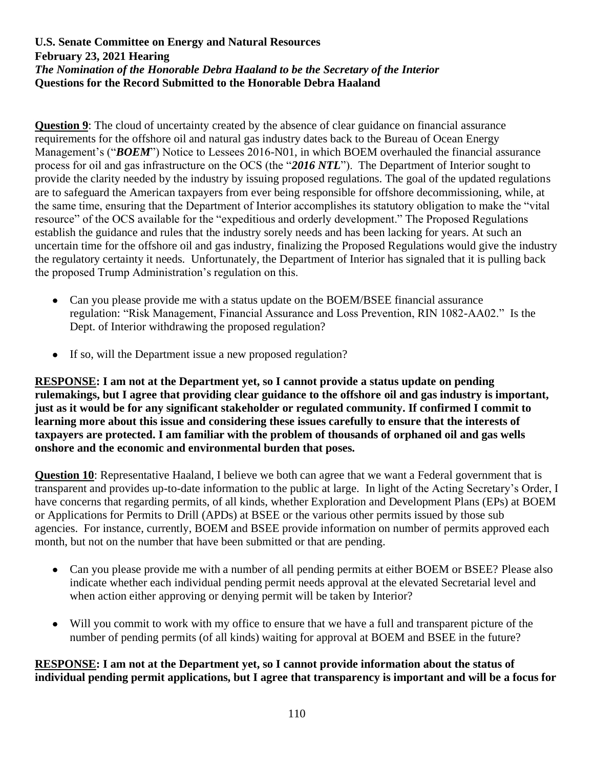**Question 9**: The cloud of uncertainty created by the absence of clear guidance on financial assurance requirements for the offshore oil and natural gas industry dates back to the Bureau of Ocean Energy Management's ("*BOEM*") Notice to Lessees 2016-N01, in which BOEM overhauled the financial assurance process for oil and gas infrastructure on the OCS (the "*2016 NTL*"). The Department of Interior sought to provide the clarity needed by the industry by issuing proposed regulations. The goal of the updated regulations are to safeguard the American taxpayers from ever being responsible for offshore decommissioning, while, at the same time, ensuring that the Department of Interior accomplishes its statutory obligation to make the "vital resource" of the OCS available for the "expeditious and orderly development." The Proposed Regulations establish the guidance and rules that the industry sorely needs and has been lacking for years. At such an uncertain time for the offshore oil and gas industry, finalizing the Proposed Regulations would give the industry the regulatory certainty it needs. Unfortunately, the Department of Interior has signaled that it is pulling back the proposed Trump Administration's regulation on this.

- Can you please provide me with a status update on the BOEM/BSEE financial assurance regulation: "Risk Management, Financial Assurance and Loss Prevention, RIN 1082-AA02." Is the Dept. of Interior withdrawing the proposed regulation?
- If so, will the Department issue a new proposed regulation?

**RESPONSE: I am not at the Department yet, so I cannot provide a status update on pending rulemakings, but I agree that providing clear guidance to the offshore oil and gas industry is important, just as it would be for any significant stakeholder or regulated community. If confirmed I commit to learning more about this issue and considering these issues carefully to ensure that the interests of taxpayers are protected. I am familiar with the problem of thousands of orphaned oil and gas wells onshore and the economic and environmental burden that poses.**

**Question 10**: Representative Haaland, I believe we both can agree that we want a Federal government that is transparent and provides up-to-date information to the public at large. In light of the Acting Secretary's Order, I have concerns that regarding permits, of all kinds, whether Exploration and Development Plans (EPs) at BOEM or Applications for Permits to Drill (APDs) at BSEE or the various other permits issued by those sub agencies. For instance, currently, BOEM and BSEE provide information on number of permits approved each month, but not on the number that have been submitted or that are pending.

- Can you please provide me with a number of all pending permits at either BOEM or BSEE? Please also indicate whether each individual pending permit needs approval at the elevated Secretarial level and when action either approving or denying permit will be taken by Interior?
- Will you commit to work with my office to ensure that we have a full and transparent picture of the number of pending permits (of all kinds) waiting for approval at BOEM and BSEE in the future?

# **RESPONSE: I am not at the Department yet, so I cannot provide information about the status of individual pending permit applications, but I agree that transparency is important and will be a focus for**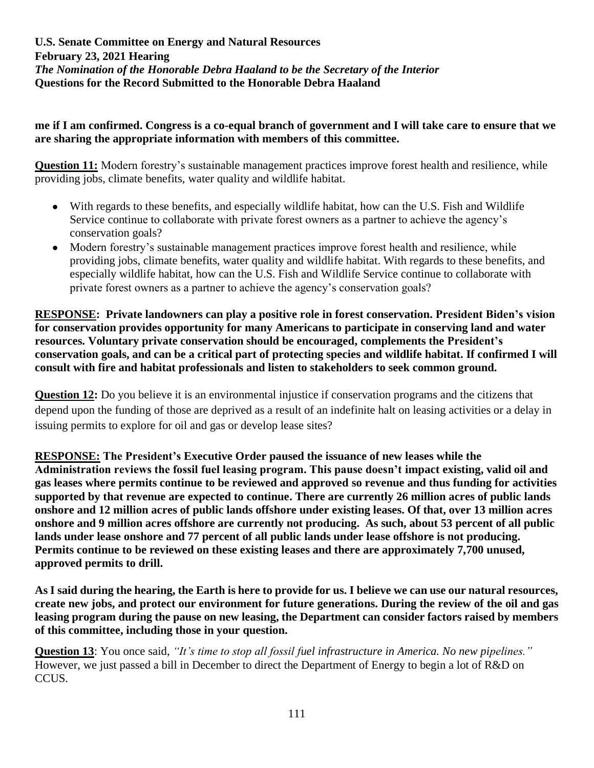#### **me if I am confirmed. Congress is a co-equal branch of government and I will take care to ensure that we are sharing the appropriate information with members of this committee.**

**Question 11:** Modern forestry's sustainable management practices improve forest health and resilience, while providing jobs, climate benefits, water quality and wildlife habitat.

- With regards to these benefits, and especially wildlife habitat, how can the U.S. Fish and Wildlife Service continue to collaborate with private forest owners as a partner to achieve the agency's conservation goals?
- Modern forestry's sustainable management practices improve forest health and resilience, while providing jobs, climate benefits, water quality and wildlife habitat. With regards to these benefits, and especially wildlife habitat, how can the U.S. Fish and Wildlife Service continue to collaborate with private forest owners as a partner to achieve the agency's conservation goals?

**RESPONSE: Private landowners can play a positive role in forest conservation. President Biden's vision for conservation provides opportunity for many Americans to participate in conserving land and water resources. Voluntary private conservation should be encouraged, complements the President's conservation goals, and can be a critical part of protecting species and wildlife habitat. If confirmed I will consult with fire and habitat professionals and listen to stakeholders to seek common ground.**

**Question 12:** Do you believe it is an environmental injustice if conservation programs and the citizens that depend upon the funding of those are deprived as a result of an indefinite halt on leasing activities or a delay in issuing permits to explore for oil and gas or develop lease sites?

**RESPONSE: The President's Executive Order paused the issuance of new leases while the Administration reviews the fossil fuel leasing program. This pause doesn't impact existing, valid oil and gas leases where permits continue to be reviewed and approved so revenue and thus funding for activities supported by that revenue are expected to continue. There are currently 26 million acres of public lands onshore and 12 million acres of public lands offshore under existing leases. Of that, over 13 million acres onshore and 9 million acres offshore are currently not producing. As such, about 53 percent of all public lands under lease onshore and 77 percent of all public lands under lease offshore is not producing. Permits continue to be reviewed on these existing leases and there are approximately 7,700 unused, approved permits to drill.**

**As I said during the hearing, the Earth is here to provide for us. I believe we can use our natural resources, create new jobs, and protect our environment for future generations. During the review of the oil and gas leasing program during the pause on new leasing, the Department can consider factors raised by members of this committee, including those in your question.**

**Question 13**: You once said, *"It's time to stop all fossil fuel infrastructure in America. No new pipelines."*  However, we just passed a bill in December to direct the Department of Energy to begin a lot of R&D on CCUS.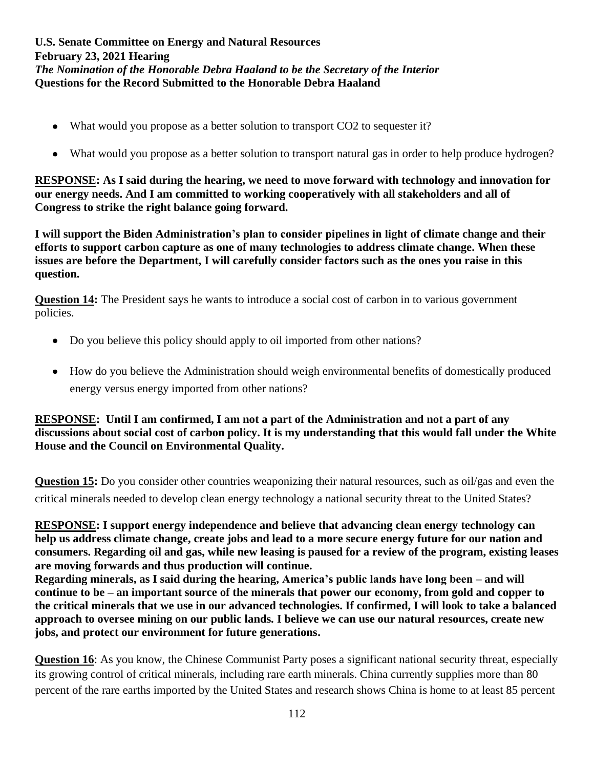- What would you propose as a better solution to transport CO2 to sequester it?
- What would you propose as a better solution to transport natural gas in order to help produce hydrogen?

**RESPONSE: As I said during the hearing, we need to move forward with technology and innovation for our energy needs. And I am committed to working cooperatively with all stakeholders and all of Congress to strike the right balance going forward.**

**I will support the Biden Administration's plan to consider pipelines in light of climate change and their efforts to support carbon capture as one of many technologies to address climate change. When these issues are before the Department, I will carefully consider factors such as the ones you raise in this question.**

**Question 14:** The President says he wants to introduce a social cost of carbon in to various government policies.

- Do you believe this policy should apply to oil imported from other nations?
- How do you believe the Administration should weigh environmental benefits of domestically produced energy versus energy imported from other nations?

# **RESPONSE: Until I am confirmed, I am not a part of the Administration and not a part of any discussions about social cost of carbon policy. It is my understanding that this would fall under the White House and the Council on Environmental Quality.**

**Question 15:** Do you consider other countries weaponizing their natural resources, such as oil/gas and even the critical minerals needed to develop clean energy technology a national security threat to the United States?

**RESPONSE: I support energy independence and believe that advancing clean energy technology can help us address climate change, create jobs and lead to a more secure energy future for our nation and consumers. Regarding oil and gas, while new leasing is paused for a review of the program, existing leases are moving forwards and thus production will continue.**

**Regarding minerals, as I said during the hearing, America's public lands have long been – and will continue to be – an important source of the minerals that power our economy, from gold and copper to the critical minerals that we use in our advanced technologies. If confirmed, I will look to take a balanced approach to oversee mining on our public lands. I believe we can use our natural resources, create new jobs, and protect our environment for future generations.**

**Question 16**: As you know, the Chinese Communist Party poses a significant national security threat, especially its growing control of critical minerals, including rare earth minerals. China currently supplies more than 80 percent of the rare earths imported by the United States and research shows China is home to at least 85 percent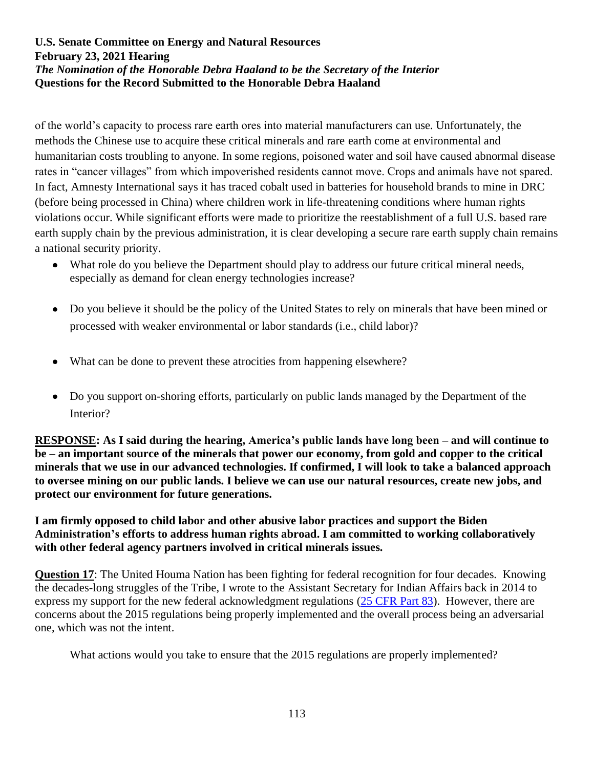of the world's capacity to process rare earth ores into material manufacturers can use. Unfortunately, the methods the Chinese use to acquire these critical minerals and rare earth come at environmental and humanitarian costs troubling to anyone. In some regions, poisoned water and soil have caused abnormal disease rates in "cancer villages" from which impoverished residents cannot move. Crops and animals have not spared. In fact, Amnesty International says it has traced cobalt used in batteries for household brands to mine in DRC (before being processed in China) where children work in life-threatening conditions where human rights violations occur. While significant efforts were made to prioritize the reestablishment of a full U.S. based rare earth supply chain by the previous administration, it is clear developing a secure rare earth supply chain remains a national security priority.

- What role do you believe the Department should play to address our future critical mineral needs, especially as demand for clean energy technologies increase?
- Do you believe it should be the policy of the United States to rely on minerals that have been mined or processed with weaker environmental or labor standards (i.e., child labor)?
- What can be done to prevent these atrocities from happening elsewhere?
- Do you support on-shoring efforts, particularly on public lands managed by the Department of the Interior?

**RESPONSE: As I said during the hearing, America's public lands have long been – and will continue to be – an important source of the minerals that power our economy, from gold and copper to the critical minerals that we use in our advanced technologies. If confirmed, I will look to take a balanced approach to oversee mining on our public lands. I believe we can use our natural resources, create new jobs, and protect our environment for future generations.**

**I am firmly opposed to child labor and other abusive labor practices and support the Biden Administration's efforts to address human rights abroad. I am committed to working collaboratively with other federal agency partners involved in critical minerals issues.**

**Question 17:** The United Houma Nation has been fighting for federal recognition for four decades. Knowing the decades-long struggles of the Tribe, I wrote to the Assistant Secretary for Indian Affairs back in 2014 to express my support for the new federal acknowledgment regulations [\(25 CFR Part 83\)](https://www.bia.gov/sites/bia.gov/files/assets/as-ia/ofa/admindocs/25CFRPart83_2015_FinalRule.pdf). However, there are concerns about the 2015 regulations being properly implemented and the overall process being an adversarial one, which was not the intent.

What actions would you take to ensure that the 2015 regulations are properly implemented?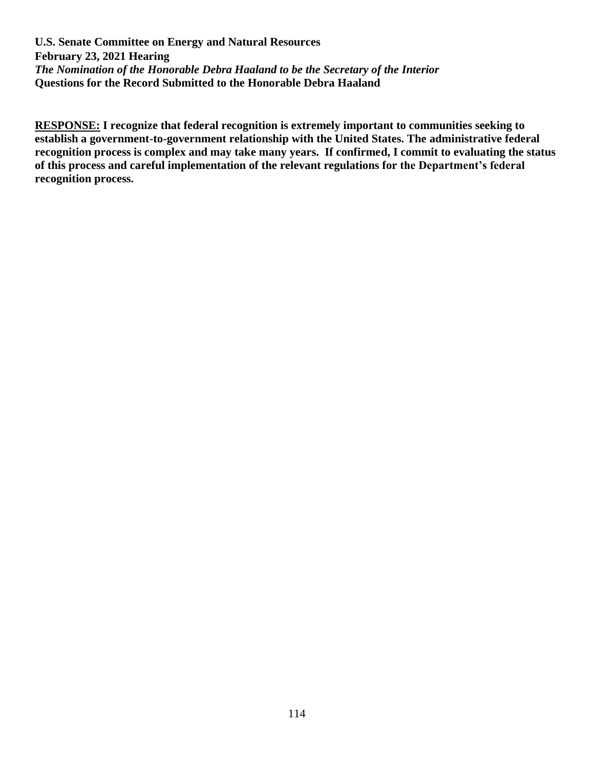**RESPONSE: I recognize that federal recognition is extremely important to communities seeking to establish a government-to-government relationship with the United States. The administrative federal recognition process is complex and may take many years. If confirmed, I commit to evaluating the status of this process and careful implementation of the relevant regulations for the Department's federal recognition process.**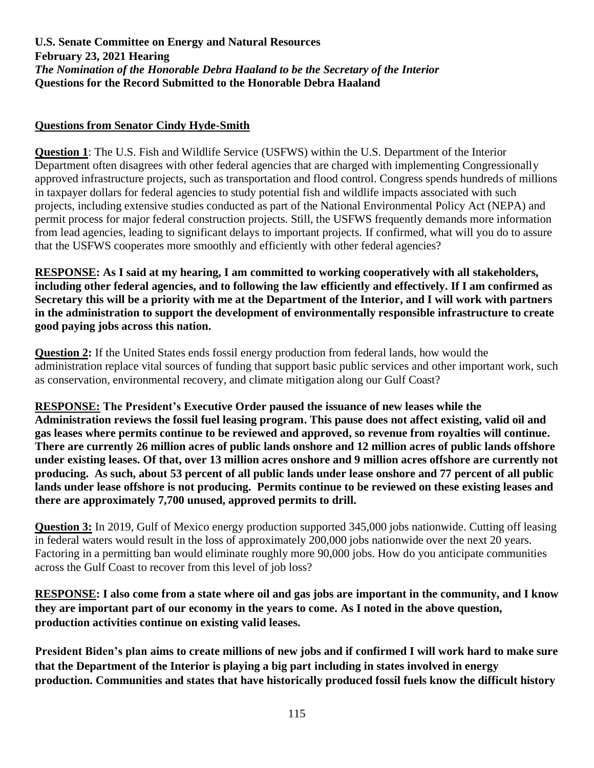# **Questions from Senator Cindy Hyde-Smith**

**Question 1**: The U.S. Fish and Wildlife Service (USFWS) within the U.S. Department of the Interior Department often disagrees with other federal agencies that are charged with implementing Congressionally approved infrastructure projects, such as transportation and flood control. Congress spends hundreds of millions in taxpayer dollars for federal agencies to study potential fish and wildlife impacts associated with such projects, including extensive studies conducted as part of the National Environmental Policy Act (NEPA) and permit process for major federal construction projects. Still, the USFWS frequently demands more information from lead agencies, leading to significant delays to important projects. If confirmed, what will you do to assure that the USFWS cooperates more smoothly and efficiently with other federal agencies?

**RESPONSE: As I said at my hearing, I am committed to working cooperatively with all stakeholders, including other federal agencies, and to following the law efficiently and effectively. If I am confirmed as Secretary this will be a priority with me at the Department of the Interior, and I will work with partners in the administration to support the development of environmentally responsible infrastructure to create good paying jobs across this nation.**

**Question 2:** If the United States ends fossil energy production from federal lands, how would the administration replace vital sources of funding that support basic public services and other important work, such as conservation, environmental recovery, and climate mitigation along our Gulf Coast?

**RESPONSE: The President's Executive Order paused the issuance of new leases while the Administration reviews the fossil fuel leasing program. This pause does not affect existing, valid oil and gas leases where permits continue to be reviewed and approved, so revenue from royalties will continue. There are currently 26 million acres of public lands onshore and 12 million acres of public lands offshore under existing leases. Of that, over 13 million acres onshore and 9 million acres offshore are currently not producing. As such, about 53 percent of all public lands under lease onshore and 77 percent of all public lands under lease offshore is not producing. Permits continue to be reviewed on these existing leases and there are approximately 7,700 unused, approved permits to drill.**

**Question 3:** In 2019, Gulf of Mexico energy production supported 345,000 jobs nationwide. Cutting off leasing in federal waters would result in the loss of approximately 200,000 jobs nationwide over the next 20 years. Factoring in a permitting ban would eliminate roughly more 90,000 jobs. How do you anticipate communities across the Gulf Coast to recover from this level of job loss?

**RESPONSE: I also come from a state where oil and gas jobs are important in the community, and I know they are important part of our economy in the years to come. As I noted in the above question, production activities continue on existing valid leases.** 

**President Biden's plan aims to create millions of new jobs and if confirmed I will work hard to make sure that the Department of the Interior is playing a big part including in states involved in energy production. Communities and states that have historically produced fossil fuels know the difficult history**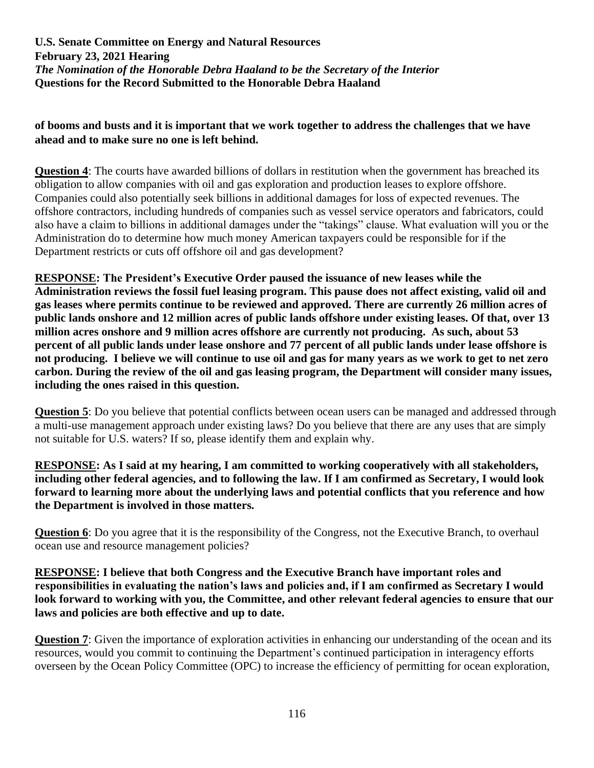### **of booms and busts and it is important that we work together to address the challenges that we have ahead and to make sure no one is left behind.**

**Question 4**: The courts have awarded billions of dollars in restitution when the government has breached its obligation to allow companies with oil and gas exploration and production leases to explore offshore. Companies could also potentially seek billions in additional damages for loss of expected revenues. The offshore contractors, including hundreds of companies such as vessel service operators and fabricators, could also have a claim to billions in additional damages under the "takings" clause. What evaluation will you or the Administration do to determine how much money American taxpayers could be responsible for if the Department restricts or cuts off offshore oil and gas development?

**RESPONSE: The President's Executive Order paused the issuance of new leases while the Administration reviews the fossil fuel leasing program. This pause does not affect existing, valid oil and gas leases where permits continue to be reviewed and approved. There are currently 26 million acres of public lands onshore and 12 million acres of public lands offshore under existing leases. Of that, over 13 million acres onshore and 9 million acres offshore are currently not producing. As such, about 53 percent of all public lands under lease onshore and 77 percent of all public lands under lease offshore is not producing. I believe we will continue to use oil and gas for many years as we work to get to net zero carbon. During the review of the oil and gas leasing program, the Department will consider many issues, including the ones raised in this question.**

**Question 5**: Do you believe that potential conflicts between ocean users can be managed and addressed through a multi-use management approach under existing laws? Do you believe that there are any uses that are simply not suitable for U.S. waters? If so, please identify them and explain why.

**RESPONSE: As I said at my hearing, I am committed to working cooperatively with all stakeholders, including other federal agencies, and to following the law. If I am confirmed as Secretary, I would look forward to learning more about the underlying laws and potential conflicts that you reference and how the Department is involved in those matters.**

**Question 6**: Do you agree that it is the responsibility of the Congress, not the Executive Branch, to overhaul ocean use and resource management policies?

**RESPONSE: I believe that both Congress and the Executive Branch have important roles and responsibilities in evaluating the nation's laws and policies and, if I am confirmed as Secretary I would look forward to working with you, the Committee, and other relevant federal agencies to ensure that our laws and policies are both effective and up to date.**

**Question 7:** Given the importance of exploration activities in enhancing our understanding of the ocean and its resources, would you commit to continuing the Department's continued participation in interagency efforts overseen by the Ocean Policy Committee (OPC) to increase the efficiency of permitting for ocean exploration,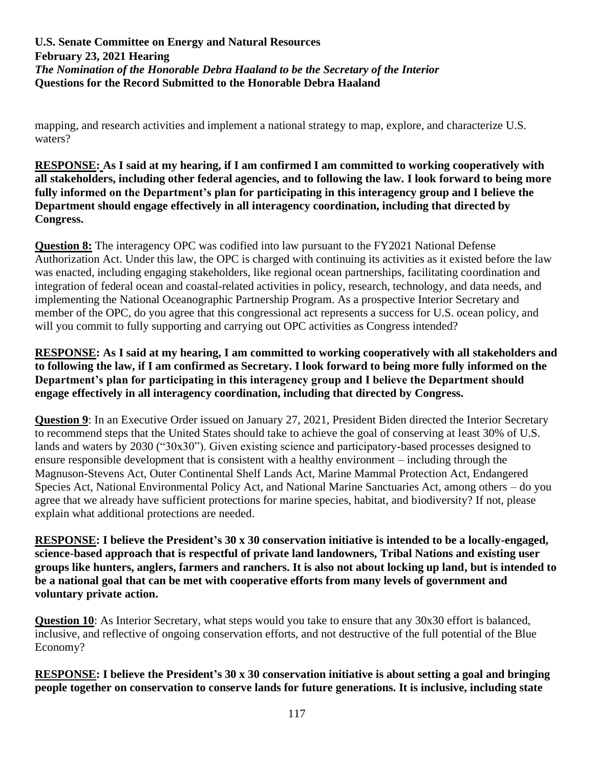mapping, and research activities and implement a national strategy to map, explore, and characterize U.S. waters?

**RESPONSE: As I said at my hearing, if I am confirmed I am committed to working cooperatively with all stakeholders, including other federal agencies, and to following the law. I look forward to being more fully informed on the Department's plan for participating in this interagency group and I believe the Department should engage effectively in all interagency coordination, including that directed by Congress.**

**Question 8:** The interagency OPC was codified into law pursuant to the FY2021 National Defense Authorization Act. Under this law, the OPC is charged with continuing its activities as it existed before the law was enacted, including engaging stakeholders, like regional ocean partnerships, facilitating coordination and integration of federal ocean and coastal-related activities in policy, research, technology, and data needs, and implementing the National Oceanographic Partnership Program. As a prospective Interior Secretary and member of the OPC, do you agree that this congressional act represents a success for U.S. ocean policy, and will you commit to fully supporting and carrying out OPC activities as Congress intended?

### **RESPONSE: As I said at my hearing, I am committed to working cooperatively with all stakeholders and to following the law, if I am confirmed as Secretary. I look forward to being more fully informed on the Department's plan for participating in this interagency group and I believe the Department should engage effectively in all interagency coordination, including that directed by Congress.**

**Question 9**: In an Executive Order issued on January 27, 2021, President Biden directed the Interior Secretary to recommend steps that the United States should take to achieve the goal of conserving at least 30% of U.S. lands and waters by 2030 ("30x30"). Given existing science and participatory-based processes designed to ensure responsible development that is consistent with a healthy environment – including through the Magnuson-Stevens Act, Outer Continental Shelf Lands Act, Marine Mammal Protection Act, Endangered Species Act, National Environmental Policy Act, and National Marine Sanctuaries Act, among others – do you agree that we already have sufficient protections for marine species, habitat, and biodiversity? If not, please explain what additional protections are needed.

**RESPONSE: I believe the President's 30 x 30 conservation initiative is intended to be a locally-engaged, science-based approach that is respectful of private land landowners, Tribal Nations and existing user groups like hunters, anglers, farmers and ranchers. It is also not about locking up land, but is intended to be a national goal that can be met with cooperative efforts from many levels of government and voluntary private action.**

**Question 10**: As Interior Secretary, what steps would you take to ensure that any 30x30 effort is balanced, inclusive, and reflective of ongoing conservation efforts, and not destructive of the full potential of the Blue Economy?

**RESPONSE: I believe the President's 30 x 30 conservation initiative is about setting a goal and bringing people together on conservation to conserve lands for future generations. It is inclusive, including state**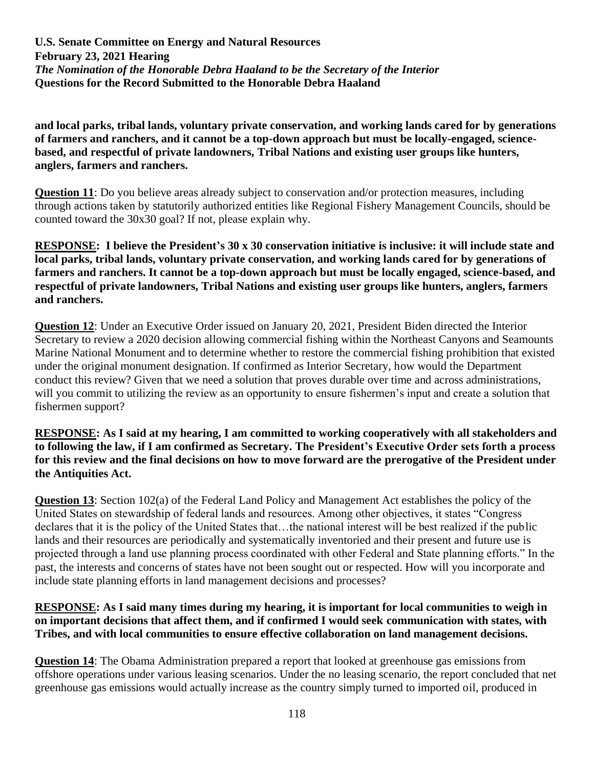**and local parks, tribal lands, voluntary private conservation, and working lands cared for by generations of farmers and ranchers, and it cannot be a top-down approach but must be locally-engaged, sciencebased, and respectful of private landowners, Tribal Nations and existing user groups like hunters, anglers, farmers and ranchers.** 

**Question 11**: Do you believe areas already subject to conservation and/or protection measures, including through actions taken by statutorily authorized entities like Regional Fishery Management Councils, should be counted toward the 30x30 goal? If not, please explain why.

**RESPONSE: I believe the President's 30 x 30 conservation initiative is inclusive: it will include state and local parks, tribal lands, voluntary private conservation, and working lands cared for by generations of farmers and ranchers. It cannot be a top-down approach but must be locally engaged, science-based, and respectful of private landowners, Tribal Nations and existing user groups like hunters, anglers, farmers and ranchers.** 

**Question 12**: Under an Executive Order issued on January 20, 2021, President Biden directed the Interior Secretary to review a 2020 decision allowing commercial fishing within the Northeast Canyons and Seamounts Marine National Monument and to determine whether to restore the commercial fishing prohibition that existed under the original monument designation. If confirmed as Interior Secretary, how would the Department conduct this review? Given that we need a solution that proves durable over time and across administrations, will you commit to utilizing the review as an opportunity to ensure fishermen's input and create a solution that fishermen support?

**RESPONSE: As I said at my hearing, I am committed to working cooperatively with all stakeholders and to following the law, if I am confirmed as Secretary. The President's Executive Order sets forth a process for this review and the final decisions on how to move forward are the prerogative of the President under the Antiquities Act.**

**Question 13**: Section 102(a) of the Federal Land Policy and Management Act establishes the policy of the United States on stewardship of federal lands and resources. Among other objectives, it states "Congress declares that it is the policy of the United States that…the national interest will be best realized if the public lands and their resources are periodically and systematically inventoried and their present and future use is projected through a land use planning process coordinated with other Federal and State planning efforts." In the past, the interests and concerns of states have not been sought out or respected. How will you incorporate and include state planning efforts in land management decisions and processes?

#### **RESPONSE: As I said many times during my hearing, it is important for local communities to weigh in on important decisions that affect them, and if confirmed I would seek communication with states, with Tribes, and with local communities to ensure effective collaboration on land management decisions.**

**Question 14**: The Obama Administration prepared a report that looked at greenhouse gas emissions from offshore operations under various leasing scenarios. Under the no leasing scenario, the report concluded that net greenhouse gas emissions would actually increase as the country simply turned to imported oil, produced in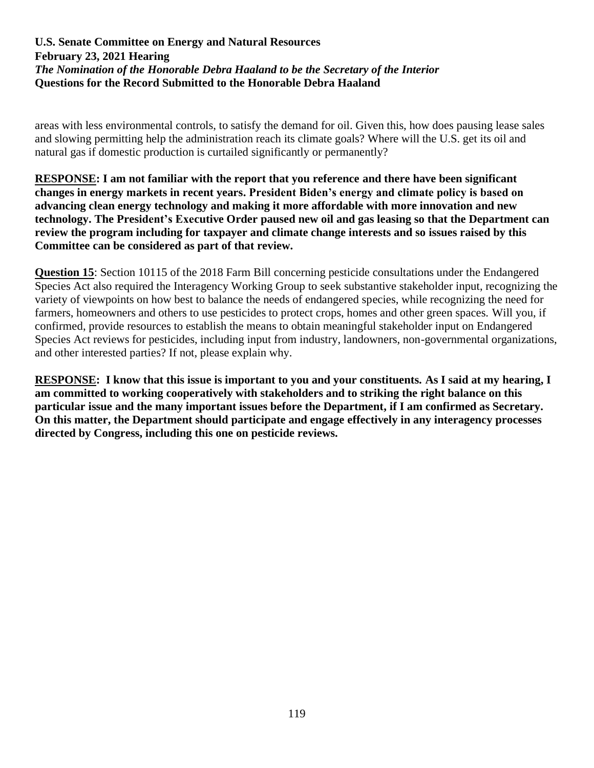areas with less environmental controls, to satisfy the demand for oil. Given this, how does pausing lease sales and slowing permitting help the administration reach its climate goals? Where will the U.S. get its oil and natural gas if domestic production is curtailed significantly or permanently?

**RESPONSE: I am not familiar with the report that you reference and there have been significant changes in energy markets in recent years. President Biden's energy and climate policy is based on advancing clean energy technology and making it more affordable with more innovation and new technology. The President's Executive Order paused new oil and gas leasing so that the Department can review the program including for taxpayer and climate change interests and so issues raised by this Committee can be considered as part of that review.**

**Question 15**: Section 10115 of the 2018 Farm Bill concerning pesticide consultations under the Endangered Species Act also required the Interagency Working Group to seek substantive stakeholder input, recognizing the variety of viewpoints on how best to balance the needs of endangered species, while recognizing the need for farmers, homeowners and others to use pesticides to protect crops, homes and other green spaces. Will you, if confirmed, provide resources to establish the means to obtain meaningful stakeholder input on Endangered Species Act reviews for pesticides, including input from industry, landowners, non-governmental organizations, and other interested parties? If not, please explain why.

**RESPONSE: I know that this issue is important to you and your constituents. As I said at my hearing, I am committed to working cooperatively with stakeholders and to striking the right balance on this particular issue and the many important issues before the Department, if I am confirmed as Secretary. On this matter, the Department should participate and engage effectively in any interagency processes directed by Congress, including this one on pesticide reviews.**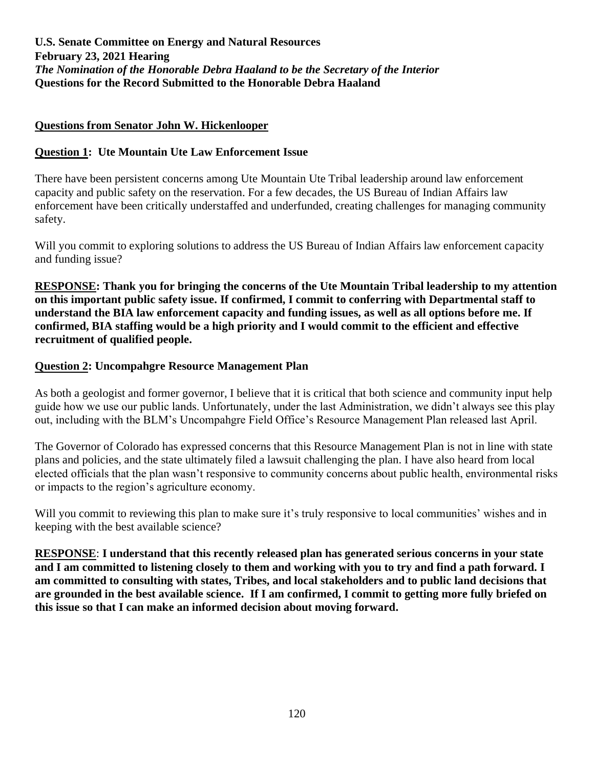#### **Questions from Senator John W. Hickenlooper**

# **Question 1: Ute Mountain Ute Law Enforcement Issue**

There have been persistent concerns among Ute Mountain Ute Tribal leadership around law enforcement capacity and public safety on the reservation. For a few decades, the US Bureau of Indian Affairs law enforcement have been critically understaffed and underfunded, creating challenges for managing community safety.

Will you commit to exploring solutions to address the US Bureau of Indian Affairs law enforcement capacity and funding issue?

**RESPONSE: Thank you for bringing the concerns of the Ute Mountain Tribal leadership to my attention on this important public safety issue. If confirmed, I commit to conferring with Departmental staff to understand the BIA law enforcement capacity and funding issues, as well as all options before me. If confirmed, BIA staffing would be a high priority and I would commit to the efficient and effective recruitment of qualified people.**

# **Question 2: Uncompahgre Resource Management Plan**

As both a geologist and former governor, I believe that it is critical that both science and community input help guide how we use our public lands. Unfortunately, under the last Administration, we didn't always see this play out, including with the BLM's Uncompahgre Field Office's Resource Management Plan released last April.

The Governor of Colorado has expressed concerns that this Resource Management Plan is not in line with state plans and policies, and the state ultimately filed a lawsuit challenging the plan. I have also heard from local elected officials that the plan wasn't responsive to community concerns about public health, environmental risks or impacts to the region's agriculture economy.

Will you commit to reviewing this plan to make sure it's truly responsive to local communities' wishes and in keeping with the best available science?

**RESPONSE**: **I understand that this recently released plan has generated serious concerns in your state and I am committed to listening closely to them and working with you to try and find a path forward. I am committed to consulting with states, Tribes, and local stakeholders and to public land decisions that are grounded in the best available science. If I am confirmed, I commit to getting more fully briefed on this issue so that I can make an informed decision about moving forward.**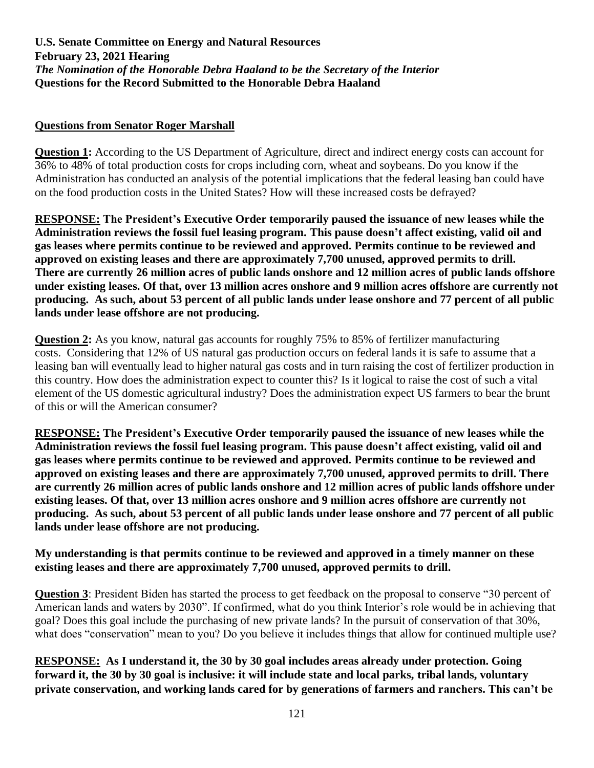#### **Questions from Senator Roger Marshall**

**Question 1:** According to the US Department of Agriculture, direct and indirect energy costs can account for 36% to 48% of total production costs for crops including corn, wheat and soybeans. Do you know if the Administration has conducted an analysis of the potential implications that the federal leasing ban could have on the food production costs in the United States? How will these increased costs be defrayed?

**RESPONSE: The President's Executive Order temporarily paused the issuance of new leases while the Administration reviews the fossil fuel leasing program. This pause doesn't affect existing, valid oil and gas leases where permits continue to be reviewed and approved. Permits continue to be reviewed and approved on existing leases and there are approximately 7,700 unused, approved permits to drill. There are currently 26 million acres of public lands onshore and 12 million acres of public lands offshore under existing leases. Of that, over 13 million acres onshore and 9 million acres offshore are currently not producing. As such, about 53 percent of all public lands under lease onshore and 77 percent of all public lands under lease offshore are not producing.** 

**Question 2:** As you know, natural gas accounts for roughly 75% to 85% of fertilizer manufacturing costs. Considering that 12% of US natural gas production occurs on federal lands it is safe to assume that a leasing ban will eventually lead to higher natural gas costs and in turn raising the cost of fertilizer production in this country. How does the administration expect to counter this? Is it logical to raise the cost of such a vital element of the US domestic agricultural industry? Does the administration expect US farmers to bear the brunt of this or will the American consumer?

**RESPONSE: The President's Executive Order temporarily paused the issuance of new leases while the Administration reviews the fossil fuel leasing program. This pause doesn't affect existing, valid oil and gas leases where permits continue to be reviewed and approved. Permits continue to be reviewed and approved on existing leases and there are approximately 7,700 unused, approved permits to drill. There are currently 26 million acres of public lands onshore and 12 million acres of public lands offshore under existing leases. Of that, over 13 million acres onshore and 9 million acres offshore are currently not producing. As such, about 53 percent of all public lands under lease onshore and 77 percent of all public lands under lease offshore are not producing.** 

#### **My understanding is that permits continue to be reviewed and approved in a timely manner on these existing leases and there are approximately 7,700 unused, approved permits to drill.**

**Question 3**: President Biden has started the process to get feedback on the proposal to conserve "30 percent of American lands and waters by 2030". If confirmed, what do you think Interior's role would be in achieving that goal? Does this goal include the purchasing of new private lands? In the pursuit of conservation of that 30%, what does "conservation" mean to you? Do you believe it includes things that allow for continued multiple use?

**RESPONSE: As I understand it, the 30 by 30 goal includes areas already under protection. Going forward it, the 30 by 30 goal is inclusive: it will include state and local parks, tribal lands, voluntary private conservation, and working lands cared for by generations of farmers and ranchers. This can't be**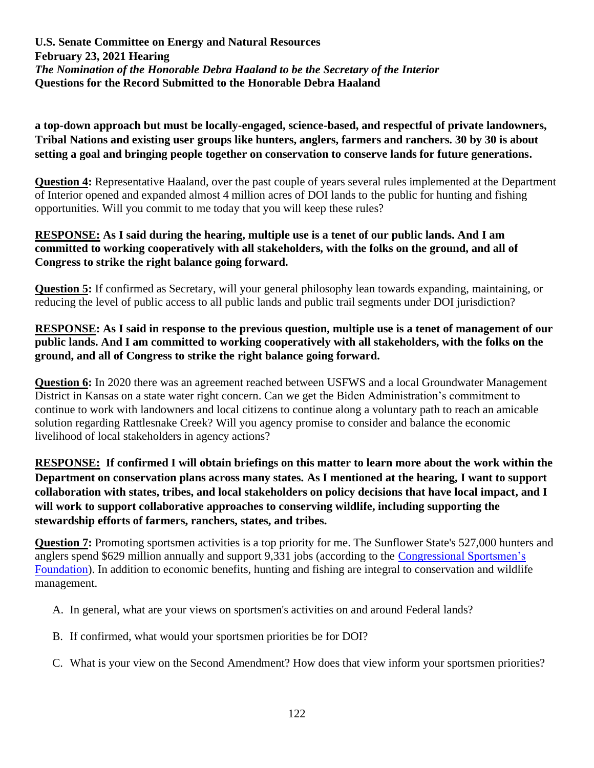**a top-down approach but must be locally-engaged, science-based, and respectful of private landowners, Tribal Nations and existing user groups like hunters, anglers, farmers and ranchers. 30 by 30 is about setting a goal and bringing people together on conservation to conserve lands for future generations.**

**Question 4:** Representative Haaland, over the past couple of years several rules implemented at the Department of Interior opened and expanded almost 4 million acres of DOI lands to the public for hunting and fishing opportunities. Will you commit to me today that you will keep these rules?

#### **RESPONSE: As I said during the hearing, multiple use is a tenet of our public lands. And I am committed to working cooperatively with all stakeholders, with the folks on the ground, and all of Congress to strike the right balance going forward.**

**Question 5:** If confirmed as Secretary, will your general philosophy lean towards expanding, maintaining, or reducing the level of public access to all public lands and public trail segments under DOI jurisdiction?

# **RESPONSE: As I said in response to the previous question, multiple use is a tenet of management of our public lands. And I am committed to working cooperatively with all stakeholders, with the folks on the ground, and all of Congress to strike the right balance going forward.**

**Question 6:** In 2020 there was an agreement reached between USFWS and a local Groundwater Management District in Kansas on a state water right concern. Can we get the Biden Administration's commitment to continue to work with landowners and local citizens to continue along a voluntary path to reach an amicable solution regarding Rattlesnake Creek? Will you agency promise to consider and balance the economic livelihood of local stakeholders in agency actions?

**RESPONSE: If confirmed I will obtain briefings on this matter to learn more about the work within the Department on conservation plans across many states. As I mentioned at the hearing, I want to support collaboration with states, tribes, and local stakeholders on policy decisions that have local impact, and I will work to support collaborative approaches to conserving wildlife, including supporting the stewardship efforts of farmers, ranchers, states, and tribes.**

**Question 7:** Promoting sportsmen activities is a top priority for me. The Sunflower State's 527,000 hunters and anglers spend \$629 million annually and support 9,331 jobs (according to the [Congressional Sportsmen's](https://congressionalsportsmen.org/state/ks)  [Foundation\)](https://congressionalsportsmen.org/state/ks). In addition to economic benefits, hunting and fishing are integral to conservation and wildlife management.

- A. In general, what are your views on sportsmen's activities on and around Federal lands?
- B. If confirmed, what would your sportsmen priorities be for DOI?
- C. What is your view on the Second Amendment? How does that view inform your sportsmen priorities?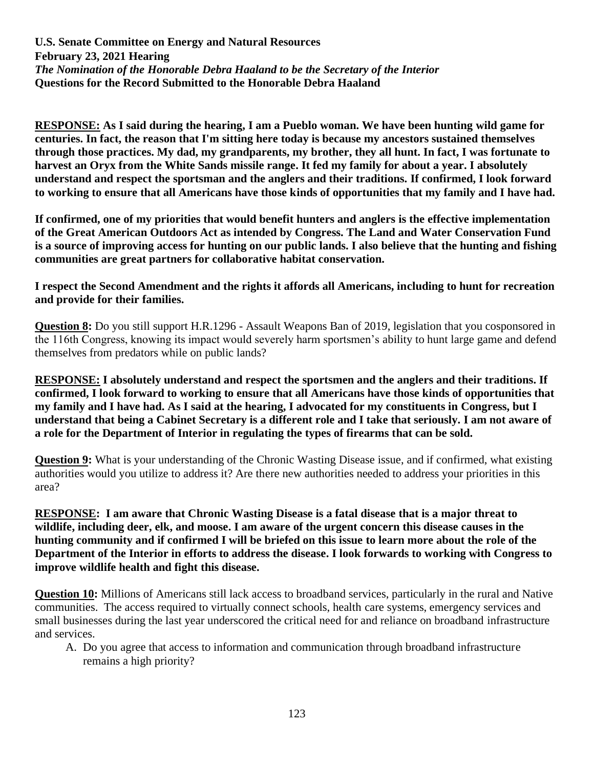**RESPONSE: As I said during the hearing, I am a Pueblo woman. We have been hunting wild game for centuries. In fact, the reason that I'm sitting here today is because my ancestors sustained themselves through those practices. My dad, my grandparents, my brother, they all hunt. In fact, I was fortunate to harvest an Oryx from the White Sands missile range. It fed my family for about a year. I absolutely understand and respect the sportsman and the anglers and their traditions. If confirmed, I look forward to working to ensure that all Americans have those kinds of opportunities that my family and I have had.**

**If confirmed, one of my priorities that would benefit hunters and anglers is the effective implementation of the Great American Outdoors Act as intended by Congress. The Land and Water Conservation Fund is a source of improving access for hunting on our public lands. I also believe that the hunting and fishing communities are great partners for collaborative habitat conservation.**

**I respect the Second Amendment and the rights it affords all Americans, including to hunt for recreation and provide for their families.**

**Question 8:** Do you still support H.R.1296 - Assault Weapons Ban of 2019, legislation that you cosponsored in the 116th Congress, knowing its impact would severely harm sportsmen's ability to hunt large game and defend themselves from predators while on public lands?

**RESPONSE: I absolutely understand and respect the sportsmen and the anglers and their traditions. If confirmed, I look forward to working to ensure that all Americans have those kinds of opportunities that my family and I have had. As I said at the hearing, I advocated for my constituents in Congress, but I understand that being a Cabinet Secretary is a different role and I take that seriously. I am not aware of a role for the Department of Interior in regulating the types of firearms that can be sold.**

**Question 9:** What is your understanding of the Chronic Wasting Disease issue, and if confirmed, what existing authorities would you utilize to address it? Are there new authorities needed to address your priorities in this area?

**RESPONSE: I am aware that Chronic Wasting Disease is a fatal disease that is a major threat to wildlife, including deer, elk, and moose. I am aware of the urgent concern this disease causes in the hunting community and if confirmed I will be briefed on this issue to learn more about the role of the Department of the Interior in efforts to address the disease. I look forwards to working with Congress to improve wildlife health and fight this disease.** 

**Question 10:** Millions of Americans still lack access to broadband services, particularly in the rural and Native communities. The access required to virtually connect schools, health care systems, emergency services and small businesses during the last year underscored the critical need for and reliance on broadband infrastructure and services.

A. Do you agree that access to information and communication through broadband infrastructure remains a high priority?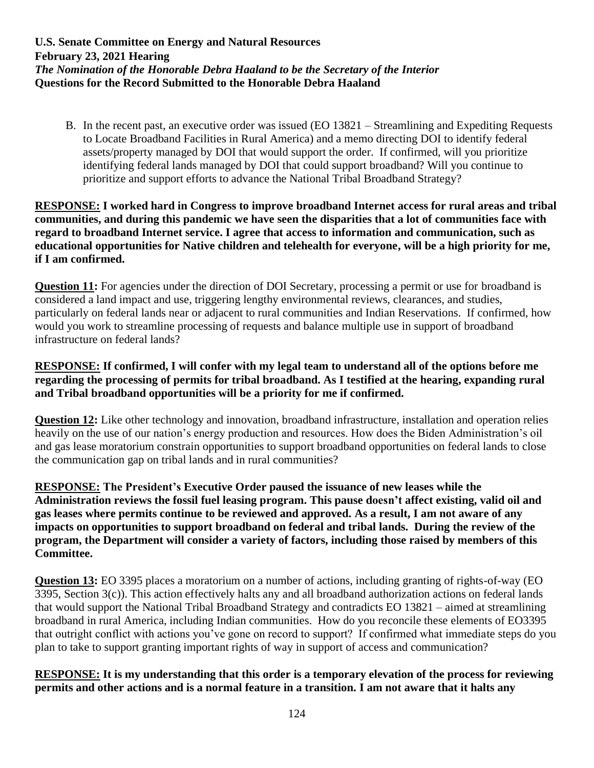B. In the recent past, an executive order was issued (EO 13821 – Streamlining and Expediting Requests to Locate Broadband Facilities in Rural America) and a memo directing DOI to identify federal assets/property managed by DOI that would support the order. If confirmed, will you prioritize identifying federal lands managed by DOI that could support broadband? Will you continue to prioritize and support efforts to advance the National Tribal Broadband Strategy?

#### **RESPONSE: I worked hard in Congress to improve broadband Internet access for rural areas and tribal communities, and during this pandemic we have seen the disparities that a lot of communities face with regard to broadband Internet service. I agree that access to information and communication, such as educational opportunities for Native children and telehealth for everyone, will be a high priority for me, if I am confirmed.**

**Question 11:** For agencies under the direction of DOI Secretary, processing a permit or use for broadband is considered a land impact and use, triggering lengthy environmental reviews, clearances, and studies, particularly on federal lands near or adjacent to rural communities and Indian Reservations. If confirmed, how would you work to streamline processing of requests and balance multiple use in support of broadband infrastructure on federal lands?

# **RESPONSE: If confirmed, I will confer with my legal team to understand all of the options before me regarding the processing of permits for tribal broadband. As I testified at the hearing, expanding rural and Tribal broadband opportunities will be a priority for me if confirmed.**

**Question 12:** Like other technology and innovation, broadband infrastructure, installation and operation relies heavily on the use of our nation's energy production and resources. How does the Biden Administration's oil and gas lease moratorium constrain opportunities to support broadband opportunities on federal lands to close the communication gap on tribal lands and in rural communities?

**RESPONSE: The President's Executive Order paused the issuance of new leases while the Administration reviews the fossil fuel leasing program. This pause doesn't affect existing, valid oil and gas leases where permits continue to be reviewed and approved. As a result, I am not aware of any impacts on opportunities to support broadband on federal and tribal lands. During the review of the program, the Department will consider a variety of factors, including those raised by members of this Committee.** 

**Question 13:** EO 3395 places a moratorium on a number of actions, including granting of rights-of-way (EO 3395, Section 3(c)). This action effectively halts any and all broadband authorization actions on federal lands that would support the National Tribal Broadband Strategy and contradicts EO 13821 – aimed at streamlining broadband in rural America, including Indian communities. How do you reconcile these elements of EO3395 that outright conflict with actions you've gone on record to support? If confirmed what immediate steps do you plan to take to support granting important rights of way in support of access and communication?

**RESPONSE: It is my understanding that this order is a temporary elevation of the process for reviewing permits and other actions and is a normal feature in a transition. I am not aware that it halts any**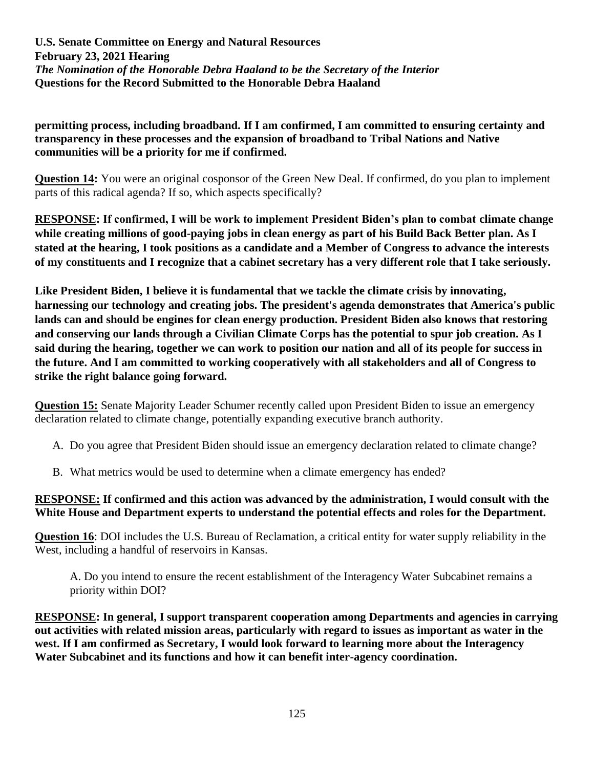**permitting process, including broadband. If I am confirmed, I am committed to ensuring certainty and transparency in these processes and the expansion of broadband to Tribal Nations and Native communities will be a priority for me if confirmed.**

**Question 14:** You were an original cosponsor of the Green New Deal. If confirmed, do you plan to implement parts of this radical agenda? If so, which aspects specifically?

**RESPONSE: If confirmed, I will be work to implement President Biden's plan to combat climate change while creating millions of good-paying jobs in clean energy as part of his Build Back Better plan. As I stated at the hearing, I took positions as a candidate and a Member of Congress to advance the interests of my constituents and I recognize that a cabinet secretary has a very different role that I take seriously.**

**Like President Biden, I believe it is fundamental that we tackle the climate crisis by innovating, harnessing our technology and creating jobs. The president's agenda demonstrates that America's public lands can and should be engines for clean energy production. President Biden also knows that restoring and conserving our lands through a Civilian Climate Corps has the potential to spur job creation. As I said during the hearing, together we can work to position our nation and all of its people for success in the future. And I am committed to working cooperatively with all stakeholders and all of Congress to strike the right balance going forward.**

**Question 15:** Senate Majority Leader Schumer recently called upon President Biden to issue an emergency declaration related to climate change, potentially expanding executive branch authority.

- A. Do you agree that President Biden should issue an emergency declaration related to climate change?
- B. What metrics would be used to determine when a climate emergency has ended?

#### **RESPONSE: If confirmed and this action was advanced by the administration, I would consult with the White House and Department experts to understand the potential effects and roles for the Department.**

**Question 16**: DOI includes the U.S. Bureau of Reclamation, a critical entity for water supply reliability in the West, including a handful of reservoirs in Kansas.

A. Do you intend to ensure the recent establishment of the Interagency Water Subcabinet remains a priority within DOI?

**RESPONSE: In general, I support transparent cooperation among Departments and agencies in carrying out activities with related mission areas, particularly with regard to issues as important as water in the west. If I am confirmed as Secretary, I would look forward to learning more about the Interagency Water Subcabinet and its functions and how it can benefit inter-agency coordination.**